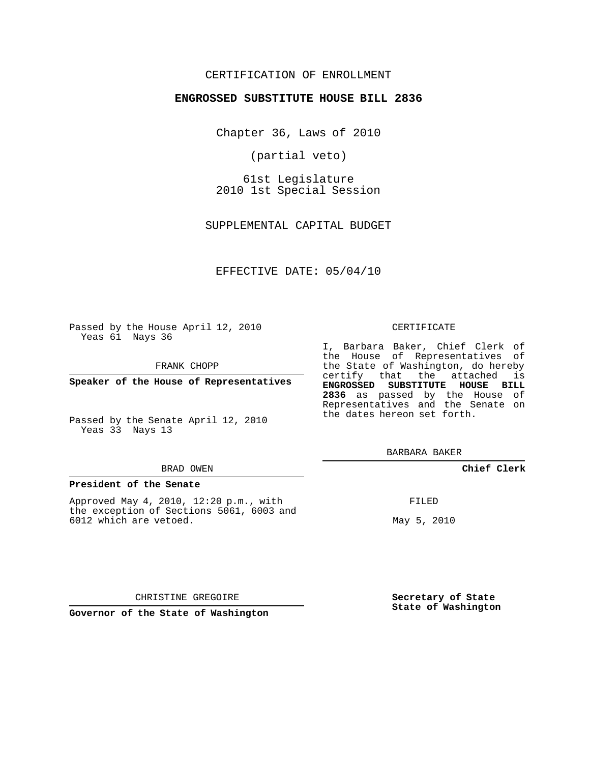## CERTIFICATION OF ENROLLMENT

#### **ENGROSSED SUBSTITUTE HOUSE BILL 2836**

Chapter 36, Laws of 2010

(partial veto)

61st Legislature 2010 1st Special Session

SUPPLEMENTAL CAPITAL BUDGET

EFFECTIVE DATE: 05/04/10

Passed by the House April 12, 2010 Yeas 61 Nays 36

FRANK CHOPP

**Speaker of the House of Representatives**

Passed by the Senate April 12, 2010 Yeas 33 Nays 13

#### BRAD OWEN

#### **President of the Senate**

Approved May 4, 2010, 12:20 p.m., with the exception of Sections 5061, 6003 and 6012 which are vetoed.

#### CERTIFICATE

I, Barbara Baker, Chief Clerk of the House of Representatives of the State of Washington, do hereby certify that the attached is **ENGROSSED SUBSTITUTE HOUSE BILL 2836** as passed by the House of Representatives and the Senate on the dates hereon set forth.

BARBARA BAKER

#### **Chief Clerk**

FILED

May 5, 2010

CHRISTINE GREGOIRE

**Governor of the State of Washington**

**Secretary of State State of Washington**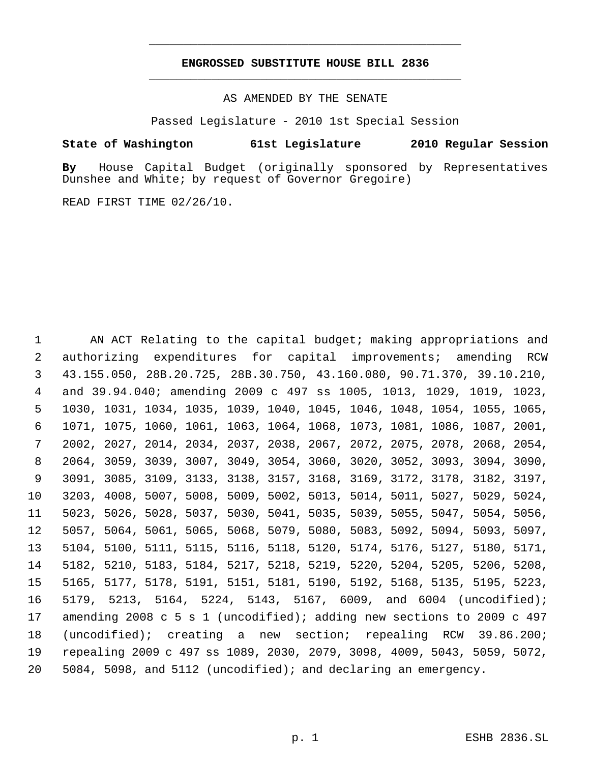# **ENGROSSED SUBSTITUTE HOUSE BILL 2836** \_\_\_\_\_\_\_\_\_\_\_\_\_\_\_\_\_\_\_\_\_\_\_\_\_\_\_\_\_\_\_\_\_\_\_\_\_\_\_\_\_\_\_\_\_

\_\_\_\_\_\_\_\_\_\_\_\_\_\_\_\_\_\_\_\_\_\_\_\_\_\_\_\_\_\_\_\_\_\_\_\_\_\_\_\_\_\_\_\_\_

AS AMENDED BY THE SENATE

Passed Legislature - 2010 1st Special Session

# **State of Washington 61st Legislature 2010 Regular Session**

**By** House Capital Budget (originally sponsored by Representatives Dunshee and White; by request of Governor Gregoire)

READ FIRST TIME 02/26/10.

 AN ACT Relating to the capital budget; making appropriations and authorizing expenditures for capital improvements; amending RCW 43.155.050, 28B.20.725, 28B.30.750, 43.160.080, 90.71.370, 39.10.210, and 39.94.040; amending 2009 c 497 ss 1005, 1013, 1029, 1019, 1023, 1030, 1031, 1034, 1035, 1039, 1040, 1045, 1046, 1048, 1054, 1055, 1065, 1071, 1075, 1060, 1061, 1063, 1064, 1068, 1073, 1081, 1086, 1087, 2001, 2002, 2027, 2014, 2034, 2037, 2038, 2067, 2072, 2075, 2078, 2068, 2054, 2064, 3059, 3039, 3007, 3049, 3054, 3060, 3020, 3052, 3093, 3094, 3090, 3091, 3085, 3109, 3133, 3138, 3157, 3168, 3169, 3172, 3178, 3182, 3197, 3203, 4008, 5007, 5008, 5009, 5002, 5013, 5014, 5011, 5027, 5029, 5024, 5023, 5026, 5028, 5037, 5030, 5041, 5035, 5039, 5055, 5047, 5054, 5056, 5057, 5064, 5061, 5065, 5068, 5079, 5080, 5083, 5092, 5094, 5093, 5097, 5104, 5100, 5111, 5115, 5116, 5118, 5120, 5174, 5176, 5127, 5180, 5171, 5182, 5210, 5183, 5184, 5217, 5218, 5219, 5220, 5204, 5205, 5206, 5208, 5165, 5177, 5178, 5191, 5151, 5181, 5190, 5192, 5168, 5135, 5195, 5223, 5179, 5213, 5164, 5224, 5143, 5167, 6009, and 6004 (uncodified); amending 2008 c 5 s 1 (uncodified); adding new sections to 2009 c 497 (uncodified); creating a new section; repealing RCW 39.86.200; repealing 2009 c 497 ss 1089, 2030, 2079, 3098, 4009, 5043, 5059, 5072, 5084, 5098, and 5112 (uncodified); and declaring an emergency.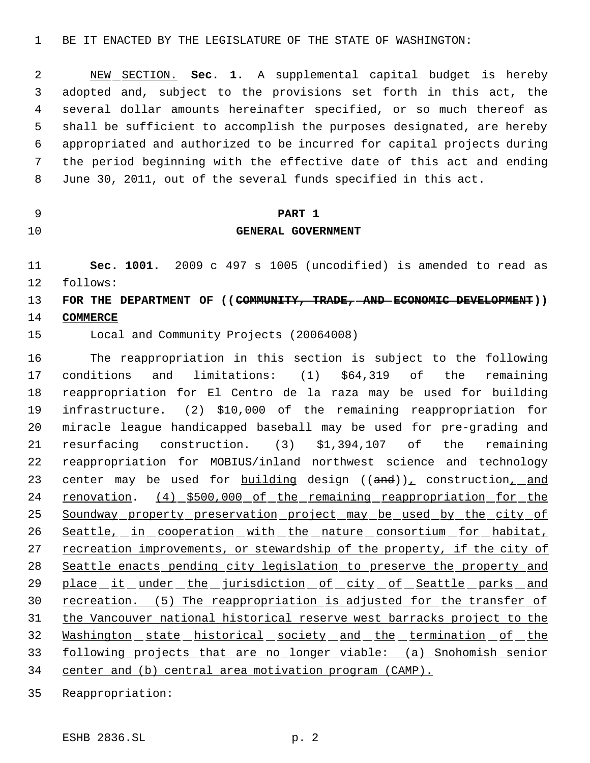NEW SECTION. **Sec. 1.** A supplemental capital budget is hereby adopted and, subject to the provisions set forth in this act, the several dollar amounts hereinafter specified, or so much thereof as shall be sufficient to accomplish the purposes designated, are hereby appropriated and authorized to be incurred for capital projects during the period beginning with the effective date of this act and ending June 30, 2011, out of the several funds specified in this act.

# **PART 1**

## **GENERAL GOVERNMENT**

 **Sec. 1001.** 2009 c 497 s 1005 (uncodified) is amended to read as follows:

# **FOR THE DEPARTMENT OF ((COMMUNITY, TRADE, AND ECONOMIC DEVELOPMENT)) COMMERCE**

Local and Community Projects (20064008)

 The reappropriation in this section is subject to the following conditions and limitations: (1) \$64,319 of the remaining reappropriation for El Centro de la raza may be used for building infrastructure. (2) \$10,000 of the remaining reappropriation for miracle league handicapped baseball may be used for pre-grading and resurfacing construction. (3) \$1,394,107 of the remaining reappropriation for MOBIUS/inland northwest science and technology 23 center may be used for  $building$  design  $((and))_L$  construction<sub>1</sub> and 24 renovation. (4) \$500,000 of the remaining reappropriation for the 25 Soundway property preservation project may be used by the city of 26 Seattle, in cooperation with the nature consortium for habitat, 27 recreation improvements, or stewardship of the property, if the city of Seattle enacts pending city legislation to preserve the property and 29 place it under the jurisdiction of city of Seattle parks and 30 recreation. (5) The reappropriation is adjusted for the transfer of the Vancouver national historical reserve west barracks project to the 32 Washington state historical society and the termination of the following projects that are no longer viable: (a) Snohomish senior center and (b) central area motivation program (CAMP).

Reappropriation: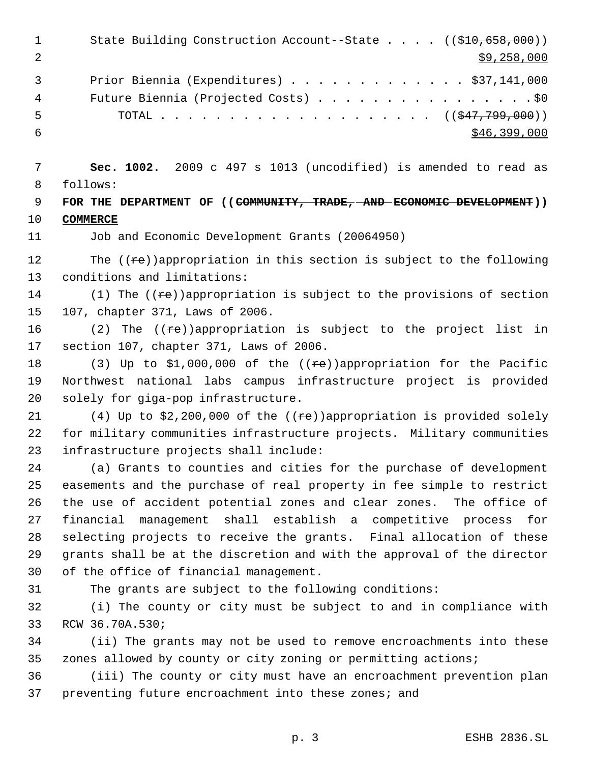| $\mathbf 1$<br>$\overline{2}$ | State Building Construction Account--State $((\frac{210}{510}, 658, 000))$<br>\$9,258,000                                           |
|-------------------------------|-------------------------------------------------------------------------------------------------------------------------------------|
| 3                             | Prior Biennia (Expenditures) $\ldots$ \$37,141,000                                                                                  |
| 4                             | Future Biennia (Projected Costs) \$0                                                                                                |
| 5                             | TOTAL ( $(\frac{247}{799}, 799)$ )                                                                                                  |
| 6                             | \$46,399,000                                                                                                                        |
| 7                             | Sec. 1002. 2009 c 497 s 1013 (uncodified) is amended to read as                                                                     |
| 8                             | follows:                                                                                                                            |
| 9                             | FOR THE DEPARTMENT OF ((COMMUNITY, TRADE, AND ECONOMIC DEVELOPMENT))                                                                |
| 10                            | <b>COMMERCE</b>                                                                                                                     |
| 11                            | Job and Economic Development Grants (20064950)                                                                                      |
| 12                            | The $((re))$ appropriation in this section is subject to the following                                                              |
| 13                            | conditions and limitations:                                                                                                         |
| 14                            | (1) The $((\pm e))$ appropriation is subject to the provisions of section                                                           |
| 15                            | 107, chapter 371, Laws of 2006.                                                                                                     |
| 16                            | (2) The $((ee))$ appropriation is subject to the project list in                                                                    |
| 17                            | section 107, chapter 371, Laws of 2006.                                                                                             |
| 18                            | (3) Up to \$1,000,000 of the $((\text{re}))$ appropriation for the Pacific                                                          |
| 19                            | Northwest national labs campus infrastructure project is provided                                                                   |
| 20                            | solely for giga-pop infrastructure.                                                                                                 |
| 21                            | (4) Up to \$2,200,000 of the (( $\neq$ e)) appropriation is provided solely                                                         |
| 22                            | for military communities infrastructure projects. Military communities                                                              |
| 23                            | infrastructure projects shall include:                                                                                              |
| 24                            | (a) Grants to counties and cities for the purchase of development                                                                   |
| 25                            | easements and the purchase of real property in fee simple to restrict                                                               |
| 26                            | the use of accident potential zones and clear zones. The office of                                                                  |
| 27                            | management shall establish a competitive process<br>financial<br>for                                                                |
| 28                            | selecting projects to receive the grants. Final allocation of these                                                                 |
| 29                            | grants shall be at the discretion and with the approval of the director                                                             |
| 30                            | of the office of financial management.                                                                                              |
| 31                            | The grants are subject to the following conditions:                                                                                 |
| 32<br>33                      | (i) The county or city must be subject to and in compliance with<br>RCW 36.70A.530;                                                 |
|                               |                                                                                                                                     |
| 34<br>35                      | (ii) The grants may not be used to remove encroachments into these<br>zones allowed by county or city zoning or permitting actions; |
| 36                            | (iii) The county or city must have an encroachment prevention plan                                                                  |
| 37                            | preventing future encroachment into these zones; and                                                                                |
|                               |                                                                                                                                     |

p. 3 ESHB 2836.SL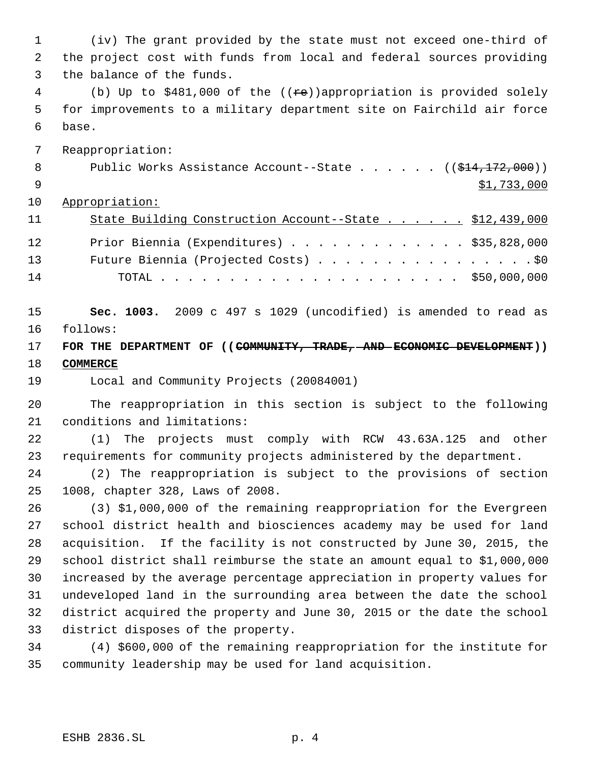(iv) The grant provided by the state must not exceed one-third of the project cost with funds from local and federal sources providing the balance of the funds.

4 (b) Up to \$481,000 of the ((re))appropriation is provided solely for improvements to a military department site on Fairchild air force base.

Reappropriation:

|  |  |  |  |  | Public Works Assistance Account--State $($ $(\frac{14}{712}, 000)$ |
|--|--|--|--|--|--------------------------------------------------------------------|
|  |  |  |  |  | \$1,733,000                                                        |

Appropriation:

| 11 | State Building Construction Account--State \$12,439,000 |  |
|----|---------------------------------------------------------|--|
| 12 | Prior Biennia (Expenditures) \$35,828,000               |  |
| 13 | Future Biennia (Projected Costs) \$0                    |  |
| 14 |                                                         |  |

 **Sec. 1003.** 2009 c 497 s 1029 (uncodified) is amended to read as follows:

 **FOR THE DEPARTMENT OF ((COMMUNITY, TRADE, AND ECONOMIC DEVELOPMENT)) COMMERCE**

Local and Community Projects (20084001)

 The reappropriation in this section is subject to the following conditions and limitations:

 (1) The projects must comply with RCW 43.63A.125 and other requirements for community projects administered by the department.

 (2) The reappropriation is subject to the provisions of section 1008, chapter 328, Laws of 2008.

 (3) \$1,000,000 of the remaining reappropriation for the Evergreen school district health and biosciences academy may be used for land acquisition. If the facility is not constructed by June 30, 2015, the school district shall reimburse the state an amount equal to \$1,000,000 increased by the average percentage appreciation in property values for undeveloped land in the surrounding area between the date the school district acquired the property and June 30, 2015 or the date the school district disposes of the property.

 (4) \$600,000 of the remaining reappropriation for the institute for community leadership may be used for land acquisition.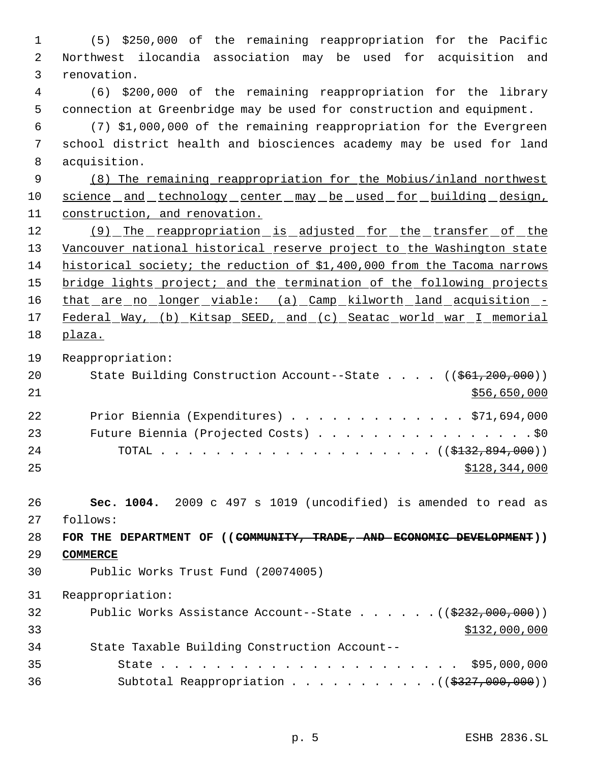(5) \$250,000 of the remaining reappropriation for the Pacific Northwest ilocandia association may be used for acquisition and renovation. (6) \$200,000 of the remaining reappropriation for the library connection at Greenbridge may be used for construction and equipment. (7) \$1,000,000 of the remaining reappropriation for the Evergreen school district health and biosciences academy may be used for land acquisition. (8) The remaining reappropriation for the Mobius/inland northwest 10 science and technology center may be used for building design, construction, and renovation. 12 (9) The reappropriation is adjusted for the transfer of the 13 Vancouver national historical reserve project to the Washington state historical society; the reduction of \$1,400,000 from the Tacoma narrows 15 bridge lights project; and the termination of the following projects 16 that are no longer viable: (a) Camp kilworth land acquisition -17 Federal Way, (b) Kitsap SEED, and (c) Seatac world war I memorial plaza. Reappropriation: 20 State Building Construction Account--State . . . . ((\$61,200,000)) \$56,650,000 Prior Biennia (Expenditures) . . . . . . . . . . . . . \$71,694,000 23 Future Biennia (Projected Costs) . . . . . . . . . . . . . . . . \$0 24 TOTAL . . . . . . . . . . . . . . . . . ((<del>\$132,894,000</del>)) \$128,344,000 **Sec. 1004.** 2009 c 497 s 1019 (uncodified) is amended to read as follows: **FOR THE DEPARTMENT OF ((COMMUNITY, TRADE, AND ECONOMIC DEVELOPMENT)) COMMERCE** Public Works Trust Fund (20074005) Reappropriation: 32 Public Works Assistance Account--State . . . . . . ((\$232,000,000)) \$132,000,000 \$132,000,000 \$132,000,000 \$132,000,000 \$132,000,000 \$132,000  $33$  State Taxable Building Construction Account-- State . . . . . . . . . . . . . . . . . . . . . . \$95,000,000 36 Subtotal Reappropriation . . . . . . . . . . . ((\$327,000,000))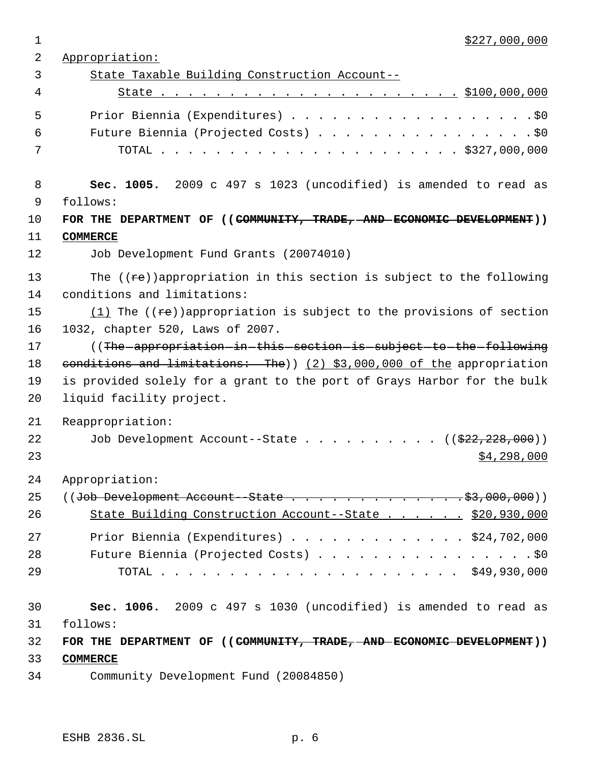$\frac{$227,000,000}{2}$  Appropriation: State Taxable Building Construction Account-- State . . . . . . . . . . . . . . . . . . . . . . \$100,000,000 5 Prior Biennia (Expenditures) . . . . . . . . . . . . . . . . . . \$0 Future Biennia (Projected Costs) . . . . . . . . . . . . . . . . \$0 TOTAL . . . . . . . . . . . . . . . . . . . . . . \$327,000,000 **Sec. 1005.** 2009 c 497 s 1023 (uncodified) is amended to read as follows: **FOR THE DEPARTMENT OF ((COMMUNITY, TRADE, AND ECONOMIC DEVELOPMENT)) COMMERCE** Job Development Fund Grants (20074010) 13 The  $((re))$ appropriation in this section is subject to the following conditions and limitations:  $(1)$  The  $((re))$ appropriation is subject to the provisions of section 1032, chapter 520, Laws of 2007. 17 ((The appropriation in this section is subject to the following 18 conditions and limitations: The)) (2) \$3,000,000 of the appropriation is provided solely for a grant to the port of Grays Harbor for the bulk liquid facility project. Reappropriation: 22 Job Development Account--State . . . . . . . . . . ((\$22,228,000))  $\frac{1}{298,000}$  Appropriation: 25 ((Job Development Account - State  $\cdots$ ,  $\cdots$ ,  $\cdots$ ,  $\cdots$ ,  $\cdots$ ,  $\frac{25}{000}$ , 000,000)) State Building Construction Account--State . . . . . . \$20,930,000 Prior Biennia (Expenditures) . . . . . . . . . . . . . \$24,702,000 28 Future Biennia (Projected Costs) . . . . . . . . . . . . . . . . \$0 TOTAL . . . . . . . . . . . . . . . . . . . . . . \$49,930,000 **Sec. 1006.** 2009 c 497 s 1030 (uncodified) is amended to read as follows: **FOR THE DEPARTMENT OF ((COMMUNITY, TRADE, AND ECONOMIC DEVELOPMENT)) COMMERCE** Community Development Fund (20084850)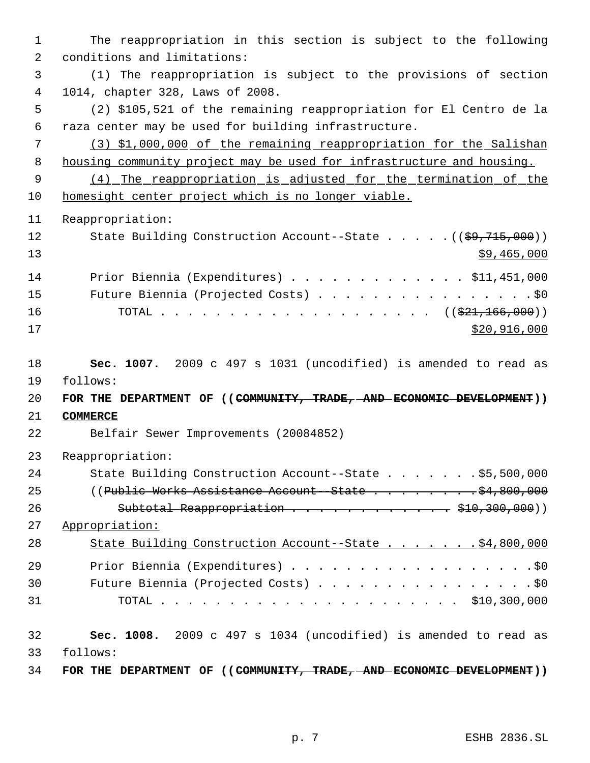The reappropriation in this section is subject to the following conditions and limitations: (1) The reappropriation is subject to the provisions of section 1014, chapter 328, Laws of 2008. (2) \$105,521 of the remaining reappropriation for El Centro de la raza center may be used for building infrastructure. (3) \$1,000,000 of the remaining reappropriation for the Salishan housing community project may be used for infrastructure and housing. (4) The reappropriation is adjusted for the termination of the homesight center project which is no longer viable. Reappropriation: 12 State Building Construction Account--State . . . . . ((\$9,715,000))  $\frac{13}{2}$   $\frac{13}{2}$   $\frac{13}{2}$   $\frac{13}{2}$   $\frac{13}{2}$   $\frac{13}{2}$   $\frac{13}{2}$   $\frac{13}{2}$   $\frac{13}{2}$   $\frac{13}{2}$   $\frac{13}{2}$   $\frac{13}{2}$   $\frac{13}{2}$   $\frac{13}{2}$   $\frac{13}{2}$   $\frac{13}{2}$   $\frac{13}{2}$   $\frac{13}{2}$   $\frac{13}{2}$   $\frac{13}{2}$  Prior Biennia (Expenditures) . . . . . . . . . . . . . \$11,451,000 15 Future Biennia (Projected Costs) . . . . . . . . . . . . . . . . \$0 16 TOTAL . . . . . . . . . . . . . . . . . . ((<del>\$21,166,000</del>)) \$20,916,000 **Sec. 1007.** 2009 c 497 s 1031 (uncodified) is amended to read as follows: **FOR THE DEPARTMENT OF ((COMMUNITY, TRADE, AND ECONOMIC DEVELOPMENT)) COMMERCE** Belfair Sewer Improvements (20084852) Reappropriation: State Building Construction Account--State . . . . . . . \$5,500,000 25 ((Public Works Assistance Account - State . . . . . . . . \$4,800,000 26 Subtotal Reappropriation . . . . . . . . . . . \$10,300,000)) Appropriation: 28 State Building Construction Account--State . . . . . . . \$4,800,000 Prior Biennia (Expenditures) . . . . . . . . . . . . . . . . . .\$0 30 Future Biennia (Projected Costs) . . . . . . . . . . . . . . . . \$0 TOTAL . . . . . . . . . . . . . . . . . . . . . . \$10,300,000 **Sec. 1008.** 2009 c 497 s 1034 (uncodified) is amended to read as follows: **FOR THE DEPARTMENT OF ((COMMUNITY, TRADE, AND ECONOMIC DEVELOPMENT))**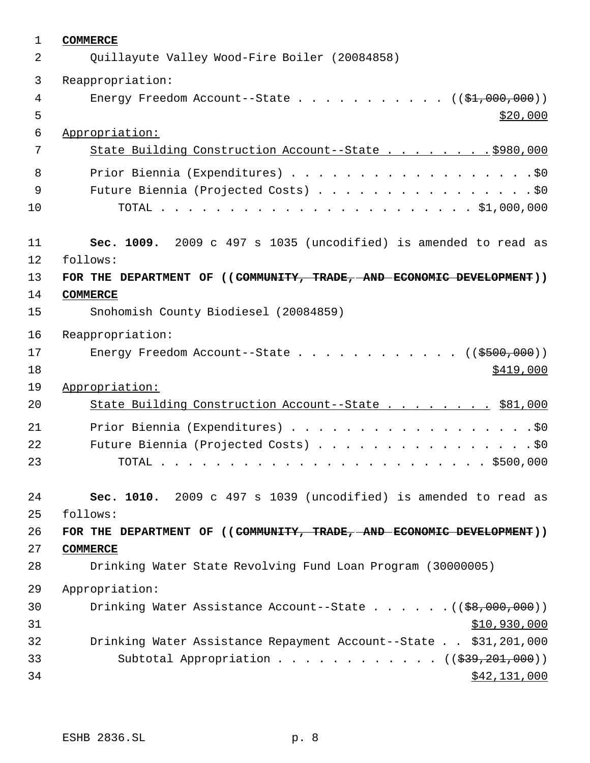| 1      | <b>COMMERCE</b>                                                                     |
|--------|-------------------------------------------------------------------------------------|
| 2      | Quillayute Valley Wood-Fire Boiler (20084858)                                       |
| 3      | Reappropriation:                                                                    |
| 4<br>5 | Energy Freedom Account--State ( $(\frac{21}{100}, 000, 000)$ )<br>\$20,000          |
| 6      | Appropriation:                                                                      |
| 7      | State Building Construction Account--State \$980,000                                |
| 8      | Prior Biennia (Expenditures) \$0                                                    |
| 9      | Future Biennia (Projected Costs) \$0                                                |
| 10     |                                                                                     |
| 11     | Sec. 1009. 2009 c 497 s 1035 (uncodified) is amended to read as                     |
| 12     | follows:                                                                            |
| 13     | FOR THE DEPARTMENT OF ((COMMUNITY, TRADE, AND ECONOMIC DEVELOPMENT))                |
| 14     | <b>COMMERCE</b>                                                                     |
| 15     | Snohomish County Biodiesel (20084859)                                               |
| 16     | Reappropriation:                                                                    |
| 17     | Energy Freedom Account--State ( $(\frac{2500}{100})$ )                              |
| 18     | \$419,000                                                                           |
| 19     | Appropriation:                                                                      |
| 20     | State Building Construction Account--State \$81,000                                 |
| 21     |                                                                                     |
| 22     | Future Biennia (Projected Costs) \$0                                                |
| 23     |                                                                                     |
| 24     | Sec. 1010. 2009 c 497 s 1039 (uncodified) is amended to read as                     |
| 25     | follows:                                                                            |
| 26     | FOR THE DEPARTMENT OF ((COMMUNITY, TRADE, AND ECONOMIC DEVELOPMENT))                |
| 27     | <b>COMMERCE</b>                                                                     |
| 28     | Drinking Water State Revolving Fund Loan Program (30000005)                         |
| 29     | Appropriation:                                                                      |
| 30     | Drinking Water Assistance Account--State $($ $($ $\frac{69}{600}, \frac{000}{000})$ |
| 31     | \$10,930,000                                                                        |
| 32     | Drinking Water Assistance Repayment Account--State \$31,201,000                     |
| 33     | Subtotal Appropriation $($ $($ $\frac{239}{201},000) )$                             |
| 34     | \$42,131,000                                                                        |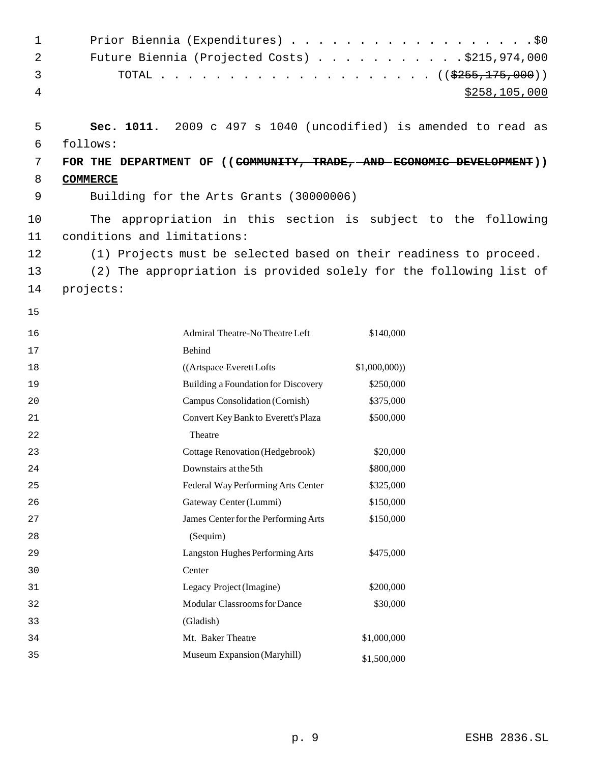| $\mathbf 1$ |                             |                                                                        | Prior Biennia (Expenditures) \$0                                     |
|-------------|-----------------------------|------------------------------------------------------------------------|----------------------------------------------------------------------|
| 2           |                             |                                                                        | Future Biennia (Projected Costs) $\ldots$ \$215,974,000              |
| 3           |                             |                                                                        |                                                                      |
| 4           |                             |                                                                        | \$258,105,000                                                        |
|             |                             |                                                                        |                                                                      |
| 5           |                             |                                                                        | Sec. 1011. 2009 c 497 s 1040 (uncodified) is amended to read as      |
| 6           | follows:                    |                                                                        |                                                                      |
| 7           |                             |                                                                        | FOR THE DEPARTMENT OF ((COMMUNITY, TRADE, AND ECONOMIC DEVELOPMENT)) |
| 8           | <b>COMMERCE</b>             |                                                                        |                                                                      |
| 9           |                             | Building for the Arts Grants (30000006)                                |                                                                      |
| 10          |                             |                                                                        | The appropriation in this section is subject to the following        |
| 11          | conditions and limitations: |                                                                        |                                                                      |
| 12          |                             |                                                                        | (1) Projects must be selected based on their readiness to proceed.   |
| 13          |                             |                                                                        | (2) The appropriation is provided solely for the following list of   |
| 14          | projects:                   |                                                                        |                                                                      |
| 15          |                             |                                                                        |                                                                      |
|             |                             |                                                                        |                                                                      |
| 16          |                             | Admiral Theatre-No Theatre Left                                        | \$140,000                                                            |
| 17          |                             | <b>Behind</b>                                                          |                                                                      |
| 18<br>19    |                             | ((Artspace Everett Lofts<br><b>Building a Foundation for Discovery</b> | \$1,000,000)<br>\$250,000                                            |
| 20          |                             | Campus Consolidation (Cornish)                                         | \$375,000                                                            |
| 21          |                             | Convert Key Bank to Everett's Plaza                                    | \$500,000                                                            |
| 22          |                             | Theatre                                                                |                                                                      |
| 23          |                             | <b>Cottage Renovation (Hedgebrook)</b>                                 | \$20,000                                                             |
| 24          |                             | Downstairs at the 5th                                                  | \$800,000                                                            |
| 25          |                             | Federal Way Performing Arts Center                                     | \$325,000                                                            |
| 26          |                             | Gateway Center (Lummi)                                                 | \$150,000                                                            |
| 27          |                             | James Center for the Performing Arts                                   | \$150,000                                                            |
| 28          |                             | (Sequim)                                                               |                                                                      |
| 29          |                             | Langston Hughes Performing Arts                                        | \$475,000                                                            |
| 30          |                             | Center                                                                 |                                                                      |
| 31          |                             | Legacy Project (Imagine)                                               | \$200,000                                                            |
| 32          |                             | Modular Classrooms for Dance                                           | \$30,000                                                             |
| 33          |                             | (Gladish)                                                              |                                                                      |
| 34          |                             | Mt. Baker Theatre                                                      | \$1,000,000                                                          |
| 35          |                             | Museum Expansion (Maryhill)                                            | \$1,500,000                                                          |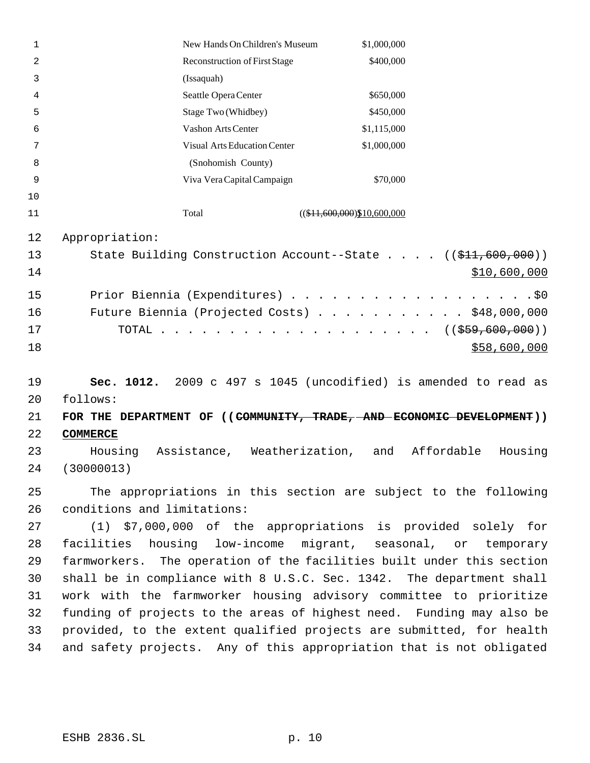| 1        | New Hands On Children's Museum                                              | \$1,000,000                                                                              |                              |
|----------|-----------------------------------------------------------------------------|------------------------------------------------------------------------------------------|------------------------------|
| 2        | Reconstruction of First Stage                                               | \$400,000                                                                                |                              |
| 3        | (Issaquah)                                                                  |                                                                                          |                              |
| 4        | Seattle Opera Center                                                        | \$650,000                                                                                |                              |
| 5        | Stage Two (Whidbey)                                                         | \$450,000                                                                                |                              |
| 6        | Vashon Arts Center                                                          | \$1,115,000                                                                              |                              |
| 7        | <b>Visual Arts Education Center</b>                                         | \$1,000,000                                                                              |                              |
| 8        | (Snohomish County)                                                          |                                                                                          |                              |
| 9        | Viva Vera Capital Campaign                                                  | \$70,000                                                                                 |                              |
| 10       |                                                                             |                                                                                          |                              |
| 11       | Total                                                                       | $((\$11,600,000)\$10,600,000$                                                            |                              |
| 12       | Appropriation:                                                              |                                                                                          |                              |
| 13       | State Building Construction Account--State $((\frac{11.600}{1.000}, 0.00))$ |                                                                                          |                              |
| 14       |                                                                             |                                                                                          | \$10,600,000                 |
| 15       | Prior Biennia (Expenditures) \$0                                            |                                                                                          |                              |
| 16       | Future Biennia (Projected Costs) \$48,000,000                               |                                                                                          |                              |
| 17       | TOTAL                                                                       | $\mathbf{r}$ , and $\mathbf{r}$ , and $\mathbf{r}$ , and $\mathbf{r}$ , and $\mathbf{r}$ | $((\frac{259}{7600}, 600) )$ |
| 18       |                                                                             |                                                                                          | \$58,600,000                 |
|          |                                                                             |                                                                                          |                              |
| 19       | Sec. 1012. 2009 c 497 s 1045 (uncodified) is amended to read as             |                                                                                          |                              |
| 20       | follows:                                                                    |                                                                                          |                              |
| 21       | FOR THE DEPARTMENT OF ((COMMUNITY, TRADE, AND ECONOMIC DEVELOPMENT))        |                                                                                          |                              |
| 22       | <b>COMMERCE</b>                                                             |                                                                                          |                              |
| 23       | Housing<br>Assistance, Weatherization,                                      | and                                                                                      | Affordable<br>Housing        |
| 24       | (30000013)                                                                  |                                                                                          |                              |
| 25       | The appropriations in this section are subject to the following             |                                                                                          |                              |
| 26       | conditions and limitations:                                                 |                                                                                          |                              |
| 27       | (1) \$7,000,000 of the appropriations is provided solely for                |                                                                                          |                              |
| 28       | facilities housing low-income migrant, seasonal, or temporary               |                                                                                          |                              |
| 29       | farmworkers. The operation of the facilities built under this section       |                                                                                          |                              |
|          | shall be in compliance with 8 U.S.C. Sec. 1342. The department shall        |                                                                                          |                              |
| 30<br>31 | work with the farmworker housing advisory committee to prioritize           |                                                                                          |                              |
| 32       | funding of projects to the areas of highest need. Funding may also be       |                                                                                          |                              |
| 33       | provided, to the extent qualified projects are submitted, for health        |                                                                                          |                              |
|          |                                                                             |                                                                                          |                              |
| 34       | and safety projects. Any of this appropriation that is not obligated        |                                                                                          |                              |
|          |                                                                             |                                                                                          |                              |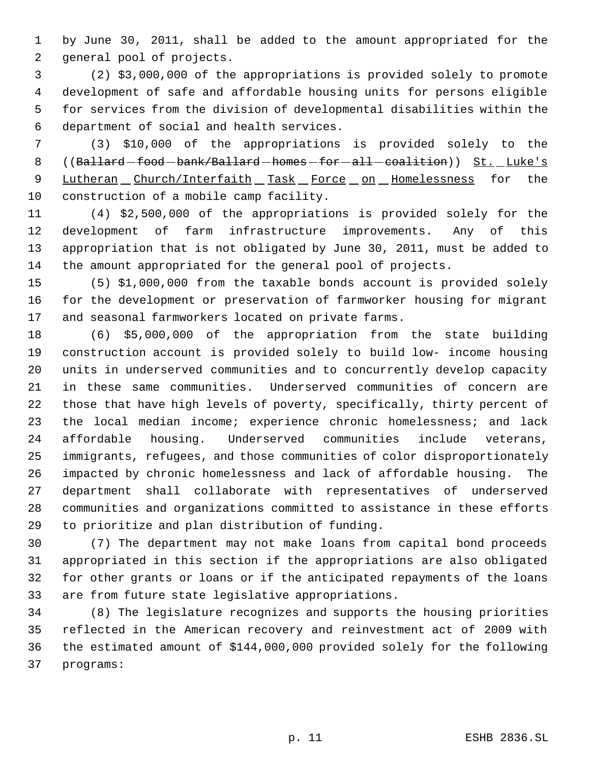by June 30, 2011, shall be added to the amount appropriated for the general pool of projects.

 (2) \$3,000,000 of the appropriations is provided solely to promote development of safe and affordable housing units for persons eligible for services from the division of developmental disabilities within the department of social and health services.

 (3) \$10,000 of the appropriations is provided solely to the 8 ((Ballard-food-bank/Ballard-homes-for-all-coalition)) St. Luke's 9 Lutheran Church/Interfaith Task Force on Homelessness for the construction of a mobile camp facility.

 (4) \$2,500,000 of the appropriations is provided solely for the development of farm infrastructure improvements. Any of this appropriation that is not obligated by June 30, 2011, must be added to the amount appropriated for the general pool of projects.

 (5) \$1,000,000 from the taxable bonds account is provided solely for the development or preservation of farmworker housing for migrant and seasonal farmworkers located on private farms.

 (6) \$5,000,000 of the appropriation from the state building construction account is provided solely to build low- income housing units in underserved communities and to concurrently develop capacity in these same communities. Underserved communities of concern are those that have high levels of poverty, specifically, thirty percent of the local median income; experience chronic homelessness; and lack affordable housing. Underserved communities include veterans, immigrants, refugees, and those communities of color disproportionately impacted by chronic homelessness and lack of affordable housing. The department shall collaborate with representatives of underserved communities and organizations committed to assistance in these efforts to prioritize and plan distribution of funding.

 (7) The department may not make loans from capital bond proceeds appropriated in this section if the appropriations are also obligated for other grants or loans or if the anticipated repayments of the loans are from future state legislative appropriations.

 (8) The legislature recognizes and supports the housing priorities reflected in the American recovery and reinvestment act of 2009 with the estimated amount of \$144,000,000 provided solely for the following programs: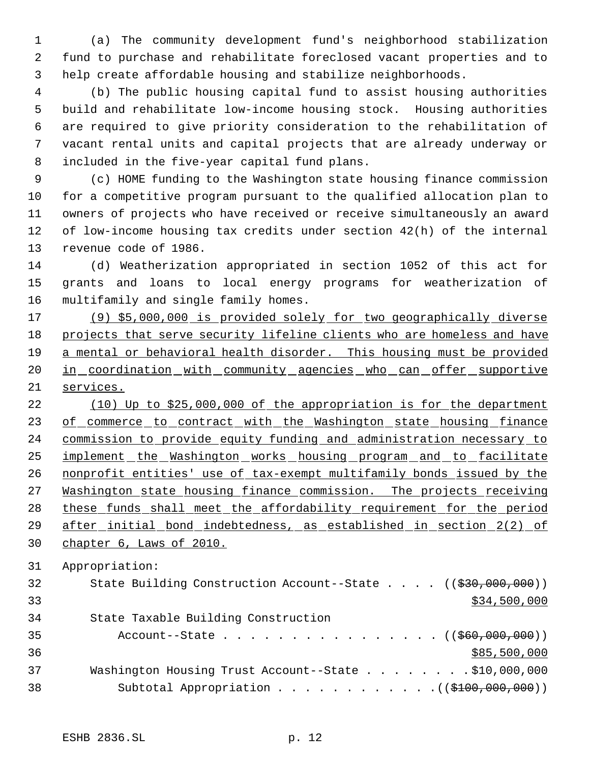(a) The community development fund's neighborhood stabilization fund to purchase and rehabilitate foreclosed vacant properties and to help create affordable housing and stabilize neighborhoods.

 (b) The public housing capital fund to assist housing authorities build and rehabilitate low-income housing stock. Housing authorities are required to give priority consideration to the rehabilitation of vacant rental units and capital projects that are already underway or included in the five-year capital fund plans.

 (c) HOME funding to the Washington state housing finance commission for a competitive program pursuant to the qualified allocation plan to owners of projects who have received or receive simultaneously an award of low-income housing tax credits under section 42(h) of the internal revenue code of 1986.

 (d) Weatherization appropriated in section 1052 of this act for grants and loans to local energy programs for weatherization of multifamily and single family homes.

 (9) \$5,000,000 is provided solely for two geographically diverse projects that serve security lifeline clients who are homeless and have a mental or behavioral health disorder. This housing must be provided 20 in coordination with community agencies who can offer supportive services.

 (10) Up to \$25,000,000 of the appropriation is for the department 23 of commerce to contract with the Washington state housing finance commission to provide equity funding and administration necessary to 25 implement the Washington works housing program and to facilitate nonprofit entities' use of tax-exempt multifamily bonds issued by the 27 Washington state housing finance commission. The projects receiving these funds shall meet the affordability requirement for the period after initial bond indebtedness, as established in section 2(2) of chapter 6, Laws of 2010.

Appropriation:

| 32 | State Building Construction Account--State $((\frac{290,000,000)}{200,000}))$ |
|----|-------------------------------------------------------------------------------|
| 33 | \$34,500,000                                                                  |
| 34 | State Taxable Building Construction                                           |
| 35 | Account--State ( $(\frac{260,000,000}{1})$                                    |
| 36 | \$85,500,000                                                                  |
| 37 | Washington Housing Trust Account--State \$10,000,000                          |
| 38 | Subtotal Appropriation $($ $($ $$100,000,000)$ $)$                            |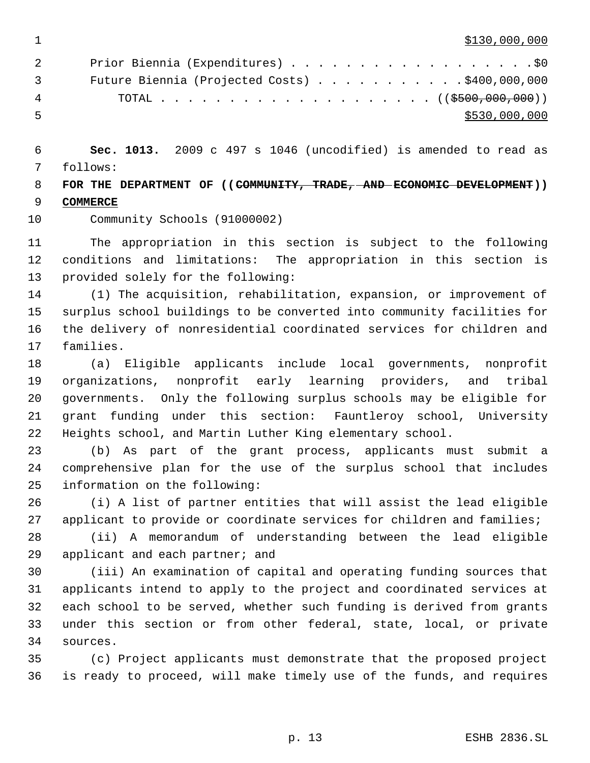\$130,000,000  $\,$ 

| 2              | Prior Biennia (Expenditures) \$0                        |
|----------------|---------------------------------------------------------|
| $\overline{3}$ | Future Biennia (Projected Costs) $\ldots$ \$400,000,000 |
| 4              |                                                         |
| -5             | \$530,000,000                                           |

 **Sec. 1013.** 2009 c 497 s 1046 (uncodified) is amended to read as follows:

 **FOR THE DEPARTMENT OF ((COMMUNITY, TRADE, AND ECONOMIC DEVELOPMENT)) COMMERCE**

Community Schools (91000002)

 The appropriation in this section is subject to the following conditions and limitations: The appropriation in this section is provided solely for the following:

 (1) The acquisition, rehabilitation, expansion, or improvement of surplus school buildings to be converted into community facilities for the delivery of nonresidential coordinated services for children and families.

 (a) Eligible applicants include local governments, nonprofit organizations, nonprofit early learning providers, and tribal governments. Only the following surplus schools may be eligible for grant funding under this section: Fauntleroy school, University Heights school, and Martin Luther King elementary school.

 (b) As part of the grant process, applicants must submit a comprehensive plan for the use of the surplus school that includes information on the following:

 (i) A list of partner entities that will assist the lead eligible applicant to provide or coordinate services for children and families;

 (ii) A memorandum of understanding between the lead eligible applicant and each partner; and

 (iii) An examination of capital and operating funding sources that applicants intend to apply to the project and coordinated services at each school to be served, whether such funding is derived from grants under this section or from other federal, state, local, or private sources.

 (c) Project applicants must demonstrate that the proposed project is ready to proceed, will make timely use of the funds, and requires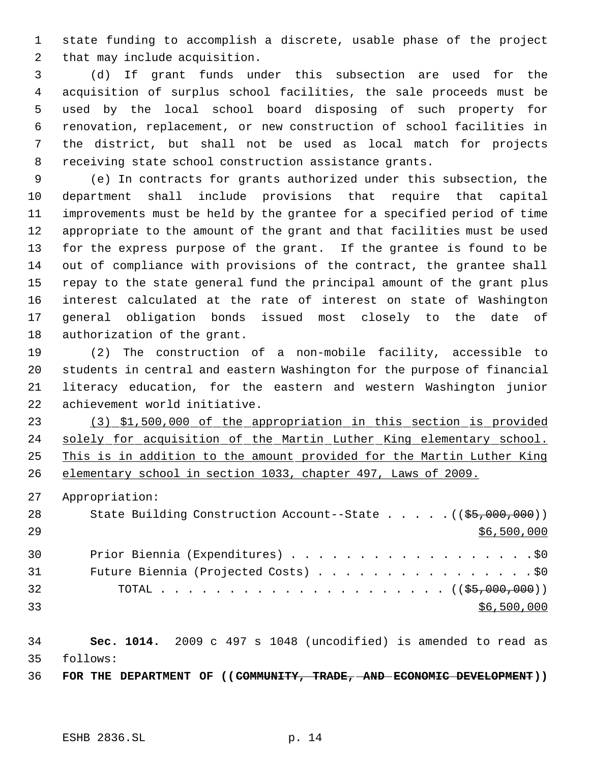state funding to accomplish a discrete, usable phase of the project that may include acquisition.

 (d) If grant funds under this subsection are used for the acquisition of surplus school facilities, the sale proceeds must be used by the local school board disposing of such property for renovation, replacement, or new construction of school facilities in the district, but shall not be used as local match for projects receiving state school construction assistance grants.

 (e) In contracts for grants authorized under this subsection, the department shall include provisions that require that capital improvements must be held by the grantee for a specified period of time appropriate to the amount of the grant and that facilities must be used for the express purpose of the grant. If the grantee is found to be out of compliance with provisions of the contract, the grantee shall repay to the state general fund the principal amount of the grant plus interest calculated at the rate of interest on state of Washington general obligation bonds issued most closely to the date of authorization of the grant.

 (2) The construction of a non-mobile facility, accessible to students in central and eastern Washington for the purpose of financial literacy education, for the eastern and western Washington junior achievement world initiative.

 (3) \$1,500,000 of the appropriation in this section is provided 24 solely for acquisition of the Martin Luther King elementary school. This is in addition to the amount provided for the Martin Luther King elementary school in section 1033, chapter 497, Laws of 2009.

Appropriation:

| 28 | State Building Construction Account--State $($ $($ \$5,000,000) $)$ |
|----|---------------------------------------------------------------------|
| 29 | \$6,500,000                                                         |
| 30 | Prior Biennia (Expenditures) \$0                                    |
| 31 | Future Biennia (Projected Costs) \$0                                |
| 32 |                                                                     |
| 33 | \$6,500,000                                                         |

 **Sec. 1014.** 2009 c 497 s 1048 (uncodified) is amended to read as follows:

**FOR THE DEPARTMENT OF ((COMMUNITY, TRADE, AND ECONOMIC DEVELOPMENT))**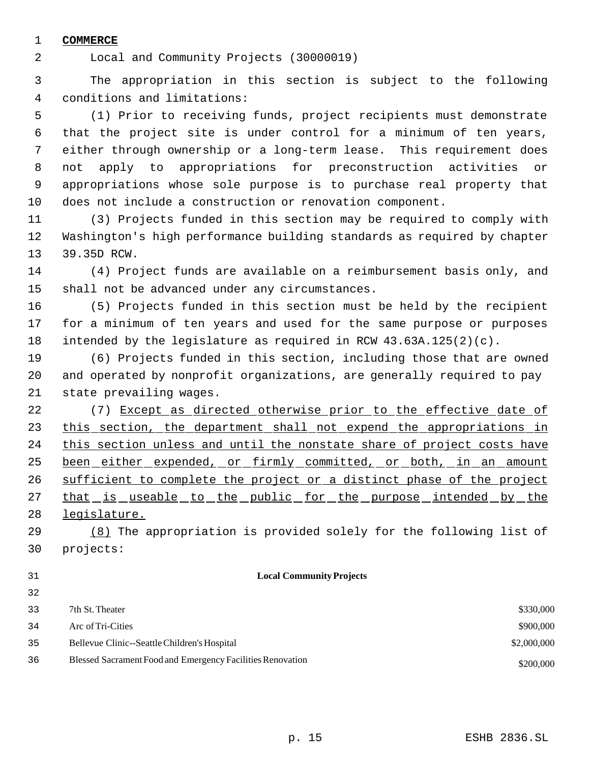# **COMMERCE**

Local and Community Projects (30000019)

 The appropriation in this section is subject to the following conditions and limitations:

 (1) Prior to receiving funds, project recipients must demonstrate that the project site is under control for a minimum of ten years, either through ownership or a long-term lease. This requirement does not apply to appropriations for preconstruction activities or appropriations whose sole purpose is to purchase real property that does not include a construction or renovation component.

 (3) Projects funded in this section may be required to comply with Washington's high performance building standards as required by chapter 39.35D RCW.

 (4) Project funds are available on a reimbursement basis only, and shall not be advanced under any circumstances.

 (5) Projects funded in this section must be held by the recipient for a minimum of ten years and used for the same purpose or purposes intended by the legislature as required in RCW 43.63A.125(2)(c).

 (6) Projects funded in this section, including those that are owned and operated by nonprofit organizations, are generally required to pay state prevailing wages.

22 (7) Except as directed otherwise prior to the effective date of 23 this section, the department shall not expend the appropriations in 24 this section unless and until the nonstate share of project costs have 25 been either expended, or firmly committed, or both, in an amount 26 sufficient to complete the project or a distinct phase of the project 27 that is useable to the public for the purpose intended by the legislature.

 (8) The appropriation is provided solely for the following list of projects:

## **Local Community Projects**

| 33 | 7th St. Theater                                            | \$330,000   |
|----|------------------------------------------------------------|-------------|
| 34 | Arc of Tri-Cities                                          | \$900,000   |
| 35 | Bellevue Clinic--Seattle Children's Hospital               | \$2,000,000 |
| 36 | Blessed Sacrament Food and Emergency Facilities Renovation | \$200,000   |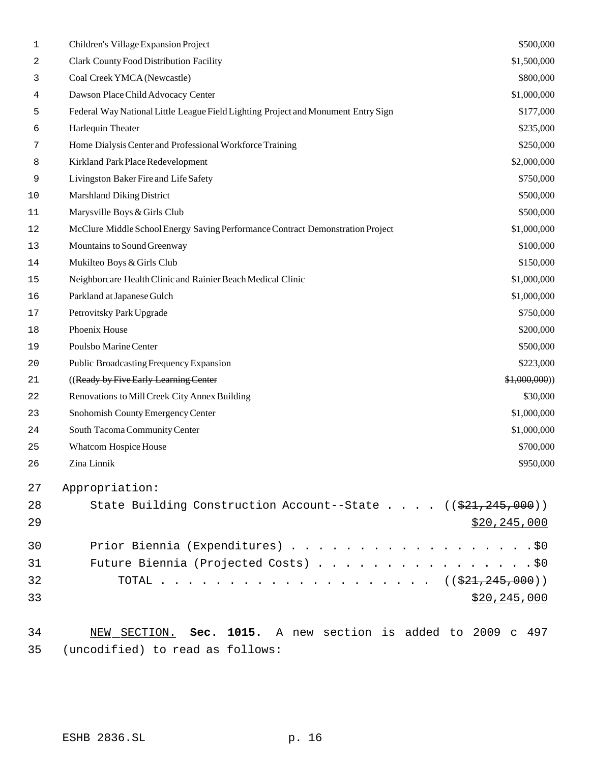| 1  | Children's Village Expansion Project                                              | \$500,000      |
|----|-----------------------------------------------------------------------------------|----------------|
| 2  | Clark County Food Distribution Facility                                           | \$1,500,000    |
| 3  | Coal Creek YMCA (Newcastle)                                                       | \$800,000      |
| 4  | Dawson Place Child Advocacy Center                                                | \$1,000,000    |
| 5  | Federal Way National Little League Field Lighting Project and Monument Entry Sign | \$177,000      |
| 6  | Harlequin Theater                                                                 | \$235,000      |
| 7  | Home Dialysis Center and Professional Workforce Training                          | \$250,000      |
| 8  | Kirkland Park Place Redevelopment                                                 | \$2,000,000    |
| 9  | Livingston Baker Fire and Life Safety                                             | \$750,000      |
| 10 | <b>Marshland Diking District</b>                                                  | \$500,000      |
| 11 | Marysville Boys & Girls Club                                                      | \$500,000      |
| 12 | McClure Middle School Energy Saving Performance Contract Demonstration Project    | \$1,000,000    |
| 13 | Mountains to Sound Greenway                                                       | \$100,000      |
| 14 | Mukilteo Boys & Girls Club                                                        | \$150,000      |
| 15 | Neighborcare Health Clinic and Rainier Beach Medical Clinic                       | \$1,000,000    |
| 16 | Parkland at Japanese Gulch                                                        | \$1,000,000    |
| 17 | Petrovitsky Park Upgrade                                                          | \$750,000      |
| 18 | Phoenix House                                                                     | \$200,000      |
| 19 | Poulsbo Marine Center                                                             | \$500,000      |
| 20 | Public Broadcasting Frequency Expansion                                           | \$223,000      |
| 21 | ((Ready by Five Early Learning Center                                             | \$1,000,000)   |
| 22 | Renovations to Mill Creek City Annex Building                                     | \$30,000       |
| 23 | Snohomish County Emergency Center                                                 | \$1,000,000    |
| 24 | South Tacoma Community Center                                                     | \$1,000,000    |
| 25 | Whatcom Hospice House                                                             | \$700,000      |
| 26 | Zina Linnik                                                                       | \$950,000      |
| 27 | Appropriation:                                                                    |                |
| 28 | State Building Construction Account--State ((\$21,245,000))                       |                |
| 29 |                                                                                   | \$20, 245, 000 |
| 30 | Prior Biennia (Expenditures) \$0                                                  |                |
| 31 |                                                                                   |                |
| 32 | TOTAL ( $(\frac{221}{245}, \frac{245}{200})$ )                                    |                |
| 33 |                                                                                   | \$20, 245, 000 |
| 34 | NEW SECTION. Sec. 1015. A new section is added to 2009 c 497                      |                |
|    |                                                                                   |                |

(uncodified) to read as follows: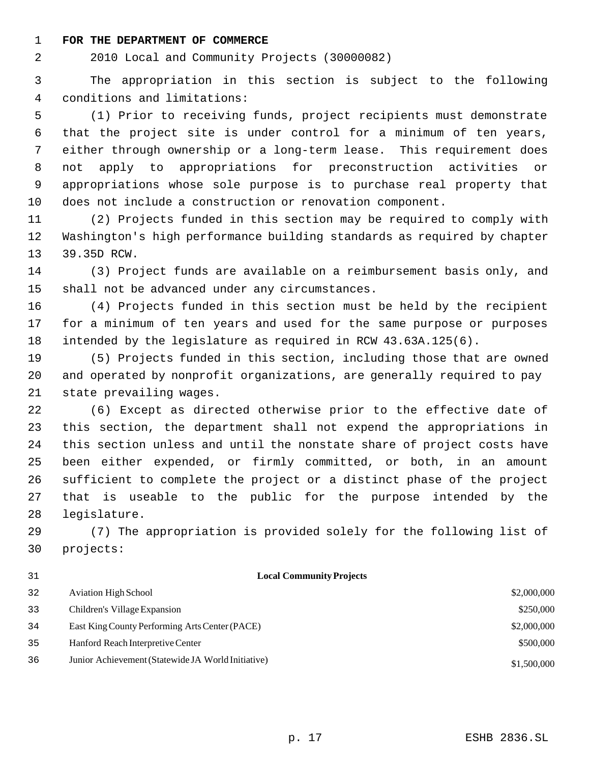#### **FOR THE DEPARTMENT OF COMMERCE**

2010 Local and Community Projects (30000082)

 The appropriation in this section is subject to the following conditions and limitations:

 (1) Prior to receiving funds, project recipients must demonstrate that the project site is under control for a minimum of ten years, either through ownership or a long-term lease. This requirement does not apply to appropriations for preconstruction activities or appropriations whose sole purpose is to purchase real property that does not include a construction or renovation component.

 (2) Projects funded in this section may be required to comply with Washington's high performance building standards as required by chapter 39.35D RCW.

 (3) Project funds are available on a reimbursement basis only, and shall not be advanced under any circumstances.

 (4) Projects funded in this section must be held by the recipient for a minimum of ten years and used for the same purpose or purposes intended by the legislature as required in RCW 43.63A.125(6).

 (5) Projects funded in this section, including those that are owned and operated by nonprofit organizations, are generally required to pay state prevailing wages.

 (6) Except as directed otherwise prior to the effective date of this section, the department shall not expend the appropriations in this section unless and until the nonstate share of project costs have been either expended, or firmly committed, or both, in an amount sufficient to complete the project or a distinct phase of the project that is useable to the public for the purpose intended by the legislature.

 (7) The appropriation is provided solely for the following list of projects:

 **Local Community Projects** 32 Aviation High School \$2,000,000 \$2,000,000 \$2,000,000 \$2,000,000 \$2,000,000 \$2,000,000 \$2,000,000 \$2,000,000 \$2,000,000 \$2,000,000 \$2,000,000 \$2,000,000 \$2,000,000 \$2,000,000 \$2,000 \$2,000 \$2,000 \$2,000 \$2,000 \$2,000 \$2 33 Children's Village Expansion \$250,000 \$250,000 East King County Performing Arts Center (PACE) \$2,000,000 Hanford Reach Interpretive Center \$500,000 Junior Achievement (Statewide JA World Initiative) \$1,500,000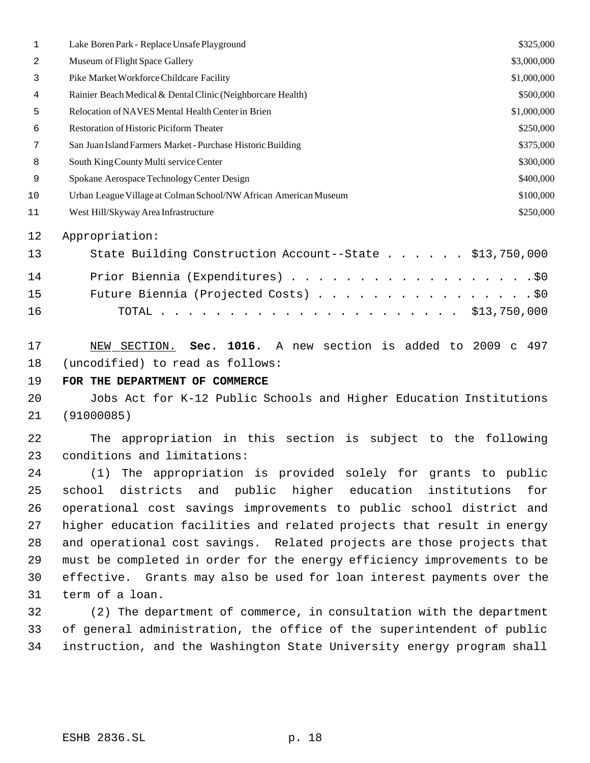| 1  | Lake Boren Park - Replace Unsafe Playground                             | \$325,000   |
|----|-------------------------------------------------------------------------|-------------|
| 2  | Museum of Flight Space Gallery                                          | \$3,000,000 |
| 3  | Pike Market Workforce Childcare Facility                                | \$1,000,000 |
| 4  | Rainier Beach Medical & Dental Clinic (Neighborcare Health)             | \$500,000   |
| 5  | Relocation of NAVES Mental Health Center in Brien                       | \$1,000,000 |
| 6  | Restoration of Historic Piciform Theater                                | \$250,000   |
| 7  | San Juan Island Farmers Market - Purchase Historic Building             | \$375,000   |
| 8  | South King County Multi service Center                                  | \$300,000   |
| 9  | Spokane Aerospace Technology Center Design                              | \$400,000   |
| 10 | Urban League Village at Colman School/NW African American Museum        | \$100,000   |
| 11 | West Hill/Skyway Area Infrastructure                                    | \$250,000   |
| 12 | Appropriation:                                                          |             |
| 13 | State Building Construction Account--State \$13,750,000                 |             |
| 14 | Prior Biennia (Expenditures) \$0                                        |             |
| 15 | Future Biennia (Projected Costs) \$0                                    |             |
| 16 |                                                                         |             |
| 17 | Sec. 1016. A new section is added to 2009 c 497<br>NEW<br>SECTION.      |             |
| 18 | (uncodified) to read as follows:                                        |             |
| 19 | FOR THE DEPARTMENT OF COMMERCE                                          |             |
| 20 | Jobs Act for K-12 Public Schools and Higher Education Institutions      |             |
| 21 | (91000085)                                                              |             |
| 22 | The appropriation in this section is subject to the following           |             |
| 23 | conditions and limitations:                                             |             |
| 24 | (1) The appropriation is provided solely for grants to public           |             |
| 25 | districts and public higher education institutions<br>school            | for         |
| 26 | operational cost savings improvements to public school district and     |             |
| 27 | higher education facilities and related projects that result in energy  |             |
| 28 | and operational cost savings. Related projects are those projects that  |             |
| 29 | must be completed in order for the energy efficiency improvements to be |             |
| 30 | effective. Grants may also be used for loan interest payments over the  |             |
| 31 | term of a loan.                                                         |             |
| 32 | (2) The department of commerce, in consultation with the department     |             |
| 33 | of general administration, the office of the superintendent of public   |             |
| 34 | instruction, and the Washington State University energy program shall   |             |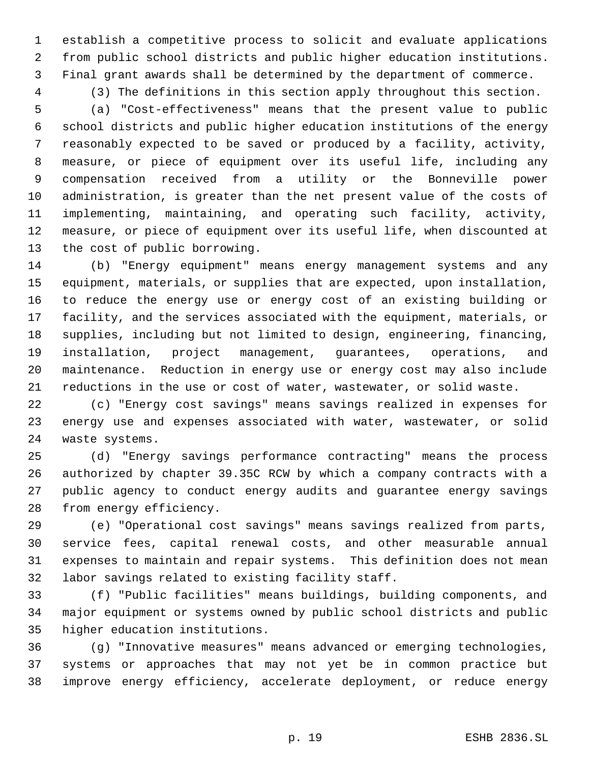establish a competitive process to solicit and evaluate applications from public school districts and public higher education institutions. Final grant awards shall be determined by the department of commerce.

 (3) The definitions in this section apply throughout this section. (a) "Cost-effectiveness" means that the present value to public school districts and public higher education institutions of the energy reasonably expected to be saved or produced by a facility, activity, measure, or piece of equipment over its useful life, including any compensation received from a utility or the Bonneville power administration, is greater than the net present value of the costs of implementing, maintaining, and operating such facility, activity, measure, or piece of equipment over its useful life, when discounted at the cost of public borrowing.

 (b) "Energy equipment" means energy management systems and any equipment, materials, or supplies that are expected, upon installation, to reduce the energy use or energy cost of an existing building or facility, and the services associated with the equipment, materials, or supplies, including but not limited to design, engineering, financing, installation, project management, guarantees, operations, and maintenance. Reduction in energy use or energy cost may also include reductions in the use or cost of water, wastewater, or solid waste.

 (c) "Energy cost savings" means savings realized in expenses for energy use and expenses associated with water, wastewater, or solid waste systems.

 (d) "Energy savings performance contracting" means the process authorized by chapter 39.35C RCW by which a company contracts with a public agency to conduct energy audits and guarantee energy savings from energy efficiency.

 (e) "Operational cost savings" means savings realized from parts, service fees, capital renewal costs, and other measurable annual expenses to maintain and repair systems. This definition does not mean labor savings related to existing facility staff.

 (f) "Public facilities" means buildings, building components, and major equipment or systems owned by public school districts and public higher education institutions.

 (g) "Innovative measures" means advanced or emerging technologies, systems or approaches that may not yet be in common practice but improve energy efficiency, accelerate deployment, or reduce energy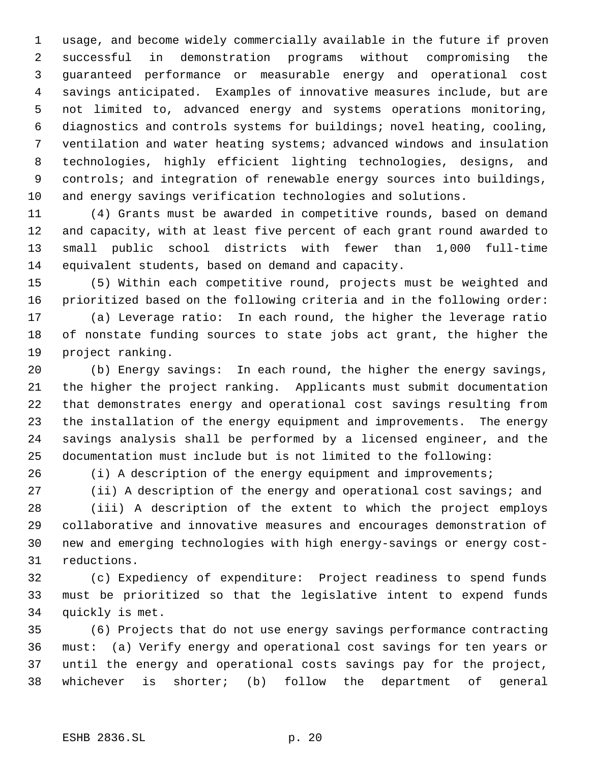usage, and become widely commercially available in the future if proven successful in demonstration programs without compromising the guaranteed performance or measurable energy and operational cost savings anticipated. Examples of innovative measures include, but are not limited to, advanced energy and systems operations monitoring, diagnostics and controls systems for buildings; novel heating, cooling, ventilation and water heating systems; advanced windows and insulation technologies, highly efficient lighting technologies, designs, and controls; and integration of renewable energy sources into buildings, and energy savings verification technologies and solutions.

 (4) Grants must be awarded in competitive rounds, based on demand and capacity, with at least five percent of each grant round awarded to small public school districts with fewer than 1,000 full-time equivalent students, based on demand and capacity.

 (5) Within each competitive round, projects must be weighted and prioritized based on the following criteria and in the following order:

 (a) Leverage ratio: In each round, the higher the leverage ratio of nonstate funding sources to state jobs act grant, the higher the project ranking.

 (b) Energy savings: In each round, the higher the energy savings, the higher the project ranking. Applicants must submit documentation that demonstrates energy and operational cost savings resulting from the installation of the energy equipment and improvements. The energy savings analysis shall be performed by a licensed engineer, and the documentation must include but is not limited to the following:

(i) A description of the energy equipment and improvements;

(ii) A description of the energy and operational cost savings; and

 (iii) A description of the extent to which the project employs collaborative and innovative measures and encourages demonstration of new and emerging technologies with high energy-savings or energy cost-reductions.

 (c) Expediency of expenditure: Project readiness to spend funds must be prioritized so that the legislative intent to expend funds quickly is met.

 (6) Projects that do not use energy savings performance contracting must: (a) Verify energy and operational cost savings for ten years or until the energy and operational costs savings pay for the project, whichever is shorter; (b) follow the department of general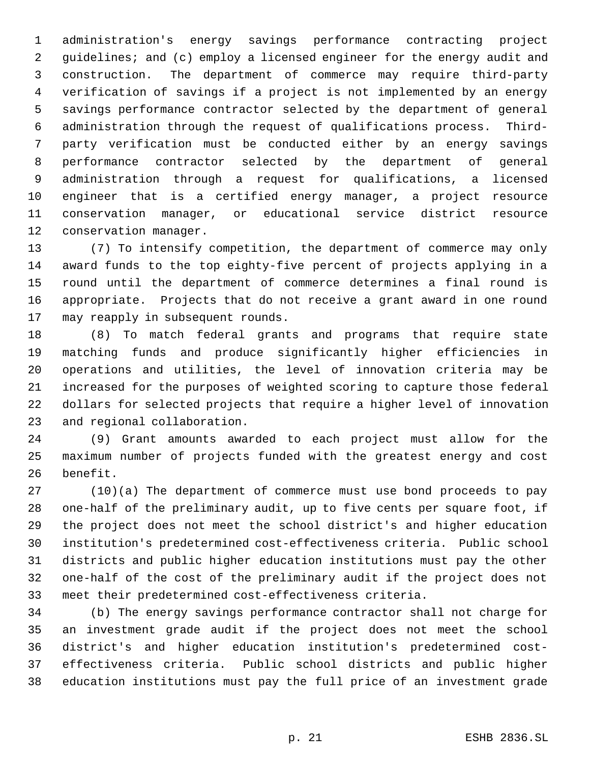administration's energy savings performance contracting project 2 guidelines; and (c) employ a licensed engineer for the energy audit and construction. The department of commerce may require third-party verification of savings if a project is not implemented by an energy savings performance contractor selected by the department of general administration through the request of qualifications process. Third- party verification must be conducted either by an energy savings performance contractor selected by the department of general administration through a request for qualifications, a licensed engineer that is a certified energy manager, a project resource conservation manager, or educational service district resource conservation manager.

 (7) To intensify competition, the department of commerce may only award funds to the top eighty-five percent of projects applying in a round until the department of commerce determines a final round is appropriate. Projects that do not receive a grant award in one round may reapply in subsequent rounds.

 (8) To match federal grants and programs that require state matching funds and produce significantly higher efficiencies in operations and utilities, the level of innovation criteria may be increased for the purposes of weighted scoring to capture those federal dollars for selected projects that require a higher level of innovation and regional collaboration.

 (9) Grant amounts awarded to each project must allow for the maximum number of projects funded with the greatest energy and cost benefit.

 (10)(a) The department of commerce must use bond proceeds to pay one-half of the preliminary audit, up to five cents per square foot, if the project does not meet the school district's and higher education institution's predetermined cost-effectiveness criteria. Public school districts and public higher education institutions must pay the other one-half of the cost of the preliminary audit if the project does not meet their predetermined cost-effectiveness criteria.

 (b) The energy savings performance contractor shall not charge for an investment grade audit if the project does not meet the school district's and higher education institution's predetermined cost- effectiveness criteria. Public school districts and public higher education institutions must pay the full price of an investment grade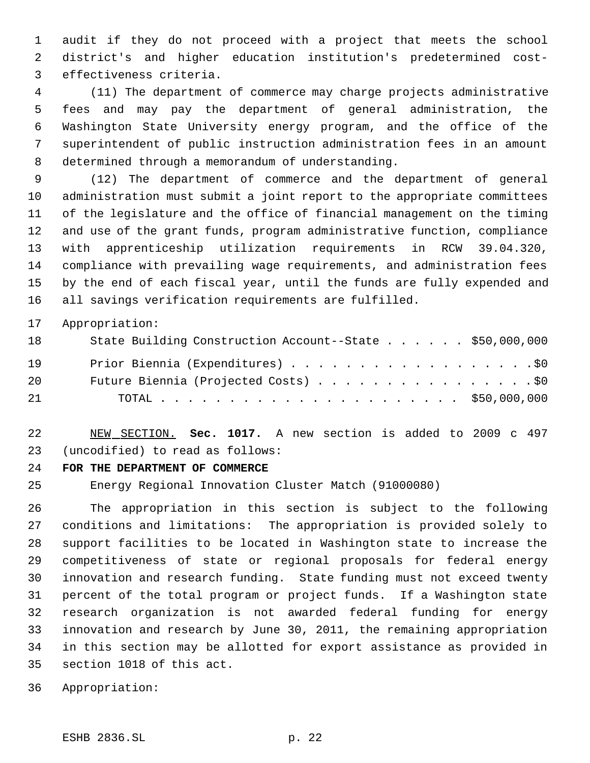audit if they do not proceed with a project that meets the school district's and higher education institution's predetermined cost- effectiveness criteria.

 (11) The department of commerce may charge projects administrative fees and may pay the department of general administration, the Washington State University energy program, and the office of the superintendent of public instruction administration fees in an amount determined through a memorandum of understanding.

 (12) The department of commerce and the department of general administration must submit a joint report to the appropriate committees of the legislature and the office of financial management on the timing and use of the grant funds, program administrative function, compliance with apprenticeship utilization requirements in RCW 39.04.320, compliance with prevailing wage requirements, and administration fees by the end of each fiscal year, until the funds are fully expended and all savings verification requirements are fulfilled.

Appropriation:

| 18 | State Building Construction Account--State \$50,000,000 |  |
|----|---------------------------------------------------------|--|
| 19 | Prior Biennia (Expenditures) \$0                        |  |
| 20 | Future Biennia (Projected Costs) \$0                    |  |
| 21 |                                                         |  |

 NEW SECTION. **Sec. 1017.** A new section is added to 2009 c 497 (uncodified) to read as follows:

# **FOR THE DEPARTMENT OF COMMERCE**

Energy Regional Innovation Cluster Match (91000080)

 The appropriation in this section is subject to the following conditions and limitations: The appropriation is provided solely to support facilities to be located in Washington state to increase the competitiveness of state or regional proposals for federal energy innovation and research funding. State funding must not exceed twenty percent of the total program or project funds. If a Washington state research organization is not awarded federal funding for energy innovation and research by June 30, 2011, the remaining appropriation in this section may be allotted for export assistance as provided in section 1018 of this act.

Appropriation: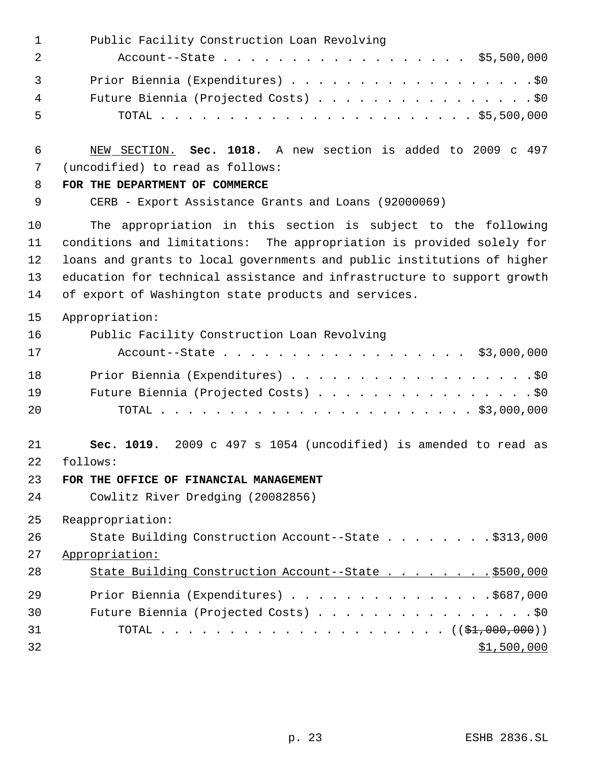| $\mathbf 1$                | Public Facility Construction Loan Revolving                                                                                                                                                                                                                                                                                                         |
|----------------------------|-----------------------------------------------------------------------------------------------------------------------------------------------------------------------------------------------------------------------------------------------------------------------------------------------------------------------------------------------------|
| $\overline{2}$             | Account--State \$5,500,000                                                                                                                                                                                                                                                                                                                          |
| $\mathbf{3}$               | Prior Biennia (Expenditures) \$0                                                                                                                                                                                                                                                                                                                    |
| 4                          | Future Biennia (Projected Costs) \$0                                                                                                                                                                                                                                                                                                                |
| 5                          |                                                                                                                                                                                                                                                                                                                                                     |
| 6                          | NEW SECTION. Sec. 1018. A new section is added to 2009 c 497                                                                                                                                                                                                                                                                                        |
| 7                          | (uncodified) to read as follows:                                                                                                                                                                                                                                                                                                                    |
| 8                          | FOR THE DEPARTMENT OF COMMERCE                                                                                                                                                                                                                                                                                                                      |
| 9                          | CERB - Export Assistance Grants and Loans (92000069)                                                                                                                                                                                                                                                                                                |
| 10<br>11<br>12<br>13<br>14 | The appropriation in this section is subject to the following<br>conditions and limitations: The appropriation is provided solely for<br>loans and grants to local governments and public institutions of higher<br>education for technical assistance and infrastructure to support growth<br>of export of Washington state products and services. |
| 15                         | Appropriation:                                                                                                                                                                                                                                                                                                                                      |
| 16                         | Public Facility Construction Loan Revolving                                                                                                                                                                                                                                                                                                         |
| 17                         | Account--State \$3,000,000                                                                                                                                                                                                                                                                                                                          |
| 18                         | Prior Biennia (Expenditures) \$0                                                                                                                                                                                                                                                                                                                    |
| 19                         | Future Biennia (Projected Costs) \$0                                                                                                                                                                                                                                                                                                                |
| 20                         |                                                                                                                                                                                                                                                                                                                                                     |
| 21<br>22                   | Sec. 1019. 2009 c 497 s 1054 (uncodified) is amended to read as<br>follows:                                                                                                                                                                                                                                                                         |
| 23                         | FOR THE OFFICE OF FINANCIAL MANAGEMENT                                                                                                                                                                                                                                                                                                              |
| 24                         | Cowlitz River Dredging (20082856)                                                                                                                                                                                                                                                                                                                   |
| 25                         | Reappropriation:                                                                                                                                                                                                                                                                                                                                    |
| 26                         | State Building Construction Account--State \$313,000                                                                                                                                                                                                                                                                                                |
| 27                         | Appropriation:                                                                                                                                                                                                                                                                                                                                      |
| 28                         | State Building Construction Account--State \$500,000                                                                                                                                                                                                                                                                                                |
| 29                         | Prior Biennia (Expenditures) \$687,000                                                                                                                                                                                                                                                                                                              |
| 30                         | Future Biennia (Projected Costs) \$0                                                                                                                                                                                                                                                                                                                |
| 31                         |                                                                                                                                                                                                                                                                                                                                                     |
| 32                         | \$1,500,000                                                                                                                                                                                                                                                                                                                                         |
|                            |                                                                                                                                                                                                                                                                                                                                                     |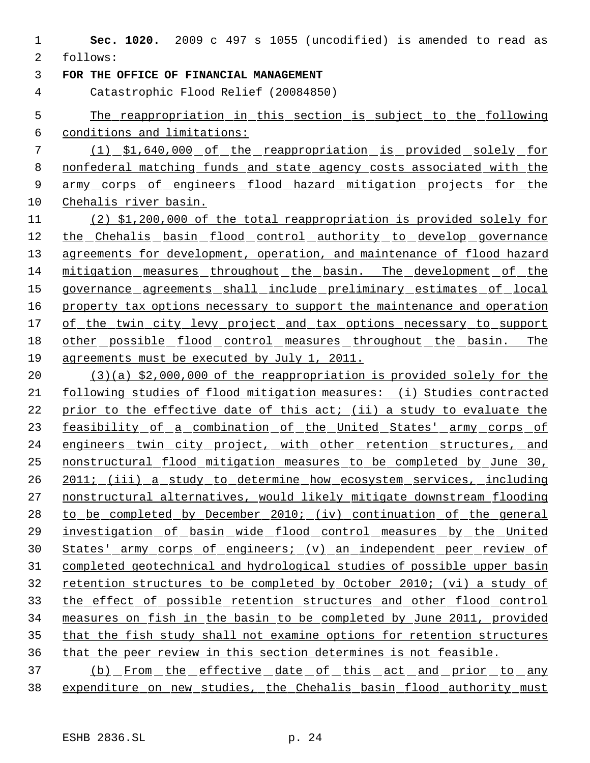**Sec. 1020.** 2009 c 497 s 1055 (uncodified) is amended to read as follows:

**FOR THE OFFICE OF FINANCIAL MANAGEMENT**

Catastrophic Flood Relief (20084850)

 The reappropriation in this section is subject to the following conditions and limitations:

 (1) \$1,640,000 of the reappropriation is provided solely for nonfederal matching funds and state agency costs associated with the 9 army corps of engineers flood hazard mitigation projects for the Chehalis river basin.

 (2) \$1,200,000 of the total reappropriation is provided solely for 12 the Chehalis basin flood control authority to develop governance 13 agreements for development, operation, and maintenance of flood hazard mitigation measures throughout the basin. The development of the 15 governance agreements shall include preliminary estimates of local 16 property tax options necessary to support the maintenance and operation of the twin city levy project and tax options necessary to support 18 other possible flood control measures throughout the basin. The agreements must be executed by July 1, 2011.

 (3)(a) \$2,000,000 of the reappropriation is provided solely for the following studies of flood mitigation measures: (i) Studies contracted 22 prior to the effective date of this act; (ii) a study to evaluate the 23 feasibility of a combination of the United States' army corps of 24 engineers twin city project, with other retention structures, and nonstructural flood mitigation measures to be completed by June 30, 2011; (iii) a study to determine how ecosystem services, including nonstructural alternatives, would likely mitigate downstream flooding to be completed by December 2010; (iv) continuation of the general 29 investigation of basin wide flood control measures by the United States' army corps of engineers; (v) an independent peer review of completed geotechnical and hydrological studies of possible upper basin retention structures to be completed by October 2010; (vi) a study of the effect of possible retention structures and other flood control measures on fish in the basin to be completed by June 2011, provided that the fish study shall not examine options for retention structures that the peer review in this section determines is not feasible.

 (b) From the effective date of this act and prior to any expenditure on new studies, the Chehalis basin flood authority must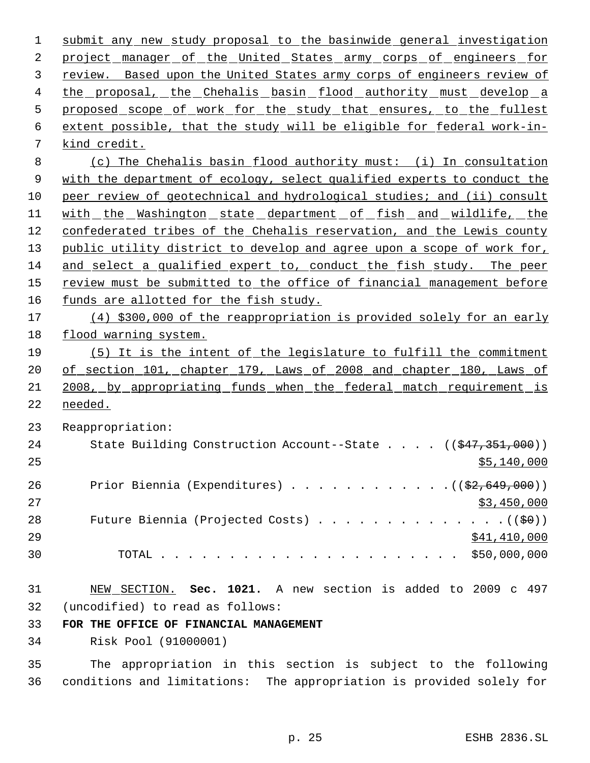submit any new study proposal to the basinwide general investigation 2 project manager of the United States army corps of engineers for review. Based upon the United States army corps of engineers review of 4 the proposal, the Chehalis basin flood authority must develop a 5 proposed scope of work for the study that ensures, to the fullest extent possible, that the study will be eligible for federal work-in- kind credit. (c) The Chehalis basin flood authority must: (i) In consultation 9 with the department of ecology, select qualified experts to conduct the peer review of geotechnical and hydrological studies; and (ii) consult 11 with the Washington state department of fish and wildlife, the confederated tribes of the Chehalis reservation, and the Lewis county 13 public utility district to develop and agree upon a scope of work for, and select a qualified expert to, conduct the fish study. The peer 15 review must be submitted to the office of financial management before funds are allotted for the fish study. (4) \$300,000 of the reappropriation is provided solely for an early flood warning system. (5) It is the intent of the legislature to fulfill the commitment of section 101, chapter 179, Laws of 2008 and chapter 180, Laws of 2008, by appropriating funds when the federal match requirement is needed. Reappropriation: 24 State Building Construction Account--State . . . . ((\$47,351,000))  $\frac{140,000}{25}$ 26 Prior Biennia (Expenditures) . . . . . . . . . . . . ((\$2,649,000)) \$3,450,000 28 Future Biennia (Projected Costs)  $\cdots$  . . . . . . . . . . . . ( $(\frac{1}{50})$ ) 29 \$41,410,000 \$41,410,000 \$41,410,000 \$41,410,000 \$41,410,000 \$41,410,000 \$41,410,000 \$ TOTAL . . . . . . . . . . . . . . . . . . . . . . \$50,000,000 NEW SECTION. **Sec. 1021.** A new section is added to 2009 c 497 (uncodified) to read as follows: **FOR THE OFFICE OF FINANCIAL MANAGEMENT**

Risk Pool (91000001)

 The appropriation in this section is subject to the following conditions and limitations: The appropriation is provided solely for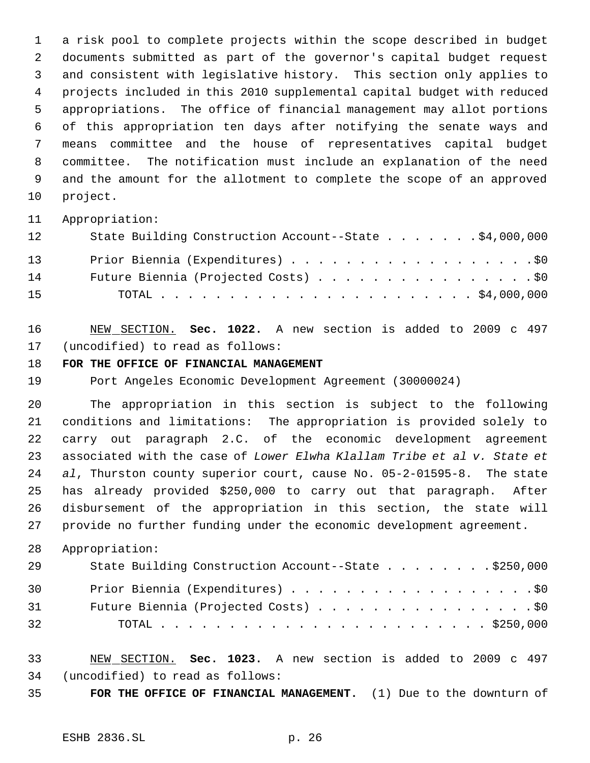a risk pool to complete projects within the scope described in budget documents submitted as part of the governor's capital budget request and consistent with legislative history. This section only applies to projects included in this 2010 supplemental capital budget with reduced appropriations. The office of financial management may allot portions of this appropriation ten days after notifying the senate ways and means committee and the house of representatives capital budget committee. The notification must include an explanation of the need and the amount for the allotment to complete the scope of an approved project.

# Appropriation:

| 12 | State Building Construction Account--State \$4,000,000 |
|----|--------------------------------------------------------|
| 13 | Prior Biennia (Expenditures) \$0                       |
| 14 | Future Biennia (Projected Costs) \$0                   |
| 15 |                                                        |

 NEW SECTION. **Sec. 1022.** A new section is added to 2009 c 497 (uncodified) to read as follows:

# **FOR THE OFFICE OF FINANCIAL MANAGEMENT**

Port Angeles Economic Development Agreement (30000024)

 The appropriation in this section is subject to the following conditions and limitations: The appropriation is provided solely to carry out paragraph 2.C. of the economic development agreement associated with the case of *Lower Elwha Klallam Tribe et al v. State et al*, Thurston county superior court, cause No. 05-2-01595-8. The state has already provided \$250,000 to carry out that paragraph. After disbursement of the appropriation in this section, the state will provide no further funding under the economic development agreement.

# Appropriation:

| 29 | State Building Construction Account--State \$250,000 |
|----|------------------------------------------------------|
| 30 | Prior Biennia (Expenditures) \$0                     |
| 31 | Future Biennia (Projected Costs) \$0                 |
| 32 |                                                      |

- NEW SECTION. **Sec. 1023.** A new section is added to 2009 c 497 (uncodified) to read as follows:
- **FOR THE OFFICE OF FINANCIAL MANAGEMENT.** (1) Due to the downturn of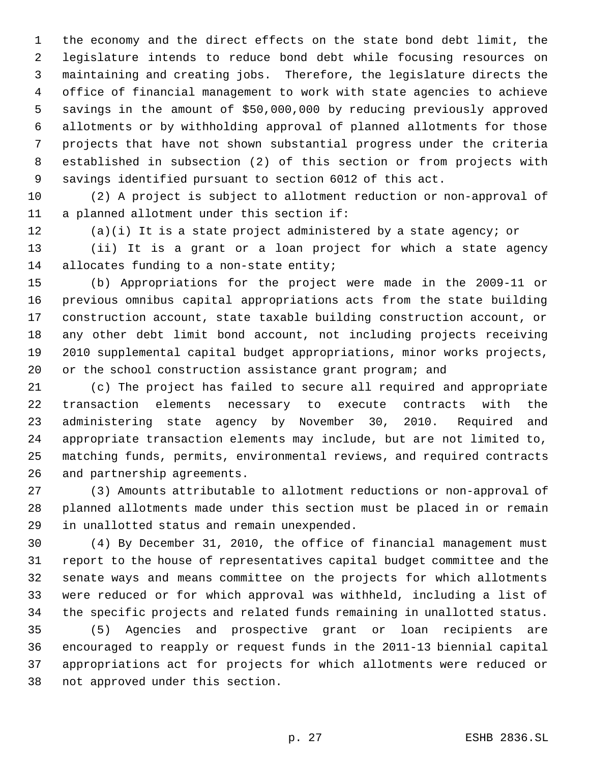the economy and the direct effects on the state bond debt limit, the legislature intends to reduce bond debt while focusing resources on maintaining and creating jobs. Therefore, the legislature directs the office of financial management to work with state agencies to achieve savings in the amount of \$50,000,000 by reducing previously approved allotments or by withholding approval of planned allotments for those projects that have not shown substantial progress under the criteria established in subsection (2) of this section or from projects with savings identified pursuant to section 6012 of this act.

 (2) A project is subject to allotment reduction or non-approval of a planned allotment under this section if:

(a)(i) It is a state project administered by a state agency; or

 (ii) It is a grant or a loan project for which a state agency 14 allocates funding to a non-state entity;

 (b) Appropriations for the project were made in the 2009-11 or previous omnibus capital appropriations acts from the state building construction account, state taxable building construction account, or any other debt limit bond account, not including projects receiving 2010 supplemental capital budget appropriations, minor works projects, or the school construction assistance grant program; and

 (c) The project has failed to secure all required and appropriate transaction elements necessary to execute contracts with the administering state agency by November 30, 2010. Required and appropriate transaction elements may include, but are not limited to, matching funds, permits, environmental reviews, and required contracts and partnership agreements.

 (3) Amounts attributable to allotment reductions or non-approval of planned allotments made under this section must be placed in or remain in unallotted status and remain unexpended.

 (4) By December 31, 2010, the office of financial management must report to the house of representatives capital budget committee and the senate ways and means committee on the projects for which allotments were reduced or for which approval was withheld, including a list of the specific projects and related funds remaining in unallotted status.

 (5) Agencies and prospective grant or loan recipients are encouraged to reapply or request funds in the 2011-13 biennial capital appropriations act for projects for which allotments were reduced or not approved under this section.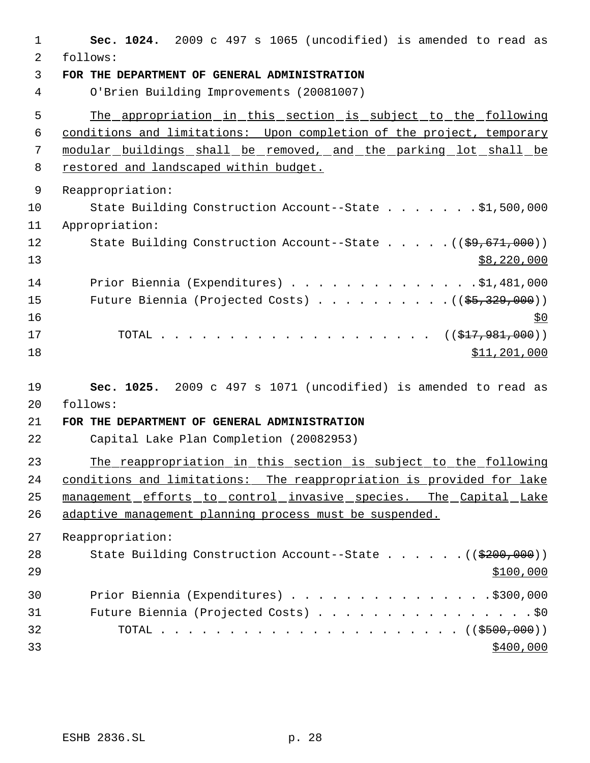| $\mathbf{1}$ | Sec. 1024. 2009 c 497 s 1065 (uncodified) is amended to read as                                                                                                                                                                                                                                                                                       |
|--------------|-------------------------------------------------------------------------------------------------------------------------------------------------------------------------------------------------------------------------------------------------------------------------------------------------------------------------------------------------------|
| 2            | follows:                                                                                                                                                                                                                                                                                                                                              |
| 3            | FOR THE DEPARTMENT OF GENERAL ADMINISTRATION                                                                                                                                                                                                                                                                                                          |
| 4            | O'Brien Building Improvements (20081007)                                                                                                                                                                                                                                                                                                              |
| 5            | The appropriation in this section is subject to the following                                                                                                                                                                                                                                                                                         |
| 6            | conditions and limitations: Upon completion of the project, temporary                                                                                                                                                                                                                                                                                 |
| 7            | modular buildings shall be removed, and the parking lot shall be                                                                                                                                                                                                                                                                                      |
| 8            | restored and landscaped within budget.                                                                                                                                                                                                                                                                                                                |
| 9            | Reappropriation:                                                                                                                                                                                                                                                                                                                                      |
| 10           | State Building Construction Account--State \$1,500,000                                                                                                                                                                                                                                                                                                |
| 11           | Appropriation:                                                                                                                                                                                                                                                                                                                                        |
| 12<br>13     | State Building Construction Account--State ((\$9,671,000))<br>\$8,220,000                                                                                                                                                                                                                                                                             |
| 14           | Prior Biennia (Expenditures) \$1,481,000                                                                                                                                                                                                                                                                                                              |
| 15           | Future Biennia (Projected Costs) $($ $($ \$5,329,000) $)$                                                                                                                                                                                                                                                                                             |
| 16           | \$0                                                                                                                                                                                                                                                                                                                                                   |
| 17           | $\cdots$ $\cdots$ $\cdots$ $\cdots$ $\cdots$ $\cdots$ $\cdots$ $\cdots$ $\cdots$ $\cdots$ $\cdots$ $\cdots$ $\cdots$ $\cdots$ $\cdots$ $\cdots$ $\cdots$ $\cdots$ $\cdots$ $\cdots$ $\cdots$ $\cdots$ $\cdots$ $\cdots$ $\cdots$ $\cdots$ $\cdots$ $\cdots$ $\cdots$ $\cdots$ $\cdots$ $\cdots$ $\cdots$ $\cdots$ $\cdots$ $\cdots$ $\cdots$<br>TOTAL |
| 18           | \$11,201,000                                                                                                                                                                                                                                                                                                                                          |
| 19           | Sec. 1025. 2009 c 497 s 1071 (uncodified) is amended to read as                                                                                                                                                                                                                                                                                       |
| 20           | follows:                                                                                                                                                                                                                                                                                                                                              |
| 21           | FOR THE DEPARTMENT OF GENERAL ADMINISTRATION                                                                                                                                                                                                                                                                                                          |
| 22           | Capital Lake Plan Completion (20082953)                                                                                                                                                                                                                                                                                                               |
| 23           | The reappropriation in this section is subject to the following                                                                                                                                                                                                                                                                                       |
| 24           | conditions and limitations: The reappropriation is provided for lake                                                                                                                                                                                                                                                                                  |
| 25           | management efforts to control invasive species. The Capital Lake                                                                                                                                                                                                                                                                                      |
| 26           | adaptive management planning process must be suspended.                                                                                                                                                                                                                                                                                               |
| 27           | Reappropriation:                                                                                                                                                                                                                                                                                                                                      |
| 28           | State Building Construction Account--State ((\$200,000))                                                                                                                                                                                                                                                                                              |
| 29           | \$100,000                                                                                                                                                                                                                                                                                                                                             |
| 30           | Prior Biennia (Expenditures) \$300,000                                                                                                                                                                                                                                                                                                                |
| 31           | Future Biennia (Projected Costs) \$0                                                                                                                                                                                                                                                                                                                  |
| 32           |                                                                                                                                                                                                                                                                                                                                                       |
| 33           | \$400,000                                                                                                                                                                                                                                                                                                                                             |
|              |                                                                                                                                                                                                                                                                                                                                                       |

ESHB 2836.SL p. 28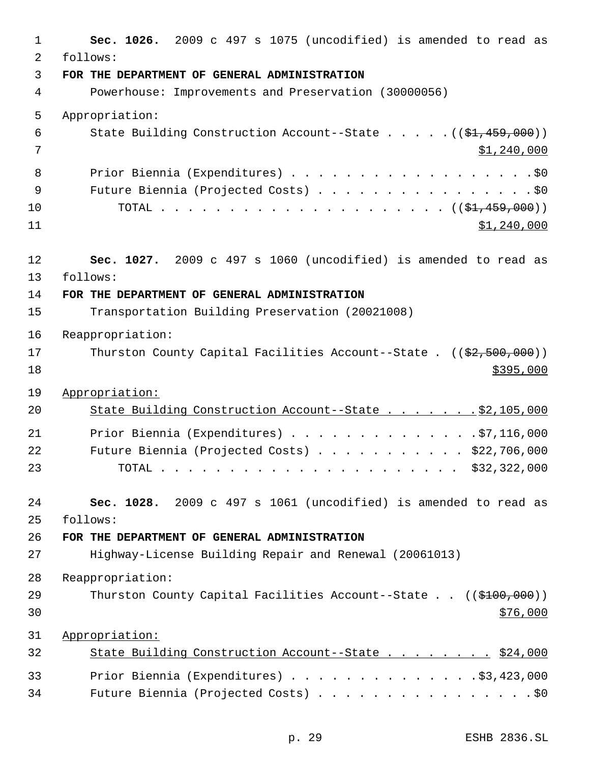| 1        | Sec. 1026. 2009 c 497 s 1075 (uncodified) is amended to read as                                     |
|----------|-----------------------------------------------------------------------------------------------------|
| 2        | follows:                                                                                            |
| 3        | FOR THE DEPARTMENT OF GENERAL ADMINISTRATION                                                        |
| 4        | Powerhouse: Improvements and Preservation (30000056)                                                |
| 5        | Appropriation:                                                                                      |
| 6        | State Building Construction Account--State $((\frac{21}{7}, 459, 000))$                             |
| 7        | \$1,240,000                                                                                         |
| 8        | Prior Biennia (Expenditures) \$0                                                                    |
| 9        | Future Biennia (Projected Costs) \$0                                                                |
| 10       |                                                                                                     |
| 11       | \$1,240,000                                                                                         |
|          |                                                                                                     |
| 12<br>13 | Sec. 1027. 2009 c 497 s 1060 (uncodified) is amended to read as<br>follows:                         |
| 14       | FOR THE DEPARTMENT OF GENERAL ADMINISTRATION                                                        |
| 15       | Transportation Building Preservation (20021008)                                                     |
|          |                                                                                                     |
| 16<br>17 | Reappropriation:<br>Thurston County Capital Facilities Account--State . $((\frac{2}{7}, 500, 000))$ |
| 18       | \$395,000                                                                                           |
|          |                                                                                                     |
| 19       | Appropriation:                                                                                      |
| 20       | State Building Construction Account--State \$2,105,000                                              |
| 21       | Prior Biennia (Expenditures) \$7,116,000                                                            |
| 22       | Future Biennia (Projected Costs) \$22,706,000                                                       |
| 23       |                                                                                                     |
| 24       | Sec. 1028. 2009 c 497 s 1061 (uncodified) is amended to read as                                     |
| 25       | follows:                                                                                            |
| 26       | FOR THE DEPARTMENT OF GENERAL ADMINISTRATION                                                        |
| 27       | Highway-License Building Repair and Renewal (20061013)                                              |
| 28       | Reappropriation:                                                                                    |
| 29       | Thurston County Capital Facilities Account--State $((\frac{2100}{100}, 000))$                       |
| 30       | \$76,000                                                                                            |
| 31       | Appropriation:                                                                                      |
| 32       | State Building Construction Account--State \$24,000                                                 |
|          |                                                                                                     |
| 33       | Prior Biennia (Expenditures) $\ldots$ 3,423,000                                                     |
| 34       | Future Biennia (Projected Costs) \$0                                                                |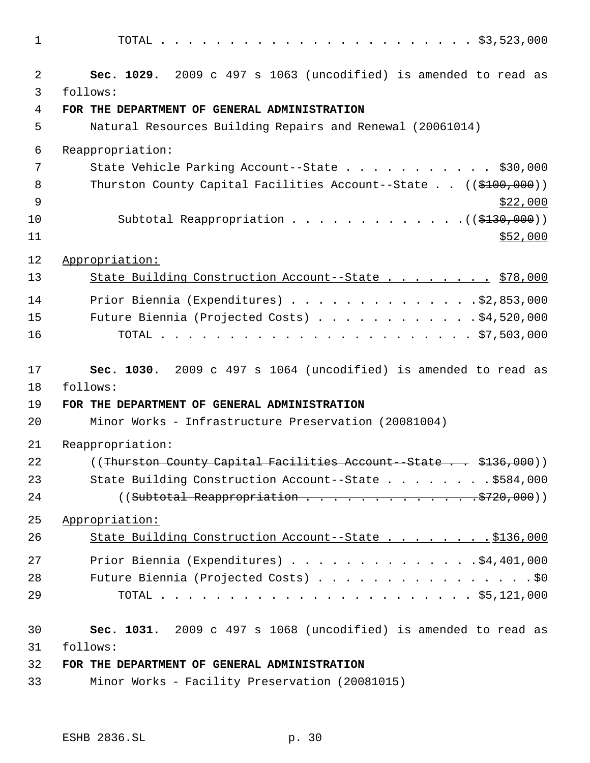| $\mathbf 1$  |                                                                               |
|--------------|-------------------------------------------------------------------------------|
| 2            | Sec. 1029. 2009 c 497 s 1063 (uncodified) is amended to read as               |
| $\mathbf{3}$ | follows:                                                                      |
| 4            | FOR THE DEPARTMENT OF GENERAL ADMINISTRATION                                  |
| 5            | Natural Resources Building Repairs and Renewal (20061014)                     |
| 6            | Reappropriation:                                                              |
| 7            | State Vehicle Parking Account--State \$30,000                                 |
| 8            | Thurston County Capital Facilities Account--State $((\frac{2100}{100}, 000))$ |
| 9            | \$22,000                                                                      |
| 10           | Subtotal Reappropriation $($ $($ \$130,000) $)$                               |
| 11           | \$52,000                                                                      |
| 12           | Appropriation:                                                                |
| 13           | State Building Construction Account--State \$78,000                           |
| 14           | Prior Biennia (Expenditures) $\ldots$ 92,853,000                              |
| 15           | Future Biennia (Projected Costs) \$4,520,000                                  |
| 16           |                                                                               |
|              |                                                                               |
| 17           | Sec. 1030. 2009 c 497 s 1064 (uncodified) is amended to read as               |
| 18           | follows:                                                                      |
| 19           | FOR THE DEPARTMENT OF GENERAL ADMINISTRATION                                  |
| 20           | Minor Works - Infrastructure Preservation (20081004)                          |
| 21           | Reappropriation:                                                              |
| 22           | ((Thurston County Capital Facilities Account - State \$136,000))              |
| 23           | State Building Construction Account--State \$584,000                          |
| 24           |                                                                               |
| 25           | Appropriation:                                                                |
| 26           | State Building Construction Account--State \$136,000                          |
| 27           | Prior Biennia (Expenditures) $\ldots$ 4,401,000                               |
| 28           | Future Biennia (Projected Costs) \$0                                          |
| 29           |                                                                               |
|              |                                                                               |
| 30           | Sec. 1031. 2009 c 497 s 1068 (uncodified) is amended to read as               |
| 31           | follows:                                                                      |
| 32           | FOR THE DEPARTMENT OF GENERAL ADMINISTRATION                                  |
| 33           | Minor Works - Facility Preservation (20081015)                                |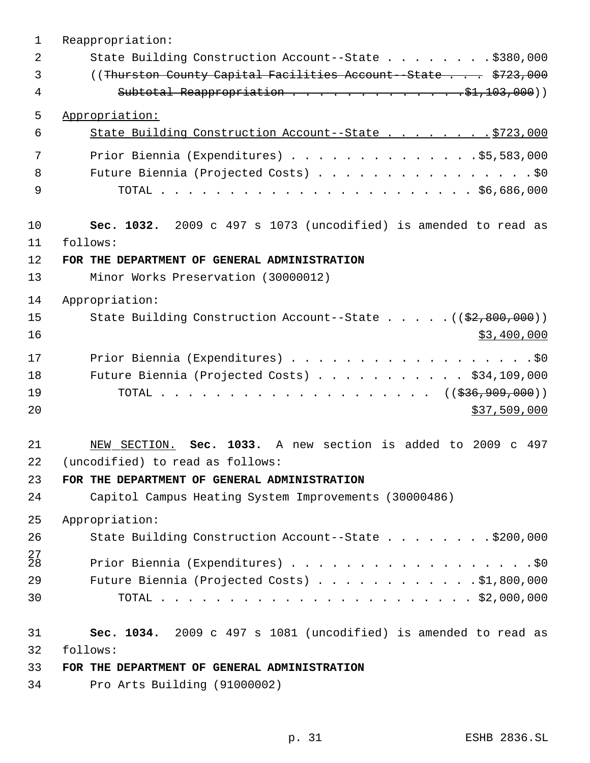| $\mathbf 1$     | Reappropriation:                                                              |
|-----------------|-------------------------------------------------------------------------------|
| 2               | State Building Construction Account--State \$380,000                          |
| 3               | ((Thurston County Capital Facilities Account - State \$723,000                |
| 4               |                                                                               |
| 5               | Appropriation:                                                                |
| 6               | State Building Construction Account--State \$723,000                          |
| 7               | Prior Biennia (Expenditures) \$5,583,000                                      |
| 8               | Future Biennia (Projected Costs) \$0                                          |
| 9               |                                                                               |
| 10              | Sec. 1032. 2009 c 497 s 1073 (uncodified) is amended to read as               |
| 11              | follows:                                                                      |
| 12              | FOR THE DEPARTMENT OF GENERAL ADMINISTRATION                                  |
| 13              | Minor Works Preservation (30000012)                                           |
| 14              | Appropriation:                                                                |
| 15              | State Building Construction Account--State $($ $($ $\frac{2}{7}, 800, 000)$ ) |
| 16              | \$3,400,000                                                                   |
| 17              | Prior Biennia (Expenditures) \$0                                              |
| 18              | Future Biennia (Projected Costs) $\ldots$ \$34,109,000                        |
| 19              | TOTAL ( $(\frac{236}{936}, \frac{909}{900}))$                                 |
| 20              | \$37,509,000                                                                  |
| 21              | NEW SECTION. Sec. 1033. A new section is added to 2009 c 497                  |
| 22              | (uncodified) to read as follows:                                              |
| 23              | FOR THE DEPARTMENT OF GENERAL ADMINISTRATION                                  |
| 24              | Capitol Campus Heating System Improvements (30000486)                         |
| 25              | Appropriation:                                                                |
| 26              | State Building Construction Account--State \$200,000                          |
| $\frac{27}{28}$ | Prior Biennia (Expenditures) \$0                                              |
| 29              | Future Biennia (Projected Costs) \$1,800,000                                  |
| 30              |                                                                               |
| 31              | Sec. 1034. 2009 c 497 s 1081 (uncodified) is amended to read as               |
| 32              | follows:                                                                      |
| 33              | FOR THE DEPARTMENT OF GENERAL ADMINISTRATION                                  |
| 34              | Pro Arts Building (91000002)                                                  |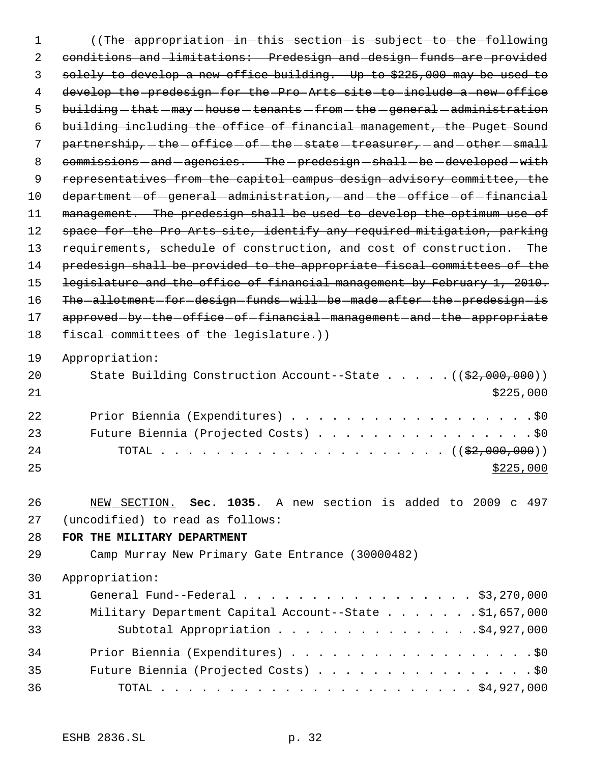1 (The appropriation in this section is subject to the following 2 conditions and limitations: Predesign and design funds are provided 3 solely to develop a new office building. Up to \$225,000 may be used to 4 develop the predesign for the Pro Arts site to include a new office 5 building - that - may - house - tenants - from - the - general - administration 6 building including the office of financial management, the Puget Sound 7 partnership, the -office -of -the -state -treasurer, -and -other -small 8 commissions and agencies. The predesign shall be developed with 9 representatives from the capitol campus design advisory committee, the 10 department - of - general - administration, - and - the - office - of - financial 11 management. The predesign shall be used to develop the optimum use of 12 space for the Pro Arts site, identify any required mitigation, parking 13 requirements, schedule of construction, and cost of construction. The 14 predesign shall be provided to the appropriate fiscal committees of the 15 legislature and the office of financial management by February 1, 2010. 16 The allotment for design funds will be made after the predesign is 17 approved-by-the-office-of-financial-management-and-the-appropriate 18 fiscal committees of the legislature.)) 19 Appropriation: 20 State Building Construction Account--State . . . . . ((\$2,000,000))  $21$   $\frac{$225,000}{}$ 22 Prior Biennia (Expenditures) . . . . . . . . . . . . . . . . . .\$0 23 Future Biennia (Projected Costs) . . . . . . . . . . . . . . . . \$0 24 TOTAL . . . . . . . . . . . . . . . . . . (  $(\frac{2}{2},000,000)$  )  $25$ 26 NEW SECTION. **Sec. 1035.** A new section is added to 2009 c 497 27 (uncodified) to read as follows:

28 **FOR THE MILITARY DEPARTMENT**

29 Camp Murray New Primary Gate Entrance (30000482)

30 Appropriation:

| 31 | General Fund--Federal $\ldots$ , $\ldots$ , $\ldots$ , $\ldots$ , $\ldots$ , $\frac{1}{3}$ , 270,000 |
|----|------------------------------------------------------------------------------------------------------|
| 32 | Military Department Capital Account--State \$1,657,000                                               |
| 33 |                                                                                                      |
| 34 |                                                                                                      |
| 35 | Future Biennia (Projected Costs) \$0                                                                 |
| 36 |                                                                                                      |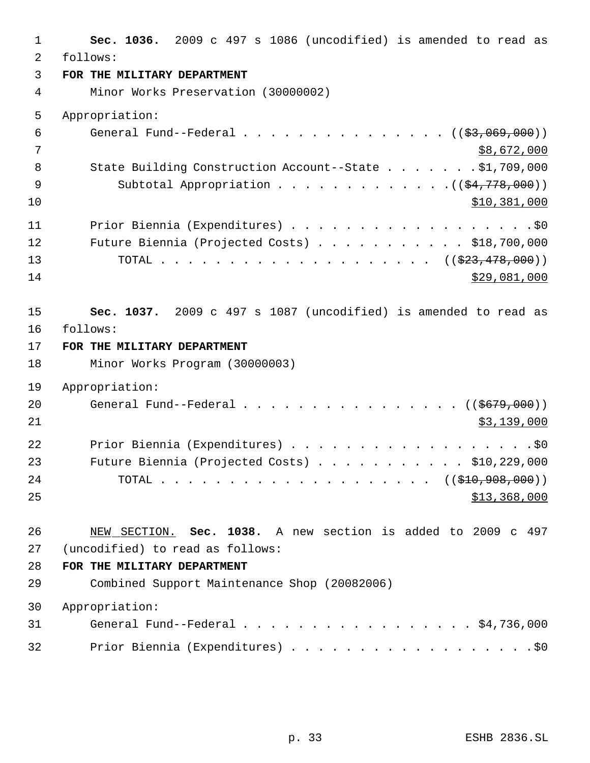| $\mathbf{1}$   | Sec. 1036. 2009 c 497 s 1086 (uncodified) is amended to read as |
|----------------|-----------------------------------------------------------------|
| $\overline{2}$ | follows:                                                        |
| $\mathfrak{Z}$ | FOR THE MILITARY DEPARTMENT                                     |
| $\overline{4}$ | Minor Works Preservation (30000002)                             |
| 5              | Appropriation:                                                  |
| $\overline{6}$ | General Fund--Federal ( $(\frac{2}{3}, 069, 000)$ )             |
| 7              | \$8,672,000                                                     |
| 8              | State Building Construction Account--State \$1,709,000          |
| 9              | Subtotal Appropriation $($ $(*4, 778, 000))$                    |
| 10             | \$10,381,000                                                    |
| 11             | Prior Biennia (Expenditures) \$0                                |
| 12             | Future Biennia (Projected Costs) \$18,700,000                   |
| 13             |                                                                 |
| 14             | \$29,081,000                                                    |
| 15             | Sec. 1037. 2009 c 497 s 1087 (uncodified) is amended to read as |
| 16             | follows:                                                        |
| 17             | FOR THE MILITARY DEPARTMENT                                     |
| 18             | Minor Works Program (30000003)                                  |
| 19             | Appropriation:                                                  |
| 20             | General Fund--Federal $\ldots$ ( $(\frac{6679}{600})$ )         |
| 21             | \$3,139,000                                                     |
| 22             | Prior Biennia (Expenditures) \$0                                |
| 23             | Future Biennia (Projected Costs) \$10,229,000                   |
| 24             |                                                                 |
| 25             | \$13,368,000                                                    |
| 26             | NEW SECTION. Sec. 1038. A new section is added to 2009 c 497    |
| 27             | (uncodified) to read as follows:                                |
| 28             | FOR THE MILITARY DEPARTMENT                                     |
| 29             | Combined Support Maintenance Shop (20082006)                    |
| 30             | Appropriation:                                                  |
| 31             | General Fund--Federal \$4,736,000                               |
| 32             | Prior Biennia (Expenditures) \$0                                |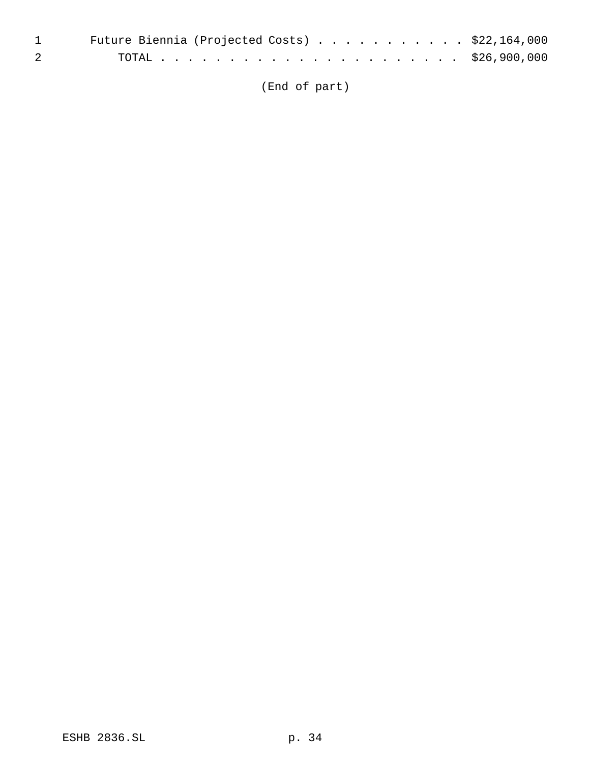|                                                                                                                                                                                                                                                                                                                                    | 1 Future Biennia (Projected Costs) \$22,164,000 |  |
|------------------------------------------------------------------------------------------------------------------------------------------------------------------------------------------------------------------------------------------------------------------------------------------------------------------------------------|-------------------------------------------------|--|
| $\overline{2}$ and $\overline{2}$ and $\overline{2}$ and $\overline{2}$ and $\overline{2}$ and $\overline{2}$ and $\overline{2}$ and $\overline{2}$ and $\overline{2}$ and $\overline{2}$ and $\overline{2}$ and $\overline{2}$ and $\overline{2}$ and $\overline{2}$ and $\overline{2}$ and $\overline{2}$ and $\overline{2}$ and |                                                 |  |

(End of part)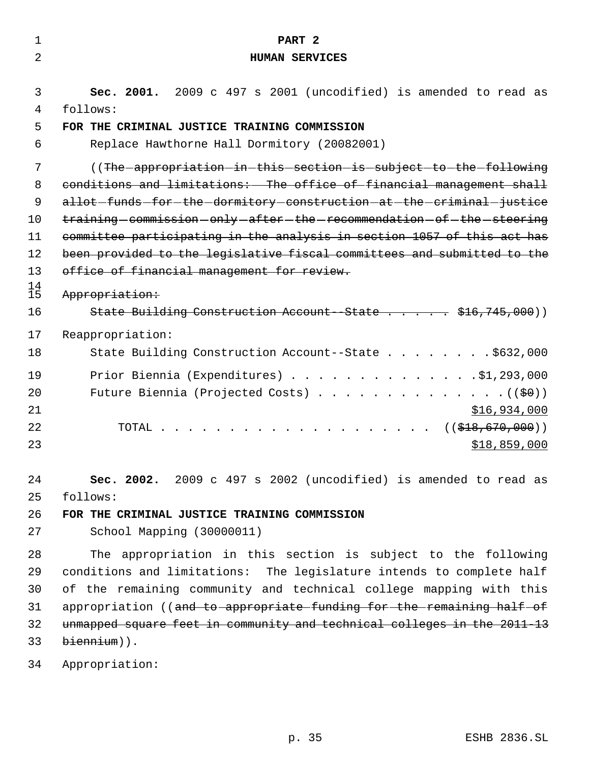| 1               | PART <sub>2</sub>                                                                                                                     |
|-----------------|---------------------------------------------------------------------------------------------------------------------------------------|
| 2               | <b>HUMAN SERVICES</b>                                                                                                                 |
|                 |                                                                                                                                       |
| 3               | Sec. 2001. 2009 c 497 s 2001 (uncodified) is amended to read as                                                                       |
| 4               | follows:                                                                                                                              |
| 5               | FOR THE CRIMINAL JUSTICE TRAINING COMMISSION                                                                                          |
| 6               | Replace Hawthorne Hall Dormitory (20082001)                                                                                           |
| 7               | ((The appropriation in this section is subject to the following                                                                       |
| 8               | conditions and limitations: The office of financial management shall                                                                  |
| 9               | allot-funds-for-the-dormitory-construction-at-the-criminal-justice                                                                    |
| 10              | training-commission-only-after-the-recommendation-of-the-steering                                                                     |
| 11              | committee participating in the analysis in section 1057 of this act has                                                               |
| 12              | been provided to the legislative fiscal committees and submitted to the                                                               |
| 13              | office of financial management for review.                                                                                            |
| $\frac{14}{15}$ | Appropriation:                                                                                                                        |
| 16              | State Building Construction Account-State \$16,745,000))                                                                              |
| 17              | Reappropriation:                                                                                                                      |
| 18              | State Building Construction Account--State \$632,000                                                                                  |
|                 |                                                                                                                                       |
| 19              | Prior Biennia (Expenditures) \$1,293,000                                                                                              |
| 20              | Future Biennia (Projected Costs) ( $(\frac{60}{10})$                                                                                  |
| 21<br>22        | \$16,934,000                                                                                                                          |
| 23              | ((\$418,670,000))                                                                                                                     |
|                 | \$18,859,000                                                                                                                          |
| 24              | Sec. 2002. 2009 c 497 s 2002 (uncodified) is amended to read as                                                                       |
| 25              | follows:                                                                                                                              |
| 26              | FOR THE CRIMINAL JUSTICE TRAINING COMMISSION                                                                                          |
| 27              | School Mapping (30000011)                                                                                                             |
| 28              |                                                                                                                                       |
| 29              | The appropriation in this section is subject to the following<br>conditions and limitations: The legislature intends to complete half |
| 30              | of the remaining community and technical college mapping with this                                                                    |
| 31              | appropriation ((and to appropriate funding for the remaining half of                                                                  |
| 32              | unmapped square feet in community and technical colleges in the 2011-13                                                               |
| 33              | biennium)).                                                                                                                           |
|                 |                                                                                                                                       |
| 34              | Appropriation:                                                                                                                        |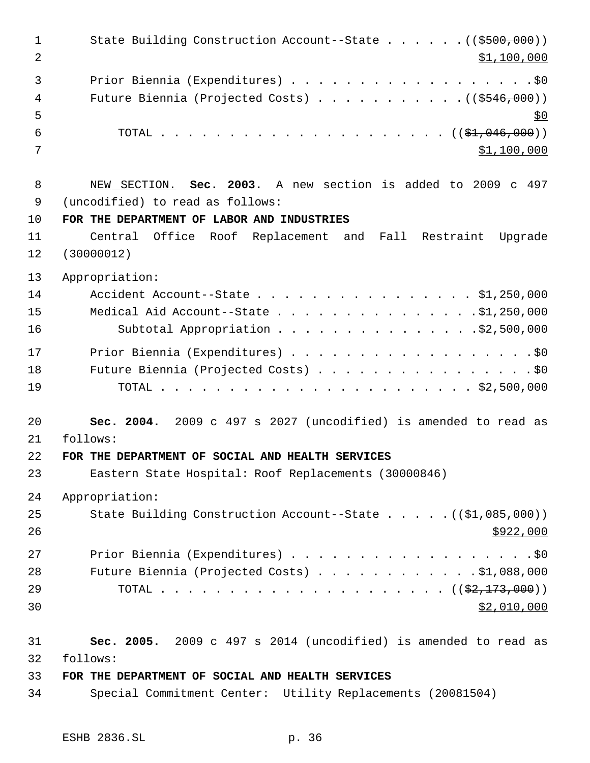1 State Building Construction Account--State . . . . . . ((\$500,000))  $\text{1,100,000}$ 3 Prior Biennia (Expenditures) . . . . . . . . . . . . . . . . . . \$0 4 Future Biennia (Projected Costs) . . . . . . . . . . ((\$546,000))  $5^{\circ}$  TOTAL . . . . . . . . . . . . . . . . . . . . . ((\$1,046,000))  $\frac{\text{1,100,000}}{2}$  NEW SECTION. **Sec. 2003.** A new section is added to 2009 c 497 (uncodified) to read as follows: **FOR THE DEPARTMENT OF LABOR AND INDUSTRIES** Central Office Roof Replacement and Fall Restraint Upgrade (30000012) Appropriation: Accident Account--State . . . . . . . . . . . . . . . . \$1,250,000 Medical Aid Account--State . . . . . . . . . . . . . . .\$1,250,000 Subtotal Appropriation . . . . . . . . . . . . . . .\$2,500,000 17 Prior Biennia (Expenditures) . . . . . . . . . . . . . . . . . . \$0 18 Future Biennia (Projected Costs) . . . . . . . . . . . . . . . . \$0 TOTAL . . . . . . . . . . . . . . . . . . . . . . . \$2,500,000 **Sec. 2004.** 2009 c 497 s 2027 (uncodified) is amended to read as follows: **FOR THE DEPARTMENT OF SOCIAL AND HEALTH SERVICES** Eastern State Hospital: Roof Replacements (30000846) Appropriation: 25 State Building Construction Account--State . . . . . ((\$1,085,000)) 27 Prior Biennia (Expenditures) . . . . . . . . . . . . . . . . . . \$0 Future Biennia (Projected Costs) . . . . . . . . . . . . \$1,088,000 TOTAL . . . . . . . . . . . . . . . . . . . . . ((\$2,173,000)) \$2,010,000 **Sec. 2005.** 2009 c 497 s 2014 (uncodified) is amended to read as follows: **FOR THE DEPARTMENT OF SOCIAL AND HEALTH SERVICES**

Special Commitment Center: Utility Replacements (20081504)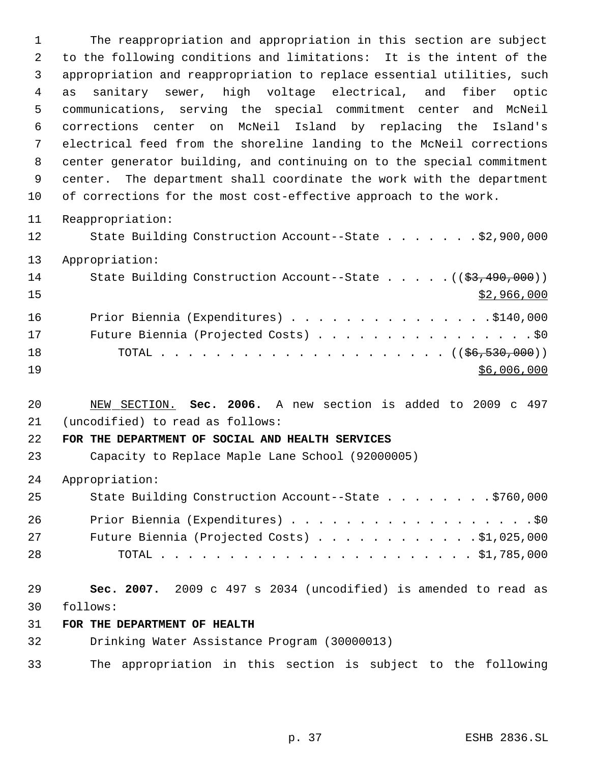The reappropriation and appropriation in this section are subject to the following conditions and limitations: It is the intent of the appropriation and reappropriation to replace essential utilities, such as sanitary sewer, high voltage electrical, and fiber optic communications, serving the special commitment center and McNeil corrections center on McNeil Island by replacing the Island's electrical feed from the shoreline landing to the McNeil corrections center generator building, and continuing on to the special commitment center. The department shall coordinate the work with the department of corrections for the most cost-effective approach to the work.

- Reappropriation:
- State Building Construction Account--State . . . . . . . \$2,900,000
- Appropriation:

| 14 | State Building Construction Account--State $($ $($ \$3,490,000) $)$ |
|----|---------------------------------------------------------------------|
| 15 | \$2,966,000                                                         |
| 16 | Prior Biennia (Expenditures) \$140,000                              |
| 17 | Future Biennia (Projected Costs) \$0                                |
| 18 |                                                                     |
| 19 | \$6,006,000                                                         |

 NEW SECTION. **Sec. 2006.** A new section is added to 2009 c 497 (uncodified) to read as follows:

#### **FOR THE DEPARTMENT OF SOCIAL AND HEALTH SERVICES**

- Capacity to Replace Maple Lane School (92000005)
- Appropriation:

| 25 | State Building Construction Account--State \$760,000 |
|----|------------------------------------------------------|
| 26 | Prior Biennia (Expenditures) \$0                     |
| 27 | Future Biennia (Projected Costs) $\ldots$ 91,025,000 |
| 28 |                                                      |

 **Sec. 2007.** 2009 c 497 s 2034 (uncodified) is amended to read as follows:

#### **FOR THE DEPARTMENT OF HEALTH**

- Drinking Water Assistance Program (30000013)
- The appropriation in this section is subject to the following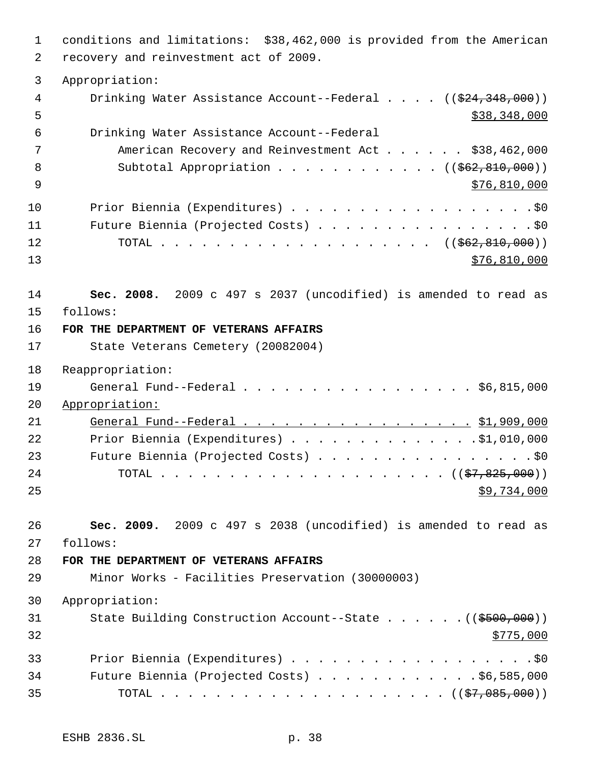conditions and limitations: \$38,462,000 is provided from the American recovery and reinvestment act of 2009. Appropriation: 4 Drinking Water Assistance Account--Federal . . . . ((\$24,348,000))  $5 - 5$   $\frac{1}{2}$   $\frac{1}{2}$   $\frac{38}{2}$   $\frac{348}{2}$   $\frac{000}{2}$  Drinking Water Assistance Account--Federal 7 American Recovery and Reinvestment Act . . . . . \$38,462,000 8 Subtotal Appropriation . . . . . . . . . . . ((\$62,810,000)) \$76,810,000 10 Prior Biennia (Expenditures) . . . . . . . . . . . . . . . . . \$0 Future Biennia (Projected Costs) . . . . . . . . . . . . . . . . \$0 12 TOTAL . . . . . . . . . . . . . . . . . . ((<del>\$62,810,000</del>)) \$76,810,000 **Sec. 2008.** 2009 c 497 s 2037 (uncodified) is amended to read as follows: **FOR THE DEPARTMENT OF VETERANS AFFAIRS** State Veterans Cemetery (20082004) Reappropriation: General Fund--Federal . . . . . . . . . . . . . . . . . \$6,815,000 Appropriation: 21 General Fund--Federal . . . . . . . . . . . . . . . . . \$1,909,000 Prior Biennia (Expenditures) . . . . . . . . . . . . . .\$1,010,000 23 Future Biennia (Projected Costs) . . . . . . . . . . . . . . . . \$0 TOTAL . . . . . . . . . . . . . . . . . . . . . ((\$7,825,000))  $\frac{1}{2}$   $\frac{1}{2}$   $\frac{1}{2}$   $\frac{1}{2}$   $\frac{1}{2}$   $\frac{1}{2}$   $\frac{1}{2}$   $\frac{1}{2}$   $\frac{1}{2}$   $\frac{1}{2}$   $\frac{1}{2}$   $\frac{1}{2}$   $\frac{1}{2}$   $\frac{1}{2}$   $\frac{1}{2}$   $\frac{1}{2}$   $\frac{1}{2}$   $\frac{1}{2}$   $\frac{1}{2}$   $\frac{1}{2}$   $\frac{1}{2}$   $\frac{1}{$  **Sec. 2009.** 2009 c 497 s 2038 (uncodified) is amended to read as follows: **FOR THE DEPARTMENT OF VETERANS AFFAIRS** Minor Works - Facilities Preservation (30000003) Appropriation: 31 State Building Construction Account--State . . . . . . ((\$500,000)) Prior Biennia (Expenditures) . . . . . . . . . . . . . . . . . .\$0 Future Biennia (Projected Costs) . . . . . . . . . . . . \$6,585,000 TOTAL . . . . . . . . . . . . . . . . . . . . . ((\$7,085,000))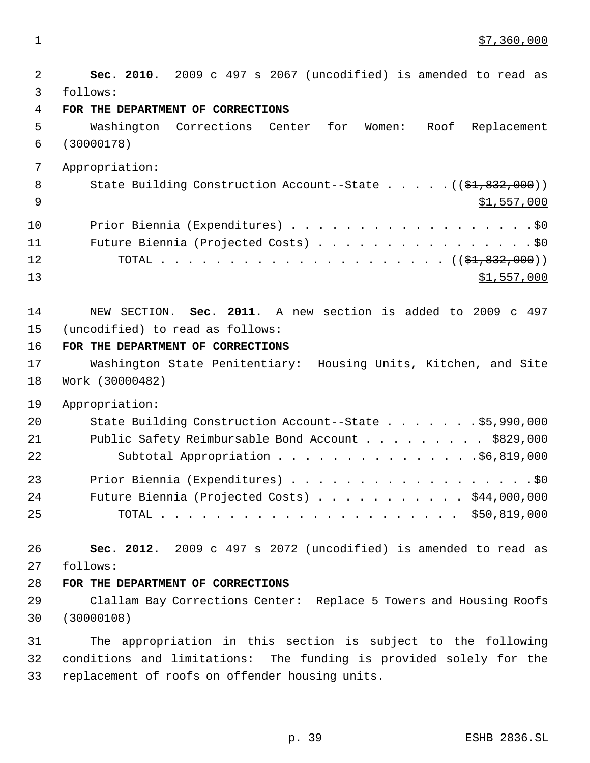$1 \quad$  \$7,360,000

 **Sec. 2010.** 2009 c 497 s 2067 (uncodified) is amended to read as follows: **FOR THE DEPARTMENT OF CORRECTIONS** Washington Corrections Center for Women: Roof Replacement (30000178) Appropriation: 8 State Building Construction Account--State . . . . . ((\$1,832,000)) \$1,557,000 10 Prior Biennia (Expenditures) . . . . . . . . . . . . . . . . . . \$0 11 Future Biennia (Projected Costs) . . . . . . . . . . . . . . . . \$0 TOTAL . . . . . . . . . . . . . . . . . . . . . ((\$1,832,000)) \$1,557,000 NEW SECTION. **Sec. 2011.** A new section is added to 2009 c 497 (uncodified) to read as follows: **FOR THE DEPARTMENT OF CORRECTIONS** Washington State Penitentiary: Housing Units, Kitchen, and Site Work (30000482) Appropriation: State Building Construction Account--State . . . . . . . \$5,990,000 Public Safety Reimbursable Bond Account . . . . . . . . . \$829,000 Subtotal Appropriation . . . . . . . . . . . . . . .\$6,819,000 Prior Biennia (Expenditures) . . . . . . . . . . . . . . . . . .\$0 24 Future Biennia (Projected Costs) . . . . . . . . . . \$44,000,000 TOTAL . . . . . . . . . . . . . . . . . . . . . . \$50,819,000 **Sec. 2012.** 2009 c 497 s 2072 (uncodified) is amended to read as follows: **FOR THE DEPARTMENT OF CORRECTIONS** Clallam Bay Corrections Center: Replace 5 Towers and Housing Roofs (30000108) The appropriation in this section is subject to the following conditions and limitations: The funding is provided solely for the replacement of roofs on offender housing units.

p. 39 ESHB 2836.SL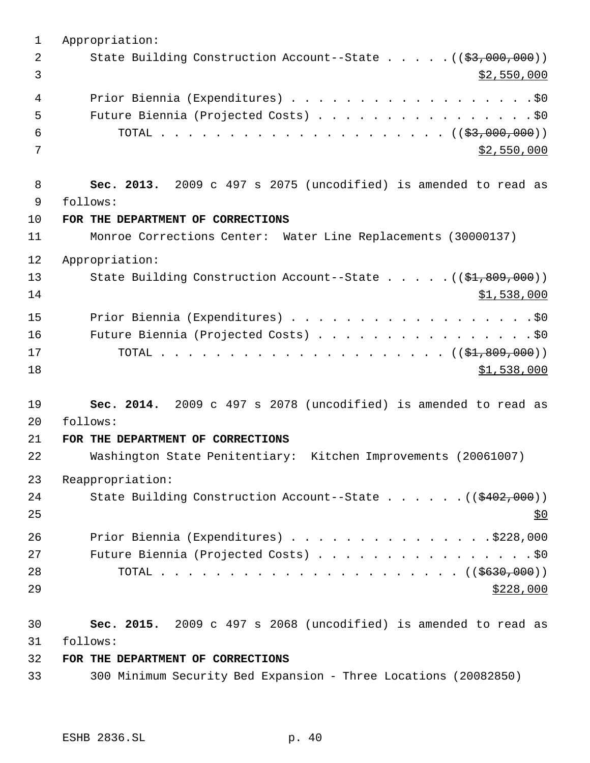Appropriation: 2 State Building Construction Account--State . . . . . ((\$3,000,000))  $\frac{1}{2}$ ,550,000 4 Prior Biennia (Expenditures) . . . . . . . . . . . . . . . . . . \$0 Future Biennia (Projected Costs) . . . . . . . . . . . . . . . . \$0 6 TOTAL . . . . . . . . . . . . . . . . . . (  $(\frac{2}{53},000,000)$  )  $$2,550,000$  **Sec. 2013.** 2009 c 497 s 2075 (uncodified) is amended to read as follows: **FOR THE DEPARTMENT OF CORRECTIONS** Monroe Corrections Center: Water Line Replacements (30000137) Appropriation: 13 State Building Construction Account--State . . . . . ((\$1,809,000)) \$1,538,000 Prior Biennia (Expenditures) . . . . . . . . . . . . . . . . . .\$0 Future Biennia (Projected Costs) . . . . . . . . . . . . . . . . \$0 TOTAL . . . . . . . . . . . . . . . . . . . . . ((\$1,809,000)) \$1,538,000 **Sec. 2014.** 2009 c 497 s 2078 (uncodified) is amended to read as follows: **FOR THE DEPARTMENT OF CORRECTIONS** Washington State Penitentiary: Kitchen Improvements (20061007) Reappropriation: 24 State Building Construction Account--State . . . . . . ((\$402,000)) 26 Prior Biennia (Expenditures) . . . . . . . . . . . . . . . \$228,000 27 Future Biennia (Projected Costs) . . . . . . . . . . . . . . . . \$0 TOTAL . . . . . . . . . . . . . . . . . . . . . . ((\$630,000)) **Sec. 2015.** 2009 c 497 s 2068 (uncodified) is amended to read as follows: **FOR THE DEPARTMENT OF CORRECTIONS** 300 Minimum Security Bed Expansion - Three Locations (20082850)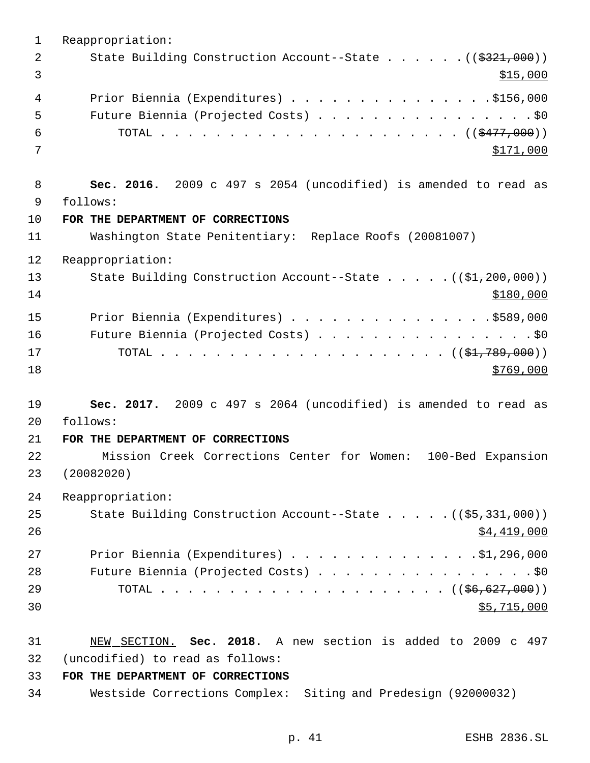Reappropriation: 2 State Building Construction Account--State . . . . . . ((\$321,000))  $3 \frac{$15,000}{9}$  Prior Biennia (Expenditures) . . . . . . . . . . . . . . .\$156,000 Future Biennia (Projected Costs) . . . . . . . . . . . . . . . . \$0 TOTAL . . . . . . . . . . . . . . . . . . . . . . ((\$477,000)) 7 \$171,000 **Sec. 2016.** 2009 c 497 s 2054 (uncodified) is amended to read as follows: **FOR THE DEPARTMENT OF CORRECTIONS** Washington State Penitentiary: Replace Roofs (20081007) Reappropriation: 13 State Building Construction Account--State . . . . . ((\$1,200,000)) \$180,000 15 Prior Biennia (Expenditures) . . . . . . . . . . . . . . . \$589,000 Future Biennia (Projected Costs) . . . . . . . . . . . . . . . . \$0 TOTAL . . . . . . . . . . . . . . . . . . . . . ((\$1,789,000))  $\frac{$769,000}{ }$  **Sec. 2017.** 2009 c 497 s 2064 (uncodified) is amended to read as follows: **FOR THE DEPARTMENT OF CORRECTIONS** 22 Mission Creek Corrections Center for Women: 100-Bed Expansion (20082020) Reappropriation: 25 State Building Construction Account--State . . . . . ((\$5,331,000)) \$4,419,000 Prior Biennia (Expenditures) . . . . . . . . . . . . . .\$1,296,000 28 Future Biennia (Projected Costs) . . . . . . . . . . . . . . . . \$0 TOTAL . . . . . . . . . . . . . . . . . . . . . ((\$6,627,000)) \$5,715,000 NEW SECTION. **Sec. 2018.** A new section is added to 2009 c 497 (uncodified) to read as follows: **FOR THE DEPARTMENT OF CORRECTIONS**

- 
- Westside Corrections Complex: Siting and Predesign (92000032)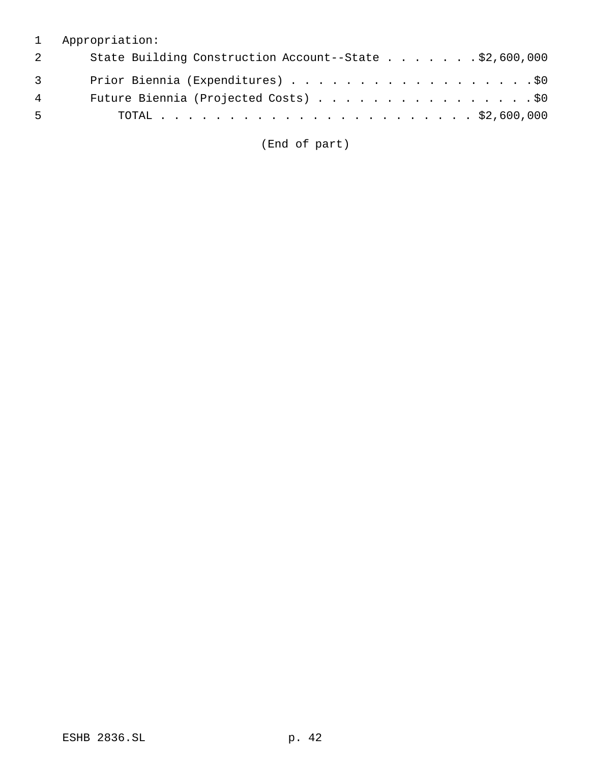# 1 Appropriation:

| 2 | State Building Construction Account--State \$2,600,000 |
|---|--------------------------------------------------------|
| 3 | Prior Biennia (Expenditures) \$0                       |
| 4 | Future Biennia (Projected Costs) \$0                   |
| 5 |                                                        |

(End of part)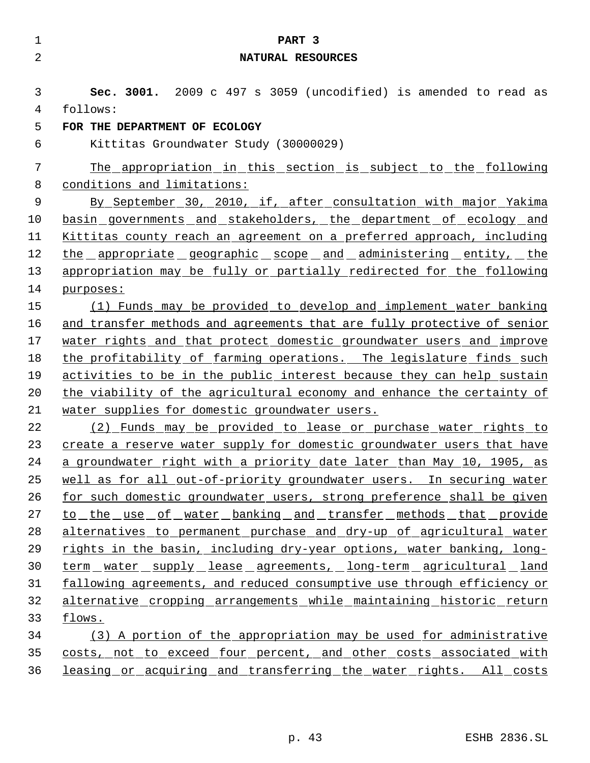| $\mathbf 1$ | PART <sub>3</sub>                                                       |
|-------------|-------------------------------------------------------------------------|
| 2           | NATURAL RESOURCES                                                       |
|             |                                                                         |
| 3           | Sec. 3001. 2009 c 497 s 3059 (uncodified) is amended to read as         |
| 4           | follows:                                                                |
| 5           | FOR THE DEPARTMENT OF ECOLOGY                                           |
| 6           | Kittitas Groundwater Study (30000029)                                   |
| 7           | The appropriation in this section is subject to the following           |
| 8           | conditions and limitations:                                             |
| 9           | By September 30, 2010, if, after consultation with major Yakima         |
| 10          | basin governments and stakeholders, the department of ecology and       |
| 11          | Kittitas county reach an agreement on a preferred approach, including   |
| 12          | <u>the appropriate geographic scope and administering entity, the</u>   |
| 13          | appropriation may be fully or partially redirected for the following    |
| 14          | purposes:                                                               |
| 15          | (1) Funds may be provided to develop and implement water banking        |
| 16          | and transfer methods and agreements that are fully protective of senior |
| 17          | water rights and that protect domestic groundwater users and improve    |
| 18          | the profitability of farming operations. The legislature finds such     |
| 19          | activities to be in the public interest because they can help sustain   |
| 20          | the viability of the agricultural economy and enhance the certainty of  |
| 21          | water supplies for domestic groundwater users.                          |
| 22          | (2) Funds may be provided to lease or purchase water rights to          |
| 23          | create a reserve water supply for domestic groundwater users that have  |
| 24          | a groundwater right with a priority date later than May 10, 1905, as    |
| 25          | well as for all out-of-priority groundwater users. In securing water    |
| 26          | for such domestic groundwater users, strong preference shall be given   |
| 27          | to the use of water banking and transfer methods that provide           |
| 28          | alternatives to permanent purchase and dry-up of agricultural water     |
| 29          | rights in the basin, including dry-year options, water banking, long-   |
| 30          | term water supply lease agreements, long-term agricultural land         |
| 31          | fallowing agreements, and reduced consumptive use through efficiency or |
| 32          | alternative cropping arrangements while maintaining historic return     |
| 33          | flows.                                                                  |
| 34          | (3) A portion of the appropriation may be used for administrative       |
| 35          | costs, not to exceed four percent, and other costs associated with      |
| 36          | leasing or acquiring and transferring the water rights. All costs       |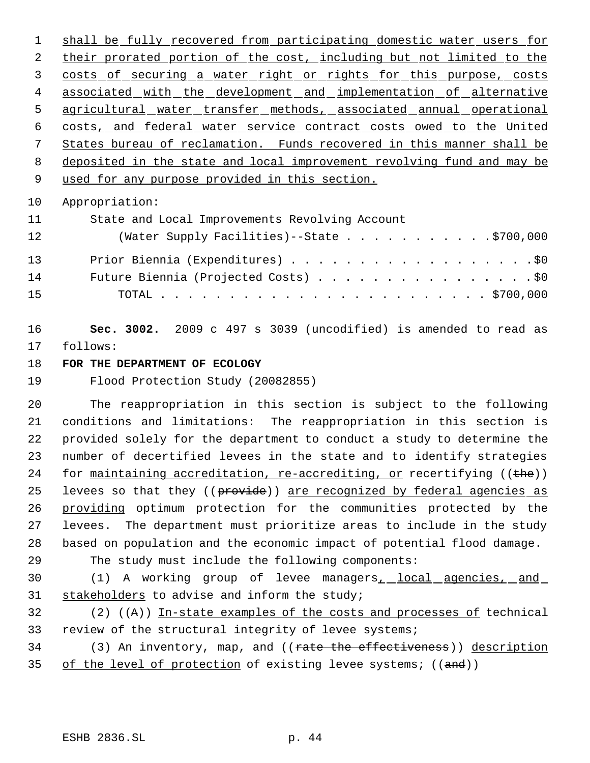1 shall be fully recovered from participating domestic water users for 2 their prorated portion of the cost, including but not limited to the 3 costs of securing a water right or rights for this purpose, costs 4 associated with the development and implementation of alternative 5 agricultural water transfer methods, associated annual operational costs, and federal water service contract costs owed to the United States bureau of reclamation. Funds recovered in this manner shall be deposited in the state and local improvement revolving fund and may be 9 used for any purpose provided in this section.

Appropriation:

| 11 | State and Local Improvements Revolving Account |
|----|------------------------------------------------|
| 12 | (Water Supply Facilities)--State \$700,000     |
| 13 | Prior Biennia (Expenditures) \$0               |
| 14 | Future Biennia (Projected Costs) \$0           |
| 15 |                                                |

 **Sec. 3002.** 2009 c 497 s 3039 (uncodified) is amended to read as follows:

**FOR THE DEPARTMENT OF ECOLOGY**

Flood Protection Study (20082855)

 The reappropriation in this section is subject to the following conditions and limitations: The reappropriation in this section is provided solely for the department to conduct a study to determine the number of decertified levees in the state and to identify strategies 24 for maintaining accreditation, re-accrediting, or recertifying ((the)) 25 levees so that they ((provide)) are recognized by federal agencies as providing optimum protection for the communities protected by the levees. The department must prioritize areas to include in the study based on population and the economic impact of potential flood damage.

The study must include the following components:

30 (1) A working group of levee managers<sub>1</sub> local agencies, and stakeholders to advise and inform the study;

32  $(2)$   $((A))$  In-state examples of the costs and processes of technical review of the structural integrity of levee systems;

34 (3) An inventory, map, and ((rate the effectiveness)) description 35 of the level of protection of existing levee systems; ((and))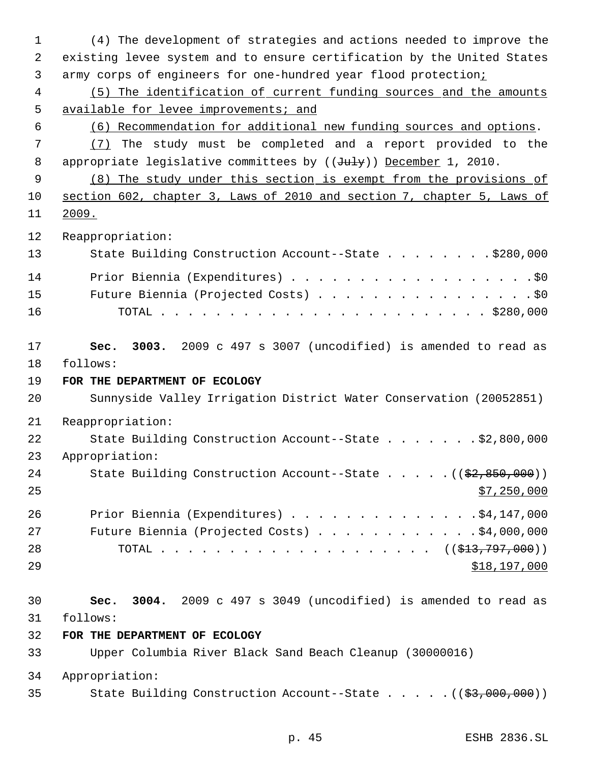(4) The development of strategies and actions needed to improve the existing levee system and to ensure certification by the United States army corps of engineers for one-hundred year flood protection; (5) The identification of current funding sources and the amounts 5 available for levee improvements; and (6) Recommendation for additional new funding sources and options. (7) The study must be completed and a report provided to the 8 appropriate legislative committees by ((July)) December 1, 2010. (8) The study under this section is exempt from the provisions of section 602, chapter 3, Laws of 2010 and section 7, chapter 5, Laws of 2009. Reappropriation: 13 State Building Construction Account--State . . . . . . . \$280,000 14 Prior Biennia (Expenditures) . . . . . . . . . . . . . . . . . . \$0 Future Biennia (Projected Costs) . . . . . . . . . . . . . . . . \$0 TOTAL . . . . . . . . . . . . . . . . . . . . . . . . \$280,000 **Sec. 3003.** 2009 c 497 s 3007 (uncodified) is amended to read as follows: **FOR THE DEPARTMENT OF ECOLOGY** Sunnyside Valley Irrigation District Water Conservation (20052851) Reappropriation: 22 State Building Construction Account--State . . . . . . \$2,800,000 Appropriation: 24 State Building Construction Account--State . . . . . ((\$2,850,000))  $\frac{$7,250,000}{25}$  Prior Biennia (Expenditures) . . . . . . . . . . . . . .\$4,147,000 Future Biennia (Projected Costs) . . . . . . . . . . . . \$4,000,000 28 TOTAL . . . . . . . . . . . . . . . . . . ((<del>\$13,797,000</del>)) \$18,197,000 **Sec. 3004.** 2009 c 497 s 3049 (uncodified) is amended to read as follows: **FOR THE DEPARTMENT OF ECOLOGY** Upper Columbia River Black Sand Beach Cleanup (30000016) Appropriation: 35 State Building Construction Account--State . . . . . ((\$3,000,000))

p. 45 ESHB 2836.SL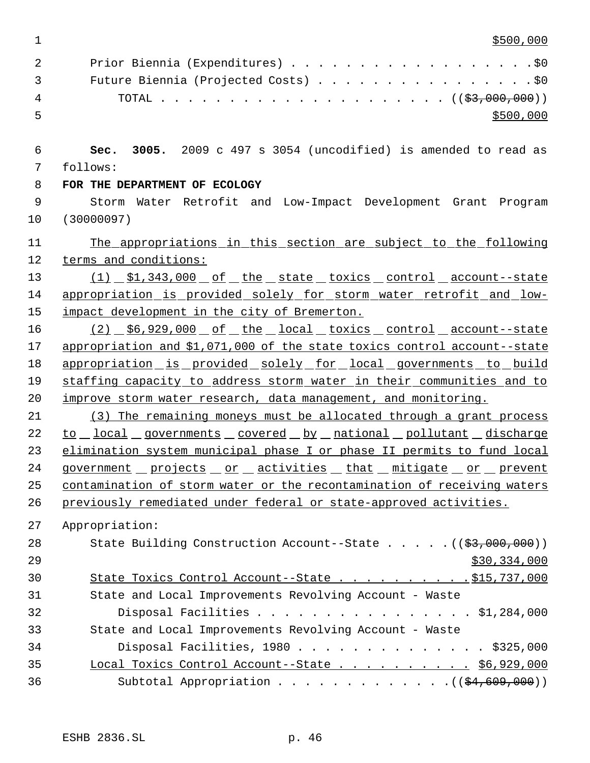$1 \frac{\$500,000}{ }$ 

|    | Prior Biennia (Expenditures) \$0<br>2                  |
|----|--------------------------------------------------------|
|    | Future Biennia (Projected Costs) \$0<br>$\overline{3}$ |
| 4  |                                                        |
| -5 | \$500,000                                              |

 **Sec. 3005.** 2009 c 497 s 3054 (uncodified) is amended to read as follows:

**FOR THE DEPARTMENT OF ECOLOGY**

 Storm Water Retrofit and Low-Impact Development Grant Program (30000097)

11 The appropriations in this section are subject to the following terms and conditions:

13 (1) \$1,343,000 of the state toxics control account--state appropriation is provided solely for storm water retrofit and low-impact development in the city of Bremerton.

16 (2)  $$6,929,000$  of the local toxics control account--state appropriation and \$1,071,000 of the state toxics control account--state 18 appropriation is provided solely for local governments to build 19 staffing capacity to address storm water in their communities and to improve storm water research, data management, and monitoring.

 (3) The remaining moneys must be allocated through a grant process 22 to local governments covered by national pollutant discharge elimination system municipal phase I or phase II permits to fund local 24 government projects or activities that mitigate or prevent contamination of storm water or the recontamination of receiving waters previously remediated under federal or state-approved activities.

Appropriation:

| 28 | State Building Construction Account--State $($ $($ \$3,000,000) $)$ |
|----|---------------------------------------------------------------------|
| 29 | \$30,334,000                                                        |
| 30 | State Toxics Control Account--State \$15,737,000                    |
| 31 | State and Local Improvements Revolving Account - Waste              |
| 32 | Disposal Facilities \$1,284,000                                     |
| 33 | State and Local Improvements Revolving Account - Waste              |
| 34 | Disposal Facilities, $1980$ \$325,000                               |
| 35 | Local Toxics Control Account--State \$6,929,000                     |
| 36 | Subtotal Appropriation $($ $($ $\frac{24,609,000)}{2})$             |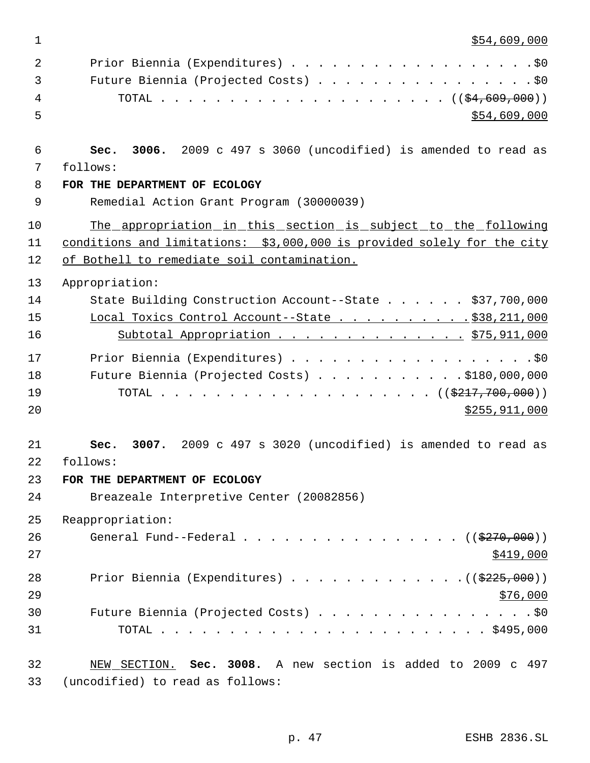\$54,609,000

| 2  | Prior Biennia (Expenditures) \$0                                        |
|----|-------------------------------------------------------------------------|
| 3  | Future Biennia (Projected Costs) \$0                                    |
| 4  |                                                                         |
| 5  | \$54,609,000                                                            |
|    |                                                                         |
| 6  | 3006. 2009 c 497 s 3060 (uncodified) is amended to read as<br>Sec.      |
| 7  | follows:                                                                |
| 8  | FOR THE DEPARTMENT OF ECOLOGY                                           |
| 9  | Remedial Action Grant Program (30000039)                                |
| 10 | The appropriation in this section is subject to the following           |
| 11 | conditions and limitations: \$3,000,000 is provided solely for the city |
| 12 | of Bothell to remediate soil contamination.                             |
| 13 | Appropriation:                                                          |
| 14 | State Building Construction Account--State \$37,700,000                 |
| 15 | Local Toxics Control Account--State \$38,211,000                        |
| 16 | Subtotal Appropriation \$75,911,000                                     |
| 17 | Prior Biennia (Expenditures) \$0                                        |
| 18 | Future Biennia (Projected Costs) \$180,000,000                          |
| 19 |                                                                         |
| 20 | \$255,911,000                                                           |
|    |                                                                         |
| 21 | 3007. 2009 c 497 s 3020 (uncodified) is amended to read as<br>Sec.      |
| 22 | follows:                                                                |
| 23 | FOR THE DEPARTMENT OF ECOLOGY                                           |
| 24 | Breazeale Interpretive Center (20082856)                                |
| 25 | Reappropriation:                                                        |
| 26 | General Fund--Federal ( $(\frac{270}{000})$ )                           |
| 27 | \$419,000                                                               |
| 28 | Prior Biennia (Expenditures) $($ $(\frac{225}{225},000))$               |
| 29 | \$76,000                                                                |
| 30 | Future Biennia (Projected Costs) \$0                                    |
| 31 |                                                                         |
| 32 | NEW SECTION. Sec. 3008. A new section is added to 2009 c 497            |
| 33 | (uncodified) to read as follows:                                        |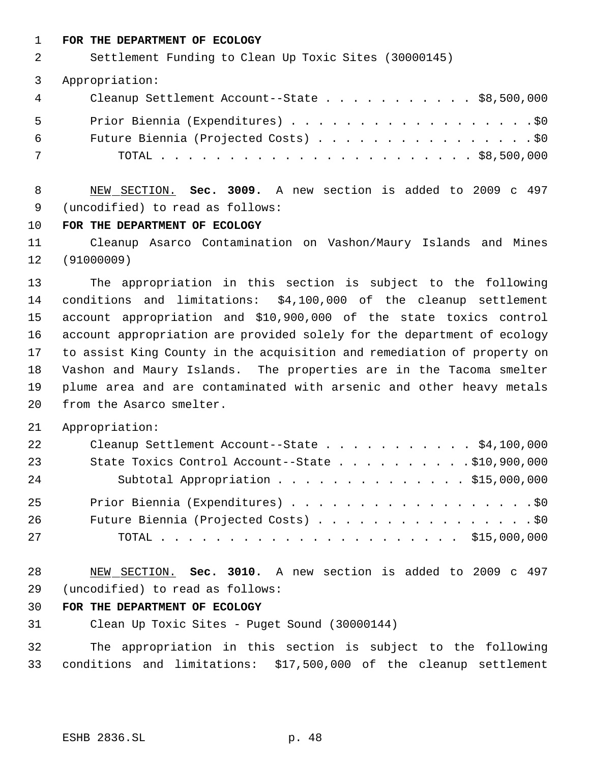#### **FOR THE DEPARTMENT OF ECOLOGY**

Settlement Funding to Clean Up Toxic Sites (30000145)

Appropriation:

| $\overline{4}$ | Cleanup Settlement Account--State \$8,500,000 |  |
|----------------|-----------------------------------------------|--|
| - 5            | Prior Biennia (Expenditures) \$0              |  |
| 6              | Future Biennia (Projected Costs) \$0          |  |
| 7              |                                               |  |

 NEW SECTION. **Sec. 3009.** A new section is added to 2009 c 497 (uncodified) to read as follows:

#### **FOR THE DEPARTMENT OF ECOLOGY**

 Cleanup Asarco Contamination on Vashon/Maury Islands and Mines (91000009)

 The appropriation in this section is subject to the following conditions and limitations: \$4,100,000 of the cleanup settlement account appropriation and \$10,900,000 of the state toxics control account appropriation are provided solely for the department of ecology to assist King County in the acquisition and remediation of property on Vashon and Maury Islands. The properties are in the Tacoma smelter plume area and are contaminated with arsenic and other heavy metals from the Asarco smelter.

Appropriation:

| 22 | Cleanup Settlement Account--State \$4,100,000    |
|----|--------------------------------------------------|
| 23 | State Toxics Control Account--State \$10,900,000 |
| 24 | Subtotal Appropriation \$15,000,000              |
| 25 | Prior Biennia (Expenditures) \$0                 |
| 26 | Future Biennia (Projected Costs) \$0             |
| 27 |                                                  |

 NEW SECTION. **Sec. 3010.** A new section is added to 2009 c 497 (uncodified) to read as follows:

## **FOR THE DEPARTMENT OF ECOLOGY**

Clean Up Toxic Sites - Puget Sound (30000144)

 The appropriation in this section is subject to the following conditions and limitations: \$17,500,000 of the cleanup settlement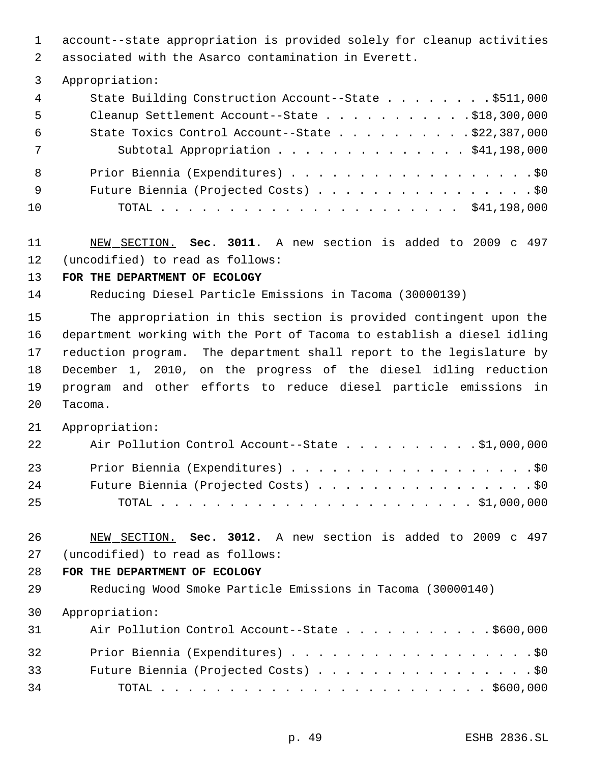account--state appropriation is provided solely for cleanup activities associated with the Asarco contamination in Everett.

#### Appropriation:

| 4   | State Building Construction Account--State \$511,000      |
|-----|-----------------------------------------------------------|
| 5   | Cleanup Settlement Account--State \$18,300,000            |
| -6  | State Toxics Control Account--State $\ldots$ \$22,387,000 |
| 7   | Subtotal Appropriation \$41,198,000                       |
| - 8 |                                                           |
| - 9 | Future Biennia (Projected Costs) \$0                      |
| 10  |                                                           |

 NEW SECTION. **Sec. 3011.** A new section is added to 2009 c 497 (uncodified) to read as follows:

## **FOR THE DEPARTMENT OF ECOLOGY**

Reducing Diesel Particle Emissions in Tacoma (30000139)

 The appropriation in this section is provided contingent upon the department working with the Port of Tacoma to establish a diesel idling reduction program. The department shall report to the legislature by December 1, 2010, on the progress of the diesel idling reduction program and other efforts to reduce diesel particle emissions in Tacoma.

Appropriation:

| 22 | Air Pollution Control Account--State \$1,000,000 |
|----|--------------------------------------------------|
| 23 | Prior Biennia (Expenditures) \$0                 |
| 24 | Future Biennia (Projected Costs) \$0             |
| 25 |                                                  |

 NEW SECTION. **Sec. 3012.** A new section is added to 2009 c 497 (uncodified) to read as follows:

## **FOR THE DEPARTMENT OF ECOLOGY**

Reducing Wood Smoke Particle Emissions in Tacoma (30000140)

#### Appropriation:

| 31 | Air Pollution Control Account--State \$600,000 |
|----|------------------------------------------------|
| 32 | Prior Biennia (Expenditures) \$0               |
| 33 | Future Biennia (Projected Costs) \$0           |
| 34 |                                                |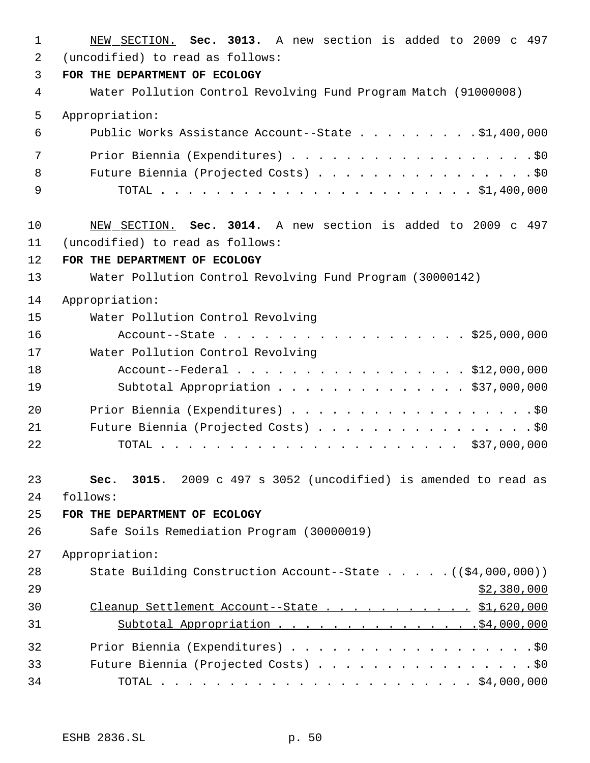| $\mathbf 1$ | NEW SECTION. Sec. 3013. A new section is added to 2009 c 497    |
|-------------|-----------------------------------------------------------------|
| 2           | (uncodified) to read as follows:                                |
| 3           | FOR THE DEPARTMENT OF ECOLOGY                                   |
| 4           | Water Pollution Control Revolving Fund Program Match (91000008) |
| 5           | Appropriation:                                                  |
| 6           | Public Works Assistance Account--State \$1,400,000              |
| 7           | Prior Biennia (Expenditures) \$0                                |
| 8           | Future Biennia (Projected Costs) \$0                            |
| 9           |                                                                 |
| 10          | NEW SECTION. Sec. 3014. A new section is added to 2009 c 497    |
| 11          | (uncodified) to read as follows:                                |
| 12          | FOR THE DEPARTMENT OF ECOLOGY                                   |
| 13          | Water Pollution Control Revolving Fund Program (30000142)       |
| 14          | Appropriation:                                                  |
| 15          | Water Pollution Control Revolving                               |
| 16          | Account--State \$25,000,000                                     |
| 17          | Water Pollution Control Revolving                               |
| 18          | Account--Federal \$12,000,000                                   |
| 19          | Subtotal Appropriation \$37,000,000                             |
| 20          | Prior Biennia (Expenditures) \$0                                |
| 21          | Future Biennia (Projected Costs) \$0                            |
| 22          |                                                                 |
| 23          | Sec. 3015. 2009 c 497 s 3052 (uncodified) is amended to read as |
| 24          | follows:                                                        |
| 25          | FOR THE DEPARTMENT OF ECOLOGY                                   |
| 26          | Safe Soils Remediation Program (30000019)                       |
| 27          | Appropriation:                                                  |
| 28          | State Building Construction Account--State ((\$4,000,000))      |
| 29          | \$2,380,000                                                     |
| 30          | Cleanup Settlement Account--State \$1,620,000                   |
| 31          | Subtotal Appropriation \$4,000,000                              |
| 32          | Prior Biennia (Expenditures) \$0                                |
| 33          | Future Biennia (Projected Costs) \$0                            |
| 34          |                                                                 |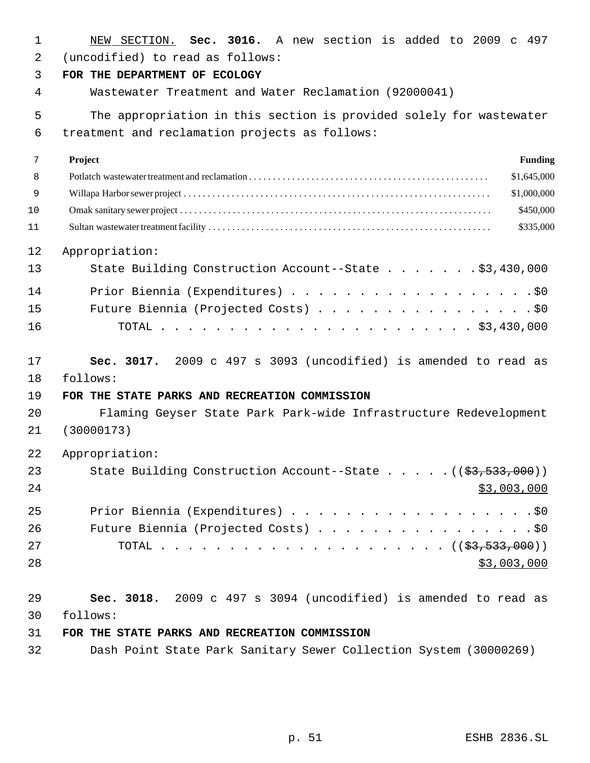| $\mathbf 1$    | NEW SECTION. Sec. 3016. A new section is added to 2009 c 497                     |
|----------------|----------------------------------------------------------------------------------|
| $\overline{2}$ | (uncodified) to read as follows:                                                 |
| 3              | FOR THE DEPARTMENT OF ECOLOGY                                                    |
| 4              | Wastewater Treatment and Water Reclamation (92000041)                            |
| 5              | The appropriation in this section is provided solely for wastewater              |
| 6              | treatment and reclamation projects as follows:                                   |
| 7              | Project<br><b>Funding</b>                                                        |
| 8              | \$1,645,000                                                                      |
| 9              | \$1,000,000                                                                      |
| 10             | \$450,000                                                                        |
| 11             | \$335,000                                                                        |
| 12             | Appropriation:                                                                   |
| 13             | State Building Construction Account--State \$3,430,000                           |
| 14             | Prior Biennia (Expenditures) \$0                                                 |
| 15             | Future Biennia (Projected Costs) \$0                                             |
| 16             |                                                                                  |
| 17             | Sec. 3017. 2009 c 497 s 3093 (uncodified) is amended to read as                  |
| 18             | follows:                                                                         |
| 19             | FOR THE STATE PARKS AND RECREATION COMMISSION                                    |
| 20             | Flaming Geyser State Park Park-wide Infrastructure Redevelopment                 |
| 21             | (30000173)                                                                       |
| 22             | Appropriation:                                                                   |
| 23             | State Building Construction Account--State $($ $(\frac{2}{53}, \frac{533}{530})$ |
| 24             | \$3,003,000                                                                      |
| 25             | Prior Biennia (Expenditures) \$0                                                 |
| 26             | Future Biennia (Projected Costs) \$0                                             |
| 27             |                                                                                  |
| 28             | \$3,003,000                                                                      |
| 29             | Sec. 3018. 2009 c 497 s 3094 (uncodified) is amended to read as                  |
| 30             | follows:                                                                         |
| 31             | FOR THE STATE PARKS AND RECREATION COMMISSION                                    |
| 32             | Dash Point State Park Sanitary Sewer Collection System (30000269)                |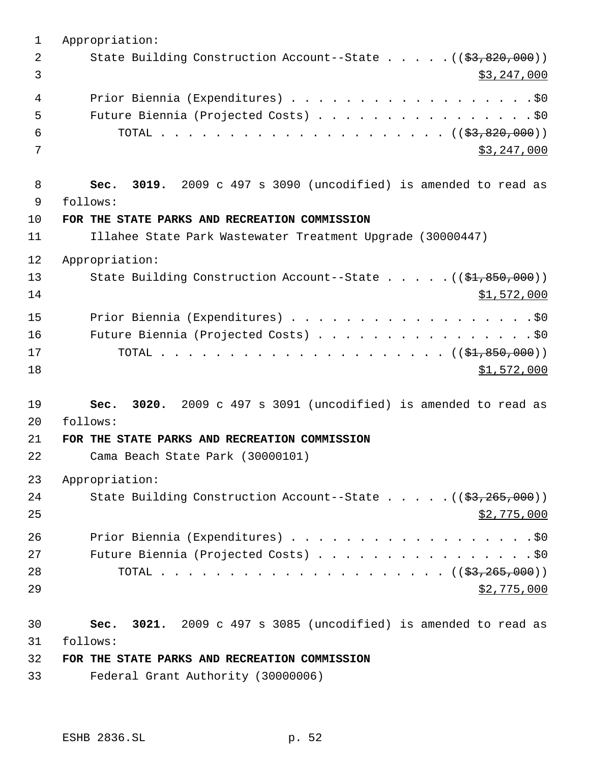Appropriation: 2 State Building Construction Account--State . . . . . ((\$3,820,000))  $\frac{1}{3}$   $\frac{1}{2}$   $\frac{1}{2}$   $\frac{1}{2}$   $\frac{1}{2}$   $\frac{1}{2}$   $\frac{1}{2}$   $\frac{1}{2}$   $\frac{1}{2}$   $\frac{1}{2}$   $\frac{1}{2}$   $\frac{1}{2}$   $\frac{1}{2}$   $\frac{1}{2}$   $\frac{1}{2}$   $\frac{1}{2}$   $\frac{1}{2}$   $\frac{1}{2}$   $\frac{1}{2}$   $\frac{1}{2}$   $\frac{1}{2}$   $\frac{1}{2}$  4 Prior Biennia (Expenditures) . . . . . . . . . . . . . . . . . . \$0 Future Biennia (Projected Costs) . . . . . . . . . . . . . . . . \$0 TOTAL . . . . . . . . . . . . . . . . . . . . . ((\$3,820,000))  $3,247,000$  **Sec. 3019.** 2009 c 497 s 3090 (uncodified) is amended to read as follows: **FOR THE STATE PARKS AND RECREATION COMMISSION** Illahee State Park Wastewater Treatment Upgrade (30000447) Appropriation: 13 State Building Construction Account--State . . . . . ((\$1,850,000)) \$1,572,000 Prior Biennia (Expenditures) . . . . . . . . . . . . . . . . . .\$0 Future Biennia (Projected Costs) . . . . . . . . . . . . . . . . \$0 TOTAL . . . . . . . . . . . . . . . . . . . . . ((\$1,850,000)) \$1,572,000 **Sec. 3020.** 2009 c 497 s 3091 (uncodified) is amended to read as follows: **FOR THE STATE PARKS AND RECREATION COMMISSION** Cama Beach State Park (30000101) Appropriation: 24 State Building Construction Account--State . . . . . ((\$3,265,000))  $$2,775,000$ 26 Prior Biennia (Expenditures) . . . . . . . . . . . . . . . . . . \$0 27 Future Biennia (Projected Costs) . . . . . . . . . . . . . . . . \$0 TOTAL . . . . . . . . . . . . . . . . . . . . . ((\$3,265,000))  $\frac{1}{2}$ ,  $775,000$  **Sec. 3021.** 2009 c 497 s 3085 (uncodified) is amended to read as follows: **FOR THE STATE PARKS AND RECREATION COMMISSION** Federal Grant Authority (30000006)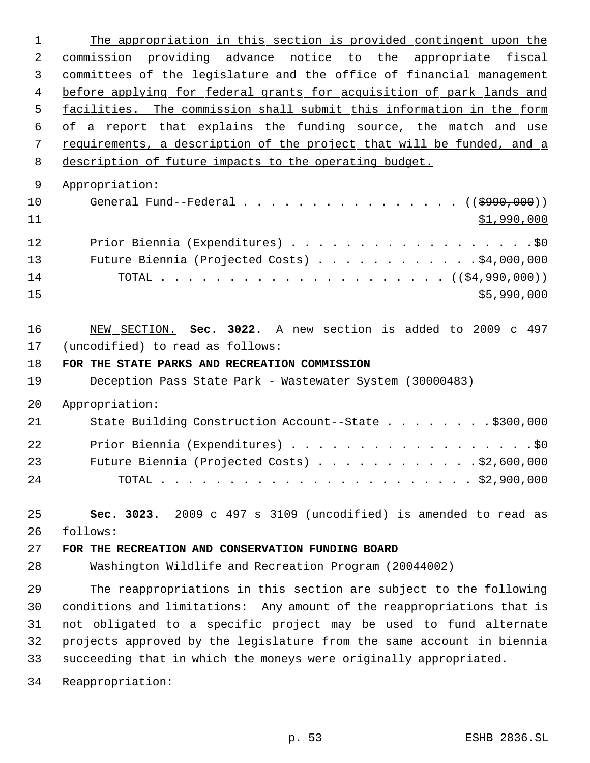1 The appropriation in this section is provided contingent upon the 2 commission providing advance notice to the appropriate fiscal committees of the legislature and the office of financial management 4 before applying for federal grants for acquisition of park lands and facilities. The commission shall submit this information in the form 6 of a report that explains the funding source, the match and use requirements, a description of the project that will be funded, and a description of future impacts to the operating budget. Appropriation: 10 General Fund--Federal . . . . . . . . . . . . . . . ((\$990,000)) \$1,990,000 Prior Biennia (Expenditures) . . . . . . . . . . . . . . . . . .\$0 Future Biennia (Projected Costs) . . . . . . . . . . . . \$4,000,000 TOTAL . . . . . . . . . . . . . . . . . . . . . ((\$4,990,000)) \$5,990,000 NEW SECTION. **Sec. 3022.** A new section is added to 2009 c 497 (uncodified) to read as follows: **FOR THE STATE PARKS AND RECREATION COMMISSION** Deception Pass State Park - Wastewater System (30000483) Appropriation: 21 State Building Construction Account--State . . . . . . . . \$300,000 Prior Biennia (Expenditures) . . . . . . . . . . . . . . . . . .\$0 Future Biennia (Projected Costs) . . . . . . . . . . . . \$2,600,000 TOTAL . . . . . . . . . . . . . . . . . . . . . . . \$2,900,000 **Sec. 3023.** 2009 c 497 s 3109 (uncodified) is amended to read as follows: **FOR THE RECREATION AND CONSERVATION FUNDING BOARD** Washington Wildlife and Recreation Program (20044002) The reappropriations in this section are subject to the following conditions and limitations: Any amount of the reappropriations that is not obligated to a specific project may be used to fund alternate projects approved by the legislature from the same account in biennia succeeding that in which the moneys were originally appropriated. Reappropriation: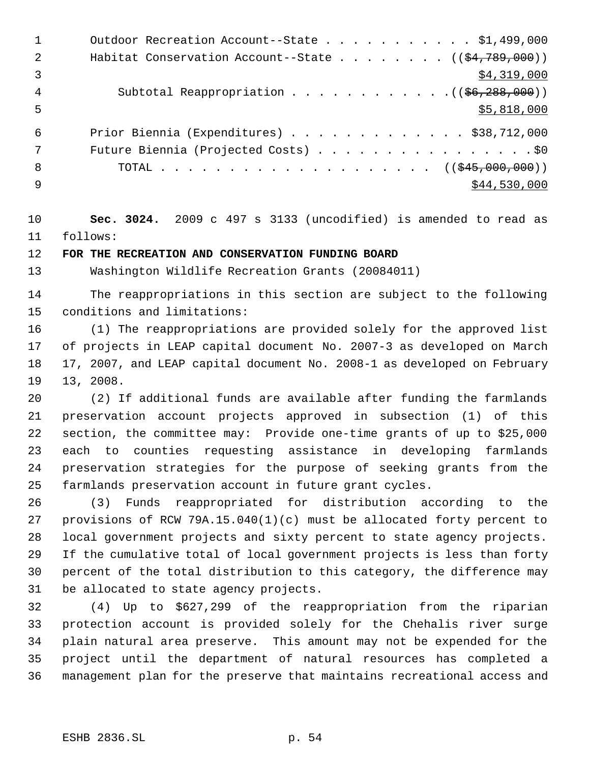|                | Outdoor Recreation Account--State \$1,499,000                  |
|----------------|----------------------------------------------------------------|
| 2              | Habitat Conservation Account--State $($ $($ \$4,789,000) $)$   |
| $\overline{3}$ | \$4,319,000                                                    |
| 4              | Subtotal Reappropriation $($ $($ $\frac{6}{6}$ , $288$ , 000)) |
| 5              | \$5,818,000                                                    |
| 6              | Prior Biennia (Expenditures) $\ldots$ \$38,712,000             |
| 7              | Future Biennia (Projected Costs) \$0                           |
| 8              | TOTAL ( $(\frac{245,000,000)}{100,000}$ )                      |
| 9              | \$44,530,000                                                   |

 **Sec. 3024.** 2009 c 497 s 3133 (uncodified) is amended to read as follows:

## **FOR THE RECREATION AND CONSERVATION FUNDING BOARD**

Washington Wildlife Recreation Grants (20084011)

 The reappropriations in this section are subject to the following conditions and limitations:

 (1) The reappropriations are provided solely for the approved list of projects in LEAP capital document No. 2007-3 as developed on March 17, 2007, and LEAP capital document No. 2008-1 as developed on February 13, 2008.

 (2) If additional funds are available after funding the farmlands preservation account projects approved in subsection (1) of this section, the committee may: Provide one-time grants of up to \$25,000 each to counties requesting assistance in developing farmlands preservation strategies for the purpose of seeking grants from the farmlands preservation account in future grant cycles.

 (3) Funds reappropriated for distribution according to the provisions of RCW 79A.15.040(1)(c) must be allocated forty percent to local government projects and sixty percent to state agency projects. If the cumulative total of local government projects is less than forty percent of the total distribution to this category, the difference may be allocated to state agency projects.

 (4) Up to \$627,299 of the reappropriation from the riparian protection account is provided solely for the Chehalis river surge plain natural area preserve. This amount may not be expended for the project until the department of natural resources has completed a management plan for the preserve that maintains recreational access and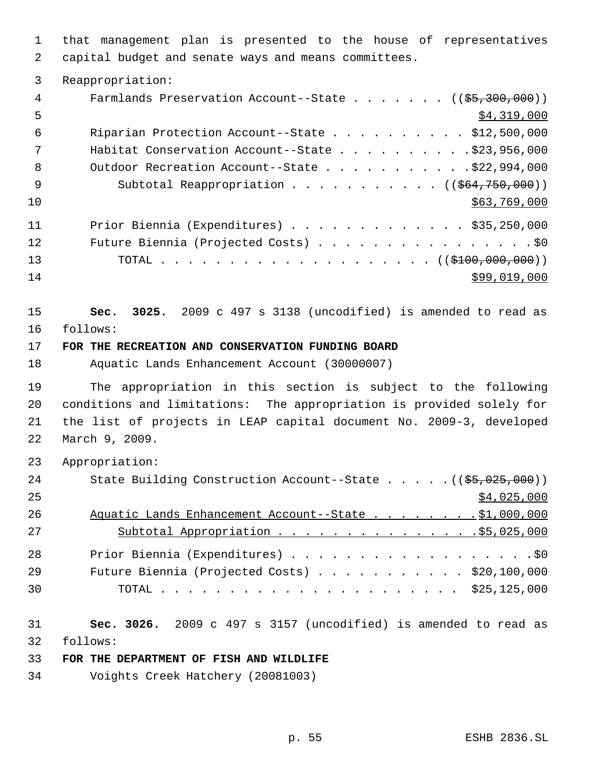that management plan is presented to the house of representatives capital budget and senate ways and means committees.

| 3        | Reappropriation:                                                                                  |
|----------|---------------------------------------------------------------------------------------------------|
| 4        | Farmlands Preservation Account--State ( $(\frac{25}{300}, 000)$ )                                 |
| 5        | \$4,319,000                                                                                       |
| 6        | Riparian Protection Account--State \$12,500,000                                                   |
| 7        | Habitat Conservation Account--State $\ldots$ 923, 956, 000                                        |
| 8        | Outdoor Recreation Account--State \$22,994,000                                                    |
| 9        | Subtotal Reappropriation ( $(\frac{264}{750}, 000)$ )                                             |
| 10       | \$63,769,000                                                                                      |
| 11       | Prior Biennia (Expenditures) \$35,250,000                                                         |
| 12       | Future Biennia (Projected Costs) \$0                                                              |
| 13       |                                                                                                   |
| 14       | \$99,019,000                                                                                      |
| 15<br>16 | 3025. 2009 c 497 s 3138 (uncodified) is amended to read as<br>Sec.<br>follows:                    |
| 17       |                                                                                                   |
| 18       | FOR THE RECREATION AND CONSERVATION FUNDING BOARD<br>Aquatic Lands Enhancement Account (30000007) |
| 19       | The appropriation in this section is subject to the following                                     |
| 20       | conditions and limitations: The appropriation is provided solely for                              |
| 21       | the list of projects in LEAP capital document No. 2009-3, developed                               |
| 22       | March 9, 2009.                                                                                    |
| 23       | Appropriation:                                                                                    |
| 24       | State Building Construction Account--State ((\$5,025,000))                                        |

| 25 |                                                        | \$4,025,000 |
|----|--------------------------------------------------------|-------------|
| 26 | Aquatic Lands Enhancement Account--State \$1,000,000   |             |
| 27 | Subtotal Appropriation 55,025,000                      |             |
| 28 |                                                        |             |
| 29 | Future Biennia (Projected Costs) $\ldots$ \$20,100,000 |             |
| 30 |                                                        |             |

 **Sec. 3026.** 2009 c 497 s 3157 (uncodified) is amended to read as follows:

## **FOR THE DEPARTMENT OF FISH AND WILDLIFE**

Voights Creek Hatchery (20081003)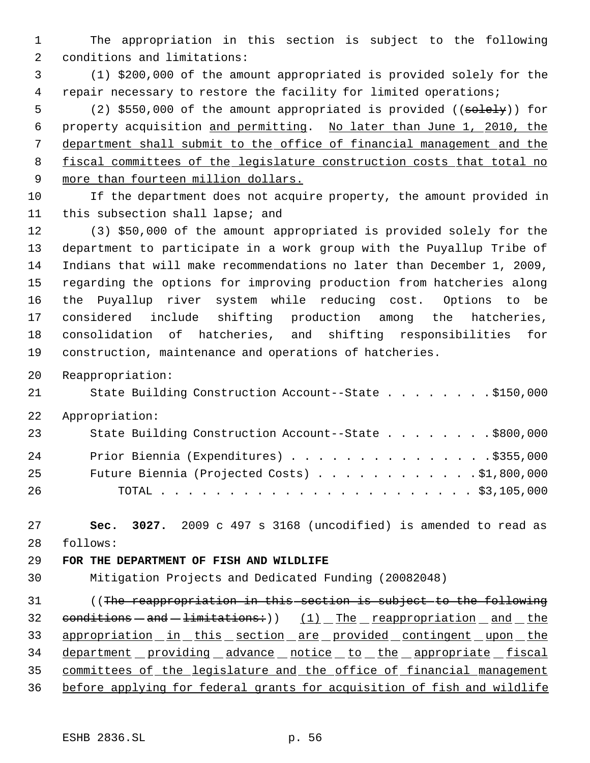The appropriation in this section is subject to the following conditions and limitations:

 (1) \$200,000 of the amount appropriated is provided solely for the repair necessary to restore the facility for limited operations;

5 (2) \$550,000 of the amount appropriated is provided ((solely)) for property acquisition and permitting. No later than June 1, 2010, the department shall submit to the office of financial management and the fiscal committees of the legislature construction costs that total no 9 more than fourteen million dollars.

 If the department does not acquire property, the amount provided in this subsection shall lapse; and

 (3) \$50,000 of the amount appropriated is provided solely for the department to participate in a work group with the Puyallup Tribe of Indians that will make recommendations no later than December 1, 2009, regarding the options for improving production from hatcheries along the Puyallup river system while reducing cost. Options to be considered include shifting production among the hatcheries, consolidation of hatcheries, and shifting responsibilities for construction, maintenance and operations of hatcheries.

Reappropriation:

State Building Construction Account--State . . . . . . . . \$150,000

Appropriation:

| 23 | State Building Construction Account--State \$800,000 |
|----|------------------------------------------------------|
| 24 | Prior Biennia (Expenditures) \$355,000               |
| 25 | Future Biennia (Projected Costs) \$1,800,000         |
| 26 |                                                      |

 **Sec. 3027.** 2009 c 497 s 3168 (uncodified) is amended to read as follows:

#### **FOR THE DEPARTMENT OF FISH AND WILDLIFE**

Mitigation Projects and Dedicated Funding (20082048)

31 (The reappropriation in this section is subject to the following 32  $conditions - and -limitsions$ )  $(1)$  The reappropriation and the 33 appropriation in this section are provided contingent upon the 34 department providing advance notice to the appropriate fiscal committees of the legislature and the office of financial management before applying for federal grants for acquisition of fish and wildlife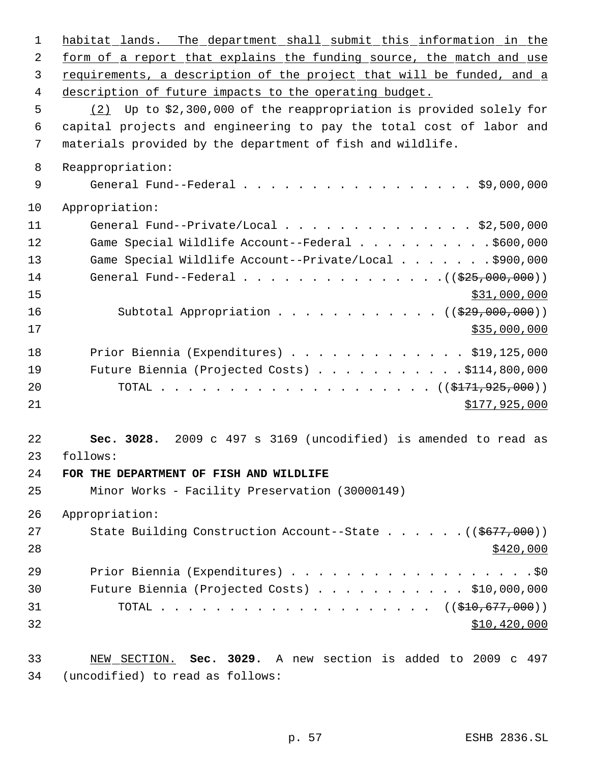| $\mathbf 1$ | habitat lands. The department shall submit this information in the     |
|-------------|------------------------------------------------------------------------|
| 2           | form of a report that explains the funding source, the match and use   |
| 3           | requirements, a description of the project that will be funded, and a  |
| 4           | description of future impacts to the operating budget.                 |
| 5           | Up to \$2,300,000 of the reappropriation is provided solely for<br>(2) |
| 6           | capital projects and engineering to pay the total cost of labor and    |
| 7           | materials provided by the department of fish and wildlife.             |
| 8           | Reappropriation:                                                       |
| 9           | General Fund--Federal $\ldots$ \$9,000,000                             |
| 10          | Appropriation:                                                         |
| 11          | General Fund--Private/Local \$2,500,000                                |
| 12          | Game Special Wildlife Account--Federal \$600,000                       |
| 13          | Game Special Wildlife Account--Private/Local \$900,000                 |
| 14          | General Fund--Federal $($ $)$ $)$                                      |
| 15          | \$31,000,000                                                           |
| 16          | Subtotal Appropriation ( $(\frac{29}{100}, 000, 000)$ )                |
| 17          | \$35,000,000                                                           |
| 18          | Prior Biennia (Expenditures) $\ldots$ \$19,125,000                     |
| 19          | Future Biennia (Projected Costs) \$114,800,000                         |
| 20          | TOTAL ( $(\frac{1717779257000}{171777925000})$ )                       |
| 21          | \$177,925,000                                                          |
| 22          | Sec. 3028. 2009 c 497 s 3169 (uncodified) is amended to read as        |
| 23          | follows:                                                               |
| 24          | FOR THE DEPARTMENT OF FISH AND WILDLIFE                                |
| 25          | Minor Works - Facility Preservation (30000149)                         |
| 26          | Appropriation:                                                         |
| 27          | State Building Construction Account--State $($ $($ \$677,000) $)$      |
| 28          | \$420,000                                                              |
| 29          | Prior Biennia (Expenditures) \$0                                       |
| 30          | Future Biennia (Projected Costs) \$10,000,000                          |
| 31          |                                                                        |
| 32          | \$10,420,000                                                           |
| 33          | NEW SECTION. Sec. 3029. A new section is added to 2009 c 497           |
| 34          | (uncodified) to read as follows:                                       |
|             |                                                                        |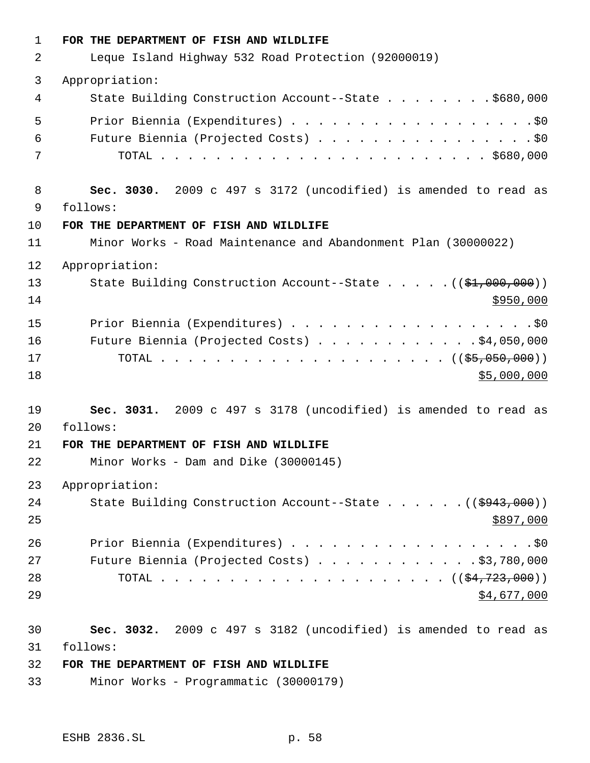| $\mathbf{1}$ | FOR THE DEPARTMENT OF FISH AND WILDLIFE                                |
|--------------|------------------------------------------------------------------------|
| 2            | Leque Island Highway 532 Road Protection (92000019)                    |
| 3            | Appropriation:                                                         |
| 4            | State Building Construction Account--State \$680,000                   |
| 5            |                                                                        |
| 6            | Future Biennia (Projected Costs) \$0                                   |
| 7            |                                                                        |
| 8            | Sec. 3030. 2009 c 497 s 3172 (uncodified) is amended to read as        |
| 9            | follows:                                                               |
| 10           | FOR THE DEPARTMENT OF FISH AND WILDLIFE                                |
| 11           | Minor Works - Road Maintenance and Abandonment Plan (30000022)         |
| 12           | Appropriation:                                                         |
| 13           | State Building Construction Account--State ((\$1,000,000))             |
| 14           | \$950,000                                                              |
| 15           | Prior Biennia (Expenditures) \$0                                       |
| 16           | Future Biennia (Projected Costs) $\ldots$ \$4,050,000                  |
| 17           |                                                                        |
| 18           | \$5,000,000                                                            |
| 19           | Sec. 3031. 2009 c 497 s 3178 (uncodified) is amended to read as        |
| 20           | follows:                                                               |
| 21           | FOR THE DEPARTMENT OF FISH AND WILDLIFE                                |
| 22           | Minor Works - Dam and Dike (30000145)                                  |
| 23           | Appropriation:                                                         |
| 24           | State Building Construction Account--State $($ $($ $\frac{2943}{000})$ |
| 25           | \$897,000                                                              |
| 26           |                                                                        |
| 27           | Future Biennia (Projected Costs) \$3,780,000                           |
| 28           |                                                                        |
| 29           | \$4,677,000                                                            |
| 30           | Sec. 3032. 2009 c 497 s 3182 (uncodified) is amended to read as        |
| 31           | follows:                                                               |
| 32           | FOR THE DEPARTMENT OF FISH AND WILDLIFE                                |
| 33           | Minor Works - Programmatic (30000179)                                  |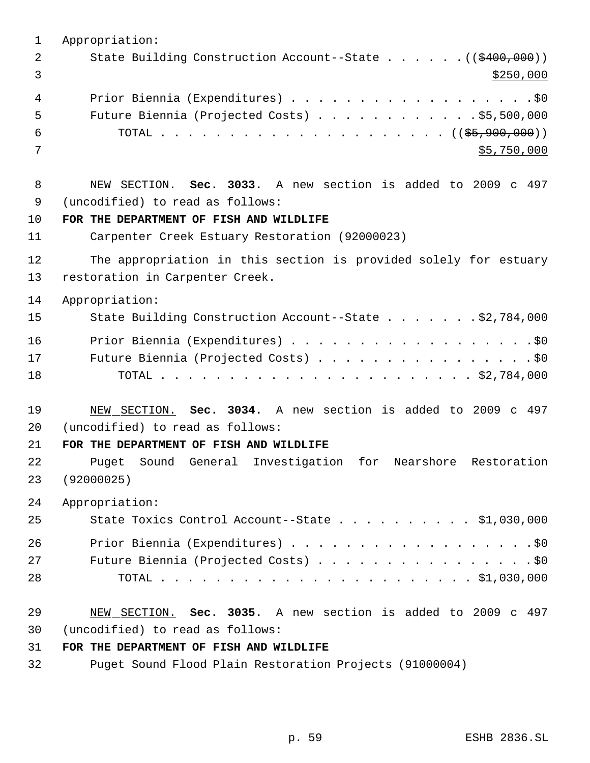| 1  | Appropriation:                                                   |
|----|------------------------------------------------------------------|
| 2  | State Building Construction Account--State ((\$400,000))         |
| 3  | \$250,000                                                        |
| 4  |                                                                  |
| 5  | Future Biennia (Projected Costs) \$5,500,000                     |
| 6  |                                                                  |
| 7  | \$5,750,000                                                      |
|    |                                                                  |
| 8  | NEW SECTION. Sec. 3033. A new section is added to 2009 c 497     |
| 9  | (uncodified) to read as follows:                                 |
| 10 | FOR THE DEPARTMENT OF FISH AND WILDLIFE                          |
| 11 | Carpenter Creek Estuary Restoration (92000023)                   |
| 12 | The appropriation in this section is provided solely for estuary |
| 13 | restoration in Carpenter Creek.                                  |
| 14 | Appropriation:                                                   |
| 15 | State Building Construction Account--State \$2,784,000           |
| 16 |                                                                  |
| 17 | Future Biennia (Projected Costs) \$0                             |
| 18 |                                                                  |
|    |                                                                  |
| 19 | NEW SECTION. Sec. 3034. A new section is added to 2009 c 497     |
| 20 | (uncodified) to read as follows:                                 |
| 21 | FOR THE DEPARTMENT OF FISH AND WILDLIFE                          |
| 22 | Puget Sound General Investigation for Nearshore Restoration      |
| 23 | (92000025)                                                       |
| 24 | Appropriation:                                                   |
| 25 | State Toxics Control Account--State \$1,030,000                  |
| 26 | Prior Biennia (Expenditures) \$0                                 |
| 27 | Future Biennia (Projected Costs) \$0                             |
| 28 |                                                                  |
|    |                                                                  |
| 29 | NEW SECTION. Sec. 3035. A new section is added to 2009 c 497     |
| 30 | (uncodified) to read as follows:                                 |
| 31 | FOR THE DEPARTMENT OF FISH AND WILDLIFE                          |
| 32 | Puget Sound Flood Plain Restoration Projects (91000004)          |
|    |                                                                  |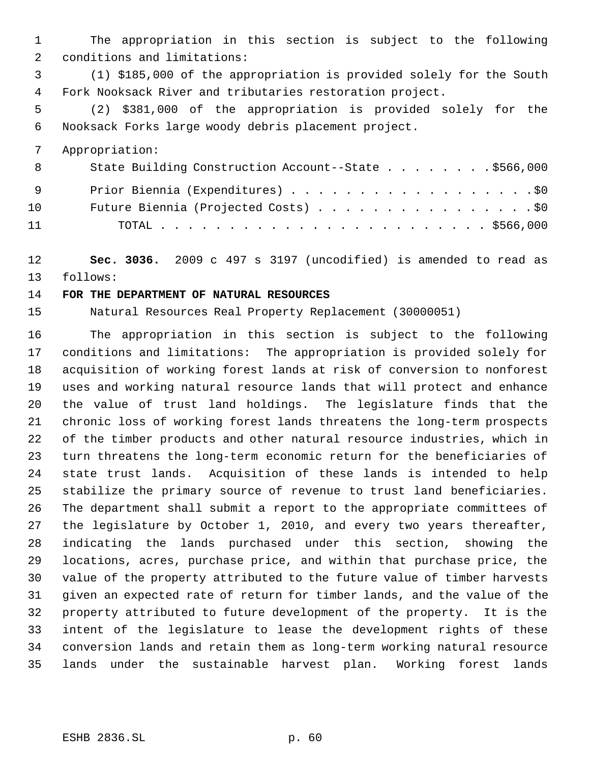The appropriation in this section is subject to the following conditions and limitations:

 (1) \$185,000 of the appropriation is provided solely for the South Fork Nooksack River and tributaries restoration project.

 (2) \$381,000 of the appropriation is provided solely for the Nooksack Forks large woody debris placement project.

Appropriation:

| 8   | State Building Construction Account--State \$566,000 |
|-----|------------------------------------------------------|
| - 9 | Prior Biennia (Expenditures) \$0                     |
| 10  | Future Biennia (Projected Costs) \$0                 |
| 11  |                                                      |

 **Sec. 3036.** 2009 c 497 s 3197 (uncodified) is amended to read as follows:

#### **FOR THE DEPARTMENT OF NATURAL RESOURCES**

Natural Resources Real Property Replacement (30000051)

 The appropriation in this section is subject to the following conditions and limitations: The appropriation is provided solely for acquisition of working forest lands at risk of conversion to nonforest uses and working natural resource lands that will protect and enhance the value of trust land holdings. The legislature finds that the chronic loss of working forest lands threatens the long-term prospects of the timber products and other natural resource industries, which in turn threatens the long-term economic return for the beneficiaries of state trust lands. Acquisition of these lands is intended to help stabilize the primary source of revenue to trust land beneficiaries. The department shall submit a report to the appropriate committees of the legislature by October 1, 2010, and every two years thereafter, indicating the lands purchased under this section, showing the locations, acres, purchase price, and within that purchase price, the value of the property attributed to the future value of timber harvests given an expected rate of return for timber lands, and the value of the property attributed to future development of the property. It is the intent of the legislature to lease the development rights of these conversion lands and retain them as long-term working natural resource lands under the sustainable harvest plan. Working forest lands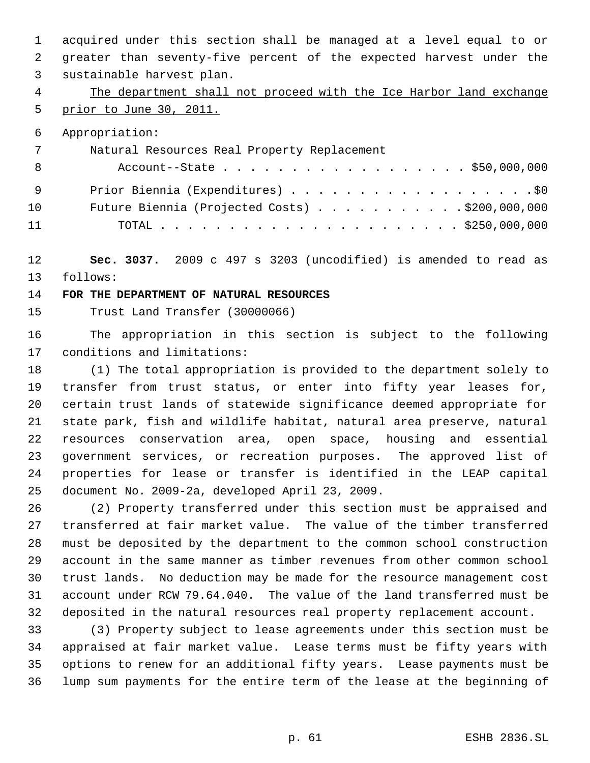acquired under this section shall be managed at a level equal to or greater than seventy-five percent of the expected harvest under the sustainable harvest plan.

# 4 The department shall not proceed with the Ice Harbor land exchange prior to June 30, 2011.

Appropriation:

| 7   | Natural Resources Real Property Replacement    |
|-----|------------------------------------------------|
| - 8 | Account--State \$50,000,000                    |
| - 9 | Prior Biennia (Expenditures) \$0               |
| 10  | Future Biennia (Projected Costs) \$200,000,000 |
| 11  |                                                |

 **Sec. 3037.** 2009 c 497 s 3203 (uncodified) is amended to read as follows:

## **FOR THE DEPARTMENT OF NATURAL RESOURCES**

Trust Land Transfer (30000066)

 The appropriation in this section is subject to the following conditions and limitations:

 (1) The total appropriation is provided to the department solely to transfer from trust status, or enter into fifty year leases for, certain trust lands of statewide significance deemed appropriate for state park, fish and wildlife habitat, natural area preserve, natural resources conservation area, open space, housing and essential government services, or recreation purposes. The approved list of properties for lease or transfer is identified in the LEAP capital document No. 2009-2a, developed April 23, 2009.

 (2) Property transferred under this section must be appraised and transferred at fair market value. The value of the timber transferred must be deposited by the department to the common school construction account in the same manner as timber revenues from other common school trust lands. No deduction may be made for the resource management cost account under RCW 79.64.040. The value of the land transferred must be deposited in the natural resources real property replacement account.

 (3) Property subject to lease agreements under this section must be appraised at fair market value. Lease terms must be fifty years with options to renew for an additional fifty years. Lease payments must be lump sum payments for the entire term of the lease at the beginning of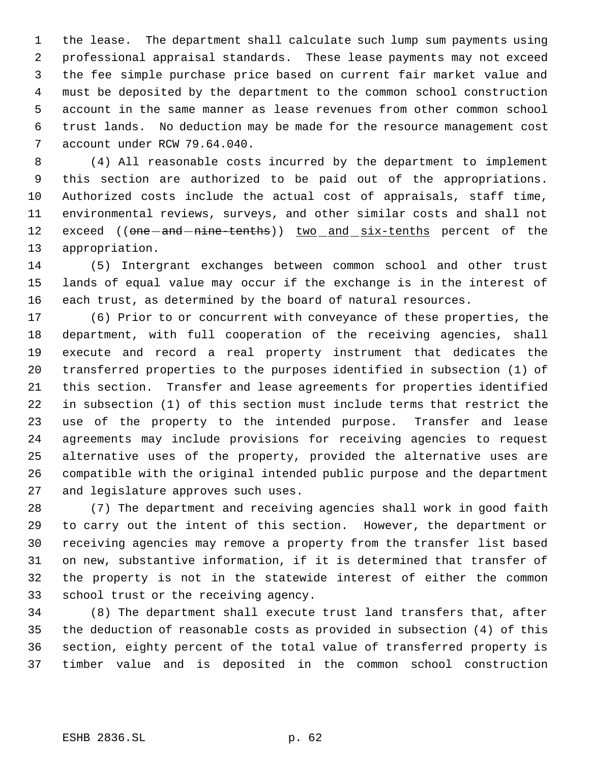the lease. The department shall calculate such lump sum payments using professional appraisal standards. These lease payments may not exceed the fee simple purchase price based on current fair market value and must be deposited by the department to the common school construction account in the same manner as lease revenues from other common school trust lands. No deduction may be made for the resource management cost account under RCW 79.64.040.

 (4) All reasonable costs incurred by the department to implement this section are authorized to be paid out of the appropriations. Authorized costs include the actual cost of appraisals, staff time, environmental reviews, surveys, and other similar costs and shall not 12 exceed ((one-and-nine-tenths)) two and six-tenths percent of the appropriation.

 (5) Intergrant exchanges between common school and other trust lands of equal value may occur if the exchange is in the interest of each trust, as determined by the board of natural resources.

 (6) Prior to or concurrent with conveyance of these properties, the department, with full cooperation of the receiving agencies, shall execute and record a real property instrument that dedicates the transferred properties to the purposes identified in subsection (1) of this section. Transfer and lease agreements for properties identified in subsection (1) of this section must include terms that restrict the use of the property to the intended purpose. Transfer and lease agreements may include provisions for receiving agencies to request alternative uses of the property, provided the alternative uses are compatible with the original intended public purpose and the department and legislature approves such uses.

 (7) The department and receiving agencies shall work in good faith to carry out the intent of this section. However, the department or receiving agencies may remove a property from the transfer list based on new, substantive information, if it is determined that transfer of the property is not in the statewide interest of either the common school trust or the receiving agency.

 (8) The department shall execute trust land transfers that, after the deduction of reasonable costs as provided in subsection (4) of this section, eighty percent of the total value of transferred property is timber value and is deposited in the common school construction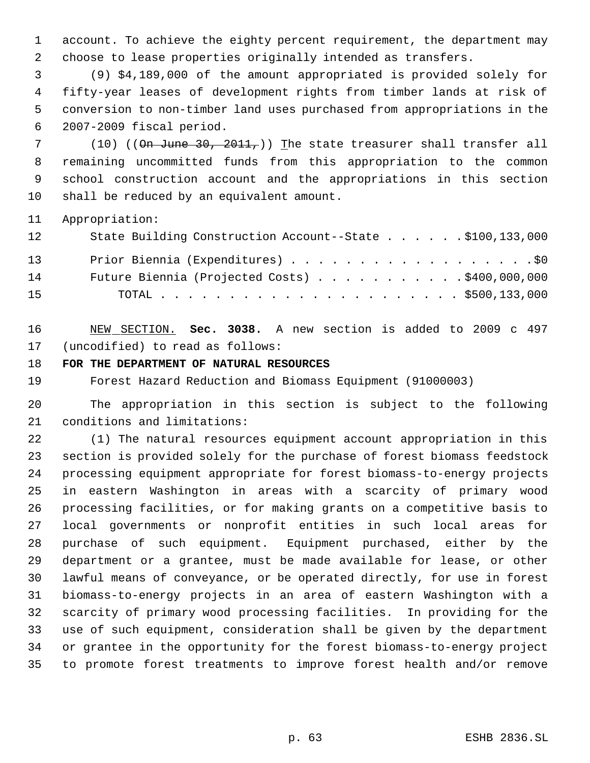account. To achieve the eighty percent requirement, the department may choose to lease properties originally intended as transfers.

 (9) \$4,189,000 of the amount appropriated is provided solely for fifty-year leases of development rights from timber lands at risk of conversion to non-timber land uses purchased from appropriations in the 2007-2009 fiscal period.

7 (10) (( $\theta$ n June 30, 2011,)) The state treasurer shall transfer all remaining uncommitted funds from this appropriation to the common school construction account and the appropriations in this section shall be reduced by an equivalent amount.

Appropriation:

| 12 | State Building Construction Account--State \$100,133,000 |
|----|----------------------------------------------------------|
| 13 | Prior Biennia (Expenditures) \$0                         |
| 14 | Future Biennia (Projected Costs) \$400,000,000           |
| 15 |                                                          |

 NEW SECTION. **Sec. 3038.** A new section is added to 2009 c 497 (uncodified) to read as follows:

**FOR THE DEPARTMENT OF NATURAL RESOURCES**

Forest Hazard Reduction and Biomass Equipment (91000003)

 The appropriation in this section is subject to the following conditions and limitations:

 (1) The natural resources equipment account appropriation in this section is provided solely for the purchase of forest biomass feedstock processing equipment appropriate for forest biomass-to-energy projects in eastern Washington in areas with a scarcity of primary wood processing facilities, or for making grants on a competitive basis to local governments or nonprofit entities in such local areas for purchase of such equipment. Equipment purchased, either by the department or a grantee, must be made available for lease, or other lawful means of conveyance, or be operated directly, for use in forest biomass-to-energy projects in an area of eastern Washington with a scarcity of primary wood processing facilities. In providing for the use of such equipment, consideration shall be given by the department or grantee in the opportunity for the forest biomass-to-energy project to promote forest treatments to improve forest health and/or remove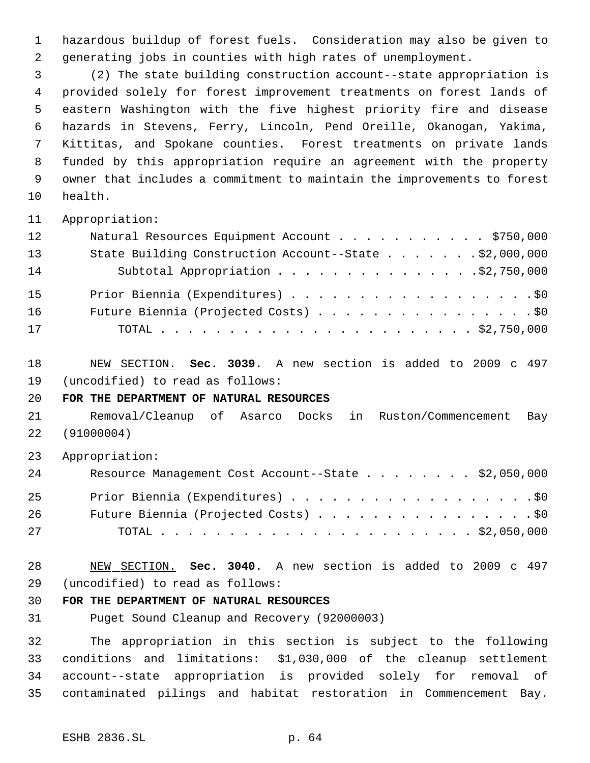hazardous buildup of forest fuels. Consideration may also be given to generating jobs in counties with high rates of unemployment.

 (2) The state building construction account--state appropriation is provided solely for forest improvement treatments on forest lands of eastern Washington with the five highest priority fire and disease hazards in Stevens, Ferry, Lincoln, Pend Oreille, Okanogan, Yakima, Kittitas, and Spokane counties. Forest treatments on private lands funded by this appropriation require an agreement with the property owner that includes a commitment to maintain the improvements to forest health.

Appropriation:

| 12 | Natural Resources Equipment Account \$750,000          |
|----|--------------------------------------------------------|
| 13 | State Building Construction Account--State \$2,000,000 |
| 14 | Subtotal Appropriation \$2,750,000                     |
| 15 | Prior Biennia (Expenditures) \$0                       |
| 16 | Future Biennia (Projected Costs) \$0                   |
| 17 |                                                        |

NEW SECTION. **Sec. 3039.** A new section is added to 2009 c 497

(uncodified) to read as follows:

**FOR THE DEPARTMENT OF NATURAL RESOURCES**

 Removal/Cleanup of Asarco Docks in Ruston/Commencement Bay (91000004)

Appropriation:

| 24 | Resource Management Cost Account--State \$2,050,000 |
|----|-----------------------------------------------------|
| 25 | Prior Biennia (Expenditures) \$0                    |
| 26 | Future Biennia (Projected Costs) \$0                |
| 27 |                                                     |

 NEW SECTION. **Sec. 3040.** A new section is added to 2009 c 497 (uncodified) to read as follows:

## **FOR THE DEPARTMENT OF NATURAL RESOURCES**

Puget Sound Cleanup and Recovery (92000003)

 The appropriation in this section is subject to the following conditions and limitations: \$1,030,000 of the cleanup settlement account--state appropriation is provided solely for removal of contaminated pilings and habitat restoration in Commencement Bay.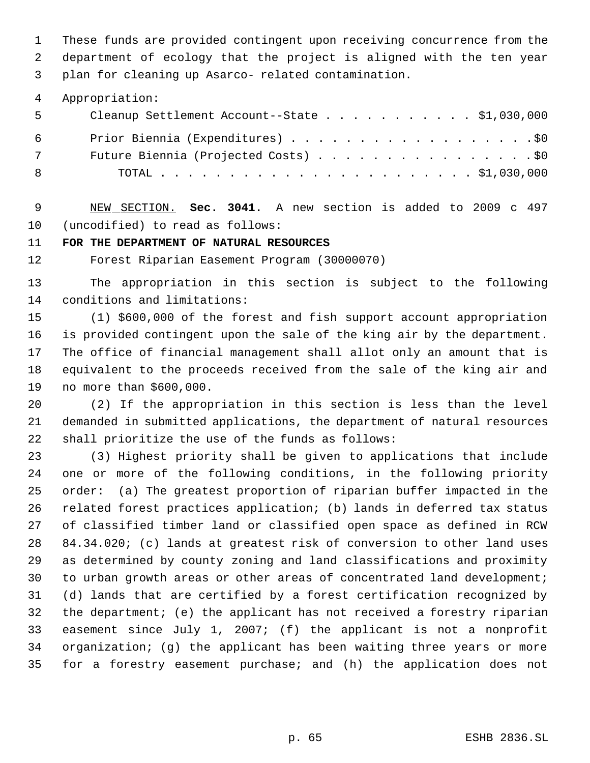These funds are provided contingent upon receiving concurrence from the department of ecology that the project is aligned with the ten year plan for cleaning up Asarco- related contamination.

Appropriation:

| - 5   | Cleanup Settlement Account--State \$1,030,000 |
|-------|-----------------------------------------------|
| - 6 - | Prior Biennia (Expenditures) \$0              |
| 7     | Future Biennia (Projected Costs) \$0          |
| - 8   |                                               |

 NEW SECTION. **Sec. 3041.** A new section is added to 2009 c 497 (uncodified) to read as follows:

**FOR THE DEPARTMENT OF NATURAL RESOURCES**

Forest Riparian Easement Program (30000070)

 The appropriation in this section is subject to the following conditions and limitations:

 (1) \$600,000 of the forest and fish support account appropriation is provided contingent upon the sale of the king air by the department. The office of financial management shall allot only an amount that is equivalent to the proceeds received from the sale of the king air and no more than \$600,000.

 (2) If the appropriation in this section is less than the level demanded in submitted applications, the department of natural resources shall prioritize the use of the funds as follows:

 (3) Highest priority shall be given to applications that include one or more of the following conditions, in the following priority order: (a) The greatest proportion of riparian buffer impacted in the related forest practices application; (b) lands in deferred tax status of classified timber land or classified open space as defined in RCW 84.34.020; (c) lands at greatest risk of conversion to other land uses as determined by county zoning and land classifications and proximity to urban growth areas or other areas of concentrated land development; (d) lands that are certified by a forest certification recognized by the department; (e) the applicant has not received a forestry riparian easement since July 1, 2007; (f) the applicant is not a nonprofit organization; (g) the applicant has been waiting three years or more for a forestry easement purchase; and (h) the application does not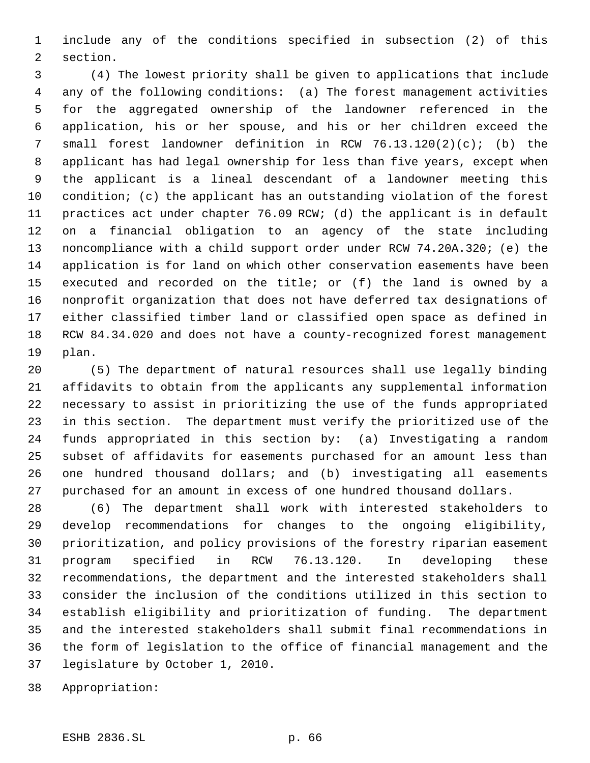include any of the conditions specified in subsection (2) of this section.

 (4) The lowest priority shall be given to applications that include any of the following conditions: (a) The forest management activities for the aggregated ownership of the landowner referenced in the application, his or her spouse, and his or her children exceed the small forest landowner definition in RCW 76.13.120(2)(c); (b) the applicant has had legal ownership for less than five years, except when the applicant is a lineal descendant of a landowner meeting this condition; (c) the applicant has an outstanding violation of the forest practices act under chapter 76.09 RCW; (d) the applicant is in default on a financial obligation to an agency of the state including noncompliance with a child support order under RCW 74.20A.320; (e) the application is for land on which other conservation easements have been executed and recorded on the title; or (f) the land is owned by a nonprofit organization that does not have deferred tax designations of either classified timber land or classified open space as defined in RCW 84.34.020 and does not have a county-recognized forest management plan.

 (5) The department of natural resources shall use legally binding affidavits to obtain from the applicants any supplemental information necessary to assist in prioritizing the use of the funds appropriated in this section. The department must verify the prioritized use of the funds appropriated in this section by: (a) Investigating a random subset of affidavits for easements purchased for an amount less than one hundred thousand dollars; and (b) investigating all easements purchased for an amount in excess of one hundred thousand dollars.

 (6) The department shall work with interested stakeholders to develop recommendations for changes to the ongoing eligibility, prioritization, and policy provisions of the forestry riparian easement program specified in RCW 76.13.120. In developing these recommendations, the department and the interested stakeholders shall consider the inclusion of the conditions utilized in this section to establish eligibility and prioritization of funding. The department and the interested stakeholders shall submit final recommendations in the form of legislation to the office of financial management and the legislature by October 1, 2010.

Appropriation: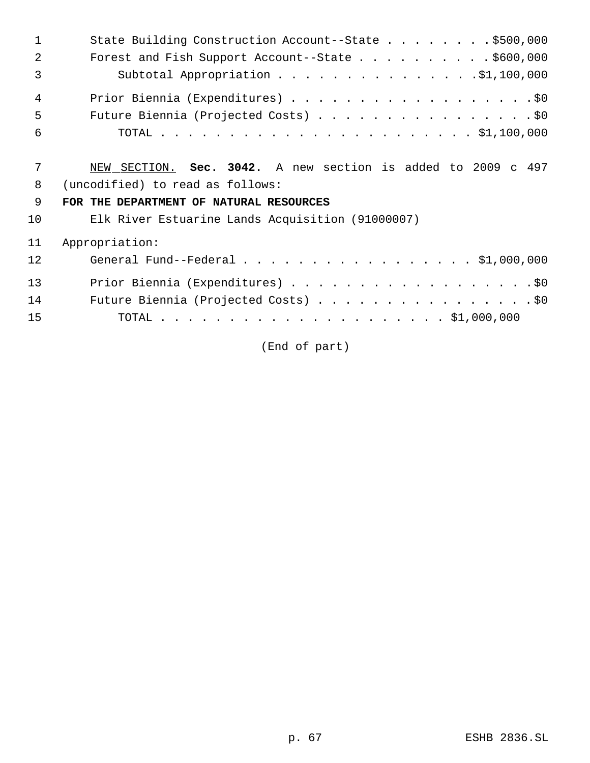| 1              | State Building Construction Account--State \$500,000         |
|----------------|--------------------------------------------------------------|
| 2              | Forest and Fish Support Account--State \$600,000             |
| $\overline{3}$ | Subtotal Appropriation $\ldots$ \$1,100,000                  |
| $\overline{4}$ |                                                              |
| 5              | Future Biennia (Projected Costs) \$0                         |
| 6              |                                                              |
| 7              | NEW SECTION. Sec. 3042. A new section is added to 2009 c 497 |
| 8              | (uncodified) to read as follows:                             |
| 9              | FOR THE DEPARTMENT OF NATURAL RESOURCES                      |
| 10             | Elk River Estuarine Lands Acquisition (91000007)             |
| 11             | Appropriation:                                               |
| 12             | General Fund--Federal \$1,000,000                            |
| 13             | Prior Biennia (Expenditures) \$0                             |
| 14             | Future Biennia (Projected Costs) \$0                         |
| 15             |                                                              |

(End of part)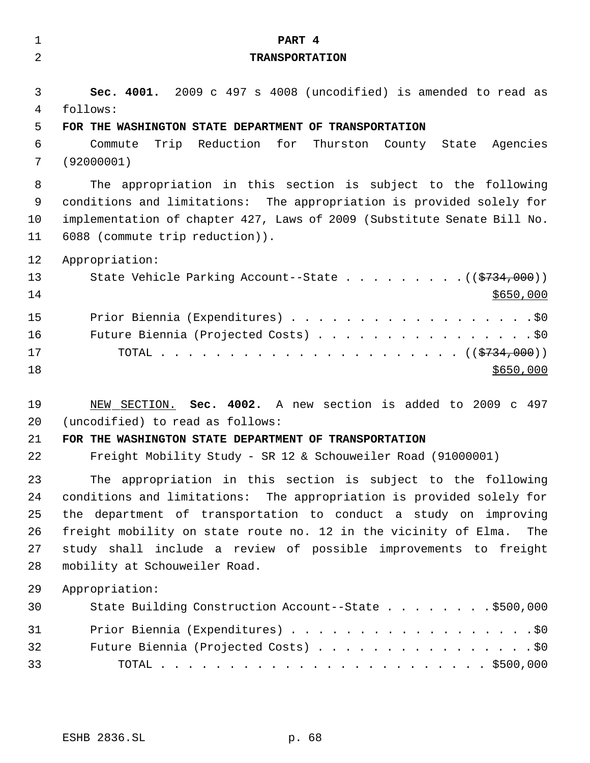| $\mathbf 1$                      | PART 4                                                                                                                                                                                                                                                                                                                                                                                   |
|----------------------------------|------------------------------------------------------------------------------------------------------------------------------------------------------------------------------------------------------------------------------------------------------------------------------------------------------------------------------------------------------------------------------------------|
| 2                                | <b>TRANSPORTATION</b>                                                                                                                                                                                                                                                                                                                                                                    |
| 3<br>4<br>5<br>6<br>7<br>8<br>9  | Sec. 4001. 2009 c 497 s 4008 (uncodified) is amended to read as<br>follows:<br>FOR THE WASHINGTON STATE DEPARTMENT OF TRANSPORTATION<br>Trip Reduction for Thurston County State Agencies<br>Commute<br>(92000001)<br>The appropriation in this section is subject to the following<br>conditions and limitations: The appropriation is provided solely for                              |
| 10                               | implementation of chapter 427, Laws of 2009 (Substitute Senate Bill No.                                                                                                                                                                                                                                                                                                                  |
| 11                               | 6088 (commute trip reduction)).                                                                                                                                                                                                                                                                                                                                                          |
| 12<br>13<br>14                   | Appropriation:<br>State Vehicle Parking Account--State $($ $($ $\frac{2734}{000})$<br>\$650,000                                                                                                                                                                                                                                                                                          |
| 15<br>16<br>17<br>18             | Prior Biennia (Expenditures) \$0<br>Future Biennia (Projected Costs) \$0<br>\$650,000                                                                                                                                                                                                                                                                                                    |
| 19<br>20<br>21<br>22             | NEW SECTION. Sec. 4002. A new section is added to 2009 c 497<br>(uncodified) to read as follows:<br>FOR THE WASHINGTON STATE DEPARTMENT OF TRANSPORTATION<br>Freight Mobility Study - SR 12 & Schouweiler Road (91000001)                                                                                                                                                                |
| 23<br>24<br>25<br>26<br>27<br>28 | The appropriation in this section is subject to the following<br>conditions and limitations: The appropriation is provided solely for<br>the department of transportation to conduct a study on improving<br>freight mobility on state route no. 12 in the vicinity of Elma.<br>The<br>study shall include a review of possible improvements to freight<br>mobility at Schouweiler Road. |
| 29<br>30                         | Appropriation:<br>State Building Construction Account--State \$500,000                                                                                                                                                                                                                                                                                                                   |
| 31<br>32<br>33                   | Prior Biennia (Expenditures) \$0<br>Future Biennia (Projected Costs) \$0                                                                                                                                                                                                                                                                                                                 |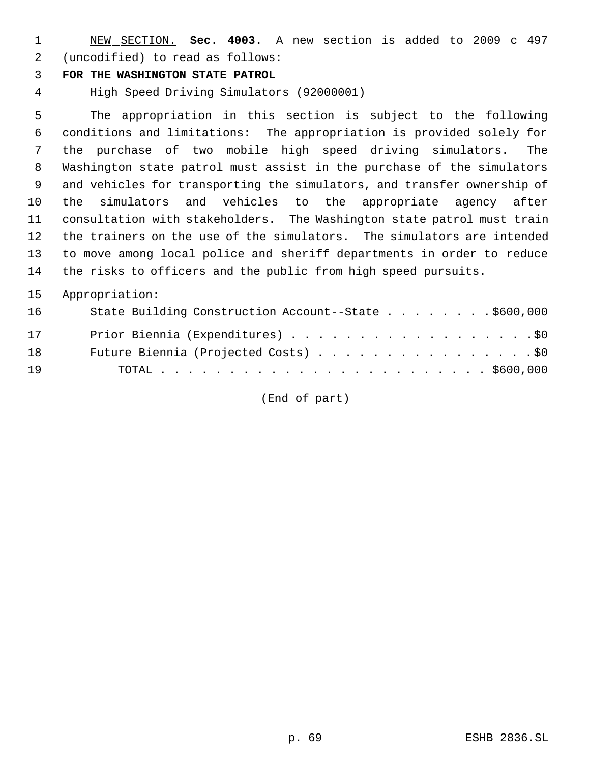NEW SECTION. **Sec. 4003.** A new section is added to 2009 c 497 (uncodified) to read as follows:

## **FOR THE WASHINGTON STATE PATROL**

High Speed Driving Simulators (92000001)

 The appropriation in this section is subject to the following conditions and limitations: The appropriation is provided solely for the purchase of two mobile high speed driving simulators. The Washington state patrol must assist in the purchase of the simulators and vehicles for transporting the simulators, and transfer ownership of the simulators and vehicles to the appropriate agency after consultation with stakeholders. The Washington state patrol must train the trainers on the use of the simulators. The simulators are intended to move among local police and sheriff departments in order to reduce the risks to officers and the public from high speed pursuits.

## Appropriation:

| 16 | State Building Construction Account--State \$600,000 |
|----|------------------------------------------------------|
| 17 | Prior Biennia (Expenditures) \$0                     |
| 18 | Future Biennia (Projected Costs) \$0                 |
| 19 |                                                      |

(End of part)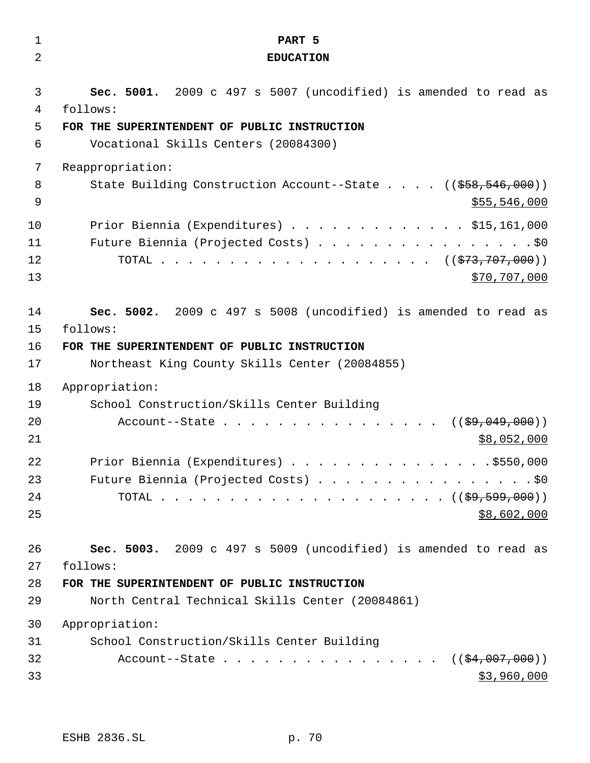| $\mathbf 1$          | PART 5                                                                                                                         |
|----------------------|--------------------------------------------------------------------------------------------------------------------------------|
| 2                    | <b>EDUCATION</b>                                                                                                               |
| 3                    | Sec. 5001. 2009 c 497 s 5007 (uncodified) is amended to read as                                                                |
| 4                    | follows:                                                                                                                       |
| 5                    | FOR THE SUPERINTENDENT OF PUBLIC INSTRUCTION                                                                                   |
| 6                    | Vocational Skills Centers (20084300)                                                                                           |
| 7                    | Reappropriation:                                                                                                               |
| 8                    | State Building Construction Account--State ((\$58,546,000))                                                                    |
| 9                    | \$55,546,000                                                                                                                   |
| 10                   | Prior Biennia (Expenditures) \$15,161,000                                                                                      |
| 11                   | Future Biennia (Projected Costs) \$0                                                                                           |
| 12                   |                                                                                                                                |
| 13                   | \$70,707,000                                                                                                                   |
| 14                   | Sec. 5002. 2009 c 497 s 5008 (uncodified) is amended to read as                                                                |
| 15                   | follows:                                                                                                                       |
| 16                   | FOR THE SUPERINTENDENT OF PUBLIC INSTRUCTION                                                                                   |
| 17                   | Northeast King County Skills Center (20084855)                                                                                 |
| 18<br>19<br>20<br>21 | Appropriation:<br>School Construction/Skills Center Building<br>Account--State<br>$((\frac{29}{29}, 049, 000))$<br>\$8,052,000 |
| 22                   | Prior Biennia (Expenditures) \$550,000                                                                                         |
| 23                   | Future Biennia (Projected Costs) \$0                                                                                           |
| 24                   |                                                                                                                                |
| 25                   | \$8,602,000                                                                                                                    |
| 26                   | Sec. 5003. 2009 c 497 s 5009 (uncodified) is amended to read as                                                                |
| 27                   | follows:                                                                                                                       |
| 28                   | FOR THE SUPERINTENDENT OF PUBLIC INSTRUCTION                                                                                   |
| 29                   | North Central Technical Skills Center (20084861)                                                                               |
| 30                   | Appropriation:                                                                                                                 |
| 31                   | School Construction/Skills Center Building                                                                                     |
| 32                   | Account--State $($ $(*4,007,000))$                                                                                             |
| 33                   | \$3,960,000                                                                                                                    |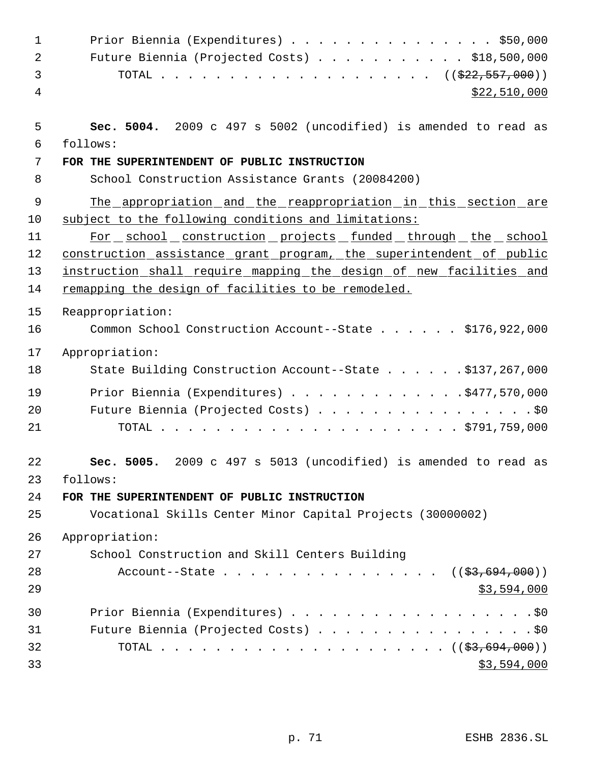| $\mathbf{1}$ | Prior Biennia (Expenditures) \$50,000                               |
|--------------|---------------------------------------------------------------------|
| 2            | Future Biennia (Projected Costs) \$18,500,000                       |
| 3            | TOTAL ( $(\frac{222,557,000}{s})$ )                                 |
| 4            | \$22,510,000                                                        |
|              |                                                                     |
| 5            | Sec. 5004. 2009 c 497 s 5002 (uncodified) is amended to read as     |
| 6            | follows:                                                            |
| 7            | FOR THE SUPERINTENDENT OF PUBLIC INSTRUCTION                        |
| 8            | School Construction Assistance Grants (20084200)                    |
| 9            | The appropriation and the reappropriation in this section are       |
| 10           | subject to the following conditions and limitations:                |
| 11           | For school construction projects funded through the school          |
| 12           | construction assistance grant program, the superintendent of public |
| 13           | instruction shall require mapping the design of new facilities and  |
| 14           | remapping the design of facilities to be remodeled.                 |
| 15           | Reappropriation:                                                    |
| 16           | Common School Construction Account--State \$176,922,000             |
| 17           | Appropriation:                                                      |
| 18           | State Building Construction Account--State \$137,267,000            |
| 19           | Prior Biennia (Expenditures) \$477,570,000                          |
| 20           | Future Biennia (Projected Costs) \$0                                |
| 21           |                                                                     |
|              |                                                                     |
| 22           | Sec. 5005. 2009 c 497 s 5013 (uncodified) is amended to read as     |
| 23           | follows:                                                            |
| 24           | FOR THE SUPERINTENDENT OF PUBLIC INSTRUCTION                        |
| 25           | Vocational Skills Center Minor Capital Projects (30000002)          |
| 26           | Appropriation:                                                      |
| 27           | School Construction and Skill Centers Building                      |
| 28           | Account--State $($ $(*3,694,000))$                                  |
| 29           | \$3,594,000                                                         |
| 30           |                                                                     |
| 31           | Future Biennia (Projected Costs) \$0                                |
| 32           |                                                                     |
| 33           | \$3,594,000                                                         |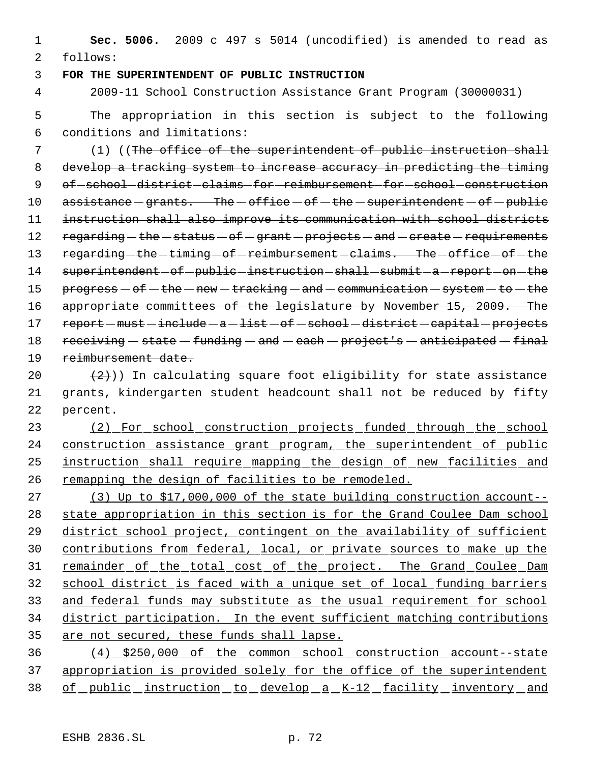**Sec. 5006.** 2009 c 497 s 5014 (uncodified) is amended to read as follows:

## **FOR THE SUPERINTENDENT OF PUBLIC INSTRUCTION**

2009-11 School Construction Assistance Grant Program (30000031)

 The appropriation in this section is subject to the following conditions and limitations:

 (1) ((The office of the superintendent of public instruction shall develop a tracking system to increase accuracy in predicting the timing 9 of school district claims for reimbursement for school construction  $\alpha$  assistance  $-\alpha$  qrants. The  $-\alpha$  of fice  $-\alpha$  of  $-\alpha$  is the  $-\alpha$  of  $-\alpha$  public instruction shall also improve its communication with school districts 12 regarding - the - status - of - grant - projects - and - create - requirements 13 regarding-the-timing-of-reimbursement-claims. The-office-of-the 14 superintendent of public instruction shall submit a report on the  $pero$  progress  $-$  of  $-$  the  $-$  new  $-$  tracking  $-$  and  $-$  communication  $-$  system  $-$  to  $-$  the 16 appropriate committees of the legislature by November 15, 2009. The 17 report - must - include - a - list - of - school - district - capital - projects  $recerving - state - funding - and - each - project's - anticipated - final$ reimbursement date.

20  $(2)$ )) In calculating square foot eligibility for state assistance grants, kindergarten student headcount shall not be reduced by fifty percent.

 (2) For school construction projects funded through the school 24 construction assistance grant program, the superintendent of public 25 instruction shall require mapping the design of new facilities and remapping the design of facilities to be remodeled.

 (3) Up to \$17,000,000 of the state building construction account-- state appropriation in this section is for the Grand Coulee Dam school district school project, contingent on the availability of sufficient contributions from federal, local, or private sources to make up the 31 remainder of the total cost of the project. The Grand Coulee Dam school district is faced with a unique set of local funding barriers 33 and federal funds may substitute as the usual requirement for school district participation. In the event sufficient matching contributions 35 are not secured, these funds shall lapse.

 (4) \$250,000 of the common school construction account--state 37 appropriation is provided solely for the office of the superintendent of public instruction to develop a K-12 facility inventory and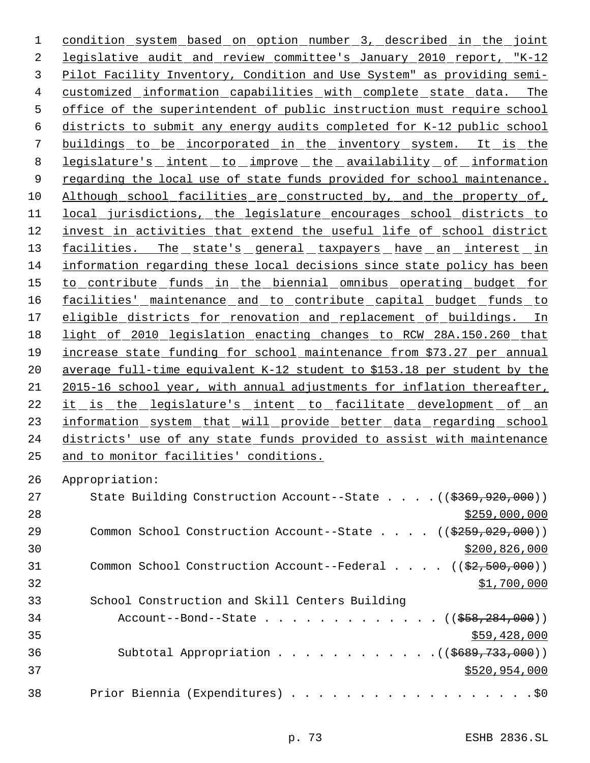condition system based on option number 3, described in the joint legislative audit and review committee's January 2010 report, "K-12 Pilot Facility Inventory, Condition and Use System" as providing semi- customized information capabilities with complete state data. The office of the superintendent of public instruction must require school districts to submit any energy audits completed for K-12 public school buildings to be incorporated in the inventory system. It is the 8 legislature's intent to improve the availability of information 9 regarding the local use of state funds provided for school maintenance. Although school facilities are constructed by, and the property of, local jurisdictions, the legislature encourages school districts to invest in activities that extend the useful life of school district 13 facilities. The state's general taxpayers have an interest in information regarding these local decisions since state policy has been to contribute funds in the biennial omnibus operating budget for 16 facilities' maintenance and to contribute capital budget funds to 17 eligible districts for renovation and replacement of buildings. In light of 2010 legislation enacting changes to RCW 28A.150.260 that increase state funding for school maintenance from \$73.27 per annual average full-time equivalent K-12 student to \$153.18 per student by the 2015-16 school year, with annual adjustments for inflation thereafter, 22 it is the legislature's intent to facilitate development of an 23 information system that will provide better data regarding school districts' use of any state funds provided to assist with maintenance and to monitor facilities' conditions.

Appropriation:

| 27 | State Building Construction Account--State $(($369,920,000))$                  |
|----|--------------------------------------------------------------------------------|
| 28 | \$259,000,000                                                                  |
| 29 | Common School Construction Account--State $($ $($ $\frac{259}{259}, 029, 000)$ |
| 30 | \$200,826,000                                                                  |
| 31 | Common School Construction Account--Federal $($ $($ \$2,500,000))              |
| 32 | \$1,700,000                                                                    |
| 33 | School Construction and Skill Centers Building                                 |
| 34 | Account--Bond--State ((\$58,284,000))                                          |
| 35 | \$59,428,000                                                                   |
| 36 | Subtotal Appropriation $($ $($ $\frac{2689}{733},000)$                         |
| 37 | \$520,954,000                                                                  |
| 38 | Prior Biennia (Expenditures) \$0                                               |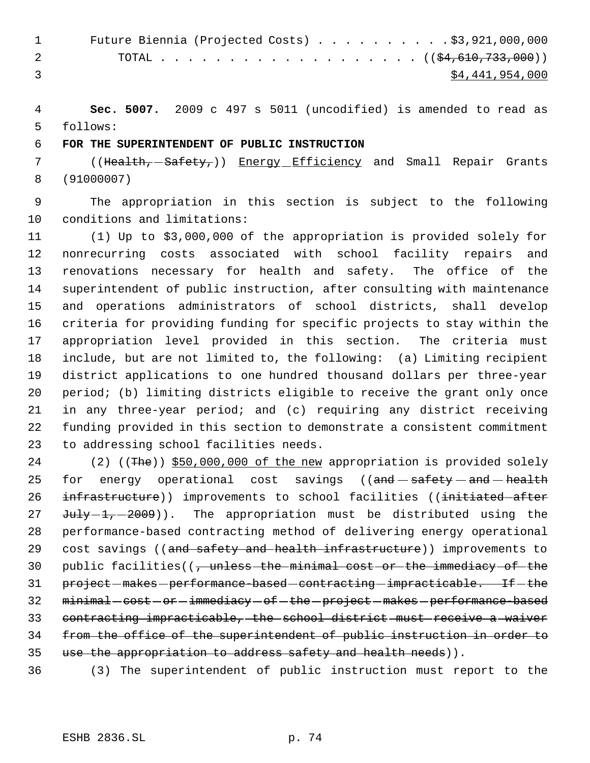| $\sim$ 1 | Future Biennia (Projected Costs) $\ldots$ \$3,921,000,000 |
|----------|-----------------------------------------------------------|
| 2        |                                                           |
|          | \$4,441,954,000                                           |

 **Sec. 5007.** 2009 c 497 s 5011 (uncodified) is amended to read as follows:

## **FOR THE SUPERINTENDENT OF PUBLIC INSTRUCTION**

7 ((Health, -Safety,)) Energy Efficiency and Small Repair Grants (91000007)

 The appropriation in this section is subject to the following conditions and limitations:

 (1) Up to \$3,000,000 of the appropriation is provided solely for nonrecurring costs associated with school facility repairs and renovations necessary for health and safety. The office of the superintendent of public instruction, after consulting with maintenance and operations administrators of school districts, shall develop criteria for providing funding for specific projects to stay within the appropriation level provided in this section. The criteria must include, but are not limited to, the following: (a) Limiting recipient district applications to one hundred thousand dollars per three-year period; (b) limiting districts eligible to receive the grant only once in any three-year period; and (c) requiring any district receiving funding provided in this section to demonstrate a consistent commitment to addressing school facilities needs.

24 (2) ((The)) \$50,000,000 of the new appropriation is provided solely 25 for energy operational cost savings  $((and - satisfy - and - health$ 26 infrastructure)) improvements to school facilities ((initiated-after  $J^2$   $J^2$   $J^2$   $J^2$   $J^2$   $J^2$   $J^2$   $J^2$   $J^2$   $J^2$   $J^2$   $J^2$   $J^2$   $J^2$   $J^2$   $J^2$   $J^2$   $J^2$   $J^2$   $J^2$   $J^2$   $J^2$   $J^2$   $J^2$   $J^2$   $J^2$   $J^2$   $J^2$   $J^2$   $J^2$   $J^2$   $J^2$   $J^2$   $J^2$   $J^2$   $J^2$   $J$  performance-based contracting method of delivering energy operational 29 cost savings ((and safety and health infrastructure)) improvements to public facilities((, unless the minimal cost or the immediacy of the 31 project-makes-performance-based-contracting-impracticable. If-the 32 minimal - cost - or - immediacy - of - the - project - makes - performance-based contracting impracticable, the school district must receive a waiver from the office of the superintendent of public instruction in order to 35 use the appropriation to address safety and health needs)).

(3) The superintendent of public instruction must report to the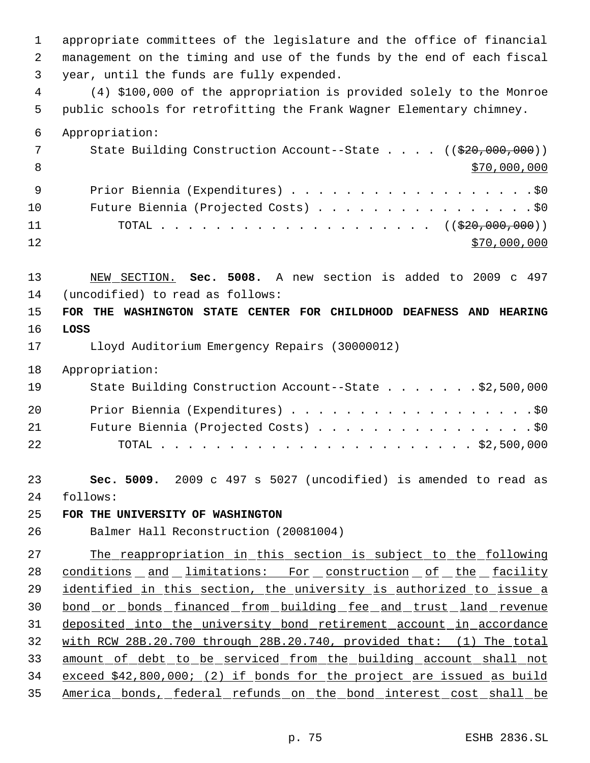appropriate committees of the legislature and the office of financial management on the timing and use of the funds by the end of each fiscal year, until the funds are fully expended.

 (4) \$100,000 of the appropriation is provided solely to the Monroe public schools for retrofitting the Frank Wagner Elementary chimney.

 Appropriation: 7 State Building Construction Account--State . . . . ((\$20,000,000))  $$70,000,000$  Prior Biennia (Expenditures) . . . . . . . . . . . . . . . . . .\$0 10 Future Biennia (Projected Costs) . . . . . . . . . . . . . . . . \$0 11 TOTAL . . . . . . . . . . . . . . . . . . ((\$20,000,000))  $\frac{12}{70,000,000}$ 

 NEW SECTION. **Sec. 5008.** A new section is added to 2009 c 497 (uncodified) to read as follows:

 **FOR THE WASHINGTON STATE CENTER FOR CHILDHOOD DEAFNESS AND HEARING LOSS**

Lloyd Auditorium Emergency Repairs (30000012)

Appropriation:

| 19 | State Building Construction Account--State \$2,500,000 |
|----|--------------------------------------------------------|
| 20 | Prior Biennia (Expenditures) \$0                       |
| 21 | Future Biennia (Projected Costs) \$0                   |
| 22 |                                                        |

 **Sec. 5009.** 2009 c 497 s 5027 (uncodified) is amended to read as follows:

**FOR THE UNIVERSITY OF WASHINGTON**

Balmer Hall Reconstruction (20081004)

 The reappropriation in this section is subject to the following 28 conditions and limitations: For construction of the facility identified in this section, the university is authorized to issue a bond or bonds financed from building fee and trust land revenue deposited into the university bond retirement account in accordance with RCW 28B.20.700 through 28B.20.740, provided that: (1) The total amount of debt to be serviced from the building account shall not exceed \$42,800,000; (2) if bonds for the project are issued as build America bonds, federal refunds on the bond interest cost shall be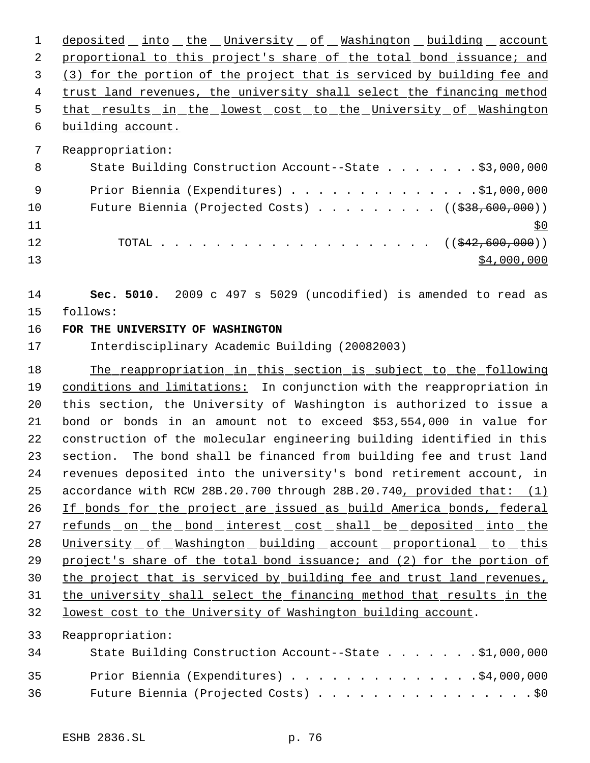1 deposited into the University of Washington building account 2 proportional to this project's share of the total bond issuance; and (3) for the portion of the project that is serviced by building fee and trust land revenues, the university shall select the financing method 5 that results in the lowest cost to the University of Washington building account. Reappropriation: 8 State Building Construction Account--State . . . . . . \$3,000,000 9 Prior Biennia (Expenditures) . . . . . . . . . . . . . . \$1,000,000 10 Future Biennia (Projected Costs) . . . . . . . . ((\$38,600,000)) 12 TOTAL . . . . . . . . . . . . . . . . . . (( $\frac{242,600,000}{10000}$ )  $\frac{13}{13}$   $\frac{13}{13}$  **Sec. 5010.** 2009 c 497 s 5029 (uncodified) is amended to read as follows: **FOR THE UNIVERSITY OF WASHINGTON** Interdisciplinary Academic Building (20082003) 18 The reappropriation in this section is subject to the following conditions and limitations: In conjunction with the reappropriation in this section, the University of Washington is authorized to issue a bond or bonds in an amount not to exceed \$53,554,000 in value for construction of the molecular engineering building identified in this section. The bond shall be financed from building fee and trust land revenues deposited into the university's bond retirement account, in accordance with RCW 28B.20.700 through 28B.20.740, provided that: (1) If bonds for the project are issued as build America bonds, federal 27 refunds on the bond interest cost shall be deposited into the 28 University of Washington building account proportional to this

29 project's share of the total bond issuance; and (2) for the portion of the project that is serviced by building fee and trust land revenues, the university shall select the financing method that results in the

lowest cost to the University of Washington building account.

Reappropriation:

| 34 | State Building Construction Account--State \$1,000,000 |
|----|--------------------------------------------------------|
| 35 | Prior Biennia (Expenditures) \$4,000,000               |
| 36 | Future Biennia (Projected Costs) \$0                   |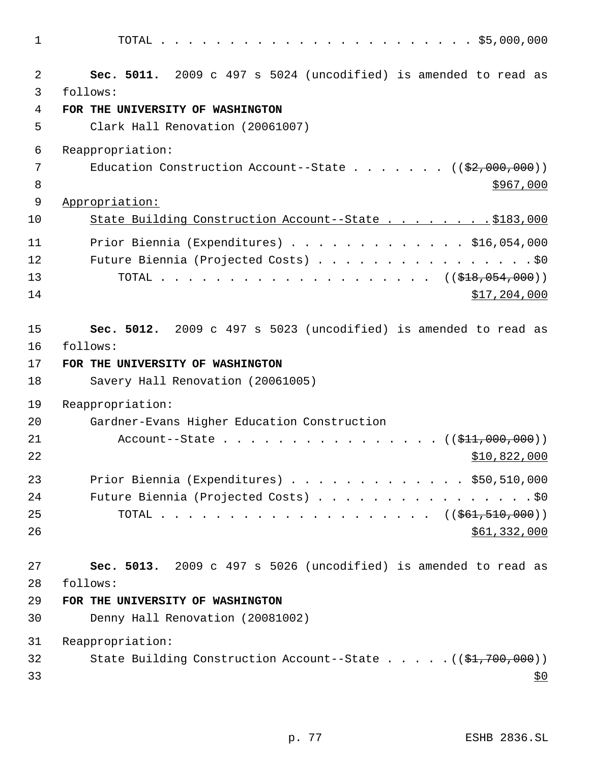| $\overline{a}$<br>Sec. 5011. 2009 c 497 s 5024 (uncodified) is amended to read as<br>3<br>follows:                                                                                                                                                                                                                                  |
|-------------------------------------------------------------------------------------------------------------------------------------------------------------------------------------------------------------------------------------------------------------------------------------------------------------------------------------|
| 4<br>FOR THE UNIVERSITY OF WASHINGTON<br>5<br>Clark Hall Renovation (20061007)                                                                                                                                                                                                                                                      |
| 6<br>Reappropriation:<br>7<br>Education Construction Account--State ( $(\frac{2}{7},000,000)$ )<br>8<br>\$967,000<br>9<br>Appropriation:                                                                                                                                                                                            |
| State Building Construction Account--State \$183,000<br>10<br>11<br>Prior Biennia (Expenditures) \$16,054,000<br>Future Biennia (Projected Costs) \$0<br>12<br>13<br>TOTAL ( $(\frac{218}{1000})$ )<br>14<br>\$17,204,000                                                                                                           |
| 15<br>Sec. 5012. 2009 c 497 s 5023 (uncodified) is amended to read as<br>16<br>follows:<br>17<br>FOR THE UNIVERSITY OF WASHINGTON<br>18<br>Savery Hall Renovation (20061005)<br>19<br>Reappropriation:<br>20<br>Gardner-Evans Higher Education Construction<br>21<br>Account--State $($ $($ \$11,000,000) $)$<br>22<br>\$10,822,000 |
| 23<br>Prior Biennia (Expenditures) $\ldots$ \$50,510,000<br>24<br>Future Biennia (Projected Costs) \$0<br>25<br>TOTAL ( $(\frac{261}{561}, \frac{510}{600})$ )<br>26<br>\$61,332,000                                                                                                                                                |
| 27<br>Sec. 5013. 2009 c 497 s 5026 (uncodified) is amended to read as<br>28<br>follows:<br>29<br>FOR THE UNIVERSITY OF WASHINGTON<br>30<br>Denny Hall Renovation (20081002)<br>31<br>Reappropriation:<br>State Building Construction Account--State $($ $($ \$1,700,000) $)$<br>32                                                  |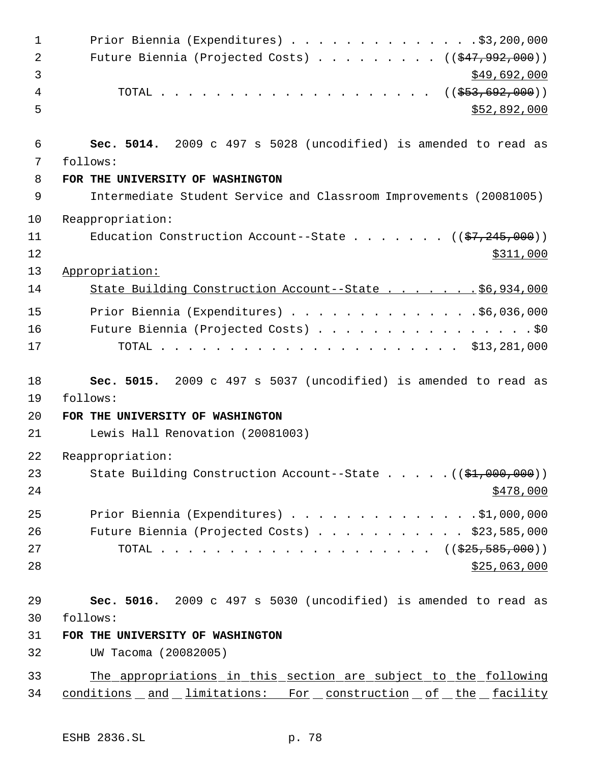| $\mathbf 1$          | Prior Biennia (Expenditures) \$3,200,000                                                                                                                             |
|----------------------|----------------------------------------------------------------------------------------------------------------------------------------------------------------------|
| $\overline{2}$       | Future Biennia (Projected Costs) $($ $($ $\frac{247}{1922}$ , 000))                                                                                                  |
| 3                    | \$49,692,000                                                                                                                                                         |
| 4                    | TOTAL ( $(\frac{253}{653}, \frac{692}{600})$ )                                                                                                                       |
| 5                    | \$52,892,000                                                                                                                                                         |
| 6                    | Sec. 5014. 2009 c 497 s 5028 (uncodified) is amended to read as                                                                                                      |
| 7                    | follows:                                                                                                                                                             |
| 8                    | FOR THE UNIVERSITY OF WASHINGTON                                                                                                                                     |
| 9                    | Intermediate Student Service and Classroom Improvements (20081005)                                                                                                   |
| 10                   | Reappropriation:                                                                                                                                                     |
| 11                   | Education Construction Account--State $($ $($ \$7,245,000) $)$                                                                                                       |
| 12                   | \$311,000                                                                                                                                                            |
| 13                   | Appropriation:                                                                                                                                                       |
| 14                   | State Building Construction Account--State \$6,934,000                                                                                                               |
| 15                   | Prior Biennia (Expenditures) \$6,036,000                                                                                                                             |
| 16                   | Future Biennia (Projected Costs) \$0                                                                                                                                 |
| 17                   |                                                                                                                                                                      |
| 18<br>19             | Sec. 5015. 2009 c 497 s 5037 (uncodified) is amended to read as<br>follows:                                                                                          |
| 20                   | FOR THE UNIVERSITY OF WASHINGTON                                                                                                                                     |
| 21                   | Lewis Hall Renovation (20081003)                                                                                                                                     |
| 22                   | Reappropriation:                                                                                                                                                     |
| 23<br>24             | State Building Construction Account--State $((\frac{21}{700}, 000, 000))$<br>\$478,000                                                                               |
|                      |                                                                                                                                                                      |
| 25<br>26<br>27<br>28 | Prior Biennia (Expenditures) \$1,000,000<br>Future Biennia (Projected Costs) $\ldots$ \$23,585,000<br>TOTAL ( $(\frac{225}{525}, \frac{585}{500})$ )<br>\$25,063,000 |
| 29                   | Sec. 5016. 2009 c 497 s 5030 (uncodified) is amended to read as                                                                                                      |
| 30                   | follows:                                                                                                                                                             |
| 31                   | FOR THE UNIVERSITY OF WASHINGTON                                                                                                                                     |
| 32                   | UW Tacoma (20082005)                                                                                                                                                 |
| 33<br>34             | The appropriations in this section are subject to the following<br>conditions and limitations: For construction of the facility                                      |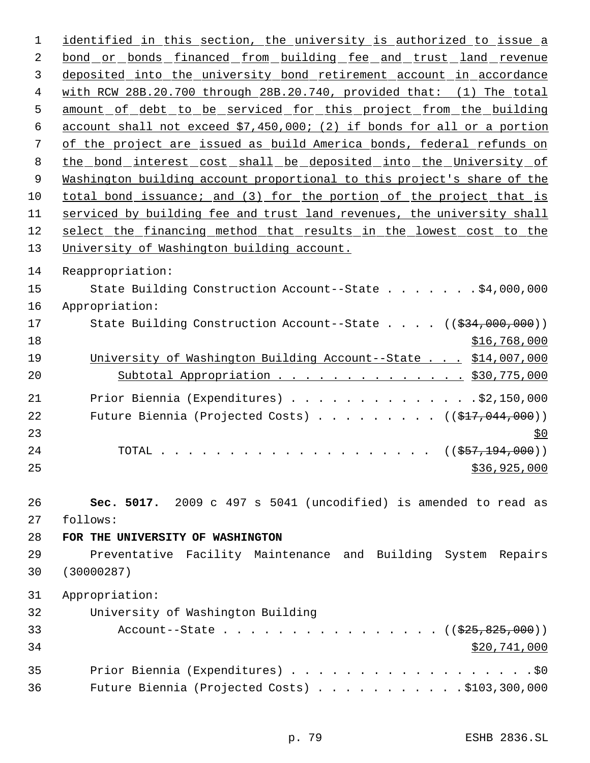identified in this section, the university is authorized to issue a 2 bond or bonds financed from building fee and trust land revenue deposited into the university bond retirement account in accordance with RCW 28B.20.700 through 28B.20.740, provided that: (1) The total 5 amount of debt to be serviced for this project from the building account shall not exceed \$7,450,000; (2) if bonds for all or a portion of the project are issued as build America bonds, federal refunds on the bond interest cost shall be deposited into the University of Washington building account proportional to this project's share of the total bond issuance; and (3) for the portion of the project that is serviced by building fee and trust land revenues, the university shall select the financing method that results in the lowest cost to the University of Washington building account. Reappropriation: State Building Construction Account--State . . . . . . . \$4,000,000 Appropriation: 17 State Building Construction Account--State . . . . ((\$34,000,000)) \$16,768,000 University of Washington Building Account--State . . . \$14,007,000 20 Subtotal Appropriation . . . . . . . . . . . . . \$30,775,000 Prior Biennia (Expenditures) . . . . . . . . . . . . . .\$2,150,000 22 Future Biennia (Projected Costs) . . . . . . . . ((\$17,044,000))  $\frac{$0}{ }$ 24 TOTAL . . . . . . . . . . . . . . . . . . ((<del>\$57,194,000</del>)) \$36,925,000 **Sec. 5017.** 2009 c 497 s 5041 (uncodified) is amended to read as follows: **FOR THE UNIVERSITY OF WASHINGTON** Preventative Facility Maintenance and Building System Repairs (30000287) Appropriation: University of Washington Building 33 Account--State . . . . . . . . . . . . . . . ((\$25,825,000)) \$20,741,000 35 Prior Biennia (Expenditures) . . . . . . . . . . . . . . . . . . \$0 Future Biennia (Projected Costs) . . . . . . . . . . . \$103,300,000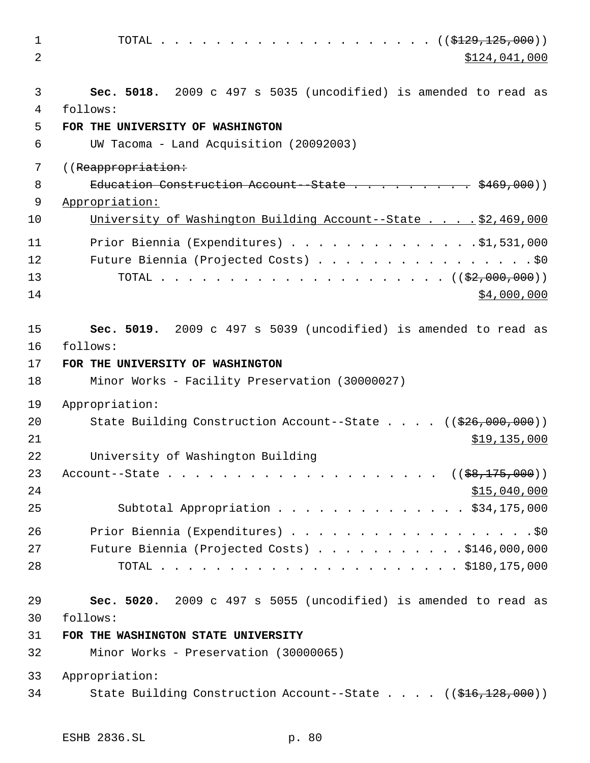| $\mathbf 1$<br>2 | \$124,041,000                                                               |
|------------------|-----------------------------------------------------------------------------|
|                  |                                                                             |
| 3<br>4           | Sec. 5018. 2009 c 497 s 5035 (uncodified) is amended to read as<br>follows: |
| 5                | FOR THE UNIVERSITY OF WASHINGTON                                            |
| 6                | UW Tacoma - Land Acquisition (20092003)                                     |
| 7                | ((Reappropriation:                                                          |
| 8                | Education Construction Account-State \$469,000))                            |
| 9                | Appropriation:                                                              |
| 10               | University of Washington Building Account--State \$2,469,000                |
| 11               | Prior Biennia (Expenditures) \$1,531,000                                    |
| 12               | Future Biennia (Projected Costs) \$0                                        |
| 13               |                                                                             |
| 14               | \$4,000,000                                                                 |
|                  |                                                                             |
| 15               | Sec. 5019. 2009 c 497 s 5039 (uncodified) is amended to read as             |
| 16               | follows:                                                                    |
| 17               | FOR THE UNIVERSITY OF WASHINGTON                                            |
| 18               | Minor Works - Facility Preservation (30000027)                              |
| 19               | Appropriation:                                                              |
| 20               | State Building Construction Account--State $((\frac{226}{100}, 000, 000))$  |
| 21               | \$19,135,000                                                                |
| 22               | University of Washington Building                                           |
| 23               |                                                                             |
| 24               | \$15,040,000                                                                |
| 25               | Subtotal Appropriation \$34,175,000                                         |
| 26               | Prior Biennia (Expenditures) \$0                                            |
| 27               | Future Biennia (Projected Costs) \$146,000,000                              |
| 28               |                                                                             |
|                  |                                                                             |
| 29               | Sec. 5020. 2009 c 497 s 5055 (uncodified) is amended to read as             |
| 30               | follows:                                                                    |
| 31               | FOR THE WASHINGTON STATE UNIVERSITY                                         |
| 32               | Minor Works - Preservation (30000065)                                       |
| 33               | Appropriation:                                                              |
| 34               | State Building Construction Account--State ((\$16,128,000))                 |
|                  |                                                                             |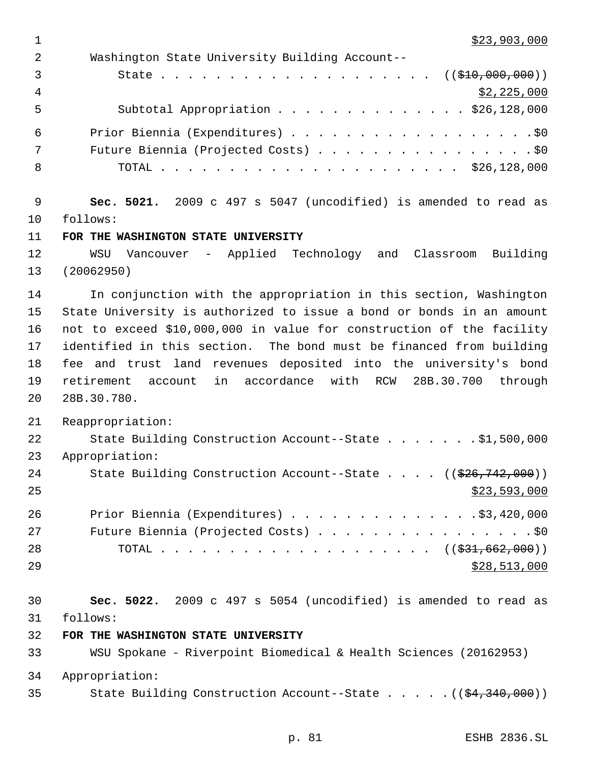1 \$23,903,000

| $\overline{2}$ | Washington State University Building Account--                                    |
|----------------|-----------------------------------------------------------------------------------|
| 3              |                                                                                   |
| 4              | \$2,225,000                                                                       |
| 5              | Subtotal Appropriation \$26,128,000                                               |
| 6              |                                                                                   |
| 7              |                                                                                   |
| 8              |                                                                                   |
| 9              | Sec. 5021. 2009 c 497 s 5047 (uncodified) is amended to read as                   |
| 10             | follows:                                                                          |
| 11             | FOR THE WASHINGTON STATE UNIVERSITY                                               |
| 12<br>13       | Vancouver - Applied Technology and Classroom Building<br>WSU<br>(20062950)        |
| 14             | In conjunction with the appropriation in this section, Washington                 |
| 15             | State University is authorized to issue a bond or bonds in an amount              |
| 16             | not to exceed \$10,000,000 in value for construction of the facility              |
| 17             | identified in this section. The bond must be financed from building               |
| 18             | fee and trust land revenues deposited into the university's bond                  |
| 19             | in accordance with RCW 28B.30.700 through<br>retirement account                   |
| 20             | 28B.30.780.                                                                       |
| 21             | Reappropriation:                                                                  |
| 22             | State Building Construction Account--State \$1,500,000                            |
| 23             | Appropriation:                                                                    |
| 24             | State Building Construction Account--State ((\$26,742,000))                       |
| 25             | \$23,593,000                                                                      |
| 26             | Prior Biennia (Expenditures) \$3,420,000                                          |
| 27             | Future Biennia (Projected Costs) \$0                                              |
| 28             | TOTAL ( $(\frac{231}{621}, \frac{662}{600})$ )                                    |
| 29             | \$28,513,000                                                                      |
| 30             | Sec. 5022. 2009 c 497 s 5054 (uncodified) is amended to read as                   |
| 31             | follows:                                                                          |
| 32             | FOR THE WASHINGTON STATE UNIVERSITY                                               |
| 33             | WSU Spokane - Riverpoint Biomedical & Health Sciences (20162953)                  |
| 34             | Appropriation:                                                                    |
| 35             | State Building Construction Account--State ( $(\frac{24}{34}, \frac{340}{900})$ ) |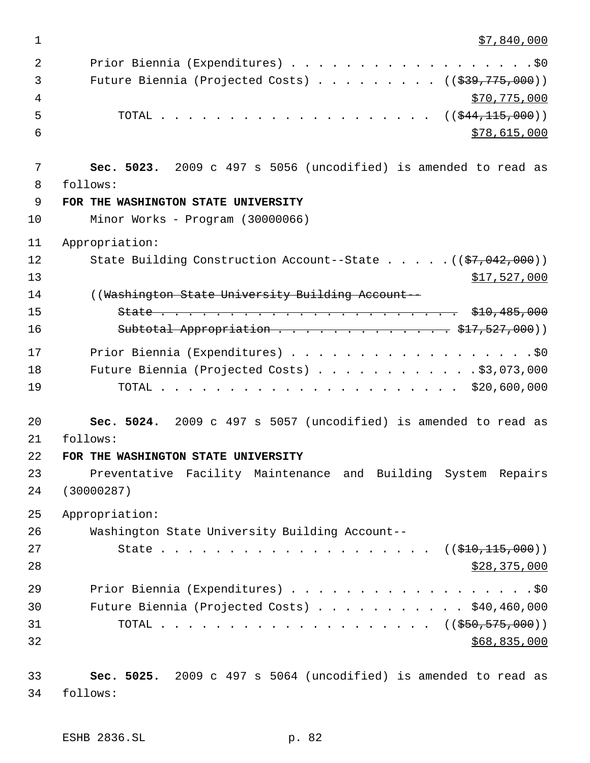1 \$7,840,000

| 2  |                                                                        |
|----|------------------------------------------------------------------------|
| 3  | Future Biennia (Projected Costs) $\ldots$ ( $(\frac{239}{775}, 000)$ ) |
| 4  | \$70,775,000                                                           |
| 5  | TOTAL ( $(\frac{244}{115},000)$ )                                      |
| 6  | \$78,615,000                                                           |
|    |                                                                        |
| 7  | Sec. 5023. 2009 c 497 s 5056 (uncodified) is amended to read as        |
| 8  | follows:                                                               |
| 9  | FOR THE WASHINGTON STATE UNIVERSITY                                    |
| 10 | Minor Works - Program (30000066)                                       |
| 11 | Appropriation:                                                         |
| 12 | State Building Construction Account--State ((\$7,042,000))             |
| 13 | \$17,527,000                                                           |
| 14 | ((Washington State University Building Account--                       |
| 15 |                                                                        |
| 16 | Subtotal Appropriation \$17,527,000))                                  |
| 17 |                                                                        |
| 18 | Future Biennia (Projected Costs) \$3,073,000                           |
| 19 |                                                                        |
|    |                                                                        |
| 20 | Sec. 5024. 2009 c 497 s 5057 (uncodified) is amended to read as        |
| 21 | follows:                                                               |
| 22 | FOR THE WASHINGTON STATE UNIVERSITY                                    |
| 23 | Preventative Facility Maintenance and Building System Repairs          |
| 24 | (30000287)                                                             |
| 25 | Appropriation:                                                         |
| 26 | Washington State University Building Account--                         |
| 27 |                                                                        |
| 28 | \$28,375,000                                                           |
|    |                                                                        |
| 29 | Prior Biennia (Expenditures) \$0                                       |
| 30 | Future Biennia (Projected Costs) \$40,460,000                          |
| 31 | TOTAL ( $(\frac{250}{550}, \frac{575}{500})$ )                         |
| 32 | \$68,835,000                                                           |
| 33 | Sec. 5025. 2009 c 497 s 5064 (uncodified) is amended to read as        |
| 34 | follows:                                                               |
|    |                                                                        |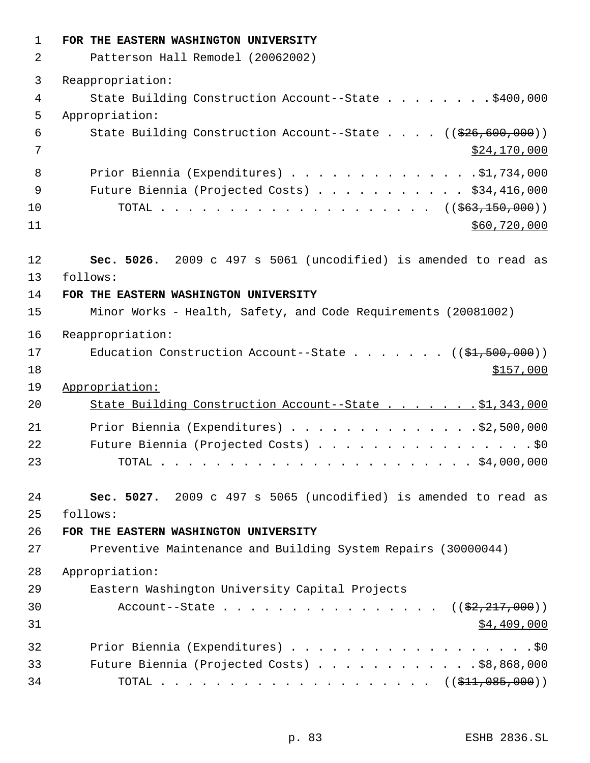| $\mathbf 1$ | FOR THE EASTERN WASHINGTON UNIVERSITY                                            |
|-------------|----------------------------------------------------------------------------------|
| 2           | Patterson Hall Remodel (20062002)                                                |
| 3           | Reappropriation:                                                                 |
| 4           | State Building Construction Account--State \$400,000                             |
| 5           | Appropriation:                                                                   |
| 6           | State Building Construction Account--State $((\frac{26}{626}, \frac{600}{600}))$ |
| 7           | \$24,170,000                                                                     |
| 8           | Prior Biennia (Expenditures) \$1,734,000                                         |
| 9           | Future Biennia (Projected Costs) \$34,416,000                                    |
| 10          | TOTAL ( $(\frac{263}{150}, \frac{150}{100})$ )                                   |
| 11          | \$60,720,000                                                                     |
| 12          | Sec. 5026. 2009 c 497 s 5061 (uncodified) is amended to read as                  |
| 13          | follows:                                                                         |
| 14          | FOR THE EASTERN WASHINGTON UNIVERSITY                                            |
| 15          | Minor Works - Health, Safety, and Code Requirements (20081002)                   |
| 16          | Reappropriation:                                                                 |
| 17          | Education Construction Account--State $($ $($ \$1,500,000) $)$                   |
| 18          | \$157,000                                                                        |
| 19          | Appropriation:                                                                   |
| 20          | State Building Construction Account--State \$1,343,000                           |
| 21          | Prior Biennia (Expenditures) \$2,500,000                                         |
| 22          | Future Biennia (Projected Costs) \$0                                             |
| 23          |                                                                                  |
| 24          | Sec. 5027. 2009 c 497 s 5065 (uncodified) is amended to read as                  |
| 25          | follows:                                                                         |
| 26          | FOR THE EASTERN WASHINGTON UNIVERSITY                                            |
| 27          | Preventive Maintenance and Building System Repairs (30000044)                    |
| 28          | Appropriation:                                                                   |
| 29          | Eastern Washington University Capital Projects                                   |
| 30          | Account--State $($ $(\frac{2}{2}, \frac{217}{217}, 000))$                        |
| 31          | \$4,409,000                                                                      |
| 32          | Prior Biennia (Expenditures) \$0                                                 |
| 33          | Future Biennia (Projected Costs) $\ldots$ \$8,868,000                            |
| 34          | TOTAL ( $(\frac{211}{1000}, \frac{0000}{1000}, \frac{0000}{1000}))$              |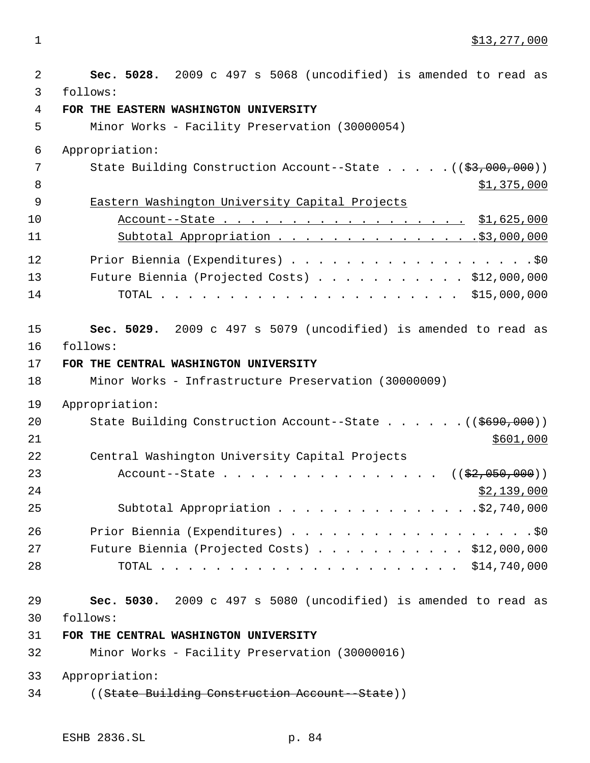1 \$13,277,000

| 2  | Sec. 5028. 2009 c 497 s 5068 (uncodified) is amended to read as                                                                          |
|----|------------------------------------------------------------------------------------------------------------------------------------------|
| 3  | follows:                                                                                                                                 |
| 4  | FOR THE EASTERN WASHINGTON UNIVERSITY                                                                                                    |
| 5  | Minor Works - Facility Preservation (30000054)                                                                                           |
| 6  | Appropriation:                                                                                                                           |
| 7  | State Building Construction Account--State $($ $($ $\frac{2}{3},000,000)$ $)$                                                            |
| 8  | \$1,375,000                                                                                                                              |
| 9  | Eastern Washington University Capital Projects                                                                                           |
| 10 | Account--State \$1,625,000                                                                                                               |
| 11 | Subtotal Appropriation \$3,000,000                                                                                                       |
| 12 | Prior Biennia (Expenditures) \$0                                                                                                         |
| 13 | Future Biennia (Projected Costs) \$12,000,000                                                                                            |
| 14 |                                                                                                                                          |
| 15 | Sec. 5029. 2009 c 497 s 5079 (uncodified) is amended to read as                                                                          |
| 16 | follows:                                                                                                                                 |
| 17 | FOR THE CENTRAL WASHINGTON UNIVERSITY                                                                                                    |
| 18 | Minor Works - Infrastructure Preservation (30000009)                                                                                     |
| 19 | Appropriation:                                                                                                                           |
| 20 | State Building Construction Account--State ((\$690,000))                                                                                 |
| 21 | \$601,000                                                                                                                                |
| 22 | Central Washington University Capital Projects                                                                                           |
| 23 | Account--State<br>$((\$2,050,000))$<br>$\begin{array}{cccccccccccccccccc} . & . & . & . & . & . & . & . & . & . & . & . & . \end{array}$ |
| 24 | \$2,139,000                                                                                                                              |
| 25 | Subtotal Appropriation \$2,740,000                                                                                                       |
| 26 |                                                                                                                                          |
| 27 | Future Biennia (Projected Costs) \$12,000,000                                                                                            |
| 28 |                                                                                                                                          |
| 29 | Sec. 5030. 2009 c 497 s 5080 (uncodified) is amended to read as                                                                          |
| 30 | follows:                                                                                                                                 |
| 31 | FOR THE CENTRAL WASHINGTON UNIVERSITY                                                                                                    |
| 32 | Minor Works - Facility Preservation (30000016)                                                                                           |
| 33 | Appropriation:                                                                                                                           |
| 34 | ((State Building Construction Account--State))                                                                                           |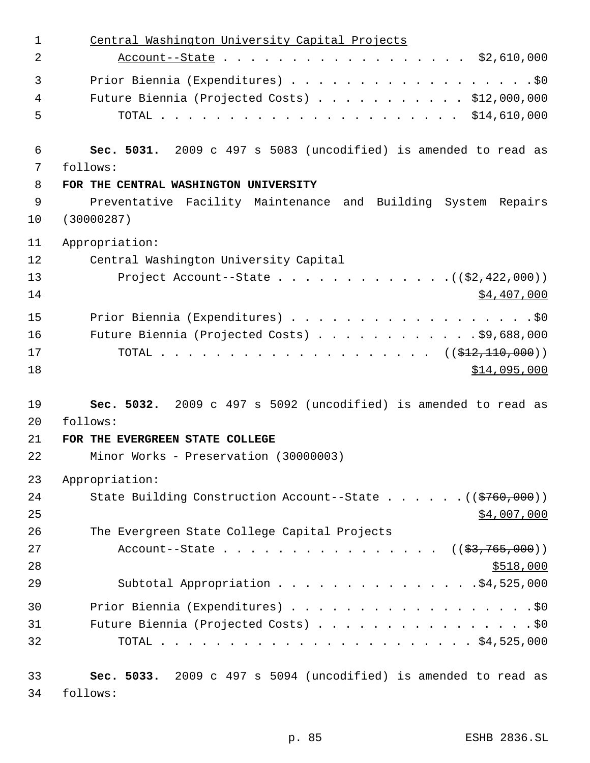| $\mathbf 1$ | Central Washington University Capital Projects                  |
|-------------|-----------------------------------------------------------------|
| 2           |                                                                 |
| 3           | Prior Biennia (Expenditures) \$0                                |
| 4           | Future Biennia (Projected Costs) \$12,000,000                   |
| 5           |                                                                 |
| 6           | Sec. 5031. 2009 c 497 s 5083 (uncodified) is amended to read as |
| 7           | follows:                                                        |
| 8           | FOR THE CENTRAL WASHINGTON UNIVERSITY                           |
| 9           | Preventative Facility Maintenance and Building System Repairs   |
| 10          | (30000287)                                                      |
| 11          | Appropriation:                                                  |
| 12          | Central Washington University Capital                           |
| 13          | Project Account--State $($ $($ $\frac{2}{2}$ , 422, 000) $)$    |
| 14          | \$4,407,000                                                     |
| 15          | Prior Biennia (Expenditures) \$0                                |
| 16          | Future Biennia (Projected Costs) \$9,688,000                    |
| 17          |                                                                 |
| 18          | \$14,095,000                                                    |
| 19          | Sec. 5032. 2009 c 497 s 5092 (uncodified) is amended to read as |
| 20          | follows:                                                        |
| 21          | FOR THE EVERGREEN STATE COLLEGE                                 |
| 22          | Minor Works - Preservation (30000003)                           |
| 23          | Appropriation:                                                  |
| 24          | State Building Construction Account--State ((\$760,000))        |
| 25          | \$4,007,000                                                     |
| 26          | The Evergreen State College Capital Projects                    |
| 27          | Account--State $($ $($ \$3,765,000) $)$                         |
| 28          | \$518,000                                                       |
| 29          | Subtotal Appropriation \$4,525,000                              |
| 30          | Prior Biennia (Expenditures) \$0                                |
| 31          | Future Biennia (Projected Costs) \$0                            |
| 32          |                                                                 |
| 33          | Sec. 5033. 2009 c 497 s 5094 (uncodified) is amended to read as |
| 34          | follows:                                                        |
|             |                                                                 |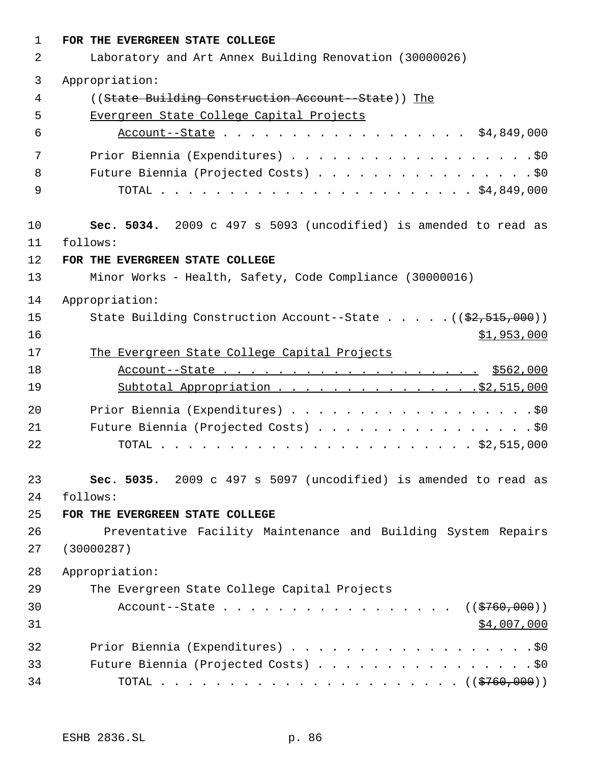| $\mathbf{1}$ | FOR THE EVERGREEN STATE COLLEGE                                        |  |  |  |
|--------------|------------------------------------------------------------------------|--|--|--|
| 2            | Laboratory and Art Annex Building Renovation (30000026)                |  |  |  |
| 3            | Appropriation:                                                         |  |  |  |
| 4            | ((State Building Construction Account--State)) The                     |  |  |  |
| 5            | Evergreen State College Capital Projects                               |  |  |  |
| 6            |                                                                        |  |  |  |
| 7            | Prior Biennia (Expenditures) \$0                                       |  |  |  |
| 8            | Future Biennia (Projected Costs) \$0                                   |  |  |  |
| 9            |                                                                        |  |  |  |
| 10           | Sec. 5034. 2009 c 497 s 5093 (uncodified) is amended to read as        |  |  |  |
| 11           | follows:                                                               |  |  |  |
| 12           | FOR THE EVERGREEN STATE COLLEGE                                        |  |  |  |
| 13           | Minor Works - Health, Safety, Code Compliance (30000016)               |  |  |  |
| 14           | Appropriation:                                                         |  |  |  |
| 15           | State Building Construction Account--State $((\frac{2}{7}, 515, 000))$ |  |  |  |
| 16           | \$1,953,000                                                            |  |  |  |
| 17           | The Evergreen State College Capital Projects                           |  |  |  |
| 18           | Account--State \$562,000                                               |  |  |  |
| 19           | Subtotal Appropriation \$2,515,000                                     |  |  |  |
| 20           | Prior Biennia (Expenditures) \$0                                       |  |  |  |
| 21           | Future Biennia (Projected Costs) \$0                                   |  |  |  |
| 22           |                                                                        |  |  |  |
| 23           | Sec. 5035. 2009 c 497 s 5097 (uncodified) is amended to read as        |  |  |  |
| 24           | follows:                                                               |  |  |  |
| 25           | FOR THE EVERGREEN STATE COLLEGE                                        |  |  |  |
| 26           | Preventative Facility Maintenance and Building System Repairs          |  |  |  |
| 27           | (30000287)                                                             |  |  |  |
| 28           | Appropriation:                                                         |  |  |  |
| 29           | The Evergreen State College Capital Projects                           |  |  |  |
| 30           | Account--State ( $(\frac{2760}{100})$ )                                |  |  |  |
| 31           | \$4,007,000                                                            |  |  |  |
| 32           |                                                                        |  |  |  |
| 33           | Future Biennia (Projected Costs) \$0                                   |  |  |  |
| 34           |                                                                        |  |  |  |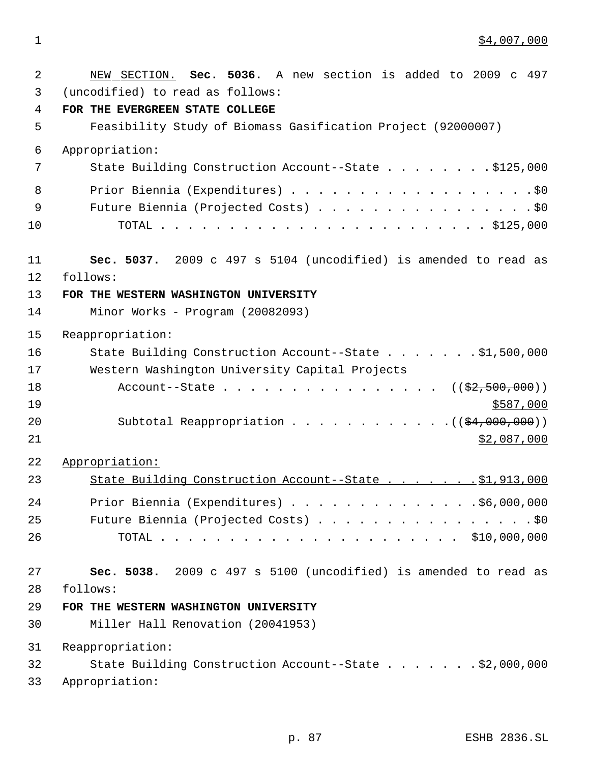1 \$4,007,000

| 2  | NEW SECTION. Sec. 5036. A new section is added to 2009 c 497    |  |  |
|----|-----------------------------------------------------------------|--|--|
| 3  | (uncodified) to read as follows:                                |  |  |
| 4  | FOR THE EVERGREEN STATE COLLEGE                                 |  |  |
| 5  | Feasibility Study of Biomass Gasification Project (92000007)    |  |  |
| 6  | Appropriation:                                                  |  |  |
| 7  | State Building Construction Account--State \$125,000            |  |  |
| 8  |                                                                 |  |  |
| 9  |                                                                 |  |  |
| 10 |                                                                 |  |  |
| 11 | Sec. 5037. 2009 c 497 s 5104 (uncodified) is amended to read as |  |  |
| 12 | follows:                                                        |  |  |
| 13 | FOR THE WESTERN WASHINGTON UNIVERSITY                           |  |  |
| 14 | Minor Works - Program (20082093)                                |  |  |
| 15 | Reappropriation:                                                |  |  |
| 16 | State Building Construction Account--State \$1,500,000          |  |  |
| 17 | Western Washington University Capital Projects                  |  |  |
| 18 | Account--State $($ $($ \$2,500,000) $)$                         |  |  |
| 19 | \$587,000                                                       |  |  |
| 20 | Subtotal Reappropriation $($ $($ $\frac{24,000,000)}{100,000})$ |  |  |
| 21 | \$2,087,000                                                     |  |  |
| 22 | Appropriation:                                                  |  |  |
| 23 | State Building Construction Account--State \$1,913,000          |  |  |
| 24 | Prior Biennia (Expenditures) \$6,000,000                        |  |  |
| 25 | Future Biennia (Projected Costs) \$0                            |  |  |
| 26 |                                                                 |  |  |
| 27 | Sec. 5038. 2009 c 497 s 5100 (uncodified) is amended to read as |  |  |
| 28 | follows:                                                        |  |  |
| 29 | FOR THE WESTERN WASHINGTON UNIVERSITY                           |  |  |
| 30 | Miller Hall Renovation (20041953)                               |  |  |
| 31 | Reappropriation:                                                |  |  |
| 32 | State Building Construction Account--State \$2,000,000          |  |  |
| 33 | Appropriation:                                                  |  |  |
|    |                                                                 |  |  |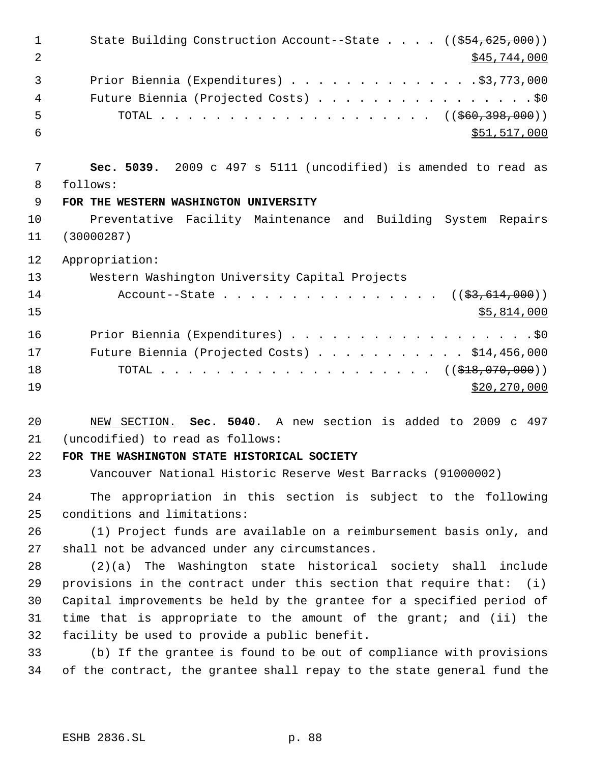1 State Building Construction Account--State . . . . ((\$54,625,000))  $2^{\frac{1}{2}}$   $\frac{1}{2^{\frac{1}{2}} \cdot 1}$   $\frac{1}{2^{\frac{1}{2}}}$   $\frac{1}{2^{\frac{1}{2}}}$   $\frac{1}{2^{\frac{1}{2}}}$   $\frac{1}{2^{\frac{1}{2}}}$   $\frac{1}{2^{\frac{1}{2}}}$   $\frac{1}{2^{\frac{1}{2}}}$   $\frac{1}{2^{\frac{1}{2}}}$   $\frac{1}{2^{\frac{1}{2}}}$   $\frac{1}{2^{\frac{1}{2}}}$   $\frac{1}{2^{\frac{1}{2}}}$   $\frac{1}{2^{\frac{1}{2}}}$  Prior Biennia (Expenditures) . . . . . . . . . . . . . .\$3,773,000 4 Future Biennia (Projected Costs) . . . . . . . . . . . . . . . . \$0 5 TOTAL . . . . . . . . . . . . . . . . . . ( $(\frac{1560}{1000})$ )  $\frac{1}{551}$ , 517,000 **Sec. 5039.** 2009 c 497 s 5111 (uncodified) is amended to read as follows: **FOR THE WESTERN WASHINGTON UNIVERSITY** Preventative Facility Maintenance and Building System Repairs (30000287) Appropriation: Western Washington University Capital Projects 14 Account--State . . . . . . . . . . . . . . ((<del>\$3,614,000</del>)) \$5,814,000 16 Prior Biennia (Expenditures) . . . . . . . . . . . . . . . . . . \$0 Future Biennia (Projected Costs) . . . . . . . . . . . \$14,456,000 18 TOTAL . . . . . . . . . . . . . . . . . . (  $(\frac{218}{10000})$  \$20,270,000 NEW SECTION. **Sec. 5040.** A new section is added to 2009 c 497 (uncodified) to read as follows: **FOR THE WASHINGTON STATE HISTORICAL SOCIETY** Vancouver National Historic Reserve West Barracks (91000002) The appropriation in this section is subject to the following conditions and limitations: (1) Project funds are available on a reimbursement basis only, and shall not be advanced under any circumstances. (2)(a) The Washington state historical society shall include provisions in the contract under this section that require that: (i) Capital improvements be held by the grantee for a specified period of time that is appropriate to the amount of the grant; and (ii) the facility be used to provide a public benefit. (b) If the grantee is found to be out of compliance with provisions of the contract, the grantee shall repay to the state general fund the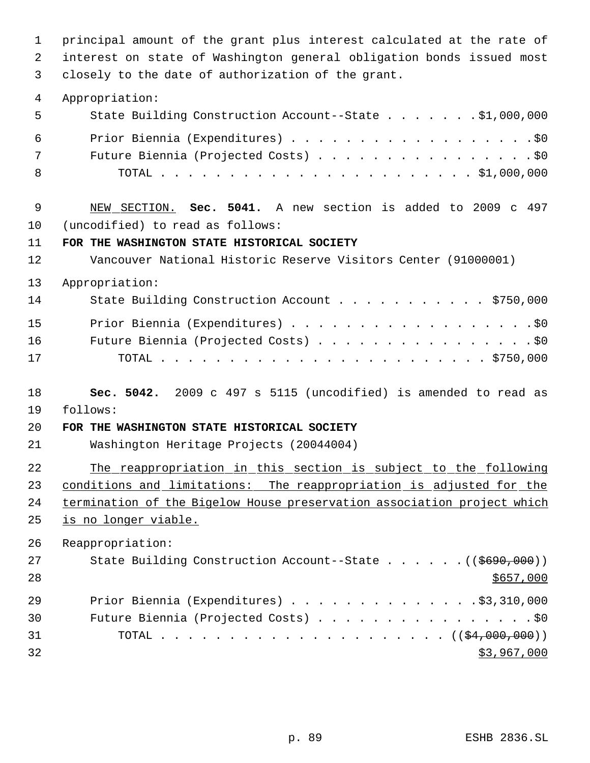principal amount of the grant plus interest calculated at the rate of interest on state of Washington general obligation bonds issued most closely to the date of authorization of the grant. Appropriation: State Building Construction Account--State . . . . . . . \$1,000,000 Prior Biennia (Expenditures) . . . . . . . . . . . . . . . . . .\$0 Future Biennia (Projected Costs) . . . . . . . . . . . . . . . . \$0 TOTAL . . . . . . . . . . . . . . . . . . . . . . . \$1,000,000 NEW SECTION. **Sec. 5041.** A new section is added to 2009 c 497 (uncodified) to read as follows: **FOR THE WASHINGTON STATE HISTORICAL SOCIETY** Vancouver National Historic Reserve Visitors Center (91000001) Appropriation: 14 State Building Construction Account . . . . . . . . . . \$750,000 15 Prior Biennia (Expenditures) . . . . . . . . . . . . . . . . . . \$0 Future Biennia (Projected Costs) . . . . . . . . . . . . . . . . \$0 TOTAL . . . . . . . . . . . . . . . . . . . . . . . . \$750,000 **Sec. 5042.** 2009 c 497 s 5115 (uncodified) is amended to read as follows: **FOR THE WASHINGTON STATE HISTORICAL SOCIETY** Washington Heritage Projects (20044004) The reappropriation in this section is subject to the following conditions and limitations: The reappropriation is adjusted for the termination of the Bigelow House preservation association project which is no longer viable. Reappropriation: 27 State Building Construction Account--State . . . . . . ((\$690,000)) 29 Prior Biennia (Expenditures) . . . . . . . . . . . . . . \$3,310,000 Future Biennia (Projected Costs) . . . . . . . . . . . . . . . . \$0 TOTAL . . . . . . . . . . . . . . . . . . . . . ((\$4,000,000)) \$3,967,000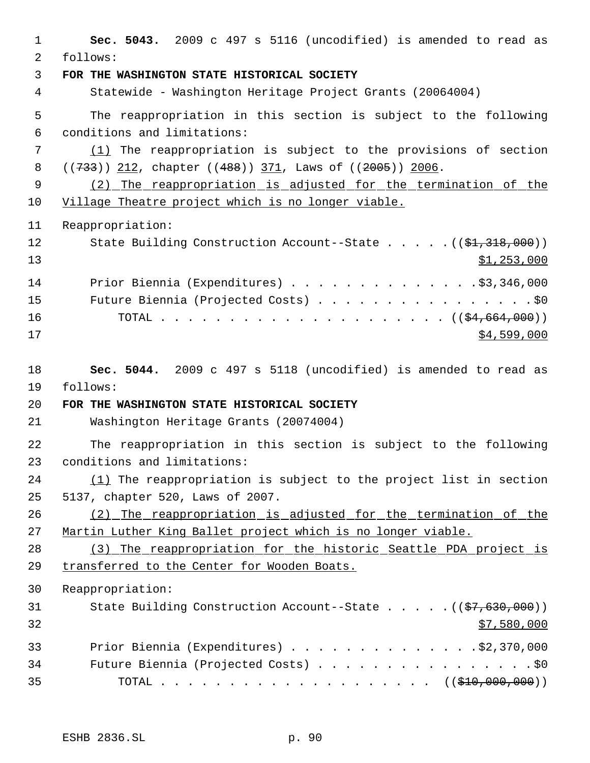| $\mathbf{1}$   | Sec. 5043. 2009 c 497 s 5116 (uncodified) is amended to read as          |
|----------------|--------------------------------------------------------------------------|
| $\overline{2}$ | follows:                                                                 |
| 3              | FOR THE WASHINGTON STATE HISTORICAL SOCIETY                              |
| $\overline{4}$ | Statewide - Washington Heritage Project Grants (20064004)                |
| 5              | The reappropriation in this section is subject to the following          |
| 6              | conditions and limitations:                                              |
| 7              | $(1)$ The reappropriation is subject to the provisions of section        |
| 8              | $((733))$ 212, chapter $((488))$ 371, Laws of $((2005))$ 2006.           |
| 9              | (2) The reappropriation is adjusted for the termination of the           |
| 10             | Village Theatre project which is no longer viable.                       |
| 11             | Reappropriation:                                                         |
| 12             | State Building Construction Account--State $($ $($ \$1,318,000) $)$      |
| 13             | \$1,253,000                                                              |
| 14             | Prior Biennia (Expenditures) \$3,346,000                                 |
| 15             | Future Biennia (Projected Costs) \$0                                     |
| 16             |                                                                          |
| 17             | \$4,599,000                                                              |
|                |                                                                          |
| 18             | Sec. 5044. 2009 c 497 s 5118 (uncodified) is amended to read as          |
| 19             | follows:                                                                 |
| 20             | FOR THE WASHINGTON STATE HISTORICAL SOCIETY                              |
| 21             | Washington Heritage Grants (20074004)                                    |
| 22             | The reappropriation in this section is subject to the following          |
| 23             | conditions and limitations:                                              |
| 24             | (1) The reappropriation is subject to the project list in section        |
| 25             | 5137, chapter 520, Laws of 2007.                                         |
| 26             | (2) The reappropriation is adjusted for the termination of the           |
| 27             | Martin Luther King Ballet project which is no longer viable.             |
| 28             | (3) The reappropriation for the historic Seattle PDA project is          |
| 29             | transferred to the Center for Wooden Boats.                              |
| 30             | Reappropriation:                                                         |
| 31             | State Building Construction Account--State $((\frac{27}{67}, 630, 000))$ |
| 32             | \$7,580,000                                                              |
| 33             | Prior Biennia (Expenditures) \$2,370,000                                 |
| 34             | Future Biennia (Projected Costs) \$0                                     |
| 35             | TOTAL ( $(\frac{210}{100}, 000, 000)$ )                                  |
|                |                                                                          |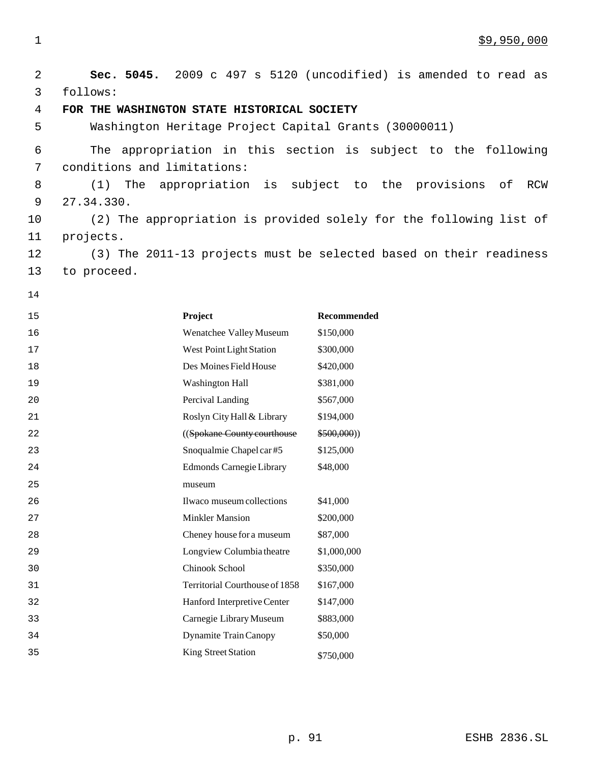**Sec. 5045.** 2009 c 497 s 5120 (uncodified) is amended to read as follows: **FOR THE WASHINGTON STATE HISTORICAL SOCIETY** Washington Heritage Project Capital Grants (30000011) The appropriation in this section is subject to the following conditions and limitations: (1) The appropriation is subject to the provisions of RCW 27.34.330. (2) The appropriation is provided solely for the following list of projects. (3) The 2011-13 projects must be selected based on their readiness to proceed. **Project Recommended** Wenatchee Valley Museum \$150,000 17 West Point Light Station \$300,000 18 Des Moines Field House \$420,000 Washington Hall \$381,000 **Percival Landing \$567,000** 21 Roslyn City Hall & Library \$194,000 ((Spokane County courthouse \$500,000)) Snoqualmie Chapel car #5 \$125,000 Edmonds Carnegie Library museum \$48,000 Ilwaco museum collections \$41,000 27 Minkler Mansion \$200,000 28 Cheney house for a museum \$87,000 Longview Columbia theatre \$1,000,000 Chinook School \$350,000 Territorial Courthouse of 1858 \$167,000 Hanford Interpretive Center \$147,000 Carnegie Library Museum \$883,000 Dynamite Train Canopy \$50,000 35 King Street Station \$750,000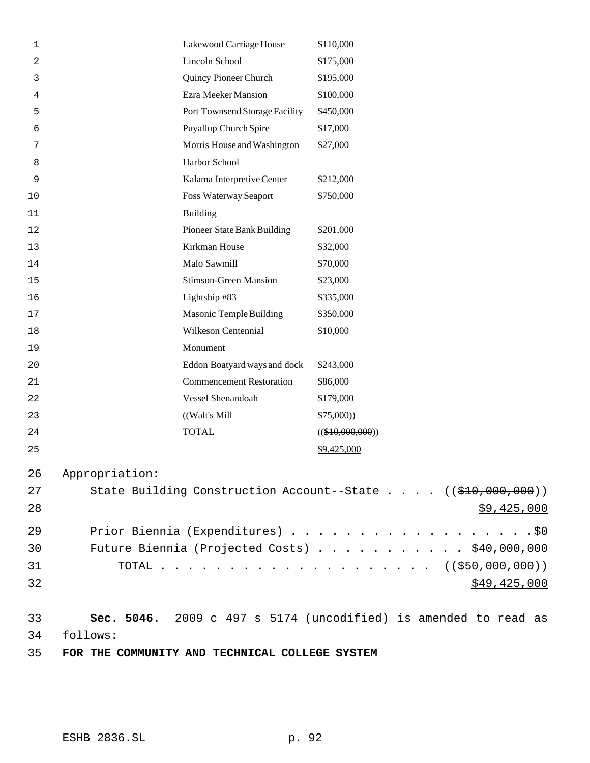| 1  |                                               | Lakewood Carriage House         | \$110,000                                                                  |
|----|-----------------------------------------------|---------------------------------|----------------------------------------------------------------------------|
| 2  |                                               | Lincoln School                  | \$175,000                                                                  |
| 3  |                                               | Quincy Pioneer Church           | \$195,000                                                                  |
| 4  |                                               | Ezra Meeker Mansion             | \$100,000                                                                  |
| 5  |                                               | Port Townsend Storage Facility  | \$450,000                                                                  |
| 6  |                                               | Puyallup Church Spire           | \$17,000                                                                   |
| 7  |                                               | Morris House and Washington     | \$27,000                                                                   |
| 8  |                                               | Harbor School                   |                                                                            |
| 9  |                                               | Kalama Interpretive Center      | \$212,000                                                                  |
| 10 |                                               | Foss Waterway Seaport           | \$750,000                                                                  |
| 11 |                                               | <b>Building</b>                 |                                                                            |
| 12 |                                               | Pioneer State Bank Building     | \$201,000                                                                  |
| 13 |                                               | Kirkman House                   | \$32,000                                                                   |
| 14 |                                               | Malo Sawmill                    | \$70,000                                                                   |
| 15 |                                               | <b>Stimson-Green Mansion</b>    | \$23,000                                                                   |
| 16 |                                               | Lightship #83                   | \$335,000                                                                  |
| 17 |                                               | Masonic Temple Building         | \$350,000                                                                  |
| 18 |                                               | Wilkeson Centennial             | \$10,000                                                                   |
| 19 |                                               | Monument                        |                                                                            |
| 20 |                                               | Eddon Boatyard ways and dock    | \$243,000                                                                  |
| 21 |                                               | <b>Commencement Restoration</b> | \$86,000                                                                   |
| 22 |                                               | Vessel Shenandoah               | \$179,000                                                                  |
| 23 |                                               | $((\text{Walt's Mill})$         | \$75,000)                                                                  |
| 24 |                                               | <b>TOTAL</b>                    | $((\$10,000,000))$                                                         |
| 25 |                                               |                                 | \$9,425,000                                                                |
| 26 | Appropriation:                                |                                 |                                                                            |
| 27 |                                               |                                 | State Building Construction Account--State $((\frac{210}{700}, 000, 000))$ |
| 28 |                                               |                                 | \$9,425,000                                                                |
|    |                                               |                                 |                                                                            |
| 29 | Prior Biennia (Expenditures) \$0              |                                 |                                                                            |
| 30 | Future Biennia (Projected Costs) \$40,000,000 |                                 |                                                                            |
| 31 |                                               |                                 | TOTAL ( $(\frac{250}{100}, 000, 000)$ )                                    |
| 32 |                                               |                                 | \$49,425,000                                                               |
|    |                                               |                                 |                                                                            |
| 33 |                                               |                                 | Sec. 5046. 2009 c 497 s 5174 (uncodified) is amended to read as            |
| 34 | follows:                                      |                                 |                                                                            |

**FOR THE COMMUNITY AND TECHNICAL COLLEGE SYSTEM**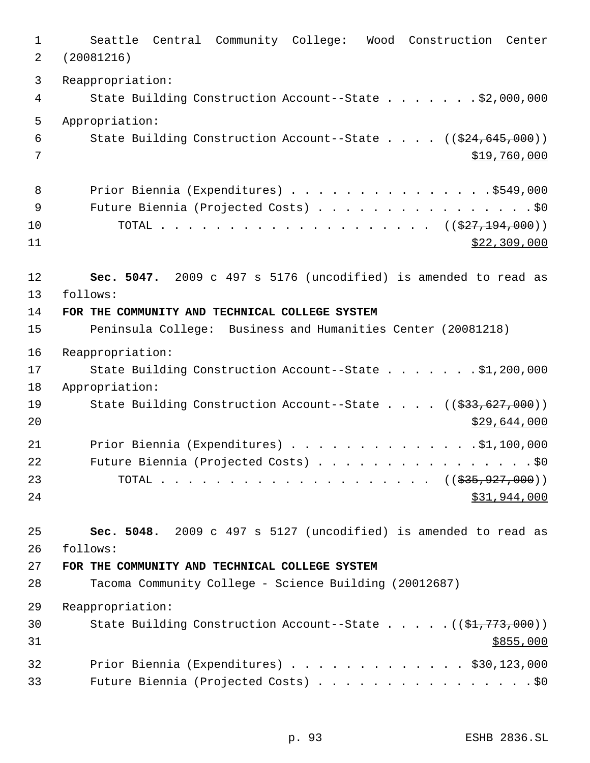Seattle Central Community College: Wood Construction Center (20081216) Reappropriation: 4 State Building Construction Account--State . . . . . . \$2,000,000 Appropriation: 6 State Building Construction Account--State . . . . ((\$24,645,000))  $\frac{1}{2}$   $\frac{1}{2}$   $\frac{1}{2}$   $\frac{1}{2}$   $\frac{1}{2}$   $\frac{1}{2}$   $\frac{1}{2}$   $\frac{1}{2}$   $\frac{1}{2}$   $\frac{1}{2}$   $\frac{1}{2}$   $\frac{1}{2}$   $\frac{1}{2}$   $\frac{1}{2}$   $\frac{1}{2}$   $\frac{1}{2}$   $\frac{1}{2}$   $\frac{1}{2}$   $\frac{1}{2}$   $\frac{1}{2}$   $\frac{1}{2}$   $\frac{1}{2$ 8 Prior Biennia (Expenditures) . . . . . . . . . . . . . . . \$549,000 9 Future Biennia (Projected Costs) . . . . . . . . . . . . . . . . \$0 10 TOTAL . . . . . . . . . . . . . . . . . . ((<del>\$27,194,000</del>))  $\frac{11}{22}$   $\frac{130}{20}$ , 000 **Sec. 5047.** 2009 c 497 s 5176 (uncodified) is amended to read as follows: **FOR THE COMMUNITY AND TECHNICAL COLLEGE SYSTEM** Peninsula College: Business and Humanities Center (20081218) Reappropriation: State Building Construction Account--State . . . . . . . \$1,200,000 Appropriation: 19 State Building Construction Account--State . . . . ((\$33,627,000)) \$29,644,000 21 Prior Biennia (Expenditures) . . . . . . . . . . . . . . \$1,100,000 22 Future Biennia (Projected Costs) . . . . . . . . . . . . . . . . \$0 23 TOTAL . . . . . . . . . . . . . . . . . . ((<del>\$35,927,000</del>)) 24 \$31,944,000 **Sec. 5048.** 2009 c 497 s 5127 (uncodified) is amended to read as follows: **FOR THE COMMUNITY AND TECHNICAL COLLEGE SYSTEM** Tacoma Community College - Science Building (20012687) Reappropriation: 30 State Building Construction Account--State . . . . . ((\$1,773,000)) \$855,000 Prior Biennia (Expenditures) . . . . . . . . . . . . . \$30,123,000 Future Biennia (Projected Costs) . . . . . . . . . . . . . . . . \$0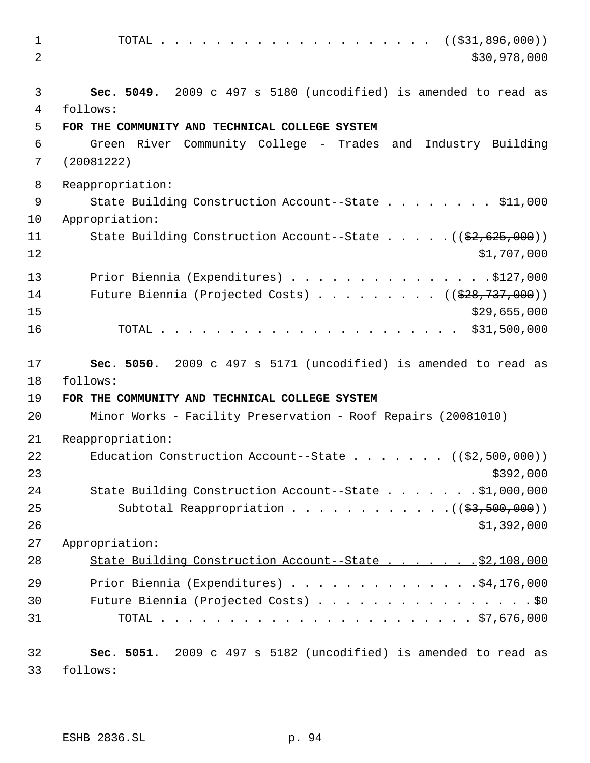1 TOTAL . . . . . . . . . . . . . . . . . (  $(\frac{231}{1000})$  $2^{30}$ ,978,000 **Sec. 5049.** 2009 c 497 s 5180 (uncodified) is amended to read as follows: **FOR THE COMMUNITY AND TECHNICAL COLLEGE SYSTEM** Green River Community College - Trades and Industry Building (20081222) Reappropriation: State Building Construction Account--State . . . . . . . . \$11,000 Appropriation: 11 State Building Construction Account--State . . . . . ((\$2,625,000)) 12 \$1,707,000 13 Prior Biennia (Expenditures) . . . . . . . . . . . . . . . \$127,000 14 Future Biennia (Projected Costs) . . . . . . . . ((\$28,737,000)) \$29,655,000 \$29,655,000 TOTAL . . . . . . . . . . . . . . . . . . . . . . \$31,500,000 **Sec. 5050.** 2009 c 497 s 5171 (uncodified) is amended to read as follows: **FOR THE COMMUNITY AND TECHNICAL COLLEGE SYSTEM** Minor Works - Facility Preservation - Roof Repairs (20081010) Reappropriation: 22 Education Construction Account--State . . . . . . ((\$2,500,000)) State Building Construction Account--State . . . . . . . \$1,000,000 25 Subtotal Reappropriation . . . . . . . . . . . . ((\$3,500,000)) \$1,392,000 Appropriation: 28 State Building Construction Account--State . . . . . . \$2,108,000 Prior Biennia (Expenditures) . . . . . . . . . . . . . .\$4,176,000 Future Biennia (Projected Costs) . . . . . . . . . . . . . . . . \$0 TOTAL . . . . . . . . . . . . . . . . . . . . . . . \$7,676,000 **Sec. 5051.** 2009 c 497 s 5182 (uncodified) is amended to read as follows: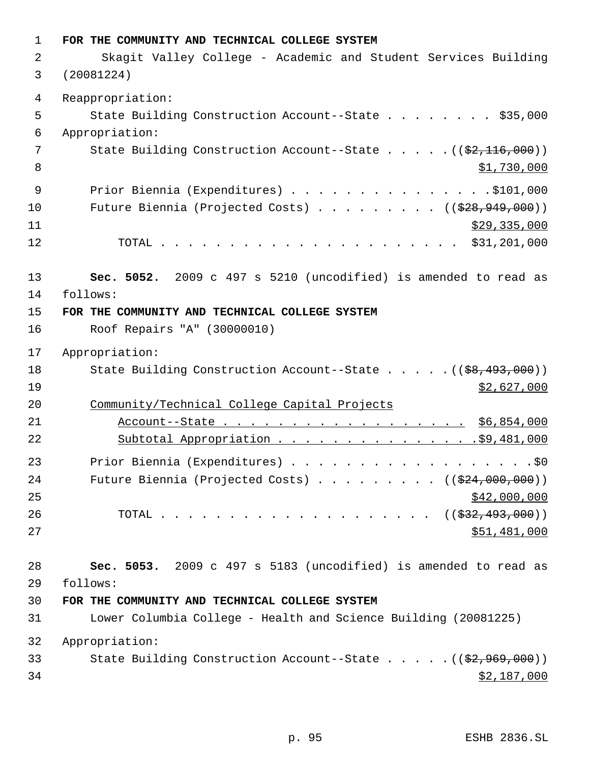**FOR THE COMMUNITY AND TECHNICAL COLLEGE SYSTEM** 2 Skagit Valley College - Academic and Student Services Building (20081224) Reappropriation: 5 State Building Construction Account--State . . . . . . . \$35,000 Appropriation: 7 State Building Construction Account--State . . . . . ((\$2,116,000))  $\text{S1,730,000}$ 9 Prior Biennia (Expenditures) . . . . . . . . . . . . . . . \$101,000 10 Future Biennia (Projected Costs) . . . . . . . . ((\$28,949,000)) \$29,335,000 TOTAL . . . . . . . . . . . . . . . . . . . . . . \$31,201,000 **Sec. 5052.** 2009 c 497 s 5210 (uncodified) is amended to read as follows: **FOR THE COMMUNITY AND TECHNICAL COLLEGE SYSTEM** Roof Repairs "A" (30000010) Appropriation: 18 State Building Construction Account--State . . . . . ((\$8,493,000)) \$2,627,000 Community/Technical College Capital Projects Account--State . . . . . . . . . . . . . . . . . . \$6,854,000 Subtotal Appropriation . . . . . . . . . . . . . . .\$9,481,000 23 Prior Biennia (Expenditures) . . . . . . . . . . . . . . . . . . \$0 24 Future Biennia (Projected Costs) . . . . . . . . ((\$24,000,000))  $\frac{$42,000,000}{9}$ 26 TOTAL . . . . . . . . . . . . . . . . . . ((<del>\$32,493,000</del>)) \$51,481,000 **Sec. 5053.** 2009 c 497 s 5183 (uncodified) is amended to read as follows: **FOR THE COMMUNITY AND TECHNICAL COLLEGE SYSTEM** Lower Columbia College - Health and Science Building (20081225) Appropriation: 33 State Building Construction Account--State . . . . . ((\$2,969,000)) \$2,187,000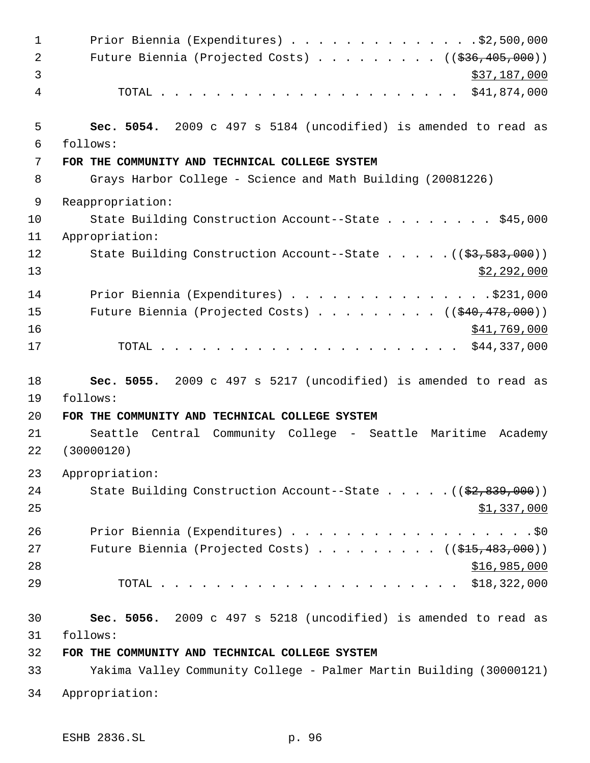1 Prior Biennia (Expenditures) . . . . . . . . . . . . . . \$2,500,000 2 Future Biennia (Projected Costs) . . . . . . . . ((\$36,405,000))  $3 \times 37,187,000$  TOTAL . . . . . . . . . . . . . . . . . . . . . . \$41,874,000 **Sec. 5054.** 2009 c 497 s 5184 (uncodified) is amended to read as follows: **FOR THE COMMUNITY AND TECHNICAL COLLEGE SYSTEM** Grays Harbor College - Science and Math Building (20081226) Reappropriation: 10 State Building Construction Account--State . . . . . . . \$45,000 Appropriation: 12 State Building Construction Account--State . . . . . ((\$3,583,000))  $\frac{13}{2}$ , 292,000 14 Prior Biennia (Expenditures) . . . . . . . . . . . . . . . \$231,000 15 Future Biennia (Projected Costs) . . . . . . . . ((\$40,478,000)) \$41,769,000 TOTAL . . . . . . . . . . . . . . . . . . . . . . \$44,337,000 **Sec. 5055.** 2009 c 497 s 5217 (uncodified) is amended to read as follows: **FOR THE COMMUNITY AND TECHNICAL COLLEGE SYSTEM** Seattle Central Community College - Seattle Maritime Academy (30000120) Appropriation: 24 State Building Construction Account--State . . . . . ((\$2,839,000))  $\frac{$1,337,000}{2}$ 26 Prior Biennia (Expenditures) . . . . . . . . . . . . . . . . . . \$0 27 Future Biennia (Projected Costs) . . . . . . . . ((\$15,483,000)) \$16,985,000 TOTAL . . . . . . . . . . . . . . . . . . . . . . \$18,322,000 **Sec. 5056.** 2009 c 497 s 5218 (uncodified) is amended to read as follows: **FOR THE COMMUNITY AND TECHNICAL COLLEGE SYSTEM** Yakima Valley Community College - Palmer Martin Building (30000121) Appropriation: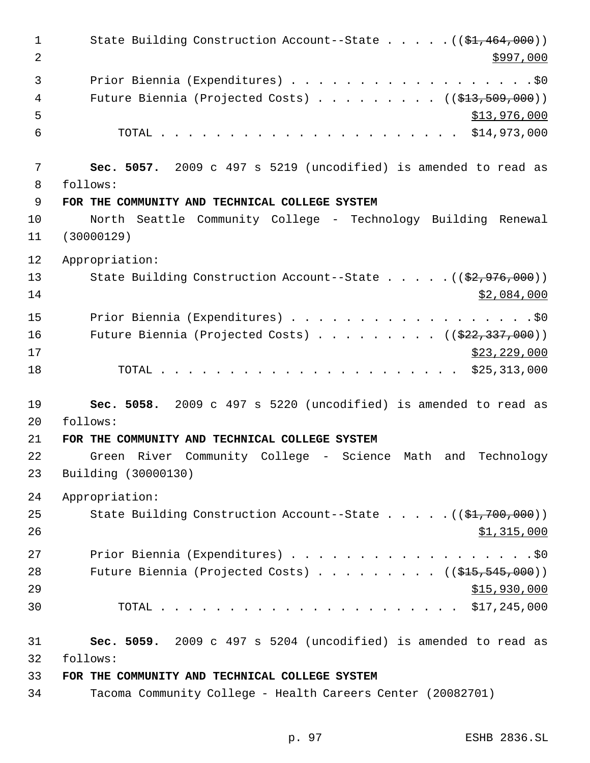1 State Building Construction Account--State . . . . . ((\$1,464,000))  $2 \frac{\text{S}}{997,000}$  Prior Biennia (Expenditures) . . . . . . . . . . . . . . . . . .\$0 4 Future Biennia (Projected Costs) . . . . . . . . ((\$13,509,000))  $5 - 5$   $5 - 5$   $5 - 76$ , 000 TOTAL . . . . . . . . . . . . . . . . . . . . . . \$14,973,000 **Sec. 5057.** 2009 c 497 s 5219 (uncodified) is amended to read as follows: **FOR THE COMMUNITY AND TECHNICAL COLLEGE SYSTEM** North Seattle Community College - Technology Building Renewal (30000129) Appropriation: 13 State Building Construction Account--State . . . . . ((\$2,976,000)) \$2,084,000 15 Prior Biennia (Expenditures) . . . . . . . . . . . . . . . . . . \$0 16 Future Biennia (Projected Costs) . . . . . . . . ((<del>\$22,337,000</del>)) \$23,229,000 TOTAL . . . . . . . . . . . . . . . . . . . . . . \$25,313,000 **Sec. 5058.** 2009 c 497 s 5220 (uncodified) is amended to read as follows: **FOR THE COMMUNITY AND TECHNICAL COLLEGE SYSTEM** Green River Community College - Science Math and Technology Building (30000130) Appropriation: 25 State Building Construction Account--State . . . . . ((\$1,700,000)) \$1,315,000 Prior Biennia (Expenditures) . . . . . . . . . . . . . . . . . .\$0 28 Future Biennia (Projected Costs) . . . . . . . . ((\$15,545,000))  $515,930,000$  TOTAL . . . . . . . . . . . . . . . . . . . . . . \$17,245,000 **Sec. 5059.** 2009 c 497 s 5204 (uncodified) is amended to read as follows: **FOR THE COMMUNITY AND TECHNICAL COLLEGE SYSTEM** Tacoma Community College - Health Careers Center (20082701)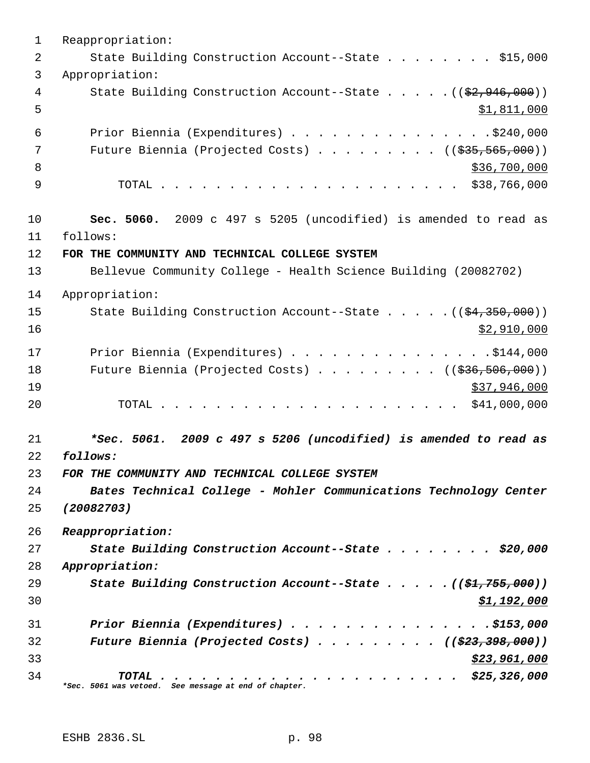Reappropriation: 2 State Building Construction Account--State . . . . . . . \$15,000 Appropriation: 4 State Building Construction Account--State . . . . . ((\$2,946,000)) \$1,811,000 Prior Biennia (Expenditures) . . . . . . . . . . . . . . .\$240,000 7 Future Biennia (Projected Costs) . . . . . . . . . ((\$35,565,000))  $8 \times 36,700,000$  TOTAL . . . . . . . . . . . . . . . . . . . . . . \$38,766,000 **Sec. 5060.** 2009 c 497 s 5205 (uncodified) is amended to read as follows: **FOR THE COMMUNITY AND TECHNICAL COLLEGE SYSTEM** Bellevue Community College - Health Science Building (20082702) Appropriation: 15 State Building Construction Account--State . . . . . ((\$4,350,000)) \$2,910,000 17 Prior Biennia (Expenditures) . . . . . . . . . . . . . . . \$144,000 18 Future Biennia (Projected Costs) . . . . . . . . ((\$36,506,000)) \$37,946,000 TOTAL . . . . . . . . . . . . . . . . . . . . . . \$41,000,000 *\*Sec. 5061. 2009 c 497 s 5206 (uncodified) is amended to read as follows: FOR THE COMMUNITY AND TECHNICAL COLLEGE SYSTEM Bates Technical College - Mohler Communications Technology Center (20082703) Reappropriation: State Building Construction Account--State . . . . . . . . \$20,000 Appropriation: State Building Construction Account--State . . . . . ((\$1,755,000)) \$1,192,000 Prior Biennia (Expenditures) . . . . . . . . . . . . . . .\$153,000 Future Biennia (Projected Costs) . . . . . . . . . ((\$23,398,000)) \$23,961,000 TOTAL . . . . . . . . . . . . . . . . . . . . . . \$25,326,000 \*Sec. 5061 was vetoed. See message at end of chapter.*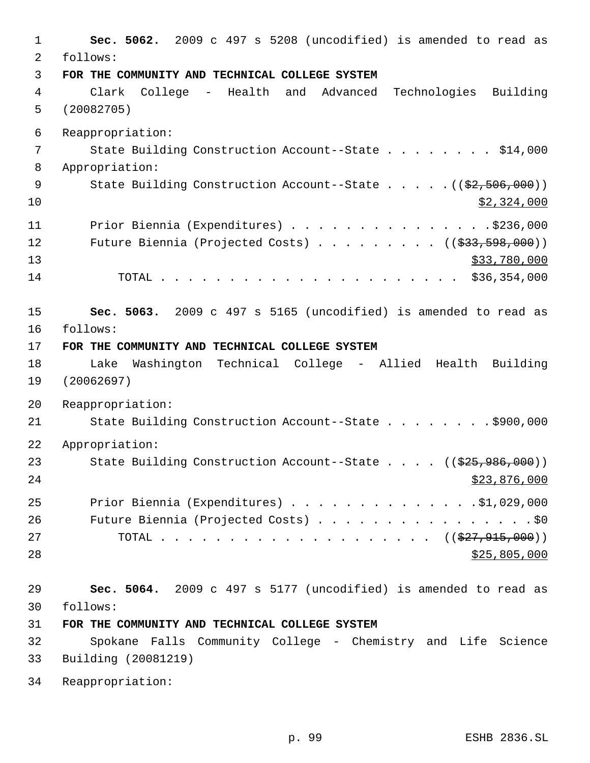| $\mathbf 1$<br>2 | Sec. 5062. 2009 c 497 s 5208 (uncodified) is amended to read as<br>follows:                    |
|------------------|------------------------------------------------------------------------------------------------|
| 3                | FOR THE COMMUNITY AND TECHNICAL COLLEGE SYSTEM                                                 |
| 4<br>5           | Advanced Technologies Building<br>College - Health and<br>Clark<br>(20082705)                  |
| 6                | Reappropriation:                                                                               |
| 7                | State Building Construction Account--State \$14,000                                            |
| 8                | Appropriation:                                                                                 |
| 9<br>10          | State Building Construction Account--State $($ $($ $\frac{2}{7}, 506, 000)$ $)$<br>\$2,324,000 |
| 11               | Prior Biennia (Expenditures) \$236,000                                                         |
| 12               | Future Biennia (Projected Costs) ( $(\frac{233}{533}, \frac{598}{500})$ )                      |
| 13               | \$33,780,000                                                                                   |
| 14               |                                                                                                |
|                  |                                                                                                |
| 15               | Sec. 5063. 2009 c 497 s 5165 (uncodified) is amended to read as                                |
| 16               | follows:                                                                                       |
| 17               | FOR THE COMMUNITY AND TECHNICAL COLLEGE SYSTEM                                                 |
| 18<br>19         | Washington Technical College - Allied Health Building<br>Lake<br>(20062697)                    |
| 20               | Reappropriation:                                                                               |
| 21               | State Building Construction Account--State \$900,000                                           |
| 22               | Appropriation:                                                                                 |
| 23               | State Building Construction Account--State ((\$25,986,000))                                    |
| 24               | \$23,876,000                                                                                   |
| 25               | Prior Biennia (Expenditures) $\ldots$ 91,029,000                                               |
| 26               | Future Biennia (Projected Costs) \$0                                                           |
| 27               | TOTAL ( $(\frac{27}{7}, \frac{915}{900})$ )                                                    |
| 28               | \$25,805,000                                                                                   |
| 29               | Sec. 5064. 2009 c 497 s 5177 (uncodified) is amended to read as                                |
| 30               | follows:                                                                                       |
| 31               | FOR THE COMMUNITY AND TECHNICAL COLLEGE SYSTEM                                                 |
| 32               | Spokane Falls Community College - Chemistry and Life Science                                   |
| 33               | Building (20081219)                                                                            |
| 34               | Reappropriation:                                                                               |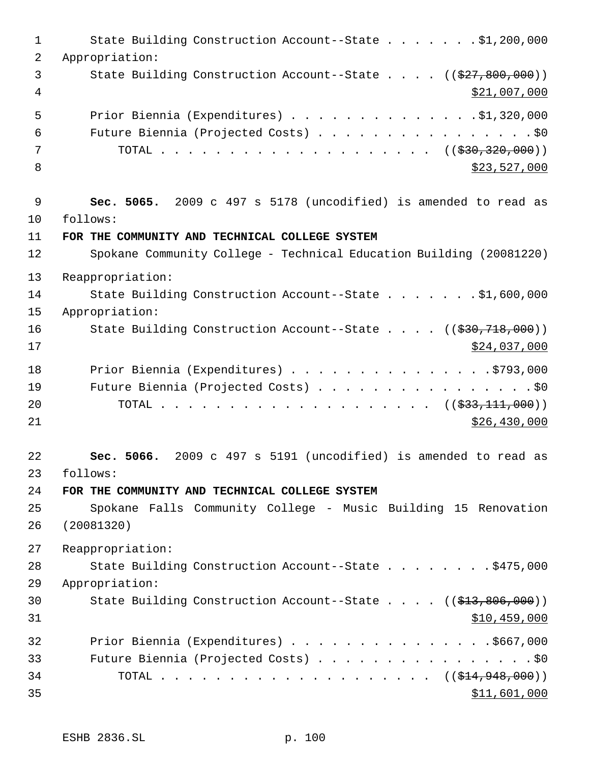1 State Building Construction Account--State . . . . . . \$1,200,000 Appropriation: 3 State Building Construction Account--State . . . . ((\$27,800,000)) \$21,007,000 Prior Biennia (Expenditures) . . . . . . . . . . . . . .\$1,320,000 Future Biennia (Projected Costs) . . . . . . . . . . . . . . . . \$0 TOTAL . . . . . . . . . . . . . . . . . . . . ((\$30,320,000))  $8 \times 23,527,000$  **Sec. 5065.** 2009 c 497 s 5178 (uncodified) is amended to read as follows: **FOR THE COMMUNITY AND TECHNICAL COLLEGE SYSTEM** Spokane Community College - Technical Education Building (20081220) Reappropriation: State Building Construction Account--State . . . . . . . \$1,600,000 Appropriation: 16 State Building Construction Account--State . . . . ((\$30,718,000)) \$24,037,000 18 Prior Biennia (Expenditures) . . . . . . . . . . . . . . . . \$793,000 Future Biennia (Projected Costs) . . . . . . . . . . . . . . . . \$0 20 TOTAL . . . . . . . . . . . . . . . . . (  $(\frac{233}{111},000)$  ) \$26,430,000 **Sec. 5066.** 2009 c 497 s 5191 (uncodified) is amended to read as follows: **FOR THE COMMUNITY AND TECHNICAL COLLEGE SYSTEM** Spokane Falls Community College - Music Building 15 Renovation (20081320) Reappropriation: 28 State Building Construction Account--State . . . . . . . \$475,000 Appropriation: 30 State Building Construction Account--State . . . . ((\$13,806,000)) \$10,459,000 32 Prior Biennia (Expenditures) . . . . . . . . . . . . . . . \$667,000 Future Biennia (Projected Costs) . . . . . . . . . . . . . . . . \$0 34 TOTAL . . . . . . . . . . . . . . . . . . ((\$14,948,000))  $31,601,000$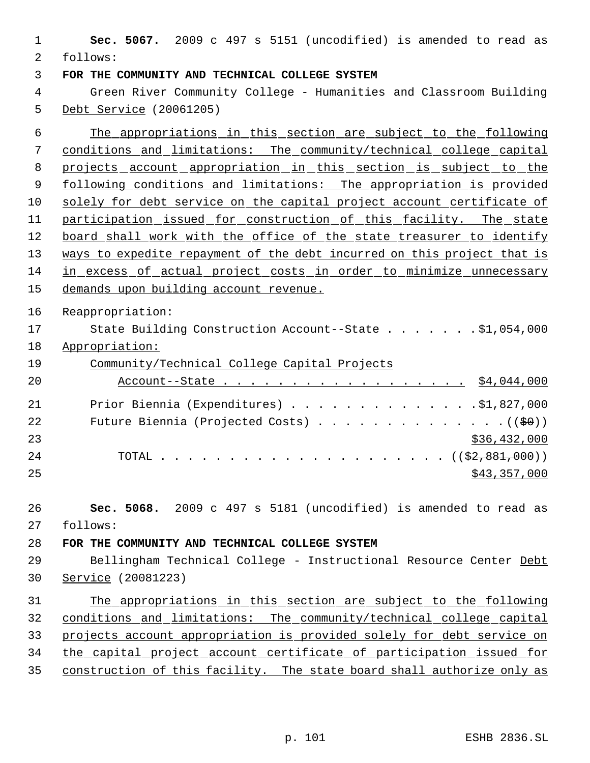**Sec. 5067.** 2009 c 497 s 5151 (uncodified) is amended to read as follows: **FOR THE COMMUNITY AND TECHNICAL COLLEGE SYSTEM** Green River Community College - Humanities and Classroom Building Debt Service (20061205) The appropriations in this section are subject to the following conditions and limitations: The community/technical college capital 8 projects account appropriation in this section is subject to the 9 following conditions and limitations: The appropriation is provided solely for debt service on the capital project account certificate of 11 participation issued for construction of this facility. The state 12 board shall work with the office of the state treasurer to identify 13 ways to expedite repayment of the debt incurred on this project that is in excess of actual project costs in order to minimize unnecessary demands upon building account revenue. Reappropriation: State Building Construction Account--State . . . . . . . \$1,054,000 Appropriation: Community/Technical College Capital Projects 20 Account--State . . . . . . . . . . . . . . . . . \$4,044,000 Prior Biennia (Expenditures) . . . . . . . . . . . . . .\$1,827,000 22 Future Biennia (Projected Costs) . . . . . . . . . . . . . .  $($   $($  $\frac{60}{7})$ ) \$36,432,000 TOTAL . . . . . . . . . . . . . . . . . . . . . ((\$2,881,000)) \$43,357,000 **Sec. 5068.** 2009 c 497 s 5181 (uncodified) is amended to read as follows: **FOR THE COMMUNITY AND TECHNICAL COLLEGE SYSTEM** 29 Bellingham Technical College - Instructional Resource Center Debt Service (20081223) The appropriations in this section are subject to the following conditions and limitations: The community/technical college capital projects account appropriation is provided solely for debt service on the capital project account certificate of participation issued for construction of this facility. The state board shall authorize only as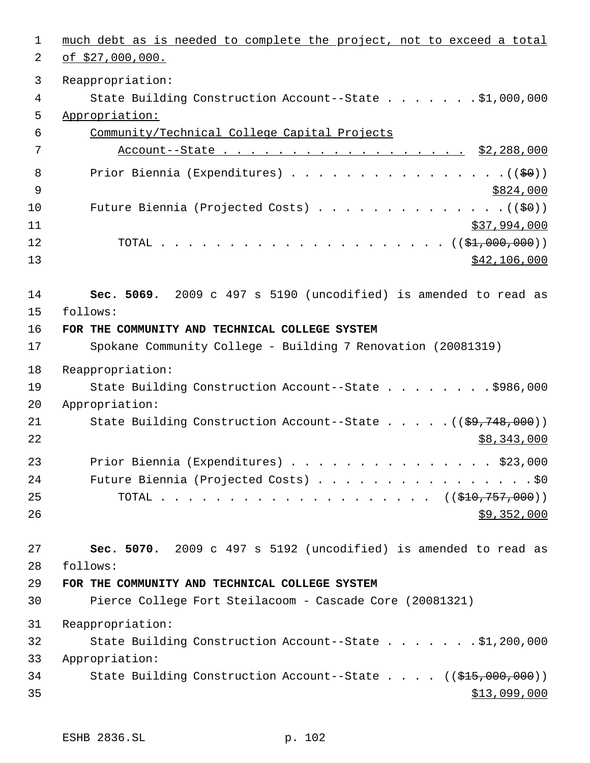| 1  | much debt as is needed to complete the project, not to exceed a total  |
|----|------------------------------------------------------------------------|
| 2  | $of $27,000,000.$                                                      |
| 3  | Reappropriation:                                                       |
| 4  | State Building Construction Account--State \$1,000,000                 |
| 5  | Appropriation:                                                         |
| 6  | Community/Technical College Capital Projects                           |
| 7  | Account--State \$2,288,000                                             |
| 8  |                                                                        |
| 9  | \$824,000                                                              |
| 10 |                                                                        |
| 11 | \$37,994,000                                                           |
| 12 |                                                                        |
| 13 | \$42,106,000                                                           |
| 14 | Sec. 5069. 2009 c 497 s 5190 (uncodified) is amended to read as        |
| 15 | follows:                                                               |
| 16 | FOR THE COMMUNITY AND TECHNICAL COLLEGE SYSTEM                         |
| 17 | Spokane Community College - Building 7 Renovation (20081319)           |
| 18 | Reappropriation:                                                       |
| 19 | State Building Construction Account--State \$986,000                   |
| 20 | Appropriation:                                                         |
| 21 | State Building Construction Account--State $((\frac{29}{7748,000}))$   |
| 22 | \$8,343,000                                                            |
| 23 | Prior Biennia (Expenditures) \$23,000                                  |
| 24 | Future Biennia (Projected Costs) \$0                                   |
| 25 |                                                                        |
| 26 | \$9,352,000                                                            |
| 27 | Sec. 5070. 2009 c 497 s 5192 (uncodified) is amended to read as        |
| 28 | follows:                                                               |
| 29 | FOR THE COMMUNITY AND TECHNICAL COLLEGE SYSTEM                         |
| 30 | Pierce College Fort Steilacoom - Cascade Core (20081321)               |
| 31 | Reappropriation:                                                       |
| 32 | State Building Construction Account--State \$1,200,000                 |
| 33 | Appropriation:                                                         |
| 34 | State Building Construction Account--State $((\frac{215,000,000)}{2})$ |
| 35 | <u>\$13,099,000</u>                                                    |
|    |                                                                        |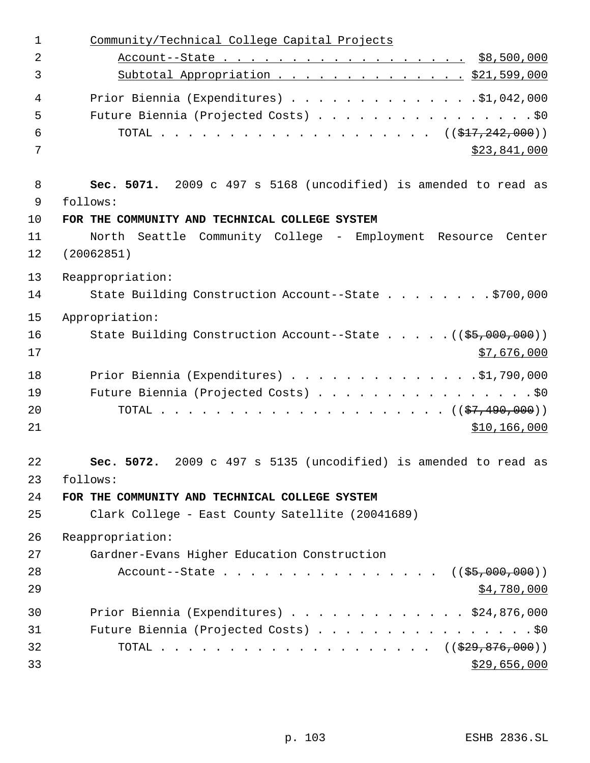| 1              | Community/Technical College Capital Projects                       |
|----------------|--------------------------------------------------------------------|
| $\overline{2}$ |                                                                    |
| 3              | Subtotal Appropriation \$21,599,000                                |
| $\overline{4}$ | Prior Biennia (Expenditures) $\ldots$ 91,042,000                   |
| 5              | Future Biennia (Projected Costs) \$0                               |
| 6              | TOTAL ( $(\frac{1}{217}, \frac{242}{100})$ )                       |
| 7              | \$23,841,000                                                       |
| 8              | Sec. 5071. 2009 c 497 s 5168 (uncodified) is amended to read as    |
| 9              | follows:                                                           |
| 10             | FOR THE COMMUNITY AND TECHNICAL COLLEGE SYSTEM                     |
| 11             | North Seattle Community College - Employment Resource Center       |
| 12             | (20062851)                                                         |
| 13             | Reappropriation:                                                   |
| 14             | State Building Construction Account--State \$700,000               |
| 15             | Appropriation:                                                     |
| 16             | State Building Construction Account--State ((\$5,000,000))         |
| 17             | \$7,676,000                                                        |
| 18             | Prior Biennia (Expenditures) \$1,790,000                           |
| 19             | Future Biennia (Projected Costs) \$0                               |
| 20             |                                                                    |
| 21             | \$10,166,000                                                       |
| 22             | 2009 c 497 s 5135 (uncodified) is amended to read as<br>Sec. 5072. |
| 23             | follows:                                                           |
| 24             | FOR THE COMMUNITY AND TECHNICAL COLLEGE SYSTEM                     |
| 25             | Clark College - East County Satellite (20041689)                   |
| 26             | Reappropriation:                                                   |
| 27             | Gardner-Evans Higher Education Construction                        |
| 28             | Account--State $($ $(*5,000,000))$                                 |
| 29             | \$4,780,000                                                        |
| 30             | Prior Biennia (Expenditures) \$24,876,000                          |
| 31             | Future Biennia (Projected Costs) \$0                               |
| 32             |                                                                    |
| 33             | \$29,656,000                                                       |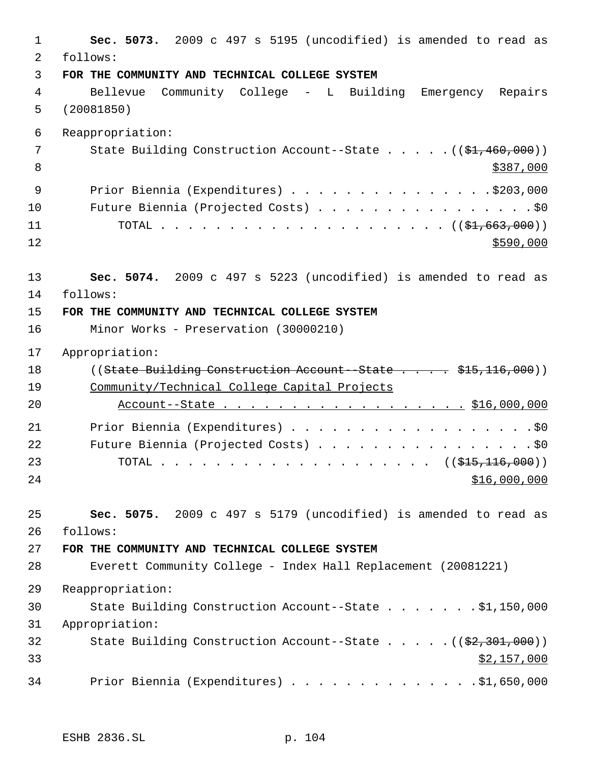**Sec. 5073.** 2009 c 497 s 5195 (uncodified) is amended to read as follows: **FOR THE COMMUNITY AND TECHNICAL COLLEGE SYSTEM** Bellevue Community College - L Building Emergency Repairs (20081850) Reappropriation: 7 State Building Construction Account--State . . . . . ((\$1,460,000))  $\frac{$387,000}{ }$ 9 Prior Biennia (Expenditures) . . . . . . . . . . . . . . . \$203,000 10 Future Biennia (Projected Costs) . . . . . . . . . . . . . . . . \$0 TOTAL . . . . . . . . . . . . . . . . . . . . . ((\$1,663,000))  $\frac{$590,000}{900}$  **Sec. 5074.** 2009 c 497 s 5223 (uncodified) is amended to read as follows: **FOR THE COMMUNITY AND TECHNICAL COLLEGE SYSTEM** Minor Works - Preservation (30000210) Appropriation: 18 ((State Building Construction Account - State . . . . \$15,116,000)) Community/Technical College Capital Projects 20 Account--State . . . . . . . . . . . . . . . . . \$16,000,000 Prior Biennia (Expenditures) . . . . . . . . . . . . . . . . . .\$0 22 Future Biennia (Projected Costs) . . . . . . . . . . . . . . . . \$0 23 TOTAL . . . . . . . . . . . . . . . . . . ((\$<del>15,116,000</del>)) \$16,000,000 **Sec. 5075.** 2009 c 497 s 5179 (uncodified) is amended to read as follows: **FOR THE COMMUNITY AND TECHNICAL COLLEGE SYSTEM** Everett Community College - Index Hall Replacement (20081221) Reappropriation: State Building Construction Account--State . . . . . . . \$1,150,000 Appropriation: 32 State Building Construction Account--State . . . . . ((\$2,301,000))  $$2,157,000$ Prior Biennia (Expenditures) . . . . . . . . . . . . . .\$1,650,000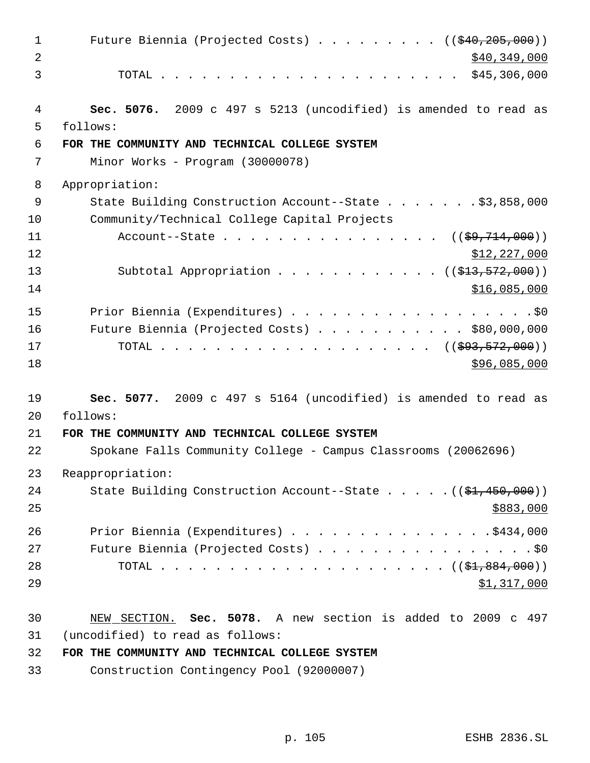1 Future Biennia (Projected Costs) . . . . . . . . ((\$40,205,000))  $\frac{1}{2}$  \$40,349,000 TOTAL . . . . . . . . . . . . . . . . . . . . . . \$45,306,000 **Sec. 5076.** 2009 c 497 s 5213 (uncodified) is amended to read as follows: **FOR THE COMMUNITY AND TECHNICAL COLLEGE SYSTEM** Minor Works - Program (30000078) Appropriation: State Building Construction Account--State . . . . . . . \$3,858,000 Community/Technical College Capital Projects 11 Account--State . . . . . . . . . . . . . . ((<del>\$9,714,000</del>)) 12 \$12,227,000 13 Subtotal Appropriation . . . . . . . . . . . ((<del>\$13,572,000</del>)) \$16,085,000 15 Prior Biennia (Expenditures) . . . . . . . . . . . . . . . . . . \$0 Future Biennia (Projected Costs) . . . . . . . . . . . \$80,000,000 TOTAL . . . . . . . . . . . . . . . . . . . . ((\$93,572,000)) \$96,085,000 \$96,085,000 \$96,085,000 \$96,085,000 \$96,085,000 \$96,085,000 \$96,085,000 \$96,085,000 \$96,000 \$96,000 \$96,000 \$96,000 \$96,000 \$96,000 \$96,000 \$96,000 \$96,000 \$96,000 \$96,000 \$96,000 \$96,000 \$96,000 \$96,000 **Sec. 5077.** 2009 c 497 s 5164 (uncodified) is amended to read as follows: **FOR THE COMMUNITY AND TECHNICAL COLLEGE SYSTEM** Spokane Falls Community College - Campus Classrooms (20062696) Reappropriation: 24 State Building Construction Account--State . . . . . ((\$1,450,000)) 26 Prior Biennia (Expenditures) . . . . . . . . . . . . . . \$434,000 27 Future Biennia (Projected Costs) . . . . . . . . . . . . . . . . \$0 TOTAL . . . . . . . . . . . . . . . . . . . . . ((\$1,884,000)) 29 \$1,317,000 NEW SECTION. **Sec. 5078.** A new section is added to 2009 c 497 (uncodified) to read as follows: **FOR THE COMMUNITY AND TECHNICAL COLLEGE SYSTEM**

Construction Contingency Pool (92000007)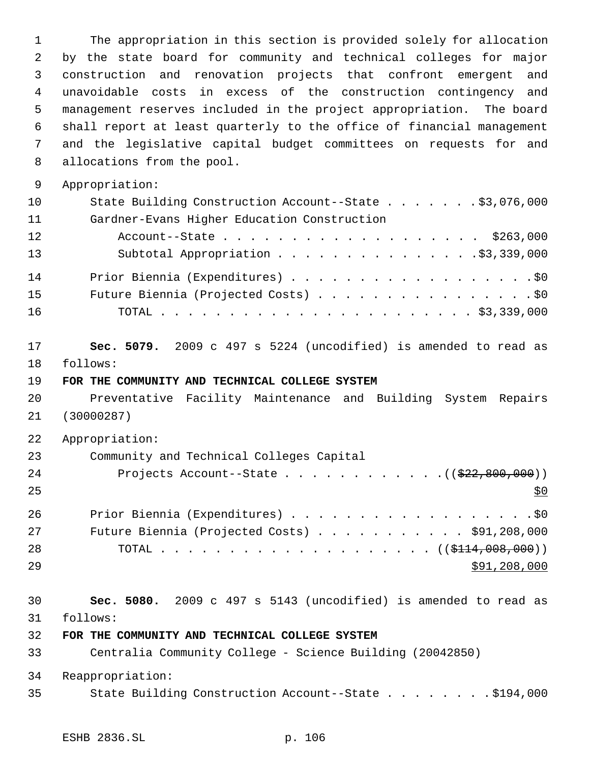The appropriation in this section is provided solely for allocation by the state board for community and technical colleges for major construction and renovation projects that confront emergent and unavoidable costs in excess of the construction contingency and management reserves included in the project appropriation. The board shall report at least quarterly to the office of financial management and the legislative capital budget committees on requests for and allocations from the pool. Appropriation: State Building Construction Account--State . . . . . . . \$3,076,000 Gardner-Evans Higher Education Construction Account--State . . . . . . . . . . . . . . . . . . . \$263,000 13 Subtotal Appropriation . . . . . . . . . . . . . . . \$3,339,000 14 Prior Biennia (Expenditures) . . . . . . . . . . . . . . . . . . \$0 Future Biennia (Projected Costs) . . . . . . . . . . . . . . . . \$0 TOTAL . . . . . . . . . . . . . . . . . . . . . . . \$3,339,000 **Sec. 5079.** 2009 c 497 s 5224 (uncodified) is amended to read as follows: **FOR THE COMMUNITY AND TECHNICAL COLLEGE SYSTEM** Preventative Facility Maintenance and Building System Repairs (30000287) Appropriation: Community and Technical Colleges Capital 24 Projects Account--State . . . . . . . . . . . ((\$22,800,000)) 26 Prior Biennia (Expenditures) . . . . . . . . . . . . . . . . . . \$0 Future Biennia (Projected Costs) . . . . . . . . . . . \$91,208,000 28 TOTAL . . . . . . . . . . . . . . . . . . ((\$<del>114,008,000</del>))  $591,208,000$  **Sec. 5080.** 2009 c 497 s 5143 (uncodified) is amended to read as follows: **FOR THE COMMUNITY AND TECHNICAL COLLEGE SYSTEM** Centralia Community College - Science Building (20042850) Reappropriation: State Building Construction Account--State . . . . . . . . \$194,000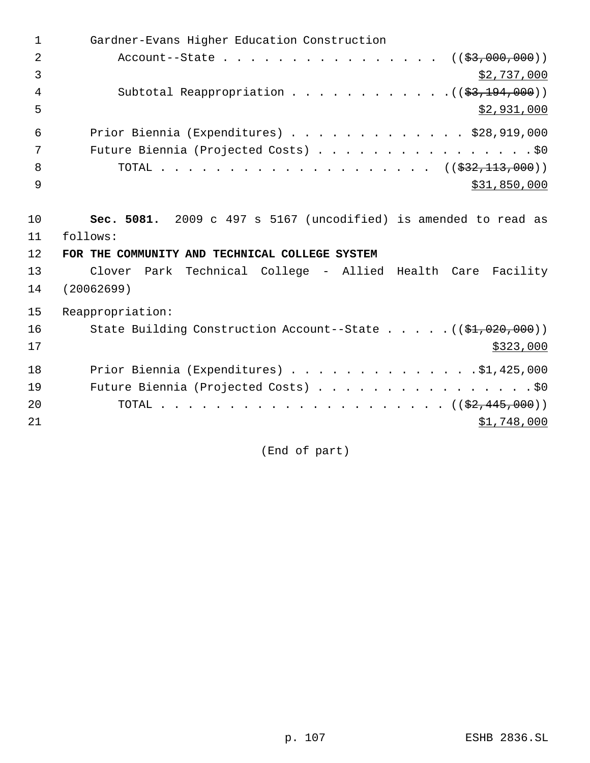1 Gardner-Evans Higher Education Construction 2 Account--State . . . . . . . . . . . . . . . ((\$3,000,000)) 3  $\frac{1}{2}$ ,737,000 4 Subtotal Reappropriation . . . . . . . . . . . . ((\$3,194,000))  $5 - 5$  \$2,931,000 6 Prior Biennia (Expenditures) . . . . . . . . . . . . . \$28,919,000 7 Future Biennia (Projected Costs) . . . . . . . . . . . . . . . . \$0 8 TOTAL . . . . . . . . . . . . . . . . . . ((\$32,113,000))  $9$  \$31,850,000 10 **Sec. 5081.** 2009 c 497 s 5167 (uncodified) is amended to read as 11 follows: 12 **FOR THE COMMUNITY AND TECHNICAL COLLEGE SYSTEM** 13 Clover Park Technical College - Allied Health Care Facility 14 (20062699) 15 Reappropriation: 16 State Building Construction Account--State . . . . . ((\$1,020,000))  $17$  \$323,000 18 Prior Biennia (Expenditures) . . . . . . . . . . . . . . \$1,425,000 19 Future Biennia (Projected Costs) . . . . . . . . . . . . . . . . \$0 20 TOTAL . . . . . . . . . . . . . . . . . . (  $(\frac{2}{2}, \frac{445}{100})$  ) 21  $\frac{$1,748,000}{ }$ 

(End of part)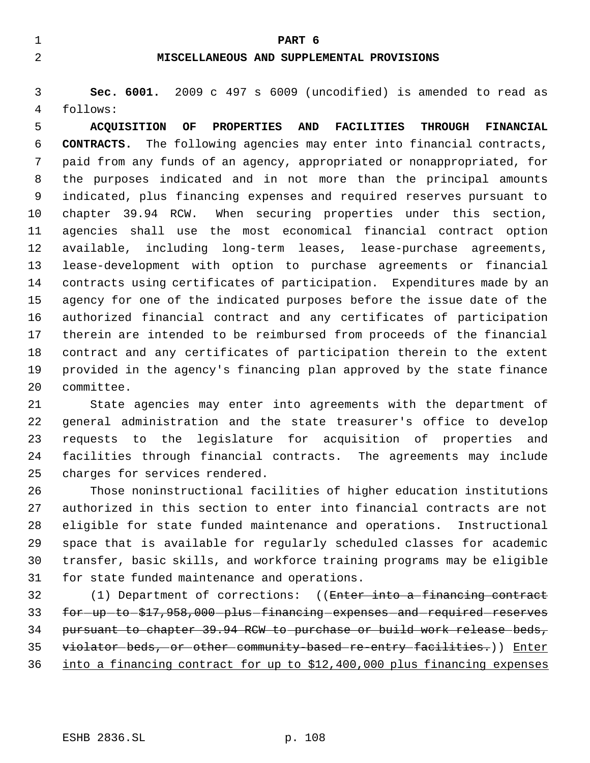**PART 6**

# **MISCELLANEOUS AND SUPPLEMENTAL PROVISIONS**

 **Sec. 6001.** 2009 c 497 s 6009 (uncodified) is amended to read as follows:

 **ACQUISITION OF PROPERTIES AND FACILITIES THROUGH FINANCIAL CONTRACTS.** The following agencies may enter into financial contracts, paid from any funds of an agency, appropriated or nonappropriated, for the purposes indicated and in not more than the principal amounts indicated, plus financing expenses and required reserves pursuant to chapter 39.94 RCW. When securing properties under this section, agencies shall use the most economical financial contract option available, including long-term leases, lease-purchase agreements, lease-development with option to purchase agreements or financial contracts using certificates of participation. Expenditures made by an agency for one of the indicated purposes before the issue date of the authorized financial contract and any certificates of participation therein are intended to be reimbursed from proceeds of the financial contract and any certificates of participation therein to the extent provided in the agency's financing plan approved by the state finance committee.

 State agencies may enter into agreements with the department of general administration and the state treasurer's office to develop requests to the legislature for acquisition of properties and facilities through financial contracts. The agreements may include charges for services rendered.

 Those noninstructional facilities of higher education institutions authorized in this section to enter into financial contracts are not eligible for state funded maintenance and operations. Instructional space that is available for regularly scheduled classes for academic transfer, basic skills, and workforce training programs may be eligible for state funded maintenance and operations.

 (1) Department of corrections: ((Enter into a financing contract 33 for -up to \$17,958,000 plus financing expenses and required reserves pursuant to chapter 39.94 RCW to purchase or build work release beds, violator beds, or other community-based re-entry facilities.)) Enter into a financing contract for up to \$12,400,000 plus financing expenses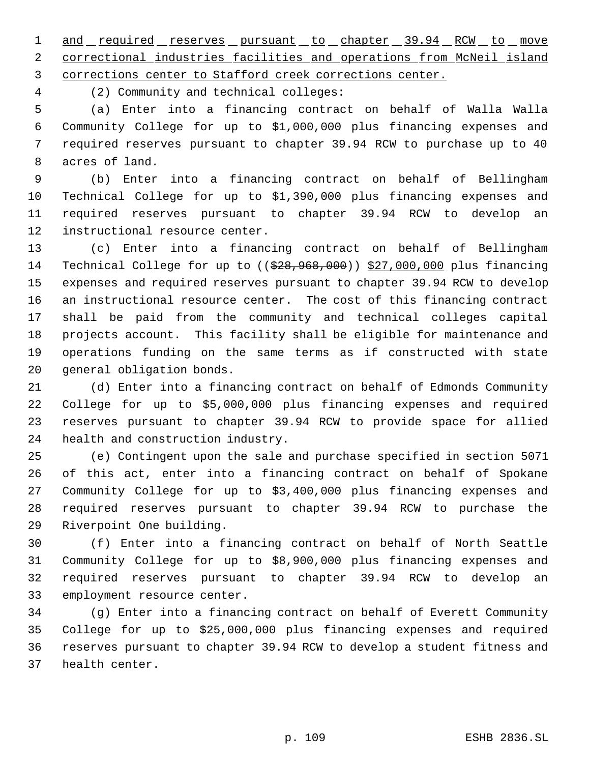1 and required reserves pursuant to chapter 39.94 RCW to move correctional industries facilities and operations from McNeil island corrections center to Stafford creek corrections center.

(2) Community and technical colleges:

 (a) Enter into a financing contract on behalf of Walla Walla Community College for up to \$1,000,000 plus financing expenses and required reserves pursuant to chapter 39.94 RCW to purchase up to 40 acres of land.

 (b) Enter into a financing contract on behalf of Bellingham Technical College for up to \$1,390,000 plus financing expenses and required reserves pursuant to chapter 39.94 RCW to develop an instructional resource center.

 (c) Enter into a financing contract on behalf of Bellingham 14 Technical College for up to ((\$28,968,000)) \$27,000,000 plus financing expenses and required reserves pursuant to chapter 39.94 RCW to develop an instructional resource center. The cost of this financing contract shall be paid from the community and technical colleges capital projects account. This facility shall be eligible for maintenance and operations funding on the same terms as if constructed with state general obligation bonds.

 (d) Enter into a financing contract on behalf of Edmonds Community College for up to \$5,000,000 plus financing expenses and required reserves pursuant to chapter 39.94 RCW to provide space for allied health and construction industry.

 (e) Contingent upon the sale and purchase specified in section 5071 of this act, enter into a financing contract on behalf of Spokane Community College for up to \$3,400,000 plus financing expenses and required reserves pursuant to chapter 39.94 RCW to purchase the Riverpoint One building.

 (f) Enter into a financing contract on behalf of North Seattle Community College for up to \$8,900,000 plus financing expenses and required reserves pursuant to chapter 39.94 RCW to develop an employment resource center.

 (g) Enter into a financing contract on behalf of Everett Community College for up to \$25,000,000 plus financing expenses and required reserves pursuant to chapter 39.94 RCW to develop a student fitness and health center.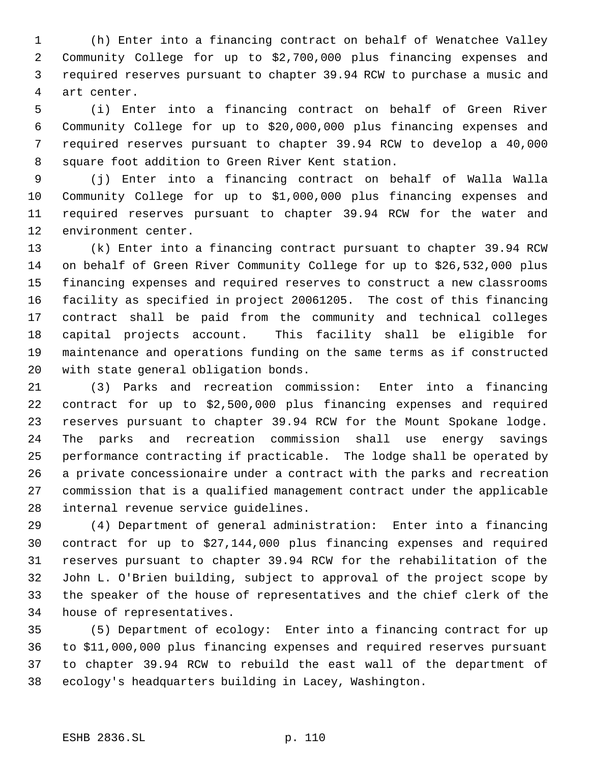(h) Enter into a financing contract on behalf of Wenatchee Valley Community College for up to \$2,700,000 plus financing expenses and required reserves pursuant to chapter 39.94 RCW to purchase a music and art center.

 (i) Enter into a financing contract on behalf of Green River Community College for up to \$20,000,000 plus financing expenses and required reserves pursuant to chapter 39.94 RCW to develop a 40,000 square foot addition to Green River Kent station.

 (j) Enter into a financing contract on behalf of Walla Walla Community College for up to \$1,000,000 plus financing expenses and required reserves pursuant to chapter 39.94 RCW for the water and environment center.

 (k) Enter into a financing contract pursuant to chapter 39.94 RCW on behalf of Green River Community College for up to \$26,532,000 plus financing expenses and required reserves to construct a new classrooms facility as specified in project 20061205. The cost of this financing contract shall be paid from the community and technical colleges capital projects account. This facility shall be eligible for maintenance and operations funding on the same terms as if constructed with state general obligation bonds.

 (3) Parks and recreation commission: Enter into a financing contract for up to \$2,500,000 plus financing expenses and required reserves pursuant to chapter 39.94 RCW for the Mount Spokane lodge. The parks and recreation commission shall use energy savings performance contracting if practicable. The lodge shall be operated by a private concessionaire under a contract with the parks and recreation commission that is a qualified management contract under the applicable internal revenue service guidelines.

 (4) Department of general administration: Enter into a financing contract for up to \$27,144,000 plus financing expenses and required reserves pursuant to chapter 39.94 RCW for the rehabilitation of the John L. O'Brien building, subject to approval of the project scope by the speaker of the house of representatives and the chief clerk of the house of representatives.

 (5) Department of ecology: Enter into a financing contract for up to \$11,000,000 plus financing expenses and required reserves pursuant to chapter 39.94 RCW to rebuild the east wall of the department of ecology's headquarters building in Lacey, Washington.

#### ESHB 2836.SL p. 110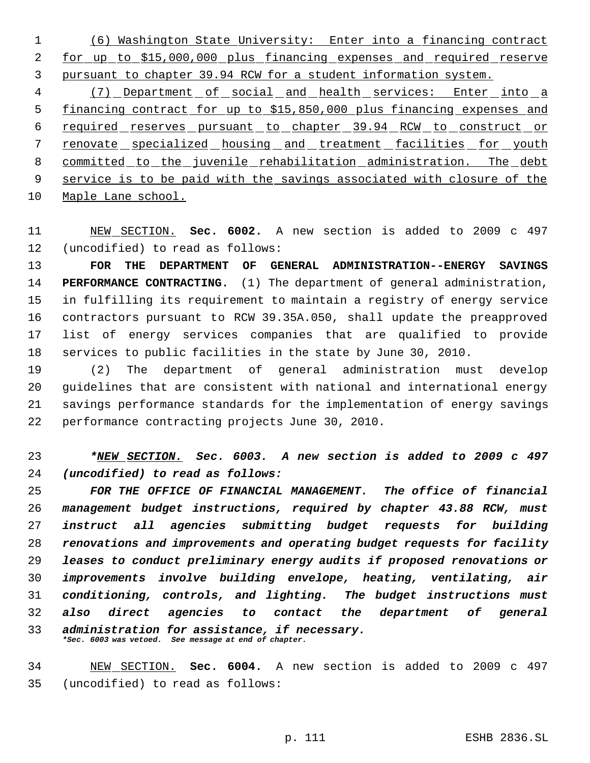(6) Washington State University: Enter into a financing contract for up to \$15,000,000 plus financing expenses and required reserve pursuant to chapter 39.94 RCW for a student information system.

 (7) Department of social and health services: Enter into a financing contract for up to \$15,850,000 plus financing expenses and 6 required reserves pursuant to chapter 39.94 RCW to construct or renovate specialized housing and treatment facilities for youth committed to the juvenile rehabilitation administration. The debt service is to be paid with the savings associated with closure of the Maple Lane school.

 NEW SECTION. **Sec. 6002.** A new section is added to 2009 c 497 (uncodified) to read as follows:

 **FOR THE DEPARTMENT OF GENERAL ADMINISTRATION--ENERGY SAVINGS PERFORMANCE CONTRACTING.** (1) The department of general administration, in fulfilling its requirement to maintain a registry of energy service contractors pursuant to RCW 39.35A.050, shall update the preapproved list of energy services companies that are qualified to provide services to public facilities in the state by June 30, 2010.

 (2) The department of general administration must develop guidelines that are consistent with national and international energy savings performance standards for the implementation of energy savings performance contracting projects June 30, 2010.

 *\*NEW SECTION. Sec. 6003. A new section is added to 2009 c 497 (uncodified) to read as follows:*

 *FOR THE OFFICE OF FINANCIAL MANAGEMENT. The office of financial management budget instructions, required by chapter 43.88 RCW, must instruct all agencies submitting budget requests for building renovations and improvements and operating budget requests for facility leases to conduct preliminary energy audits if proposed renovations or improvements involve building envelope, heating, ventilating, air conditioning, controls, and lighting. The budget instructions must also direct agencies to contact the department of general administration for assistance, if necessary. \*Sec. 6003 was vetoed. See message at end of chapter.*

 NEW SECTION. **Sec. 6004.** A new section is added to 2009 c 497 (uncodified) to read as follows: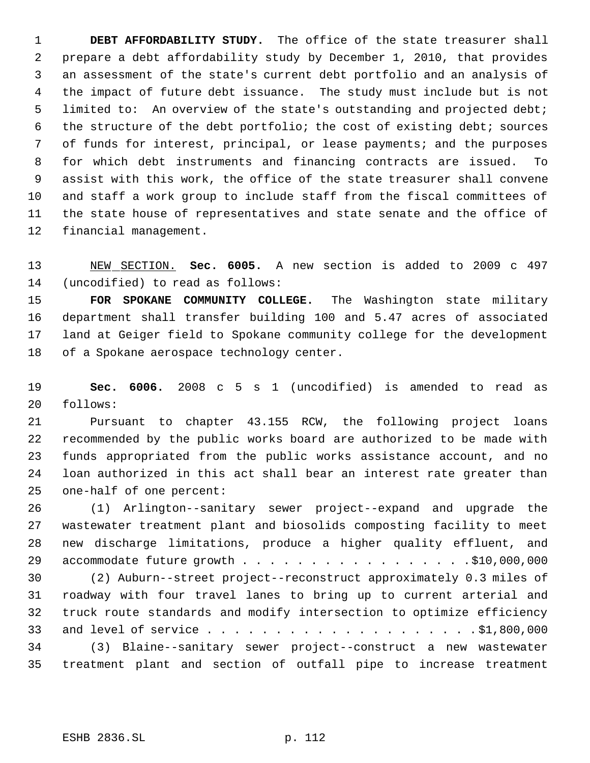**DEBT AFFORDABILITY STUDY.** The office of the state treasurer shall prepare a debt affordability study by December 1, 2010, that provides an assessment of the state's current debt portfolio and an analysis of the impact of future debt issuance. The study must include but is not limited to: An overview of the state's outstanding and projected debt; the structure of the debt portfolio; the cost of existing debt; sources of funds for interest, principal, or lease payments; and the purposes for which debt instruments and financing contracts are issued. To assist with this work, the office of the state treasurer shall convene and staff a work group to include staff from the fiscal committees of the state house of representatives and state senate and the office of financial management.

 NEW SECTION. **Sec. 6005.** A new section is added to 2009 c 497 (uncodified) to read as follows:

 **FOR SPOKANE COMMUNITY COLLEGE.** The Washington state military department shall transfer building 100 and 5.47 acres of associated land at Geiger field to Spokane community college for the development 18 of a Spokane aerospace technology center.

 **Sec. 6006.** 2008 c 5 s 1 (uncodified) is amended to read as follows:

 Pursuant to chapter 43.155 RCW, the following project loans recommended by the public works board are authorized to be made with funds appropriated from the public works assistance account, and no loan authorized in this act shall bear an interest rate greater than one-half of one percent:

 (1) Arlington--sanitary sewer project--expand and upgrade the wastewater treatment plant and biosolids composting facility to meet new discharge limitations, produce a higher quality effluent, and 29 accommodate future growth . . . . . . . . . . . . . . . . . \$10,000,000

 (2) Auburn--street project--reconstruct approximately 0.3 miles of roadway with four travel lanes to bring up to current arterial and truck route standards and modify intersection to optimize efficiency and level of service . . . . . . . . . . . . . . . . . . . . \$1,800,000 (3) Blaine--sanitary sewer project--construct a new wastewater treatment plant and section of outfall pipe to increase treatment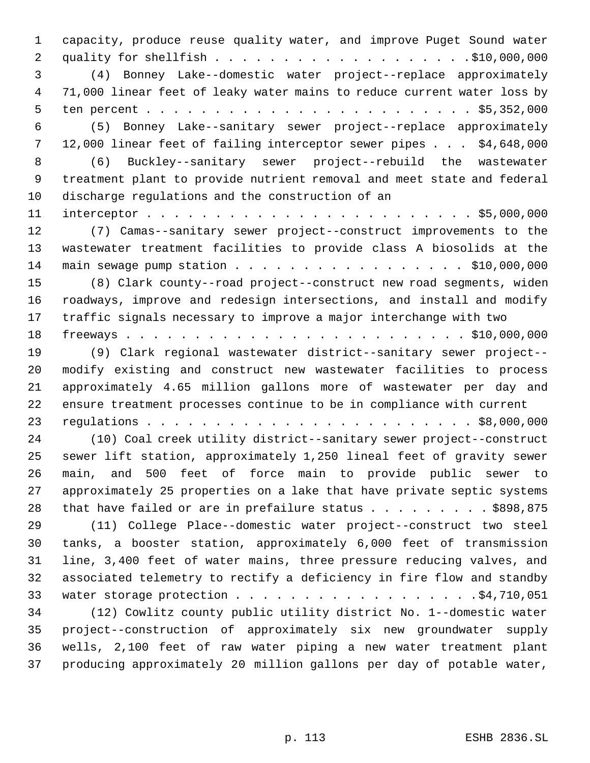capacity, produce reuse quality water, and improve Puget Sound water quality for shellfish . . . . . . . . . . . . . . . . . . .\$10,000,000 (4) Bonney Lake--domestic water project--replace approximately 71,000 linear feet of leaky water mains to reduce current water loss by ten percent . . . . . . . . . . . . . . . . . . . . . . . . \$5,352,000 (5) Bonney Lake--sanitary sewer project--replace approximately 12,000 linear feet of failing interceptor sewer pipes . . . \$4,648,000 (6) Buckley--sanitary sewer project--rebuild the wastewater treatment plant to provide nutrient removal and meet state and federal discharge regulations and the construction of an interceptor . . . . . . . . . . . . . . . . . . . . . . . . \$5,000,000 (7) Camas--sanitary sewer project--construct improvements to the wastewater treatment facilities to provide class A biosolids at the main sewage pump station . . . . . . . . . . . . . . . . . \$10,000,000 (8) Clark county--road project--construct new road segments, widen roadways, improve and redesign intersections, and install and modify traffic signals necessary to improve a major interchange with two freeways . . . . . . . . . . . . . . . . . . . . . . . . . \$10,000,000 (9) Clark regional wastewater district--sanitary sewer project-- modify existing and construct new wastewater facilities to process approximately 4.65 million gallons more of wastewater per day and ensure treatment processes continue to be in compliance with current regulations . . . . . . . . . . . . . . . . . . . . . . . . \$8,000,000 (10) Coal creek utility district--sanitary sewer project--construct sewer lift station, approximately 1,250 lineal feet of gravity sewer main, and 500 feet of force main to provide public sewer to approximately 25 properties on a lake that have private septic systems 28 that have failed or are in prefailure status  $\ldots$  . . . . . . \$898,875 (11) College Place--domestic water project--construct two steel tanks, a booster station, approximately 6,000 feet of transmission line, 3,400 feet of water mains, three pressure reducing valves, and associated telemetry to rectify a deficiency in fire flow and standby 33 water storage protection . . . . . . . . . . . . . . . . . . \$4,710,051 (12) Cowlitz county public utility district No. 1--domestic water project--construction of approximately six new groundwater supply wells, 2,100 feet of raw water piping a new water treatment plant producing approximately 20 million gallons per day of potable water,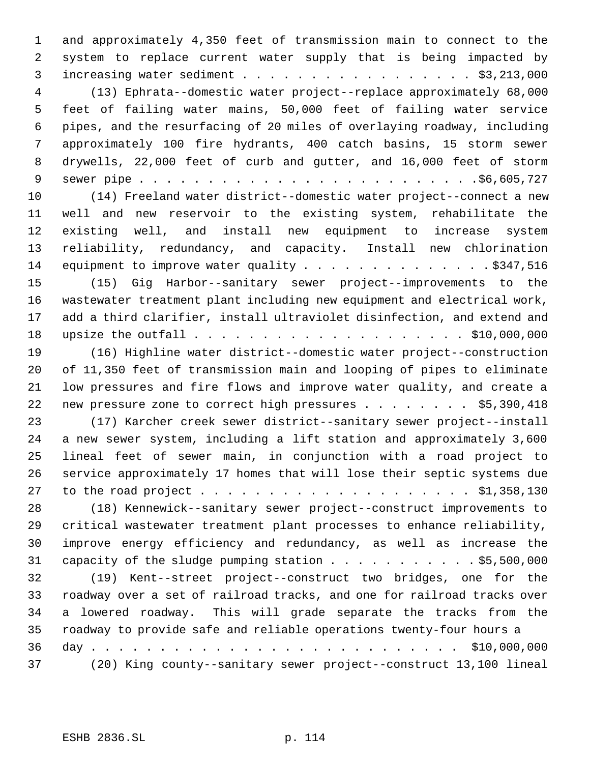and approximately 4,350 feet of transmission main to connect to the system to replace current water supply that is being impacted by increasing water sediment . . . . . . . . . . . . . . . . . \$3,213,000 (13) Ephrata--domestic water project--replace approximately 68,000 feet of failing water mains, 50,000 feet of failing water service pipes, and the resurfacing of 20 miles of overlaying roadway, including approximately 100 fire hydrants, 400 catch basins, 15 storm sewer drywells, 22,000 feet of curb and gutter, and 16,000 feet of storm sewer pipe . . . . . . . . . . . . . . . . . . . . . . . . .\$6,605,727 (14) Freeland water district--domestic water project--connect a new well and new reservoir to the existing system, rehabilitate the existing well, and install new equipment to increase system reliability, redundancy, and capacity. Install new chlorination 14 equipment to improve water quality . . . . . . . . . . . . . \$347,516 (15) Gig Harbor--sanitary sewer project--improvements to the wastewater treatment plant including new equipment and electrical work, add a third clarifier, install ultraviolet disinfection, and extend and upsize the outfall . . . . . . . . . . . . . . . . . . . . \$10,000,000 (16) Highline water district--domestic water project--construction of 11,350 feet of transmission main and looping of pipes to eliminate low pressures and fire flows and improve water quality, and create a 22 new pressure zone to correct high pressures . . . . . . . . \$5,390,418 (17) Karcher creek sewer district--sanitary sewer project--install a new sewer system, including a lift station and approximately 3,600 lineal feet of sewer main, in conjunction with a road project to service approximately 17 homes that will lose their septic systems due to the road project . . . . . . . . . . . . . . . . . . . . \$1,358,130 (18) Kennewick--sanitary sewer project--construct improvements to critical wastewater treatment plant processes to enhance reliability, improve energy efficiency and redundancy, as well as increase the capacity of the sludge pumping station . . . . . . . . . . . \$5,500,000 (19) Kent--street project--construct two bridges, one for the roadway over a set of railroad tracks, and one for railroad tracks over a lowered roadway. This will grade separate the tracks from the roadway to provide safe and reliable operations twenty-four hours a day . . . . . . . . . . . . . . . . . . . . . . . . . . . \$10,000,000 (20) King county--sanitary sewer project--construct 13,100 lineal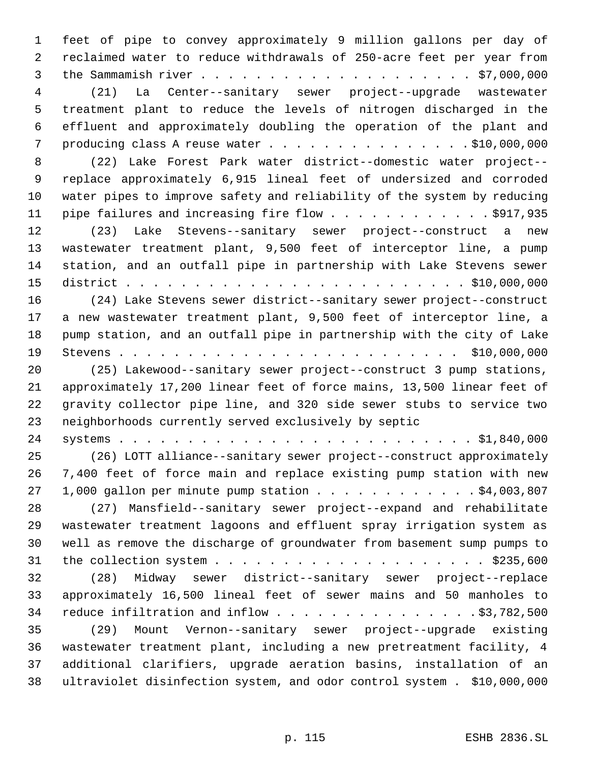feet of pipe to convey approximately 9 million gallons per day of reclaimed water to reduce withdrawals of 250-acre feet per year from the Sammamish river . . . . . . . . . . . . . . . . . . . . \$7,000,000 (21) La Center--sanitary sewer project--upgrade wastewater treatment plant to reduce the levels of nitrogen discharged in the effluent and approximately doubling the operation of the plant and producing class A reuse water . . . . . . . . . . . . . . . \$10,000,000 (22) Lake Forest Park water district--domestic water project-- replace approximately 6,915 lineal feet of undersized and corroded water pipes to improve safety and reliability of the system by reducing 11 pipe failures and increasing fire flow . . . . . . . . . . . . \$917,935 (23) Lake Stevens--sanitary sewer project--construct a new wastewater treatment plant, 9,500 feet of interceptor line, a pump station, and an outfall pipe in partnership with Lake Stevens sewer district . . . . . . . . . . . . . . . . . . . . . . . . . \$10,000,000 (24) Lake Stevens sewer district--sanitary sewer project--construct a new wastewater treatment plant, 9,500 feet of interceptor line, a pump station, and an outfall pipe in partnership with the city of Lake Stevens . . . . . . . . . . . . . . . . . . . . . . . . . \$10,000,000 (25) Lakewood--sanitary sewer project--construct 3 pump stations, approximately 17,200 linear feet of force mains, 13,500 linear feet of gravity collector pipe line, and 320 side sewer stubs to service two neighborhoods currently served exclusively by septic systems . . . . . . . . . . . . . . . . . . . . . . . . . . \$1,840,000 (26) LOTT alliance--sanitary sewer project--construct approximately 7,400 feet of force main and replace existing pump station with new 27 1,000 gallon per minute pump station . . . . . . . . . . . \$4,003,807 (27) Mansfield--sanitary sewer project--expand and rehabilitate wastewater treatment lagoons and effluent spray irrigation system as well as remove the discharge of groundwater from basement sump pumps to the collection system . . . . . . . . . . . . . . . . . . . . \$235,600 (28) Midway sewer district--sanitary sewer project--replace approximately 16,500 lineal feet of sewer mains and 50 manholes to reduce infiltration and inflow . . . . . . . . . . . . . . . \$3,782,500 (29) Mount Vernon--sanitary sewer project--upgrade existing wastewater treatment plant, including a new pretreatment facility, 4 additional clarifiers, upgrade aeration basins, installation of an ultraviolet disinfection system, and odor control system . \$10,000,000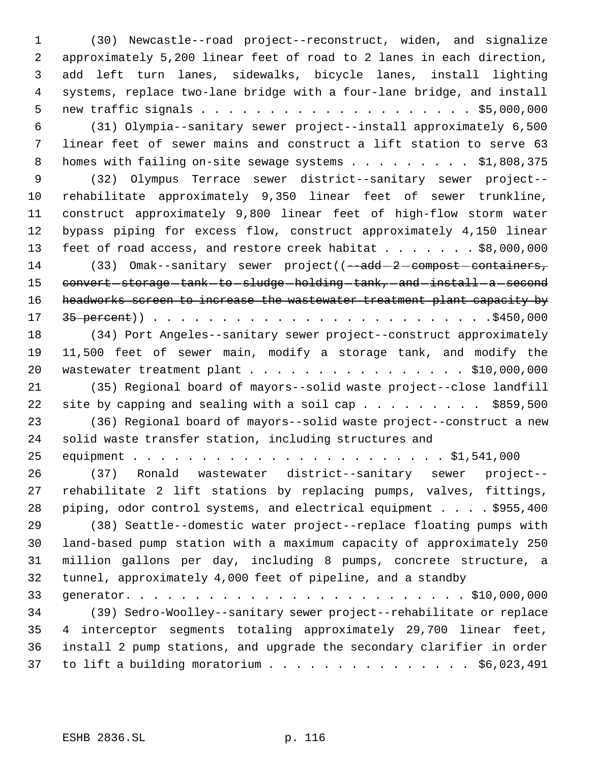(30) Newcastle--road project--reconstruct, widen, and signalize approximately 5,200 linear feet of road to 2 lanes in each direction, add left turn lanes, sidewalks, bicycle lanes, install lighting systems, replace two-lane bridge with a four-lane bridge, and install new traffic signals . . . . . . . . . . . . . . . . . . . . \$5,000,000 (31) Olympia--sanitary sewer project--install approximately 6,500 linear feet of sewer mains and construct a lift station to serve 63 8 homes with failing on-site sewage systems . . . . . . . . \$1,808,375 (32) Olympus Terrace sewer district--sanitary sewer project-- rehabilitate approximately 9,350 linear feet of sewer trunkline, construct approximately 9,800 linear feet of high-flow storm water bypass piping for excess flow, construct approximately 4,150 linear 13 feet of road access, and restore creek habitat . . . . . . \$8,000,000 14 (33) Omak--sanitary sewer project((--add-2-compost-containers, 15 convert-storage-tank-to-sludge-holding-tank, and install a second 16 headworks screen to increase the wastewater treatment plant capacity by 35 percent)) . . . . . . . . . . . . . . . . . . . . . . . . .\$450,000 (34) Port Angeles--sanitary sewer project--construct approximately 11,500 feet of sewer main, modify a storage tank, and modify the wastewater treatment plant . . . . . . . . . . . . . . . . \$10,000,000 (35) Regional board of mayors--solid waste project--close landfill 22 site by capping and sealing with a soil cap  $\ldots$  . . . . . . \$859,500 (36) Regional board of mayors--solid waste project--construct a new solid waste transfer station, including structures and equipment . . . . . . . . . . . . . . . . . . . . . . . \$1,541,000 (37) Ronald wastewater district--sanitary sewer project-- rehabilitate 2 lift stations by replacing pumps, valves, fittings, piping, odor control systems, and electrical equipment . . . . \$955,400 (38) Seattle--domestic water project--replace floating pumps with land-based pump station with a maximum capacity of approximately 250 million gallons per day, including 8 pumps, concrete structure, a tunnel, approximately 4,000 feet of pipeline, and a standby generator. . . . . . . . . . . . . . . . . . . . . . . . . \$10,000,000 (39) Sedro-Woolley--sanitary sewer project--rehabilitate or replace 4 interceptor segments totaling approximately 29,700 linear feet, install 2 pump stations, and upgrade the secondary clarifier in order 37 to lift a building moratorium . . . . . . . . . . . . . . . \$6,023,491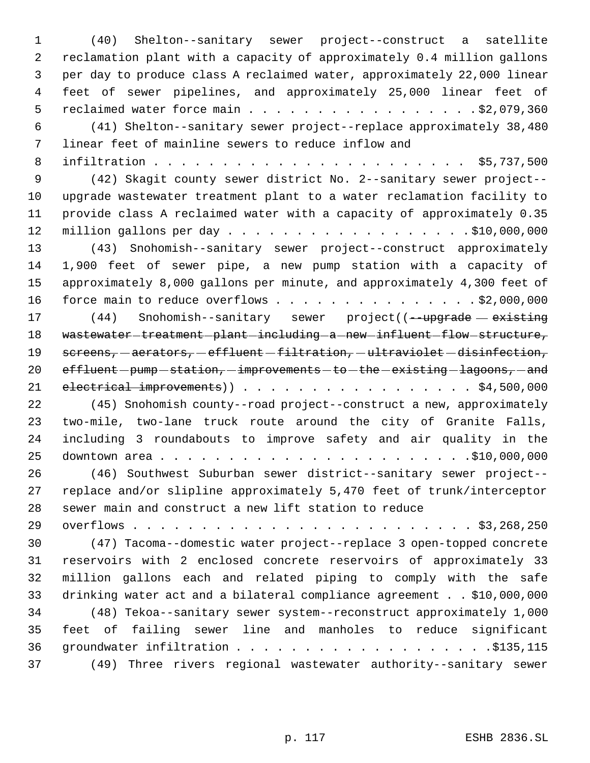(40) Shelton--sanitary sewer project--construct a satellite reclamation plant with a capacity of approximately 0.4 million gallons per day to produce class A reclaimed water, approximately 22,000 linear feet of sewer pipelines, and approximately 25,000 linear feet of 5 reclaimed water force main . . . . . . . . . . . . . . . . . \$2,079,360 (41) Shelton--sanitary sewer project--replace approximately 38,480 linear feet of mainline sewers to reduce inflow and infiltration . . . . . . . . . . . . . . . . . . . . . . . \$5,737,500 (42) Skagit county sewer district No. 2--sanitary sewer project-- upgrade wastewater treatment plant to a water reclamation facility to provide class A reclaimed water with a capacity of approximately 0.35 million gallons per day . . . . . . . . . . . . . . . . . . \$10,000,000 (43) Snohomish--sanitary sewer project--construct approximately 1,900 feet of sewer pipe, a new pump station with a capacity of approximately 8,000 gallons per minute, and approximately 4,300 feet of 16 force main to reduce overflows . . . . . . . . . . . . . . . \$2,000,000 17 (44) Snohomish--sanitary sewer project((--upgrade existing 18 wastewater-treatment-plant-including-a-new-influent-flow-structure, 19 screens, - aerators, - effluent - filtration, - ultraviolet - disinfection,  $eff$   $l$  effluent  $-p$ ump  $-station$ ,  $-i$ mprovements  $-to$   $-th$ e $-$ existing  $-l$ agoons,  $-$  and 21 electrical improvements) . . . . . . . . . . . . . . . . . \$4,500,000 (45) Snohomish county--road project--construct a new, approximately two-mile, two-lane truck route around the city of Granite Falls, including 3 roundabouts to improve safety and air quality in the downtown area . . . . . . . . . . . . . . . . . . . . . . .\$10,000,000 (46) Southwest Suburban sewer district--sanitary sewer project-- replace and/or slipline approximately 5,470 feet of trunk/interceptor sewer main and construct a new lift station to reduce overflows . . . . . . . . . . . . . . . . . . . . . . . . . \$3,268,250 (47) Tacoma--domestic water project--replace 3 open-topped concrete reservoirs with 2 enclosed concrete reservoirs of approximately 33 million gallons each and related piping to comply with the safe drinking water act and a bilateral compliance agreement . . \$10,000,000 (48) Tekoa--sanitary sewer system--reconstruct approximately 1,000 feet of failing sewer line and manholes to reduce significant groundwater infiltration . . . . . . . . . . . . . . . . . . .\$135,115 (49) Three rivers regional wastewater authority--sanitary sewer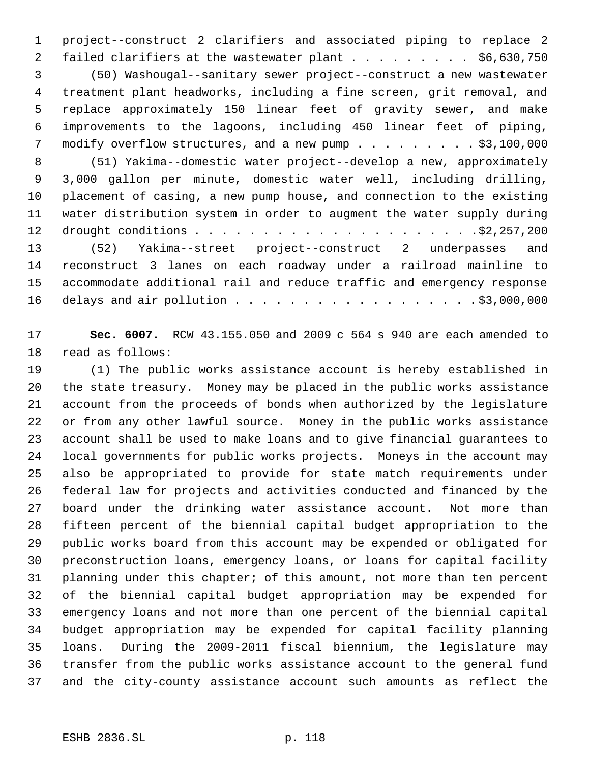project--construct 2 clarifiers and associated piping to replace 2 2 failed clarifiers at the wastewater plant . . . . . . . . . \$6,630,750 (50) Washougal--sanitary sewer project--construct a new wastewater treatment plant headworks, including a fine screen, grit removal, and replace approximately 150 linear feet of gravity sewer, and make improvements to the lagoons, including 450 linear feet of piping, modify overflow structures, and a new pump . . . . . . . . . \$3,100,000 (51) Yakima--domestic water project--develop a new, approximately 3,000 gallon per minute, domestic water well, including drilling, placement of casing, a new pump house, and connection to the existing

 water distribution system in order to augment the water supply during drought conditions . . . . . . . . . . . . . . . . . . . . .\$2,257,200 (52) Yakima--street project--construct 2 underpasses and reconstruct 3 lanes on each roadway under a railroad mainline to accommodate additional rail and reduce traffic and emergency response delays and air pollution . . . . . . . . . . . . . . . . . . \$3,000,000

 **Sec. 6007.** RCW 43.155.050 and 2009 c 564 s 940 are each amended to read as follows:

 (1) The public works assistance account is hereby established in the state treasury. Money may be placed in the public works assistance account from the proceeds of bonds when authorized by the legislature or from any other lawful source. Money in the public works assistance account shall be used to make loans and to give financial guarantees to local governments for public works projects. Moneys in the account may also be appropriated to provide for state match requirements under federal law for projects and activities conducted and financed by the board under the drinking water assistance account. Not more than fifteen percent of the biennial capital budget appropriation to the public works board from this account may be expended or obligated for preconstruction loans, emergency loans, or loans for capital facility planning under this chapter; of this amount, not more than ten percent of the biennial capital budget appropriation may be expended for emergency loans and not more than one percent of the biennial capital budget appropriation may be expended for capital facility planning loans. During the 2009-2011 fiscal biennium, the legislature may transfer from the public works assistance account to the general fund and the city-county assistance account such amounts as reflect the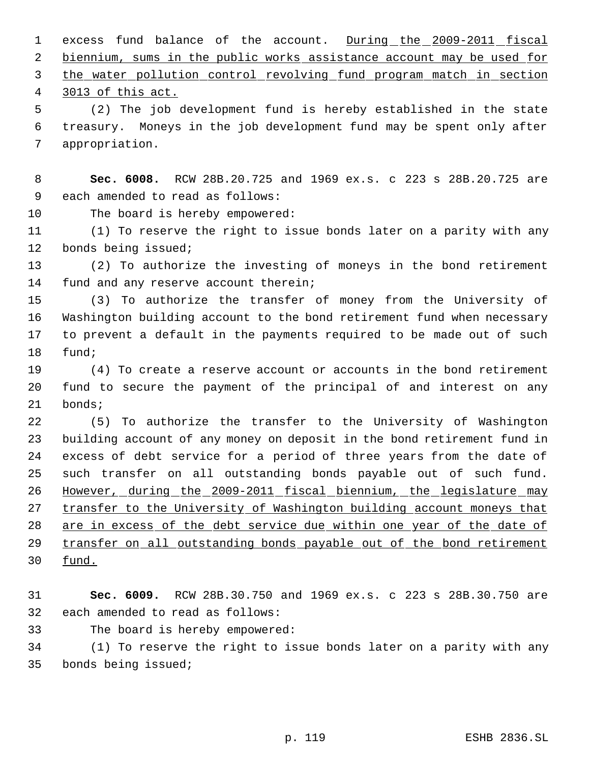1 excess fund balance of the account. During the 2009-2011 fiscal 2 biennium, sums in the public works assistance account may be used for the water pollution control revolving fund program match in section

3013 of this act.

 (2) The job development fund is hereby established in the state treasury. Moneys in the job development fund may be spent only after appropriation.

 **Sec. 6008.** RCW 28B.20.725 and 1969 ex.s. c 223 s 28B.20.725 are each amended to read as follows:

The board is hereby empowered:

 (1) To reserve the right to issue bonds later on a parity with any bonds being issued;

 (2) To authorize the investing of moneys in the bond retirement fund and any reserve account therein;

 (3) To authorize the transfer of money from the University of Washington building account to the bond retirement fund when necessary to prevent a default in the payments required to be made out of such fund;

 (4) To create a reserve account or accounts in the bond retirement fund to secure the payment of the principal of and interest on any bonds;

 (5) To authorize the transfer to the University of Washington building account of any money on deposit in the bond retirement fund in excess of debt service for a period of three years from the date of such transfer on all outstanding bonds payable out of such fund. However, during the 2009-2011 fiscal biennium, the legislature may 27 transfer to the University of Washington building account moneys that are in excess of the debt service due within one year of the date of transfer on all outstanding bonds payable out of the bond retirement fund.

 **Sec. 6009.** RCW 28B.30.750 and 1969 ex.s. c 223 s 28B.30.750 are each amended to read as follows:

The board is hereby empowered:

 (1) To reserve the right to issue bonds later on a parity with any bonds being issued;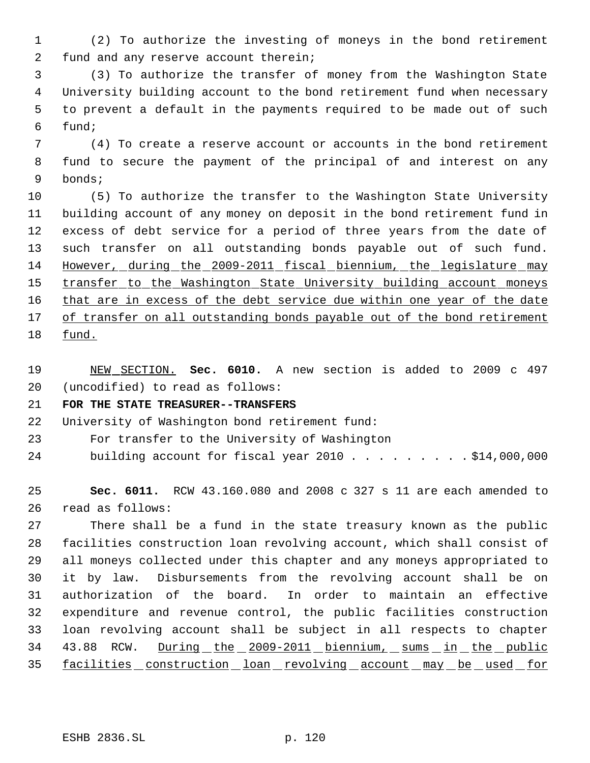(2) To authorize the investing of moneys in the bond retirement fund and any reserve account therein;

 (3) To authorize the transfer of money from the Washington State University building account to the bond retirement fund when necessary to prevent a default in the payments required to be made out of such fund;

 (4) To create a reserve account or accounts in the bond retirement fund to secure the payment of the principal of and interest on any bonds;

 (5) To authorize the transfer to the Washington State University building account of any money on deposit in the bond retirement fund in excess of debt service for a period of three years from the date of such transfer on all outstanding bonds payable out of such fund. However, during the 2009-2011 fiscal biennium, the legislature may 15 transfer to the Washington State University building account moneys 16 that are in excess of the debt service due within one year of the date 17 of transfer on all outstanding bonds payable out of the bond retirement fund.

 NEW SECTION. **Sec. 6010.** A new section is added to 2009 c 497 (uncodified) to read as follows:

#### **FOR THE STATE TREASURER--TRANSFERS**

University of Washington bond retirement fund:

- For transfer to the University of Washington
- 24 building account for fiscal year 2010 . . . . . . . . \$14,000,000

 **Sec. 6011.** RCW 43.160.080 and 2008 c 327 s 11 are each amended to read as follows:

 There shall be a fund in the state treasury known as the public facilities construction loan revolving account, which shall consist of all moneys collected under this chapter and any moneys appropriated to it by law. Disbursements from the revolving account shall be on authorization of the board. In order to maintain an effective expenditure and revenue control, the public facilities construction loan revolving account shall be subject in all respects to chapter 43.88 RCW. During the 2009-2011 biennium, sums in the public 35 facilities construction loan revolving account may be used for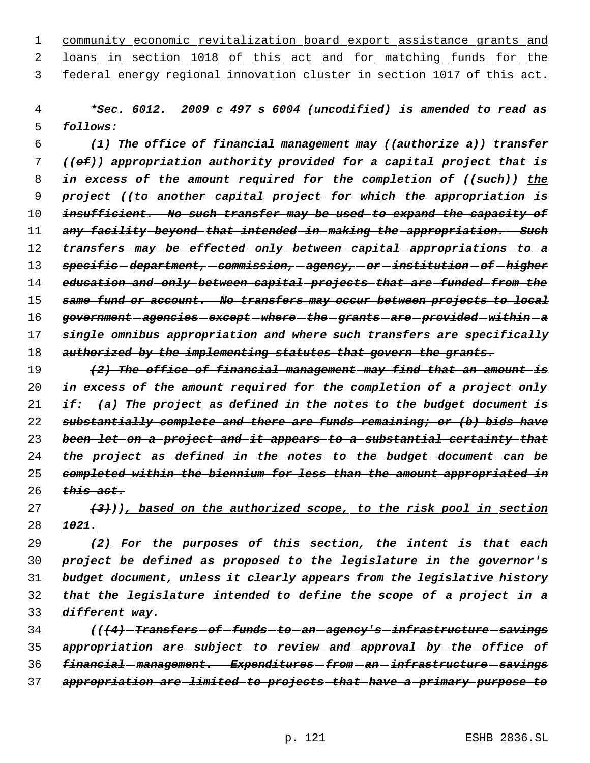community economic revitalization board export assistance grants and 2 loans in section 1018 of this act and for matching funds for the

federal energy regional innovation cluster in section 1017 of this act.

 *\*Sec. 6012. 2009 c 497 s 6004 (uncodified) is amended to read as follows:*

 *(1) The office of financial management may ((authorize a)) transfer ((of)) appropriation authority provided for a capital project that is in excess of the amount required for the completion of ((such)) the project ((to another capital project for which the appropriation is insufficient. No such transfer may be used to expand the capacity of any facility beyond that intended in making the appropriation. Such transfers may be effected only between capital appropriations to a specific department, commission, agency, or institution of higher education and only between capital projects that are funded from the same fund or account. No transfers may occur between projects to local government agencies except where the grants are provided within a single omnibus appropriation and where such transfers are specifically authorized by the implementing statutes that govern the grants.*

 *(2) The office of financial management may find that an amount is in excess of the amount required for the completion of a project only if: (a) The project as defined in the notes to the budget document is substantially complete and there are funds remaining; or (b) bids have been let on a project and it appears to a substantial certainty that the project as defined in the notes to the budget document can be completed within the biennium for less than the amount appropriated in this act.*

 *(3))), based on the authorized scope, to the risk pool in section 1021.*

 *(2) For the purposes of this section, the intent is that each project be defined as proposed to the legislature in the governor's budget document, unless it clearly appears from the legislative history that the legislature intended to define the scope of a project in a different way.*

 *(((4) Transfers of funds to an agency's infrastructure savings appropriation are subject to review and approval by the office of financial management. Expenditures from an infrastructure savings appropriation are limited to projects that have a primary purpose to*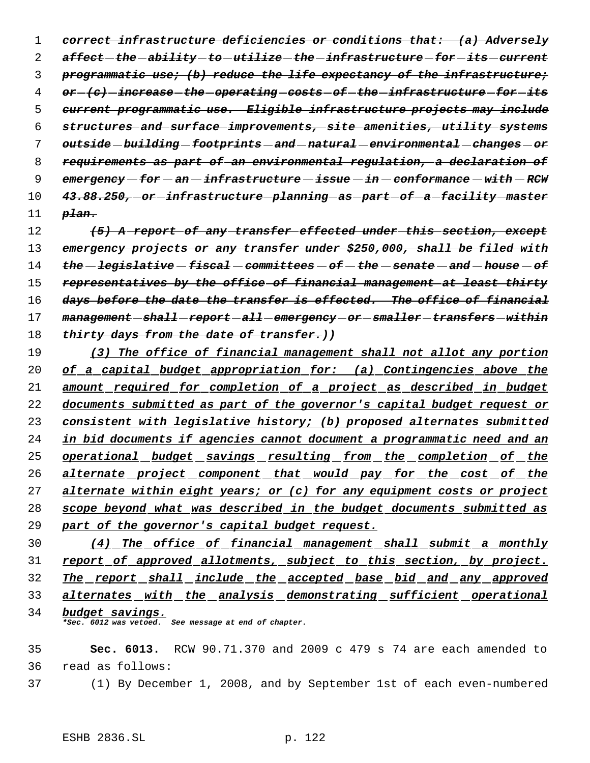*correct infrastructure deficiencies or conditions that: (a) Adversely affect the ability to utilize the infrastructure for its current programmatic use; (b) reduce the life expectancy of the infrastructure; or (c) increase the operating costs of the infrastructure for its current programmatic use. Eligible infrastructure projects may include structures and surface improvements, site amenities, utility systems outside building footprints and natural environmental changes or requirements as part of an environmental regulation, a declaration of emergency for an infrastructure issue in conformance with RCW 43.88.250, or infrastructure planning as part of a facility master plan.*

 *(5) A report of any transfer effected under this section, except emergency projects or any transfer under \$250,000, shall be filed with the legislative fiscal committees of the senate and house of representatives by the office of financial management at least thirty days before the date the transfer is effected. The office of financial management shall report all emergency or smaller transfers within thirty days from the date of transfer.))*

 *(3) The office of financial management shall not allot any portion of a capital budget appropriation for: (a) Contingencies above the amount required for completion of a project as described in budget documents submitted as part of the governor's capital budget request or consistent with legislative history; (b) proposed alternates submitted in bid documents if agencies cannot document a programmatic need and an operational budget savings resulting from the completion of the alternate project component that would pay for the cost of the alternate within eight years; or (c) for any equipment costs or project scope beyond what was described in the budget documents submitted as part of the governor's capital budget request.*

 *(4) The office of financial management shall submit a monthly report of approved allotments, subject to this section, by project. The report shall include the accepted base bid and any approved alternates with the analysis demonstrating sufficient operational budget savings.*

*\*Sec. 6012 was vetoed. See message at end of chapter.*

 **Sec. 6013.** RCW 90.71.370 and 2009 c 479 s 74 are each amended to read as follows:

(1) By December 1, 2008, and by September 1st of each even-numbered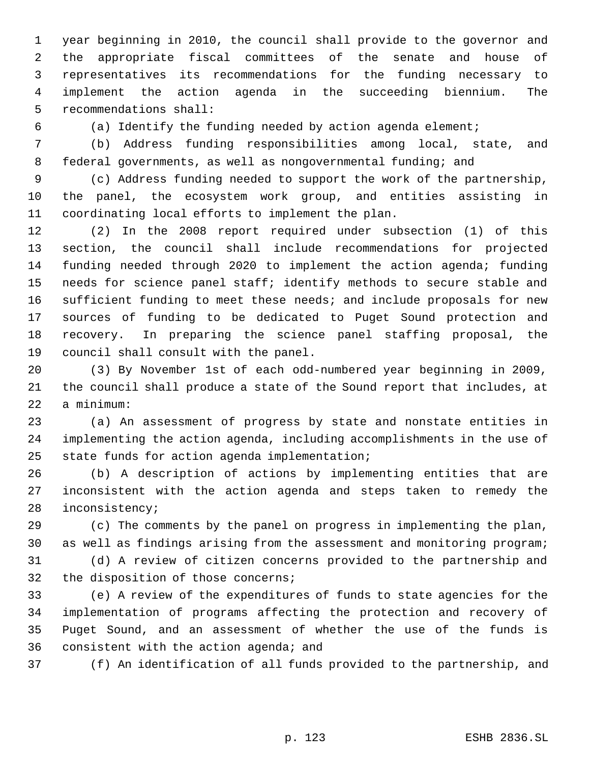year beginning in 2010, the council shall provide to the governor and the appropriate fiscal committees of the senate and house of representatives its recommendations for the funding necessary to implement the action agenda in the succeeding biennium. The recommendations shall:

(a) Identify the funding needed by action agenda element;

 (b) Address funding responsibilities among local, state, and federal governments, as well as nongovernmental funding; and

 (c) Address funding needed to support the work of the partnership, the panel, the ecosystem work group, and entities assisting in coordinating local efforts to implement the plan.

 (2) In the 2008 report required under subsection (1) of this section, the council shall include recommendations for projected funding needed through 2020 to implement the action agenda; funding needs for science panel staff; identify methods to secure stable and sufficient funding to meet these needs; and include proposals for new sources of funding to be dedicated to Puget Sound protection and recovery. In preparing the science panel staffing proposal, the council shall consult with the panel.

 (3) By November 1st of each odd-numbered year beginning in 2009, the council shall produce a state of the Sound report that includes, at a minimum:

 (a) An assessment of progress by state and nonstate entities in implementing the action agenda, including accomplishments in the use of state funds for action agenda implementation;

 (b) A description of actions by implementing entities that are inconsistent with the action agenda and steps taken to remedy the inconsistency;

 (c) The comments by the panel on progress in implementing the plan, as well as findings arising from the assessment and monitoring program;

 (d) A review of citizen concerns provided to the partnership and the disposition of those concerns;

 (e) A review of the expenditures of funds to state agencies for the implementation of programs affecting the protection and recovery of Puget Sound, and an assessment of whether the use of the funds is consistent with the action agenda; and

(f) An identification of all funds provided to the partnership, and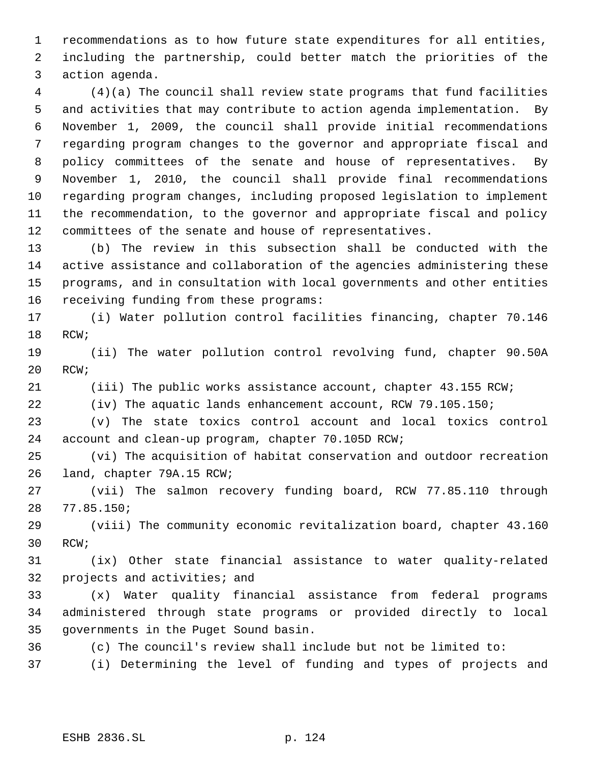recommendations as to how future state expenditures for all entities, including the partnership, could better match the priorities of the action agenda.

 (4)(a) The council shall review state programs that fund facilities and activities that may contribute to action agenda implementation. By November 1, 2009, the council shall provide initial recommendations regarding program changes to the governor and appropriate fiscal and policy committees of the senate and house of representatives. By November 1, 2010, the council shall provide final recommendations regarding program changes, including proposed legislation to implement the recommendation, to the governor and appropriate fiscal and policy committees of the senate and house of representatives.

 (b) The review in this subsection shall be conducted with the active assistance and collaboration of the agencies administering these programs, and in consultation with local governments and other entities receiving funding from these programs:

 (i) Water pollution control facilities financing, chapter 70.146 RCW;

 (ii) The water pollution control revolving fund, chapter 90.50A RCW;

(iii) The public works assistance account, chapter 43.155 RCW;

(iv) The aquatic lands enhancement account, RCW 79.105.150;

 (v) The state toxics control account and local toxics control account and clean-up program, chapter 70.105D RCW;

 (vi) The acquisition of habitat conservation and outdoor recreation land, chapter 79A.15 RCW;

 (vii) The salmon recovery funding board, RCW 77.85.110 through 77.85.150;

 (viii) The community economic revitalization board, chapter 43.160 RCW;

 (ix) Other state financial assistance to water quality-related projects and activities; and

 (x) Water quality financial assistance from federal programs administered through state programs or provided directly to local governments in the Puget Sound basin.

(c) The council's review shall include but not be limited to:

(i) Determining the level of funding and types of projects and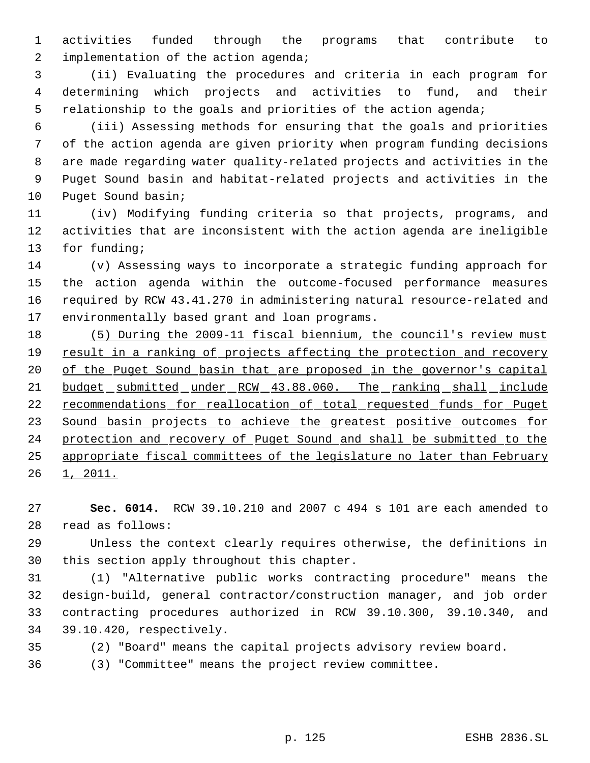activities funded through the programs that contribute to 2 implementation of the action agenda;

 (ii) Evaluating the procedures and criteria in each program for determining which projects and activities to fund, and their relationship to the goals and priorities of the action agenda;

 (iii) Assessing methods for ensuring that the goals and priorities of the action agenda are given priority when program funding decisions are made regarding water quality-related projects and activities in the Puget Sound basin and habitat-related projects and activities in the Puget Sound basin;

 (iv) Modifying funding criteria so that projects, programs, and activities that are inconsistent with the action agenda are ineligible for funding;

 (v) Assessing ways to incorporate a strategic funding approach for the action agenda within the outcome-focused performance measures required by RCW 43.41.270 in administering natural resource-related and environmentally based grant and loan programs.

 (5) During the 2009-11 fiscal biennium, the council's review must 19 result in a ranking of projects affecting the protection and recovery 20 of the Puget Sound basin that are proposed in the governor's capital 21 budget submitted under RCW 43.88.060. The ranking shall include 22 recommendations for reallocation of total requested funds for Puget 23 Sound basin projects to achieve the greatest positive outcomes for protection and recovery of Puget Sound and shall be submitted to the appropriate fiscal committees of the legislature no later than February 26 1, 2011.

 **Sec. 6014.** RCW 39.10.210 and 2007 c 494 s 101 are each amended to read as follows:

 Unless the context clearly requires otherwise, the definitions in this section apply throughout this chapter.

 (1) "Alternative public works contracting procedure" means the design-build, general contractor/construction manager, and job order contracting procedures authorized in RCW 39.10.300, 39.10.340, and 39.10.420, respectively.

(2) "Board" means the capital projects advisory review board.

(3) "Committee" means the project review committee.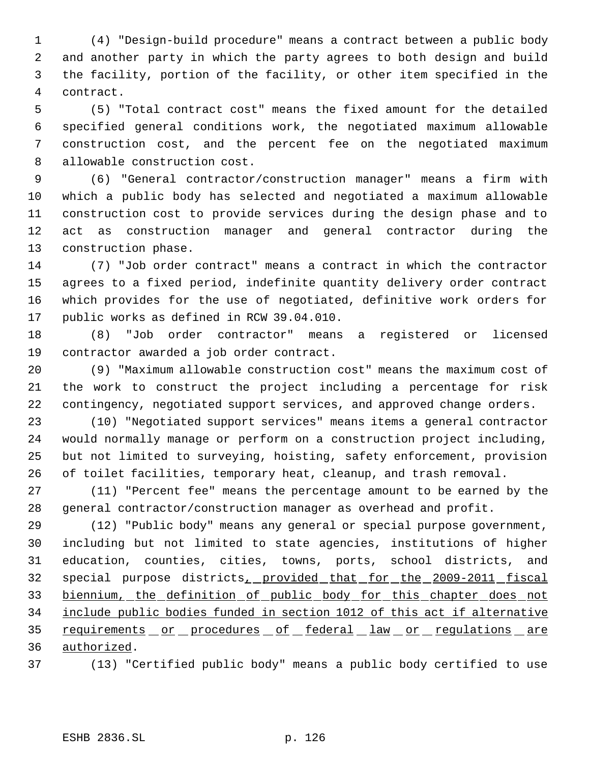(4) "Design-build procedure" means a contract between a public body and another party in which the party agrees to both design and build the facility, portion of the facility, or other item specified in the contract.

 (5) "Total contract cost" means the fixed amount for the detailed specified general conditions work, the negotiated maximum allowable construction cost, and the percent fee on the negotiated maximum allowable construction cost.

 (6) "General contractor/construction manager" means a firm with which a public body has selected and negotiated a maximum allowable construction cost to provide services during the design phase and to act as construction manager and general contractor during the construction phase.

 (7) "Job order contract" means a contract in which the contractor agrees to a fixed period, indefinite quantity delivery order contract which provides for the use of negotiated, definitive work orders for public works as defined in RCW 39.04.010.

 (8) "Job order contractor" means a registered or licensed contractor awarded a job order contract.

 (9) "Maximum allowable construction cost" means the maximum cost of the work to construct the project including a percentage for risk contingency, negotiated support services, and approved change orders.

 (10) "Negotiated support services" means items a general contractor would normally manage or perform on a construction project including, but not limited to surveying, hoisting, safety enforcement, provision of toilet facilities, temporary heat, cleanup, and trash removal.

 (11) "Percent fee" means the percentage amount to be earned by the general contractor/construction manager as overhead and profit.

 (12) "Public body" means any general or special purpose government, including but not limited to state agencies, institutions of higher education, counties, cities, towns, ports, school districts, and special purpose districts, provided that for the 2009-2011 fiscal biennium, the definition of public body for this chapter does not include public bodies funded in section 1012 of this act if alternative 35 requirements or procedures of federal law or regulations are authorized.

(13) "Certified public body" means a public body certified to use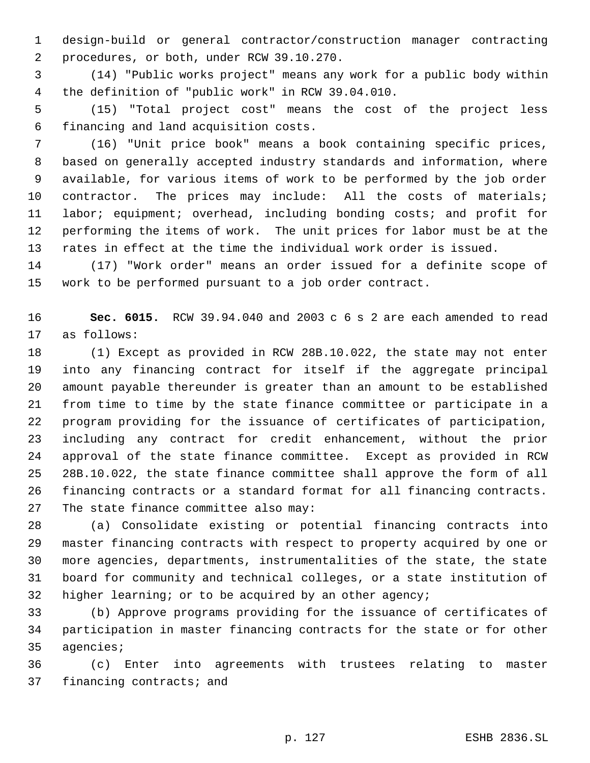design-build or general contractor/construction manager contracting procedures, or both, under RCW 39.10.270.

 (14) "Public works project" means any work for a public body within the definition of "public work" in RCW 39.04.010.

 (15) "Total project cost" means the cost of the project less financing and land acquisition costs.

 (16) "Unit price book" means a book containing specific prices, based on generally accepted industry standards and information, where available, for various items of work to be performed by the job order 10 contractor. The prices may include: All the costs of materials; labor; equipment; overhead, including bonding costs; and profit for performing the items of work. The unit prices for labor must be at the rates in effect at the time the individual work order is issued.

 (17) "Work order" means an order issued for a definite scope of work to be performed pursuant to a job order contract.

 **Sec. 6015.** RCW 39.94.040 and 2003 c 6 s 2 are each amended to read as follows:

 (1) Except as provided in RCW 28B.10.022, the state may not enter into any financing contract for itself if the aggregate principal amount payable thereunder is greater than an amount to be established from time to time by the state finance committee or participate in a program providing for the issuance of certificates of participation, including any contract for credit enhancement, without the prior approval of the state finance committee. Except as provided in RCW 28B.10.022, the state finance committee shall approve the form of all financing contracts or a standard format for all financing contracts. The state finance committee also may:

 (a) Consolidate existing or potential financing contracts into master financing contracts with respect to property acquired by one or more agencies, departments, instrumentalities of the state, the state board for community and technical colleges, or a state institution of 32 higher learning; or to be acquired by an other agency;

 (b) Approve programs providing for the issuance of certificates of participation in master financing contracts for the state or for other agencies;

 (c) Enter into agreements with trustees relating to master financing contracts; and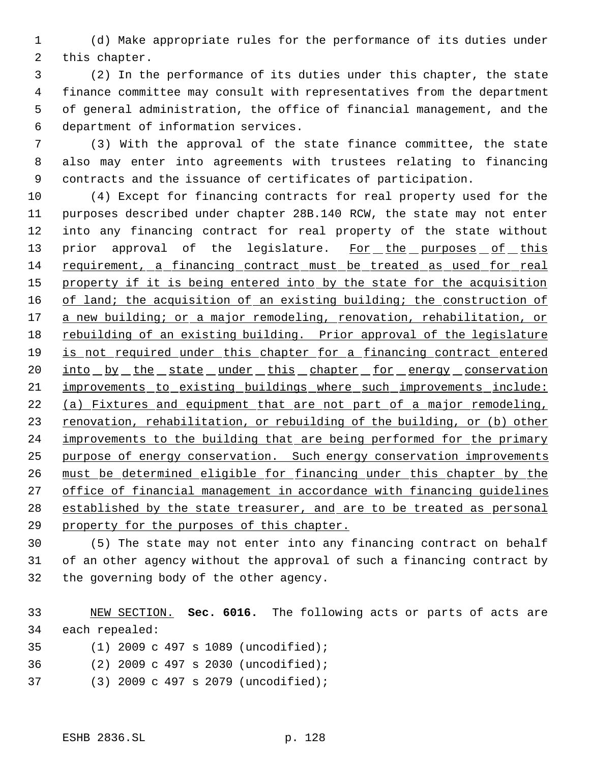(d) Make appropriate rules for the performance of its duties under this chapter.

 (2) In the performance of its duties under this chapter, the state finance committee may consult with representatives from the department of general administration, the office of financial management, and the department of information services.

 (3) With the approval of the state finance committee, the state also may enter into agreements with trustees relating to financing contracts and the issuance of certificates of participation.

 (4) Except for financing contracts for real property used for the purposes described under chapter 28B.140 RCW, the state may not enter into any financing contract for real property of the state without 13 prior approval of the legislature. For the purposes of this requirement, a financing contract must be treated as used for real 15 property if it is being entered into by the state for the acquisition 16 of land; the acquisition of an existing building; the construction of 17 a new building; or a major remodeling, renovation, rehabilitation, or 18 rebuilding of an existing building. Prior approval of the legislature 19 is not required under this chapter for a financing contract entered 20 into by the state under this chapter for energy conservation improvements to existing buildings where such improvements include: (a) Fixtures and equipment that are not part of a major remodeling, 23 renovation, rehabilitation, or rebuilding of the building, or (b) other 24 improvements to the building that are being performed for the primary purpose of energy conservation. Such energy conservation improvements must be determined eligible for financing under this chapter by the 27 office of financial management in accordance with financing quidelines 28 established by the state treasurer, and are to be treated as personal property for the purposes of this chapter.

 (5) The state may not enter into any financing contract on behalf of an other agency without the approval of such a financing contract by the governing body of the other agency.

 NEW SECTION. **Sec. 6016.** The following acts or parts of acts are each repealed:

- (1) 2009 c 497 s 1089 (uncodified);
- (2) 2009 c 497 s 2030 (uncodified);
- (3) 2009 c 497 s 2079 (uncodified);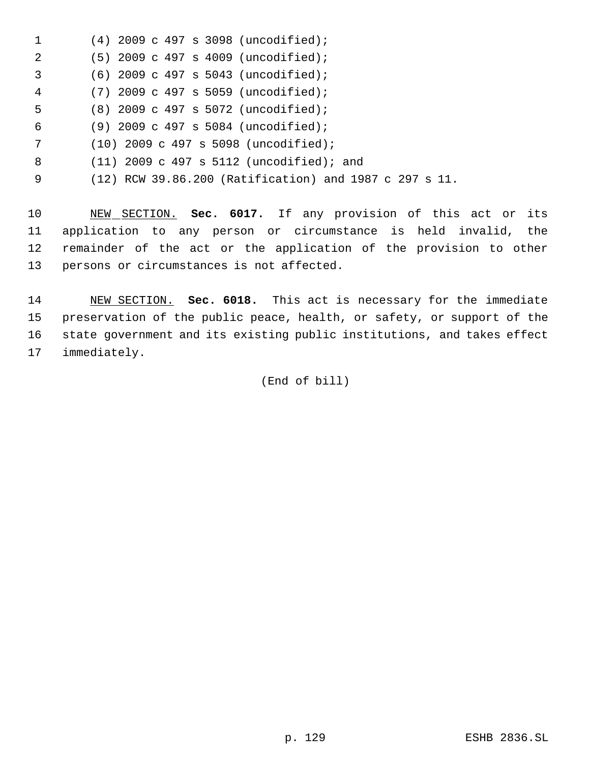|   | $(4)$ 2009 c 497 s 3098 (uncodified);                  |
|---|--------------------------------------------------------|
| 2 | $(5)$ 2009 c 497 s 4009 (uncodified);                  |
| 3 | $(6)$ 2009 c 497 s 5043 (uncodified);                  |
| 4 | $(7)$ 2009 c 497 s 5059 (uncodified);                  |
| 5 | $(8)$ 2009 c 497 s 5072 (uncodified);                  |
| 6 | $(9)$ 2009 c 497 s 5084 (uncodified);                  |
| 7 | $(10)$ 2009 c 497 s 5098 (uncodified);                 |
| 8 | $(11)$ 2009 c 497 s 5112 (uncodified); and             |
| 9 | (12) RCW 39.86.200 (Ratification) and 1987 c 297 s 11. |

 NEW SECTION. **Sec. 6017.** If any provision of this act or its application to any person or circumstance is held invalid, the remainder of the act or the application of the provision to other persons or circumstances is not affected.

 NEW SECTION. **Sec. 6018.** This act is necessary for the immediate preservation of the public peace, health, or safety, or support of the state government and its existing public institutions, and takes effect immediately.

(End of bill)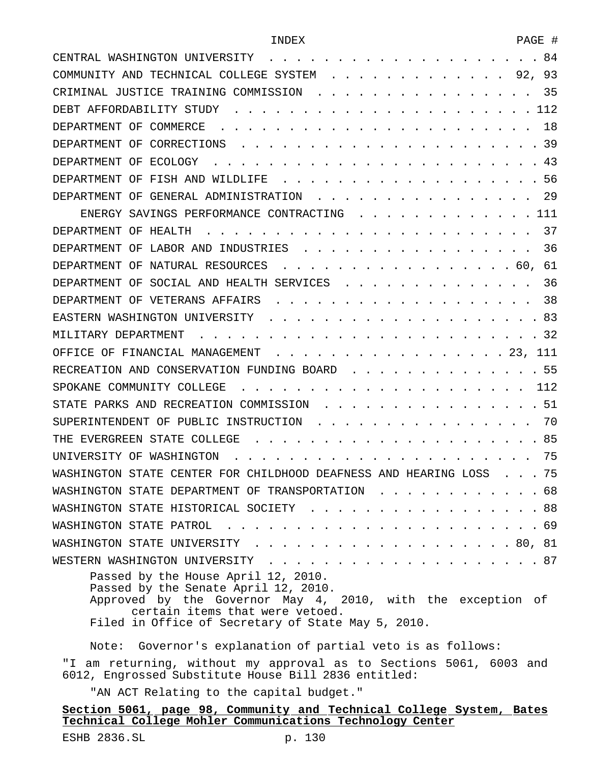| CENTRAL WASHINGTON UNIVERSITY<br>84                                                                 |
|-----------------------------------------------------------------------------------------------------|
| 93<br>COMMUNITY AND TECHNICAL COLLEGE SYSTEM<br>92,                                                 |
| 35<br>CRIMINAL JUSTICE TRAINING COMMISSION                                                          |
| 112<br>DEBT AFFORDABILITY STUDY                                                                     |
| 18<br>DEPARTMENT OF COMMERCE                                                                        |
| 39<br>DEPARTMENT OF<br>CORRECTIONS                                                                  |
| 43<br>DEPARTMENT OF<br>ECOLOGY                                                                      |
| FISH AND<br>56<br>DEPARTMENT OF<br><b>WILDLIFE</b>                                                  |
| 29<br>DEPARTMENT OF<br>GENERAL ADMINISTRATION                                                       |
| 111<br>ENERGY SAVINGS PERFORMANCE CONTRACTING                                                       |
| 37<br>DEPARTMENT OF<br>HEALTH                                                                       |
| 36<br>LABOR AND<br>INDUSTRIES<br>DEPARTMENT OF                                                      |
| 61<br>DEPARTMENT OF<br>NATURAL RESOURCES<br>60,                                                     |
| 36<br>SOCIAL AND HEALTH SERVICES<br>DEPARTMENT OF                                                   |
| 38<br>DEPARTMENT OF VETERANS AFFAIRS                                                                |
| 83<br>EASTERN WASHINGTON UNIVERSITY                                                                 |
| MILITARY DEPARTMENT<br>32                                                                           |
| 111<br>OFFICE OF FINANCIAL MANAGEMENT<br>. 23,                                                      |
| -55<br>RECREATION AND CONSERVATION FUNDING BOARD                                                    |
| 112<br>SPOKANE COMMUNITY COLLEGE                                                                    |
| 51<br>STATE PARKS AND RECREATION COMMISSION                                                         |
| 70<br>SUPERINTENDENT OF PUBLIC INSTRUCTION                                                          |
| 85<br>STATE<br>COLLEGE<br>THE.<br>F.VERGREEN                                                        |
| 75<br>WASHINGTON<br>UNIVERSITY OF                                                                   |
| 75<br>WASHINGTON STATE CENTER FOR CHILDHOOD DEAFNESS AND HEARING LOSS                               |
| WASHINGTON STATE DEPARTMENT OF TRANSPORTATION 68                                                    |
| WASHINGTON STATE HISTORICAL SOCIETY 88                                                              |
|                                                                                                     |
| WASHINGTON STATE UNIVERSITY 80, 81                                                                  |
|                                                                                                     |
| Passed by the House April 12, 2010.                                                                 |
| Passed by the Senate April 12, 2010.<br>Approved by the Governor May 4, 2010, with the exception of |
| certain items that were vetoed.                                                                     |
| Filed in Office of Secretary of State May 5, 2010.                                                  |
| Governor's explanation of partial veto is as follows:<br>Note:                                      |

"I am returning, without my approval as to Sections 5061, 6003 and 6012, Engrossed Substitute House Bill 2836 entitled:

"AN ACT Relating to the capital budget."

# **Section 5061, page 98, Community and Technical College System, Bates Technical College Mohler Communications Technology Center**